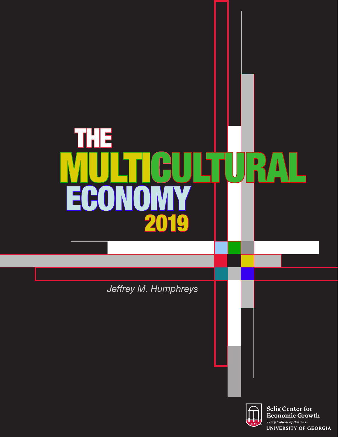# THE ECO MULTICULTURAL 2019

*Jeffrey M. Humphreys*

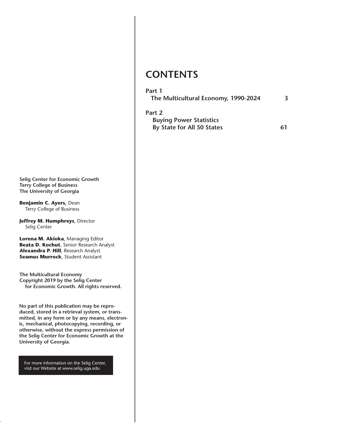**Selig Center for Economic Growth Terry College of Business The University of Georgia**

**Benjamin C. Ayers,** Dean Terry College of Business

**Jeffrey M. Humphreys**, Director Selig Center

**Lorena M. Akioka**, Managing Editor **Beata D. Kochut**, Senior Research Analyst **Alexandra P. Hill**, Research Analyst **Seamus Murrock**, Student Assistant

**The Multicultural Economy Copyright 2019 by the Selig Center for Economic Growth. All rights reserved.**

**No part of this publication may be reproduced, stored in a retrieval system, or transmitted, in any form or by any means, electronic, mechanical, photocopying, recording, or otherwise, without the express permission of the Selig Center for Economic Growth at the University of Georgia.**

For more information on the Selig Center, visit our Website at www.selig.uga.edu

## **CONTENTS**

The Multicultural Economy 2014 (2015). The Multicultural Economy 2014 (2015) 2014 (2015) 2014 (2016) 2014 (201

#### **Part 1**

| The Multicultural Economy, 1990-2024 |  |
|--------------------------------------|--|
|                                      |  |

| Part 2                         |    |
|--------------------------------|----|
| <b>Buying Power Statistics</b> |    |
| By State for All 50 States     | 61 |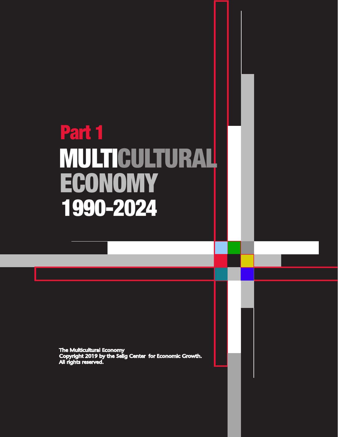## Part 1 ECONOMY MULTICULTURAL 1990-2024

The Multicultural Economy<br>Copyright 2019 by the Selig Center for Economic Growth.<br>All rights reserved.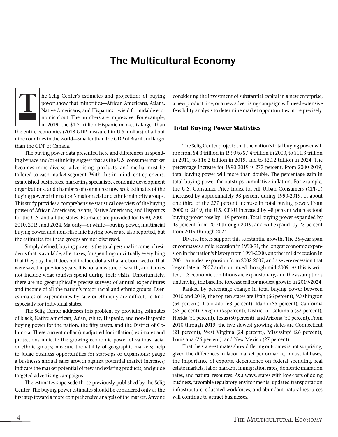## **The Multicultural Economy**



he Selig Center's estimates and projections of buying power show that minorities—African Americans, Asians, Native Americans, and Hispanics—wield formidable economic clout. The numbers are impressive. For example, in 2019, the \$1.7 trillion Hispanic market is larger than

the entire economies (2018 GDP measured in U.S. dollars) of all but nine countries in the world—smaller than the GDP of Brazil and larger than the GDP of Canada.

The buying power data presented here and differences in spending by race and/or ethnicity suggest that as the U.S. consumer market becomes more diverse, advertising, products, and media must be tailored to each market segment. With this in mind, entrepreneurs, established businesses, marketing specialists, economic development organizations, and chambers of commerce now seek estimates of the buying power of the nation's major racial and ethnic minority groups. This study provides a comprehensive statistical overview of the buying power of African Americans, Asians, Native Americans, and Hispanics for the U.S. and all the states. Estimates are provided for 1990, 2000, 2010, 2019, and 2024. Majority—or white—buying power, multiracial buying power, and non-Hispanic buying power are also reported, but the estimates for these groups are not discussed.

Simply defined, buying power is the total personal income of residents that is available, after taxes, for spending on virtually everything that they buy, but it does not include dollars that are borrowed or that were saved in previous years. It is not a measure of wealth, and it does not include what tourists spend during their visits. Unfortunately, there are no geographically precise surveys of annual expenditures and income of all the nation's major racial and ethnic groups. Even estimates of expenditures by race or ethnicity are difficult to find, especially for individual states.

The Selig Center addresses this problem by providing estimates of black, Native American, Asian, white, Hispanic, and non-Hispanic buying power for the nation, the fifty states, and the District of Columbia. These current dollar (unadjusted for inflation) estimates and projections indicate the growing economic power of various racial or ethnic groups; measure the vitality of geographic markets; help to judge business opportunities for start-ups or expansions; gauge a business's annual sales growth against potential market increases; indicate the market potential of new and existing products; and guide targeted advertising campaigns.

The estimates supersede those previously published by the Selig Center. The buying power estimates should be considered only as the first step toward a more comprehensive analysis of the market. Anyone

considering the investment of substantial capital in a new enterprise, a new product line, or a new advertising campaign will need extensive feasibility analysis to determine market opportunities more precisely.

#### **Total Buying Power Statistics**

The Selig Center projects that the nation's total buying power will rise from \$4.3 trillion in 1990 to \$7.4 trillion in 2000, to \$11.3 trillion in 2010, to \$16.2 trillion in 2019, and to \$20.2 trillion in 2024. The percentage increase for 1990-2019 is 277 percent. From 2000-2019, total buying power will more than double. The percentage gain in total buying power far outstrips cumulative inflation. For example, the U.S. Consumer Price Index for All Urban Consumers (CPI-U) increased by approximately 98 percent during 1990-2019, or about one third of the 277 percent increase in total buying power. From 2000 to 2019, the U.S. CPI-U increased by 48 percent whereas total buying power rose by 119 percent. Total buying power expanded by 43 percent from 2010 through 2019, and will expand by 25 percent from 2019 through 2024.

Diverse forces support this substantial growth. The 35-year span encompasses a mild recession in 1990-91, the longest economic expansion in the nation's history from 1991-2000, another mild recession in 2001, a modest expansion from 2002-2007, and a severe recession that began late in 2007 and continued through mid-2009. As this is written, U.S economic conditions are expansionary, and the assumptions underlying the baseline forecast call for modest growth in 2019-2024.

Ranked by percentage change in total buying power between 2010 and 2019, the top ten states are Utah (66 percent), Washington (64 percent), Colorado (63 percent), Idaho (55 percent), California (55 percent), Oregon (55percent), District of Columbia (53 percent), Florida (51 percent), Texas (50 percent), and Arizona (50 percent). From 2010 through 2019, the five slowest growing states are Connecticut (21 percent), West Virginia (24 percent), Mississippi (26 percent), Louisiana (26 percent), and New Mexico (27 percent).

That the state estimates show differing outcomes is not surprising, given the differences in labor market performance, industrial bases, the importance of exports, dependence on federal spending, real estate markets, labor markets, immigration rates, domestic migration rates, and natural resources. As always, states with low costs of doing business, favorable regulatory environments, updated transportation infrastructure, educated workforces, and abundant natural resources will continue to attract businesses.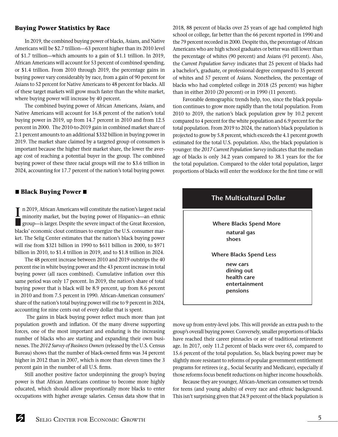#### **Buying Power Statistics by Race**

In 2019, the combined buying power of blacks, Asians, and Native Americans will be \$2.7 trillion—63 percent higher than its 2010 level of \$1.7 trillion—which amounts to a gain of \$1.1 trillion. In 2019, African Americans will account for 53 percent of combined spending, or \$1.4 trillion. From 2010 through 2019, the percentage gains in buying power vary considerably by race, from a gain of 90 percent for Asians to 52 percent for Native Americans to 48 percent for blacks. All of these target markets will grow much faster than the white market, where buying power will increase by 40 percent.

The combined buying power of African Americans, Asians, and Native Americans will account for 16.8 percent of the nation's total buying power in 2019, up from 14.7 percent in 2010 and from 12.5 percent in 2000. The 2010-to-2019 gain in combined market share of 2.1 percent amounts to an additional \$332 billion in buying power in 2019. The market share claimed by a targeted group of consumers is important because the higher their market share, the lower the average cost of reaching a potential buyer in the group. The combined buying power of these three racial groups will rise to \$3.6 trillion in 2024, accounting for 17.7 percent of the nation's total buying power.

#### $\blacksquare$  **Black Buying Power**  $\blacksquare$

**I** n 2019, African Americans will constitute the nation's largest racial minority market, but the buying power of Hispanics—an ethnic group—is larger. Despite the severe impact of the Great Recession, blacks' economic clout continues to energize the U.S. consumer market. The Selig Center estimates that the nation's black buying power will rise from \$321 billion in 1990 to \$611 billion in 2000, to \$971 billion in 2010, to \$1.4 trillion in 2019, and to \$1.8 trillion in 2024.

The 48 percent increase between 2010 and 2019 outstrips the 40 percent rise in white buying power and the 43 percent increase in total buying power (all races combined). Cumulative inflation over this same period was only 17 percent. In 2019, the nation's share of total buying power that is black will be 8.9 percent, up from 8.6 percent in 2010 and from 7.5 percent in 1990. African-American consumers' share of the nation's total buying power will rise to 9 percent in 2024, accounting for nine cents out of every dollar that is spent.

 The gains in black buying power reflect much more than just population growth and inflation. Of the many diverse supporting forces, one of the most important and enduring is the increasing number of blacks who are starting and expanding their own businesses. The *2012 Survey of Business Owners* (released by the U.S. Census Bureau) shows that the number of black-owned firms was 34 percent higher in 2012 than in 2007, which is more than eleven times the 3 percent gain in the number of all U.S. firms.

Still another positive factor underpinning the group's buying power is that African Americans continue to become more highly educated, which should allow proportionally more blacks to enter occupations with higher average salaries. Census data show that in 2018, 88 percent of blacks over 25 years of age had completed high school or college, far better than the 66 percent reported in 1990 and the 79 percent recorded in 2000. Despite this, the percentage of African Americans who are high school graduates or better was still lower than the percentage of whites (90 percent) and Asians (91 percent). Also, the *Current Population Survey* indicates that 25 percent of blacks had a bachelor's, graduate, or professional degree compared to 35 percent of whites and 57 percent of Asians. Nonetheless, the percentage of blacks who had completed college in 2018 (25 percent) was higher than in either 2010 (20 percent) or in 1990 (11 percent).

Favorable demographic trends help, too, since the black population continues to grow more rapidly than the total population. From 2010 to 2019, the nation's black population grew by 10.2 percent compared to 4 percent for the white population and 6.9 percent for the total population. From 2019 to 2024, the nation's black population is projected to grow by 5.8 percent, which exceeds the 4.1 percent growth estimated for the total U.S. population. Also, the black population is younger: the *2017 Current Population Survey* indicates that the median age of blacks is only 34.2 years compared to 38.1 years for the for the total population. Compared to the older total population, larger proportions of blacks will enter the workforce for the first time or will



move up from entry-level jobs. This will provide an extra push to the group's overall buying power. Conversely, smaller proportions of blacks have reached their career pinnacles or are of traditional retirement age. In 2017, only 11.2 percent of blacks were over 65, compared to 15.6 percent of the total population. So, black buying power may be slightly more resistant to reforms of popular government entitlement programs for retirees (e.g., Social Security and Medicare), especially if those reforms focus benefit reductions on higher income households.

Because they are younger, African-American consumers set trends for teens (and young adults) of every race and ethnic background. This isn't surprising given that 24.9 percent of the black population is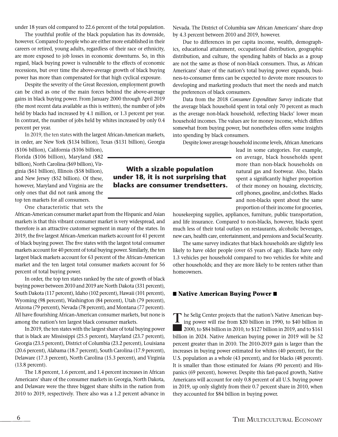under 18 years old compared to 22.6 percent of the total population.

The youthful profile of the black population has its downside, however. Compared to people who are either more established in their careers or retired, young adults, regardless of their race or ethnicity, are more exposed to job losses in economic downturns. So, in this regard, black buying power is vulnerable to the effects of economic recessions, but over time the above-average growth of black buying power has more than compensated for that high cyclical exposure.

Despite the severity of the Great Recession, employment growth can be cited as one of the main forces behind the above-average gains in black buying power. From January 2000 through April 2019 (the most recent data available as this is written), the number of jobs held by blacks had increased by 4.1 million, or 1.3 percent per year. In contrast, the number of jobs held by whites increased by only 0.4 percent per year.

In 2019, the ten states with the largest African-American markets, in order, are New York (\$134 billion), Texas (\$131 billion), Georgia

(\$106 billion), California (\$106 billion), Florida (\$106 billion), Maryland (\$82 billion), North Carolina (\$69 billion), Virginia (\$61 billion), Illinois (\$58 billion), and New Jersey (\$52 billion). Of these, however, Maryland and Virginia are the only ones that did not rank among the top ten markets for all consumers.

One characteristic that sets the

African-American consumer market apart from the Hispanic and Asian markets is that this vibrant consumer market is very widespread, and therefore is an attractive customer segment in many of the states. In 2019, the five largest African-American markets account for 41 percent of black buying power. The five states with the largest total consumer markets account for 40 percent of total buying power. Similarly, the ten largest black markets account for 63 percent of the African-American market and the ten largest total consumer markets account for 56 percent of total buying power.

In order, the top ten states ranked by the rate of growth of black buying power between 2010 and 2019 are North Dakota (331 percent), South Dakota (117 percent), Idaho (102 percent), Hawaii (101 percent), Wyoming (98 percent), Washington (84 percent), Utah (79 percent), Arizona (79 percent), Nevada (78 percent), and Montana (77 percent). All have flourishing African-American consumer markets, but none is among the nation's ten largest black consumer markets.

In 2019, the ten states with the largest share of total buying power that is black are Mississippi (25.5 percent), Maryland (23.7 percent), Georgia (23.5 percent), District of Columbia (23.2 percent), Louisiana (20.6 percent), Alabama (18.7 percent), South Carolina (17.9 percent), Delaware (17.3 percent), North Carolina (15.3 percent), and Virginia (13.8 percent).

The 1.8 percent, 1.6 percent, and 1.4 percent increases in African Americans' share of the consumer markets in Georgia, North Dakota, and Delaware were the three biggest share shifts in the nation from 2010 to 2019, respectively. There also was a 1.2 percent advance in Nevada. The District of Columbia saw African Americans' share drop by 4.3 percent between 2010 and 2019, however.

Due to differences in per capita income, wealth, demographics, educational attainment, occupational distribution, geographic distribution, and culture, the spending habits of blacks as a group are not the same as those of non-black consumers. Thus, as African Americans' share of the nation's total buying power expands, business-to-consumer firms can be expected to devote more resources to developing and marketing products that meet the needs and match the preferences of black consumers.

Data from the 2018 *Consumer Expenditure Survey* indicate that the average black household spent in total only 70 percent as much as the average non-black household, reflecting blacks' lower mean household incomes. The values are for money income, which differs somewhat from buying power, but nonetheless offers some insights into spending by black consumers.

Despite lower average household income levels, African Americans

lead in some categories. For example, on average, black households spent more than non-black households on natural gas and footwear. Also, blacks spent a significantly higher proportion of their money on housing, electricity, cell phones, gasoline, and clothes. Blacks and non-blacks spent about the same proportion of their income for groceries,

housekeeping supplies, appliances, furniture, public transportation, and life insurance. Compared to non-blacks, however, blacks spent much less of their total outlays on restaurants, alcoholic beverages, new cars, health care, entertainment, and pensions and Social Security.

The same survey indicates that black households are slightly less likely to have older people (over 65 years of age). Blacks have only 1.3 vehicles per household compared to two vehicles for white and other households; and they are more likely to be renters rather than homeowners.

#### $\blacksquare$  **Native American Buying Power**

The Selig Center projects that the nation's Native American buy-<br>
ing power will rise from \$20 billion in 1990, to \$40 billion in ing power will rise from \$20 billion in 1990, to \$40 billion in 2000, to \$84 billion in 2010, to \$127 billion in 2019, and to \$161 billion in 2024. Native American buying power in 2019 will be 52 percent greater than in 2010. The 2010-2019 gain is larger than the increases in buying power estimated for whites (40 percent), for the U.S. population as a whole (43 percent), and for blacks (48 percent). It is smaller than those estimated for Asians (90 percent) and Hispanics (69 percent), however. Despite this fast-paced growth, Native Americans will account for only 0.8 percent of all U.S. buying power in 2019, up only slightly from their 0.7 percent share in 2010, when they accounted for \$84 billion in buying power.

## **With a sizable population under 18, it is not surprising that blacks are consumer trendsetters.**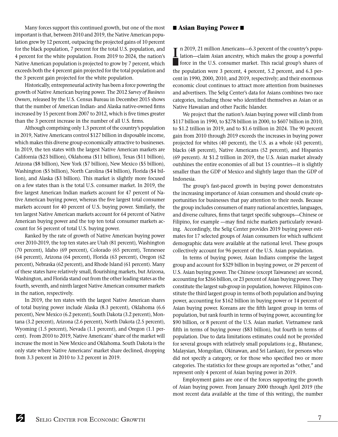Many forces support this continued growth, but one of the most important is that, between 2010 and 2019, the Native American population grew by 12 percent, outpacing the projected gains of 10 percent for the black population, 7 percent for the total U.S. population, and 4 percent for the white population. From 2019 to 2024, the nation's Native American population is projected to grow by 7 percent, which exceeds both the 4 percent gain projected for the total population and the 3 percent gain projected for the white population.

Historically, entrepreneurial activity has been a force powering the growth of Native American buying power. The 2012 *Survey of Business Owners*, released by the U.S. Census Bureau in December 2015 shows that the number of American Indian- and Alaska native-owned firms increased by 15 percent from 2007 to 2012, which is five times greater than the 3 percent increase in the number of all U.S. firms.

Although comprising only 1.3 percent of the country's population in 2019, Native Americans control \$127 billion in disposable income, which makes this diverse group economically attractive to businesses. In 2019, the ten states with the largest Native American markets are California (\$23 billion), Oklahoma (\$11 billion), Texas (\$11 billion), Arizona (\$8 billion), New York (\$7 billion), New Mexico (\$5 billion), Washington (\$5 billion), North Carolina (\$4 billion), Florida (\$4 billion), and Alaska (\$3 billion). This market is slightly more focused on a few states than is the total U.S. consumer market. In 2019, the five largest American Indian markets account for 47 percent of Native American buying power, whereas the five largest total consumer markets account for 40 percent of U.S. buying power. Similarly, the ten largest Native American markets account for 64 percent of Native American buying power and the top ten total consumer markets account for 56 percent of total U.S. buying power.

Ranked by the rate of growth of Native American buying power over 2010-2019, the top ten states are Utah (81 percent), Washington (70 percent), Idaho (69 percent), Colorado (65 percent), Tennessee (64 percent), Arizona (64 percent), Florida (63 percent), Oregon (62 percent), Nebraska (62 percent), and Rhode Island (61 percent). Many of these states have relatively small, flourishing markets, but Arizona, Washington, and Florida stand out from the other leading states as the fourth, seventh, and ninth largest Native American consumer markets in the nation, respectively.

In 2019, the ten states with the largest Native American shares of total buying power include Alaska (8.3 percent), Oklahoma (6.6 percent), New Mexico (6.2 percent), South Dakota (3.2 percent), Montana (3.2 percent), Arizona (2.6 percent), North Dakota (2.5 percent), Wyoming (1.5 percent), Nevada (1.1 percent), and Oregon (1.1 percent). From 2010 to 2019, Native Americans' share of the market will increase the most in New Mexico and Oklahoma. South Dakota is the only state where Native Americans' market share declined, dropping from 3.3 percent in 2010 to 3.2 percent in 2019.

#### **n** Asian Buying Power

In 2019, 21 million Americans—6.3 percent of the country's popu-<br>Lation—claim Asian ancestry, which makes the group a powerful lation—claim Asian ancestry, which makes the group a powerful force in the U.S. consumer market. This racial group's shares of the population were 3 percent, 4 percent, 5.2 percent, and 6.3 percent in 1990, 2000, 2010, and 2019, respectively; and their enormous economic clout continues to attract more attention from businesses and advertisers. The Selig Center's data for Asians combines two race categories, including those who identified themselves as Asian or as Native Hawaiian and other Pacific Islander.

We project that the nation's Asian buying power will climb from \$117 billion in 1990, to \$278 billion in 2000, to \$607 billion in 2010, to \$1.2 trillion in 2019, and to \$1.6 trillion in 2024. The 90 percent gain from 2010 through 2019 exceeds the increases in buying power projected for whites (40 percent), the U.S. as a whole (43 percent), blacks (48 percent), Native Americans (52 percent), and Hispanics (69 percent). At \$1.2 trillion in 2019, the U.S. Asian market already outshines the entire economies of all but 15 countries—it is slightly smaller than the GDP of Mexico and slightly larger than the GDP of Indonesia.

The group's fast-paced growth in buying power demonstrates the increasing importance of Asian consumers and should create opportunities for businesses that pay attention to their needs. Because the group includes consumers of many national ancestries, languages, and diverse cultures, firms that target specific subgroups—Chinese or Filipino, for example —may find niche markets particularly rewarding. Accordingly, the Selig Center provides 2019 buying power estimates for 17 selected groups of Asian consumers for which sufficient demographic data were available at the national level. These groups collectively account for 96 percent of the U.S. Asian population.

In terms of buying power, Asian Indians comprise the largest group and account for \$329 billion in buying power, or 29 percent of U.S. Asian buying power. The Chinese (except Taiwanese) are second, accounting for \$266 billion, or 23 percent of Asian buying power. They constitute the largest sub-group in population, however. Filipinos constitute the third largest group in terms of both population and buying power, accounting for \$162 billion in buying power or 14 percent of Asian buying power. Koreans are the fifth largest group in terms of population, but rank fourth in terms of buying power, accounting for \$90 billion, or 8 percent of the U.S. Asian market. Vietnamese rank fifth in terms of buying power (\$83 billion), but fourth in terms of population. Due to data limitations estimates could not be provided for several groups with relatively small populations (e.g., Bhutanese, Malaysian, Mongolian, Okinawan, and Sri Lankan), for persons who did not specify a category, or for those who specified two or more categories. The statistics for these groups are reported as "other," and represent only 4 percent of Asian buying power in 2019.

Employment gains are one of the forces supporting the growth of Asian buying power. From January 2000 through April 2019 (the most recent data available at the time of this writing), the number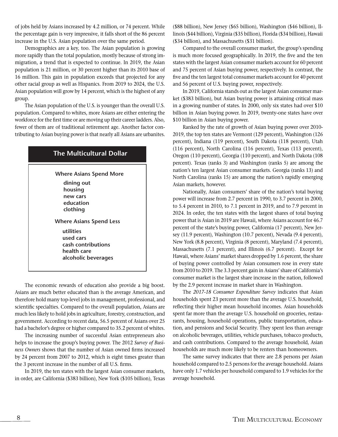of jobs held by Asians increased by 4.2 million, or 74 percent. While the percentage gain is very impressive, it falls short of the 86 percent increase in the U.S. Asian population over the same period.

Demographics are a key, too. The Asian population is growing more rapidly than the total population, mostly because of strong immigration, a trend that is expected to continue. In 2019, the Asian population is 21 million, or 30 percent higher than its 2010 base of 16 million. This gain in population exceeds that projected for any other racial group as well as Hispanics. From 2019 to 2024, the U.S. Asian population will grow by 14 percent, which is the highest of any group.

The Asian population of the U.S. is younger than the overall U.S. population. Compared to whites, more Asians are either entering the workforce for the first time or are moving up their career ladders. Also, fewer of them are of traditional retirement age. Another factor contributing to Asian buying power is that nearly all Asians are urbanites.

## **The Multicultural Dollar**

**Where Asians Spend Less Where Asians Spend More dining out housing new cars education clothing utilities used cars cash contributions health care alcoholic beverages**

The economic rewards of education also provide a big boost. Asians are much better educated than is the average American, and therefore hold many top-level jobs in management, professional, and scientific specialties. Compared to the overall population, Asians are much less likely to hold jobs in agriculture, forestry, construction, and government. According to recent data, 56.5 percent of Asians over 25 had a bachelor's degree or higher compared to 35.2 percent of whites.

The increasing number of successful Asian entrepreneurs also helps to increase the group's buying power. The 2012 *Survey of Business Owners* shows that the number of Asian owned firms increased by 24 percent from 2007 to 2012, which is eight times greater than the 3 percent increase in the number of all U.S. firms.

In 2019, the ten states with the largest Asian consumer markets, in order, are California (\$383 billion), New York (\$105 billion), Texas (\$88 billion), New Jersey (\$65 billion), Washington (\$46 billion), Illinois (\$44 billion), Virginia (\$35 billion), Florida (\$34 billion), Hawaii (\$34 billion), and Massachusetts (\$31 billion).

Compared to the overall consumer market, the group's spending is much more focused geographically. In 2019, the five and the ten states with the largest Asian consumer markets account for 60 percent and 75 percent of Asian buying power, respectively. In contrast, the five and the ten largest total consumer markets account for 40 percent and 56 percent of U.S. buying power, respectively.

In 2019, California stands out as the largest Asian consumer market (\$383 billion), but Asian buying power is attaining critical mass in a growing number of states. In 2000, only six states had over \$10 billion in Asian buying power. In 2019, twenty-one states have over \$10 billion in Asian buying power.

Ranked by the rate of growth of Asian buying power over 2010- 2019, the top ten states are Vermont (129 percent), Washington (126 percent), Indiana (119 percent), South Dakota (118 percent), Utah (116 percent), North Carolina (116 percent), Texas (113 percent), Oregon (110 percent), Georgia (110 percent), and North Dakota (108 percent). Texas (ranks 3) and Washington (ranks 5) are among the nation's ten largest Asian consumer markets. Georgia (ranks 13) and North Carolina (ranks 15) are among the nation's rapidly emerging Asian markets, however.

Nationally, Asian consumers' share of the nation's total buying power will increase from 2.7 percent in 1990, to 3.7 percent in 2000, to 5.4 percent in 2010, to 7.1 percent in 2019, and to 7.9 percent in 2024. In order, the ten states with the largest shares of total buying power that is Asian in 2019 are Hawaii, where Asians account for 46.7 percent of the state's buying power, California (17 percent), New Jersey (11.9 percent), Washington (10.7 percent), Nevada (9.4 percent), New York (8.8 percent), Virginia (8 percent), Maryland (7.4 percent), Massachusetts (7.1 percent), and Illinois (6.7 percent). Except for Hawaii, where Asians' market shares dropped by 1.6 percent, the share of buying power controlled by Asian consumers rose in every state from 2010 to 2019. The 3.3 percent gain in Asians' share of California's consumer market is the largest share increase in the nation, followed by the 2.9 percent increase in market share in Washington.

The *2017-18 Consumer Expenditure Survey* indicates that Asian households spent 23 percent more than the average U.S. household, reflecting their higher mean household incomes. Asian households spent far more than the average U.S. household on groceries, restaurants, housing, household operations, public transportation, education, and pensions and Social Security. They spent less than average on alcoholic beverages, utilities, vehicle purchases, tobacco products, and cash contributions. Compared to the average household, Asian households are much more likely to be renters than homeowners.

The same survey indicates that there are 2.8 persons per Asian household compared to 2.5 persons for the average household. Asians have only 1.7 vehicles per household compared to 1.9 vehicles for the average household.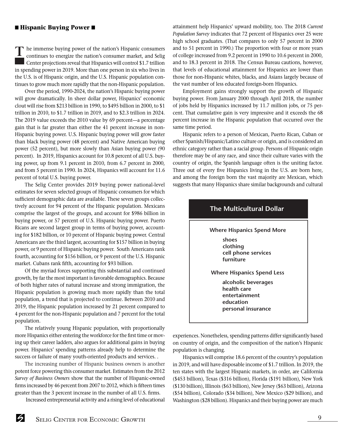#### ■ **Hispanic Buying Power** ■

**T** he immense buying power of the nation's Hispanic consumers continues to energize the nation's consumer market, and Selig Center projections reveal that Hispanics will control \$1.7 trillion in spending power in 2019. More than one person in six who lives in the U.S. is of Hispanic origin, and the U.S. Hispanic population continues to grow much more rapidly that the non-Hispanic population.

Over the period, 1990-2024, the nation's Hispanic buying power will grow dramatically. In sheer dollar power, Hispanics' economic clout will rise from \$213 billion in 1990, to \$495 billion in 2000, to \$1 trillion in 2010, to \$1.7 trillion in 2019, and to \$2.3 trillion in 2024. The 2019 value exceeds the 2010 value by 69 percent—a percentage gain that is far greater than either the 41 percent increase in non-Hispanic buying power. U.S. Hispanic buying power will grow faster than black buying power (48 percent) and Native American buying power (52 percent), but more slowly than Asian buying power (90 percent). In 2019, Hispanics account for 10.8 percent of all U.S. buying power, up from 9.1 percent in 2010, from 6.7 percent in 2000, and from 5 percent in 1990. In 2024, Hispanics will account for 11.6 percent of total U.S. buying power.

The Selig Center provides 2019 buying power national-level estimates for seven selected groups of Hispanic consumers for which sufficient demographic data are available. These seven groups collectively account for 94 percent of the Hispanic population. Mexicans comprise the largest of the groups, and account for \$986 billion in buying power, or 57 percent of U.S. Hispanic buying power. Puerto Ricans are second largest group in terms of buying power, accounting for \$182 billion, or 10 percent of Hispanic buying power. Central Americans are the third largest, accounting for \$157 billion in buying power, or 9 percent of Hispanic buying power. South Americans rank fourth, accounting for \$156 billion, or 9 percent of the U.S. Hispanic market. Cubans rank fifth, accounting for \$93 billion.

Of the myriad forces supporting this substantial and continued growth, by far the most important is favorable demographics. Because of both higher rates of natural increase and strong immigration, the Hispanic population is growing much more rapidly than the total population, a trend that is projected to continue. Between 2010 and 2019, the Hispanic population increased by 21 percent compared to 4 percent for the non-Hispanic population and 7 percent for the total population.

The relatively young Hispanic population, with proportionally more Hispanics either entering the workforce for the first time or moving up their career ladders, also argues for additional gains in buying power. Hispanics' spending patterns already help to determine the success or failure of many youth-oriented products and services. .

The increasing number of Hispanic business owners is another potent force powering this consumer market. Estimates from the 2012 *Survey of Business Owners* show that the number of Hispanic-owned firms increased by 46 percent from 2007 to 2012, which is fifteen times greater than the 3 percent increase in the number of all U.S. firms.

Increased entrepreneurial activity and a rising level of educational

attainment help Hispanics' upward mobility, too. The 2018 *Current Population Survey* indicates that 72 percent of Hispanics over 25 were high school graduates. (That compares to only 57 percent in 2000 and to 51 percent in 1990.) The proportion with four or more years of college increased from 9.2 percent in 1990 to 10.6 percent in 2000, and to 18.3 percent in 2018. The Census Bureau cautions, however, that levels of educational attainment for Hispanics are lower than those for non-Hispanic whites, blacks, and Asians largely because of the vast number of less educated foreign-born Hispanics.

Employment gains strongly support the growth of Hispanic buying power. From January 2000 through April 2018, the number of jobs held by Hispanics increased by 11.7 million jobs, or 75 percent. That cumulative gain is very impressive and it exceeds the 68 percent increase in the Hispanic population that occurred over the same time period.

Hispanic refers to a person of Mexican, Puerto Rican, Cuban or other Spanish/Hispanic/Latino culture or origin, and is considered an ethnic category rather than a racial group. Persons of Hispanic origin therefore may be of any race, and since their culture varies with the country of origin, the Spanish language often is the uniting factor. Three out of every five Hispanics living in the U.S. are born here, and among the foreign born the vast majority are Mexican, which suggests that many Hispanics share similar backgrounds and cultural



experiences. Nonetheless, spending patterns differ significantly based on country of origin, and the composition of the nation's Hispanic population is changing.

Hispanics will comprise 18.6 percent of the country's population in 2019, and will have disposable income of \$1.7 trillion. In 2019, the ten states with the largest Hispanic markets, in order, are California (\$453 billion), Texas (\$316 billion), Florida (\$191 billion), New York (\$130 billion), Illinois (\$63 billion), New Jersey (\$63 billion), Arizona (\$54 billion), Colorado (\$34 billion), New Mexico (\$29 billion), and Washington (\$28 billion). Hispanics and their buying power are much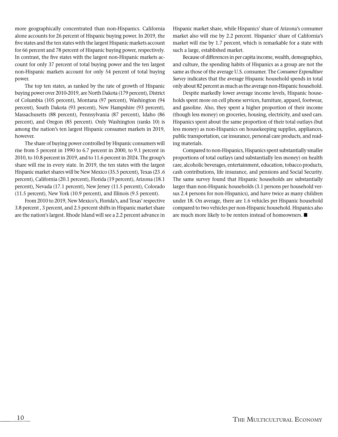more geographically concentrated than non-Hispanics. California alone accounts for 26 percent of Hispanic buying power. In 2019, the five states and the ten states with the largest Hispanic markets account for 66 percent and 78 percent of Hispanic buying power, respectively. In contrast, the five states with the largest non-Hispanic markets account for only 37 percent of total buying power and the ten largest non-Hispanic markets account for only 54 percent of total buying power.

The top ten states, as ranked by the rate of growth of Hispanic buying power over 2010-2019, are North Dakota (179 percent), District of Columbia (105 percent), Montana (97 percent), Washington (94 percent), South Dakota (93 percent), New Hampshire (93 percent), Massachusetts (88 percent), Pennsylvania (87 percent), Idaho (86 percent), and Oregon (85 percent). Only Washington (ranks 10) is among the nation's ten largest Hispanic consumer markets in 2019, however.

The share of buying power controlled by Hispanic consumers will rise from 5 percent in 1990 to 6.7 percent in 2000, to 9.1 percent in 2010, to 10.8 percent in 2019, and to 11.6 percent in 2024. The group's share will rise in every state. In 2019, the ten states with the largest Hispanic market shares will be New Mexico (35.5 percent), Texas (23 .6 percent), California (20.1 percent), Florida (19 percent), Arizona (18.1 percent), Nevada (17.1 percent), New Jersey (11.5 percent), Colorado (11.5 percent), New York (10.9 percent), and Illinois (9.5 percent).

From 2010 to 2019, New Mexico's, Florida's, and Texas' respective 3.8 percent , 3 percent, and 2.5 percent shifts in Hispanic market share are the nation's largest. Rhode Island will see a 2.2 percent advance in Hispanic market share, while Hispanics' share of Arizona's consumer market also will rise by 2.2 percent. Hispanics' share of California's market will rise by 1.7 percent, which is remarkable for a state with such a large, established market.

Because of differences in per capita income, wealth, demographics, and culture, the spending habits of Hispanics as a group are not the same as those of the average U.S. consumer. The *Consumer Expenditure Survey* indicates that the average Hispanic household spends in total only about 82 percent as much as the average non-Hispanic household.

Despite markedly lower average income levels, Hispanic households spent more on cell phone services, furniture, apparel, footwear, and gasoline. Also, they spent a higher proportion of their income (though less money) on groceries, housing, electricity, and used cars. Hispanics spent about the same proportion of their total outlays (but less money) as non-Hispanics on housekeeping supplies, appliances, public transportation, car insurance, personal care products, and reading materials.

Compared to non-Hispanics, Hispanics spent substantially smaller proportions of total outlays (and substantially less money) on health care, alcoholic beverages, entertainment, education, tobacco products, cash contributions, life insurance, and pensions and Social Security. The same survey found that Hispanic households are substantially larger than non-Hispanic households (3.1 persons per household versus 2.4 persons for non-Hispanics), and have twice as many children under 18. On average, there are 1.6 vehicles per Hispanic household compared to two vehicles per non-Hispanic household. Hispanics also are much more likely to be renters instead of homeowners.  $\blacksquare$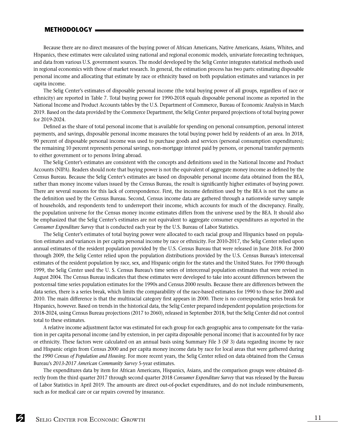#### **METHODOLOGY**

Because there are no direct measures of the buying power of African Americans, Native Americans, Asians, Whites, and Hispanics, these estimates were calculated using national and regional economic models, univariate forecasting techniques, and data from various U.S. government sources. The model developed by the Selig Center integrates statistical methods used in regional economics with those of market research. In general, the estimation process has two parts: estimating disposable personal income and allocating that estimate by race or ethnicity based on both population estimates and variances in per capita income.

The Selig Center's estimates of disposable personal income (the total buying power of all groups, regardless of race or ethnicity) are reported in Table 7. Total buying power for 1990-2018 equals disposable personal income as reported in the National Income and Product Accounts tables by the U.S. Department of Commerce, Bureau of Economic Analysis in March 2019. Based on the data provided by the Commerce Department, the Selig Center prepared projections of total buying power for 2019-2024.

Defined as the share of total personal income that is available for spending on personal consumption, personal interest payments, and savings, disposable personal income measures the total buying power held by residents of an area. In 2018, 90 percent of disposable personal income was used to purchase goods and services (personal consumption expenditures); the remaining 10 percent represents personal savings, non-mortgage interest paid by persons, or personal transfer payments to either government or to persons living abroad.

The Selig Center's estimates are consistent with the concepts and definitions used in the National Income and Product Accounts (NIPA). Readers should note that buying power is not the equivalent of aggregate money income as defined by the Census Bureau. Because the Selig Center's estimates are based on disposable personal income data obtained from the BEA, rather than money income values issued by the Census Bureau, the result is significantly higher estimates of buying power. There are several reasons for this lack of correspondence. First, the income definition used by the BEA is not the same as the definition used by the Census Bureau. Second, Census income data are gathered through a nationwide survey sample of households, and respondents tend to underreport their income, which accounts for much of the discrepancy. Finally, the population universe for the Census money income estimates differs from the universe used by the BEA. It should also be emphasized that the Selig Center's estimates are not equivalent to aggregate consumer expenditures as reported in the *Consumer Expenditure Survey* that is conducted each year by the U.S. Bureau of Labor Statistics.

The Selig Center's estimates of total buying power were allocated to each racial group and Hispanics based on population estimates and variances in per capita personal income by race or ethnicity. For 2010-2017, the Selig Center relied upon annual estimates of the resident population provided by the U.S. Census Bureau that were released in June 2018. For 2000 through 2009, the Selig Center relied upon the population distributions provided by the U.S. Census Bureau's intercensal estimates of the resident population by race, sex, and Hispanic origin for the states and the United States. For 1990 through 1999, the Selig Center used the U. S. Census Bureau's time series of intercensal population estimates that were revised in August 2004. The Census Bureau indicates that these estimates were developed to take into account differences between the postcensal time series population estimates for the 1990s and Census 2000 results. Because there are differences between the data series, there is a series break, which limits the comparability of the race-based estimates for 1990 to those for 2000 and 2010. The main difference is that the multiracial category first appears in 2000. There is no corresponding series break for Hispanics, however. Based on trends in the historical data, the Selig Center prepared independent population projections for 2018-2024, using Census Bureau projections (2017 to 2060), released in September 2018, but the Selig Center did not control total to these estimates.

A relative income adjustment factor was estimated for each group for each geographic area to compensate for the variation in per capita personal income (and by extension, in per capita disposable personal income) that is accounted for by race or ethnicity. These factors were calculated on an annual basis using Summary File 3 (SF 3) data regarding income by race and Hispanic origin from Census 2000 and per capita money income data by race for local areas that were gathered during the *1990 Census of Population and Housing*. For more recent years, the Selig Center relied on data obtained from the Census Bureau's *2013-2017 American Community Survey* 5-year estimates.

The expenditures data by item for African Americans, Hispanics, Asians, and the comparison groups were obtained directly from the third quarter 2017 through second quarter 2018 *Consumer Expenditure Survey* that was released by the Bureau of Labor Statistics in April 2019. The amounts are direct out-of-pocket expenditures, and do not include reimbursements, such as for medical care or car repairs covered by insurance.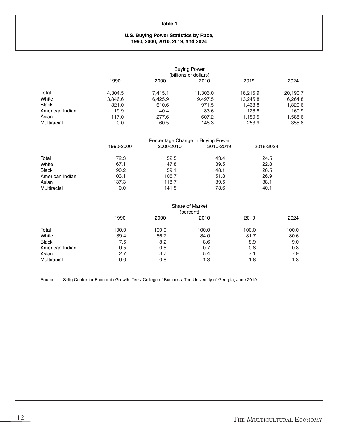#### **U.S. Buying Power Statistics by Race, 1990, 2000, 2010, 2019, and 2024**

|                 | <b>Buying Power</b><br>(billions of dollars) |         |          |          |          |
|-----------------|----------------------------------------------|---------|----------|----------|----------|
|                 | 1990                                         | 2000    | 2010     | 2019     | 2024     |
| Total           | 4,304.5                                      | 7.415.1 | 11,306.0 | 16,215.9 | 20,190.7 |
| White           | 3,846.6                                      | 6,425.9 | 9.497.5  | 13,245.8 | 16,264.8 |
| <b>Black</b>    | 321.0                                        | 610.6   | 971.5    | 1,438.8  | 1,820.6  |
| American Indian | 19.9                                         | 40.4    | 83.6     | 126.8    | 160.9    |
| Asian           | 117.0                                        | 277.6   | 607.2    | 1,150.5  | 1,588.6  |
| Multiracial     | 0.0                                          | 60.5    | 146.3    | 253.9    | 355.8    |

|                 | Percentage Change in Buying Power |           |           |           |  |  |
|-----------------|-----------------------------------|-----------|-----------|-----------|--|--|
|                 | 1990-2000                         | 2000-2010 | 2010-2019 | 2019-2024 |  |  |
| Total           | 72.3                              | 52.5      | 43.4      | 24.5      |  |  |
| White           | 67.1                              | 47.8      | 39.5      | 22.8      |  |  |
| <b>Black</b>    | 90.2                              | 59.1      | 48.1      | 26.5      |  |  |
| American Indian | 103.1                             | 106.7     | 51.8      | 26.9      |  |  |
| Asian           | 137.3                             | 118.7     | 89.5      | 38.1      |  |  |
| Multiracial     | 0.0                               | 141.5     | 73.6      | 40.1      |  |  |

|                 | <b>Share of Market</b><br>(percent) |       |       |       |       |
|-----------------|-------------------------------------|-------|-------|-------|-------|
|                 | 1990                                | 2000  | 2010  | 2019  | 2024  |
| Total           | 100.0                               | 100.0 | 100.0 | 100.0 | 100.0 |
| White           | 89.4                                | 86.7  | 84.0  | 81.7  | 80.6  |
| <b>Black</b>    | 7.5                                 | 8.2   | 8.6   | 8.9   | 9.0   |
| American Indian | 0.5                                 | 0.5   | 0.7   | 0.8   | 0.8   |
| Asian           | 2.7                                 | 3.7   | 5.4   | 7.1   | 7.9   |
| Multiracial     | 0.0                                 | 0.8   | 1.3   | 1.6   | 1.8   |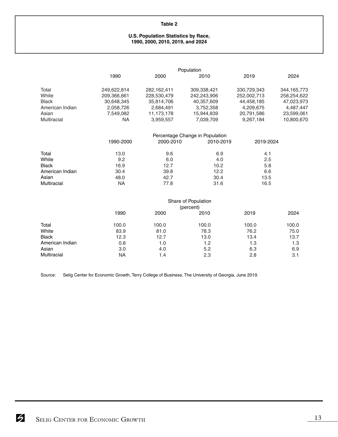#### **U.S. Population Statistics by Race, 1990, 2000, 2010, 2019, and 2024**

|                 | Population  |             |                                 |             |             |
|-----------------|-------------|-------------|---------------------------------|-------------|-------------|
|                 | 1990        | 2000        | 2010                            | 2019        | 2024        |
| Total           | 249,622,814 | 282,162,411 | 309,338,421                     | 330,729,343 | 344,165,773 |
| White           | 209,366,661 | 228,530,479 | 242,243,906                     | 252,002,713 | 258,254,622 |
| <b>Black</b>    | 30,648,345  | 35,814,706  | 40,357,609                      | 44,458,185  | 47,023,973  |
| American Indian | 2,058,726   | 2,684,491   | 3,752,358                       | 4,209,675   | 4,487,447   |
| Asian           | 7,549,082   | 11,173,178  | 15,944,839                      | 20,791,586  | 23,599,061  |
| Multiracial     | NA          | 3,959,557   | 7,039,709                       | 9,267,184   | 10,800,670  |
|                 |             |             | Percentage Change in Population |             |             |
|                 | 1990-2000   | 2000-2010   | 2010-2019                       | 2019-2024   |             |
| Total           | 13.0        | 9.6         | 6.9                             | 4.1         |             |
| White           | 9.2         | 6.0         | 4.0                             | 2.5         |             |
| <b>Black</b>    | 16.9        | 12.7        | 10.2                            | 5.8         |             |
| American Indian | 30.4        | 39.8        | 12.2                            | 6.6         |             |
| Asian           | 48.0        | 42.7        | 30.4                            | 13.5        |             |
| Multiracial     | NA          | 77.8        | 31.6                            | 16.5        |             |
|                 |             |             | Share of Population             |             |             |
|                 |             |             |                                 |             |             |

|                 | Stiare of Population<br>(percent) |       |       |       |       |  |
|-----------------|-----------------------------------|-------|-------|-------|-------|--|
|                 | 1990                              | 2000  | 2010  | 2019  | 2024  |  |
| Total           | 100.0                             | 100.0 | 100.0 | 100.0 | 100.0 |  |
| White           | 83.9                              | 81.0  | 78.3  | 76.2  | 75.0  |  |
| <b>Black</b>    | 12.3                              | 12.7  | 13.0  | 13.4  | 13.7  |  |
| American Indian | 0.8                               | 1.0   | 1.2   | 1.3   | 1.3   |  |
| Asian           | 3.0                               | 4.0   | 5.2   | 6.3   | 6.9   |  |
| Multiracial     | ΝA                                | 1.4   | 2.3   | 2.8   | 3.1   |  |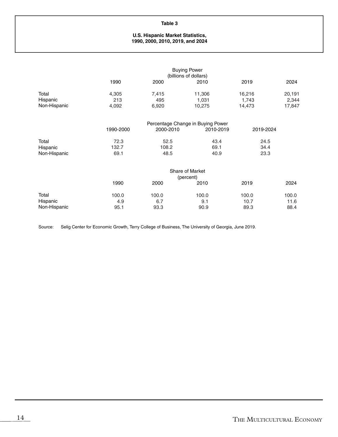#### **U.S. Hispanic Market Statistics, 1990, 2000, 2010, 2019, and 2024**

|                                   |                       |                       | <b>Buying Power</b><br>(billions of dollars)   |                           |                           |
|-----------------------------------|-----------------------|-----------------------|------------------------------------------------|---------------------------|---------------------------|
|                                   | 1990                  | 2000                  | 2010                                           | 2019                      | 2024                      |
| Total<br>Hispanic<br>Non-Hispanic | 4,305<br>213<br>4,092 | 7,415<br>495<br>6,920 | 11,306<br>1,031<br>10,275                      | 16,216<br>1,743<br>14,473 | 20,191<br>2,344<br>17,847 |
|                                   | 1990-2000             | 2000-2010             | Percentage Change in Buying Power<br>2010-2019 | 2019-2024                 |                           |
| Total<br>Hispanic<br>Non-Hispanic | 72.3<br>132.7<br>69.1 | 52.5<br>108.2<br>48.5 | 43.4<br>69.1<br>40.9                           | 24.5<br>34.4<br>23.3      |                           |
|                                   |                       |                       | Share of Market<br>(percent)                   |                           |                           |
|                                   | 1990                  | 2000                  | 2010                                           | 2019                      | 2024                      |
| Total<br>Hispanic<br>Non-Hispanic | 100.0<br>4.9<br>95.1  | 100.0<br>6.7<br>93.3  | 100.0<br>9.1<br>90.9                           | 100.0<br>10.7<br>89.3     | 100.0<br>11.6<br>88.4     |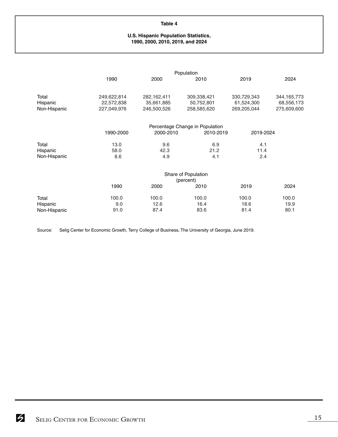#### **U.S. Hispanic Population Statistics, 1990, 2000, 2010, 2019, and 2024**

|              | Population  |             |                                 |             |               |  |
|--------------|-------------|-------------|---------------------------------|-------------|---------------|--|
|              | 1990        | 2000        | 2010                            | 2019        | 2024          |  |
|              |             |             |                                 |             |               |  |
| Total        | 249,622,814 | 282,162,411 | 309,338,421                     | 330,729,343 | 344, 165, 773 |  |
| Hispanic     | 22,572,838  | 35,661,885  | 50,752,801                      | 61,524,300  | 68,556,173    |  |
| Non-Hispanic | 227,049,976 | 246,500,526 | 258,585,620                     | 269,205,044 | 275,609,600   |  |
|              |             |             |                                 |             |               |  |
|              |             |             | Percentage Change in Population |             |               |  |
|              | 1990-2000   | 2000-2010   | 2010-2019                       | 2019-2024   |               |  |
| Total        | 13.0        | 9.6         | 6.9                             | 4.1         |               |  |
| Hispanic     | 58.0        | 42.3        | 21.2                            | 11.4        |               |  |
| Non-Hispanic | 8.6         | 4.9         | 4.1                             | 2.4         |               |  |
|              |             |             |                                 |             |               |  |
|              |             |             | Share of Population             |             |               |  |
|              |             |             | (percent)                       |             |               |  |
|              | 1990        | 2000        | 2010                            | 2019        | 2024          |  |
| Total        | 100.0       | 100.0       | 100.0                           | 100.0       | 100.0         |  |
| Hispanic     | 9.0         | 12.6        | 16.4                            | 18.6        | 19.9          |  |
| Non-Hispanic | 91.0        | 87.4        | 83.6                            | 81.4        | 80.1          |  |
|              |             |             |                                 |             |               |  |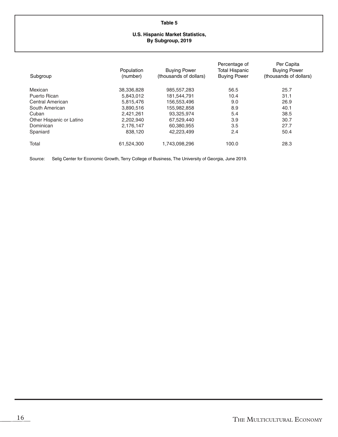|   | ×. |  |
|---|----|--|
| × | ٠  |  |
|   |    |  |

#### **U.S. Hispanic Market Statistics, By Subgroup, 2019**

| Subgroup                 | Population<br>(number) | <b>Buying Power</b><br>(thousands of dollars) | Percentage of<br><b>Total Hispanic</b><br><b>Buying Power</b> | Per Capita<br><b>Buying Power</b><br>(thousands of dollars) |
|--------------------------|------------------------|-----------------------------------------------|---------------------------------------------------------------|-------------------------------------------------------------|
| Mexican                  | 38,336,828             | 985, 557, 283                                 | 56.5                                                          | 25.7                                                        |
| Puerto Rican             | 5.843.012              | 181.544.791                                   | 10.4                                                          | 31.1                                                        |
| Central American         | 5,815,476              | 156,553,496                                   | 9.0                                                           | 26.9                                                        |
| South American           | 3,890,516              | 155,982,858                                   | 8.9                                                           | 40.1                                                        |
| Cuban                    | 2,421,261              | 93.325.974                                    | 5.4                                                           | 38.5                                                        |
| Other Hispanic or Latino | 2,202,940              | 67.529.440                                    | 3.9                                                           | 30.7                                                        |
| Dominican                | 2,176,147              | 60,380,955                                    | 3.5                                                           | 27.7                                                        |
| Spaniard                 | 838,120                | 42.223.499                                    | 2.4                                                           | 50.4                                                        |
| Total                    | 61,524,300             | 1,743,098,296                                 | 100.0                                                         | 28.3                                                        |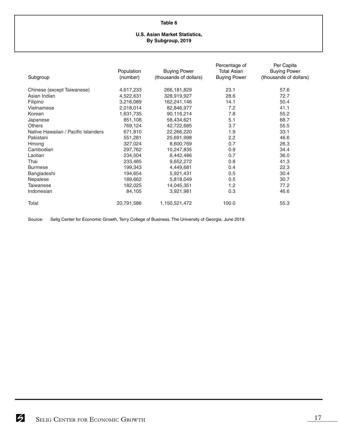#### **U.S. Asian Market Statistics, By Subgroup, 2019**

| Subgroup                            | Population<br>(number) | <b>Buying Power</b><br>(thousands of dollars) | Percentage of<br><b>Total Asian</b><br><b>Buying Power</b> | Per Capita<br><b>Buying Power</b><br>(thousands of dollars) |
|-------------------------------------|------------------------|-----------------------------------------------|------------------------------------------------------------|-------------------------------------------------------------|
| Chinese (except Taiwanese)          | 4,617,233              | 266,181,829                                   | 23.1                                                       | 57.6                                                        |
| Asian Indian                        | 4,522,631              | 328,919,927                                   | 28.6                                                       | 72.7                                                        |
| Filipino                            | 3,216,089              | 162,241,146                                   | 14.1                                                       | 50.4                                                        |
| Vietnamese                          | 2,018,014              | 82,846,977                                    | 7.2                                                        | 41.1                                                        |
| Korean                              | 1,631,735              | 90,116,214                                    | 7.8                                                        | 55.2                                                        |
| Japanese                            | 851,108                | 58,434,621                                    | 5.1                                                        | 68.7                                                        |
| <b>Others</b>                       | 769,124                | 42,722,685                                    | 3.7                                                        | 55.5                                                        |
| Native Hawaiian / Pacific Islanders | 671,810                | 22,266,220                                    | 1.9                                                        | 33.1                                                        |
| Pakistani                           | 551,281                | 25,691,998                                    | 2.2                                                        | 46.6                                                        |
| Hmong                               | 327,024                | 8,600,769                                     | 0.7                                                        | 26.3                                                        |
| Cambodian                           | 297,762                | 10,247,835                                    | 0.9                                                        | 34.4                                                        |
| Laotian                             | 234,504                | 8,442,486                                     | 0.7                                                        | 36.0                                                        |
| Thai                                | 233,485                | 9,652,272                                     | 0.8                                                        | 41.3                                                        |
| <b>Burmese</b>                      | 199,343                | 4,449,681                                     | 0.4                                                        | 22.3                                                        |
| Bangladeshi                         | 194,654                | 5,921,431                                     | 0.5                                                        | 30.4                                                        |
| Nepalese                            | 189,662                | 5,818,049                                     | 0.5                                                        | 30.7                                                        |
| <b>Taiwanese</b>                    | 182,025                | 14,045,351                                    | 1.2                                                        | 77.2                                                        |
| Indonesian                          | 84,105                 | 3,921,981                                     | 0.3                                                        | 46.6                                                        |
| Total                               | 20,791,586             | 1,150,521,472                                 | 100.0                                                      | 55.3                                                        |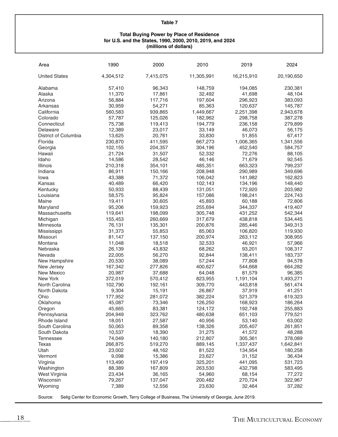#### **Total Buying Power by Place of Residence for U.S. and the States, 1990, 2000, 2010, 2019, and 2024 (millions of dollars)**

| Area                 | 1990      | 2000      | 2010       | 2019       | 2024       |
|----------------------|-----------|-----------|------------|------------|------------|
| <b>United States</b> | 4,304,512 | 7,415,075 | 11,305,991 | 16,215,910 | 20,190,650 |
| Alabama              | 57,410    | 96,343    | 148,759    | 194,085    | 230,381    |
| Alaska               | 11,370    | 17,861    | 32,492     | 41,698     | 48,104     |
| Arizona              | 56,884    | 117,716   | 197,604    | 296,923    | 383,093    |
| Arkansas             | 30,959    | 54,271    | 85,363     | 120,637    | 145,787    |
| California           | 560,583   | 939,865   | 1,449,667  | 2,251,398  | 2,943,678  |
| Colorado             | 57,787    | 125,026   | 182,962    | 298,758    | 387,278    |
| Connecticut          | 75,738    | 119,413   | 194,779    | 236,158    | 279,899    |
| Delaware             | 12,389    | 23,017    | 33,149     | 46,073     | 56,175     |
| District of Columbia | 13,625    | 20,761    | 33,830     | 51,855     | 67,417     |
| Florida              | 230,870   | 411,595   | 667,273    | 1,006,365  | 1,341,556  |
| Georgia              | 102,155   | 204,357   | 304,196    | 452,540    | 584,757    |
| Hawaii               | 21,724    | 31,507    | 52,332     | 72,276     | 88,105     |
| Idaho                | 14,586    | 28,542    | 46,146     | 71,679     | 92,545     |
| Illinois             | 210,318   | 354,101   | 485,351    | 663,323    | 799,237    |
| Indiana              | 86,911    | 150,166   | 208,948    | 290,989    | 349,696    |
| Iowa                 | 43,388    | 71,372    | 106,042    | 141,982    | 162,823    |
| Kansas               | 40,489    | 66,420    | 102,143    | 134,196    | 148,440    |
| Kentucky             | 50,933    | 88,439    | 131,051    | 172,920    | 203,982    |
| Louisiana            | 58,575    | 95,824    | 157,086    | 198,241    | 224,743    |
| Maine                | 19,411    | 30,605    | 45,893     | 60,188     | 72,806     |
| Maryland             | 95,206    | 159,923   | 255,694    | 344,337    | 419,407    |
| Massachusetts        | 119,641   | 198,099   | 305,748    | 431,252    | 542,344    |
| Michigan             | 155,453   | 260,669   | 317,679    | 438,818    | 534,445    |
| Minnesota            | 76,131    | 135,301   | 200,876    | 285,446    | 349,313    |
| Mississippi          | 31,373    | 55,853    | 85,063     | 106,820    | 119,930    |
| Missouri             | 81,147    | 137,150   | 200,974    | 263,112    | 308,955    |
| Montana              | 11,048    | 18,518    | 32,533     | 46,921     | 57,966     |
| Nebraska             | 26,139    | 43,832    | 68,262     | 93,201     | 108,317    |
| Nevada               | 22,005    | 56,270    | 92,844     | 138,411    | 183,737    |
| New Hampshire        | 20,530    | 38,089    | 57,244     | 77,808     | 94,578     |
| New Jersey           | 167,342   | 277,826   | 400,627    | 544,668    | 664,282    |
| <b>New Mexico</b>    | 20,987    | 37,688    | 64,048     | 81,579     | 96,385     |
| New York             | 372,019   | 570,412   | 823,955    | 1,191,104  | 1,493,271  |
| North Carolina       | 102,790   | 192,161   | 309,770    | 443,818    | 561,474    |
| North Dakota         | 9,304     | 15,191    | 26,867     | 37,919     | 41,251     |
| Ohio                 | 177,952   | 281,072   | 382,224    | 521,379    | 619,323    |
| Oklahoma             | 45,087    | 73,346    | 126,250    | 168,923    | 186,264    |
| Oregon               | 45,665    | 83,381    | 124,172    | 192,748    | 255,883    |
| Pennsylvania         | 204,949   | 323,762   | 480,638    | 651,103    | 779,521    |
| Rhode Island         | 18,051    | 27,587    | 40,956     | 53,140     | 63,002     |
| South Carolina       | 50,063    | 89,358    | 138,326    | 205,407    | 261,851    |
| South Dakota         | 10,537    | 18,390    | 31,275     | 41,572     | 48,288     |
| <b>Tennessee</b>     | 74,049    | 140,180   | 212,807    | 305,361    | 378,089    |
| <b>Texas</b>         | 266,875   | 519,270   | 889,145    | 1,337,437  | 1,642,841  |
| Utah                 | 23,002    | 48,162    | 81,522     | 134,954    | 180,258    |
| Vermont              | 9,098     | 15,386    | 23,627     | 31,152     | 36,434     |
| Virginia             | 113,490   | 197,419   | 325,201    | 441,095    | 531,723    |
| Washington           | 88,389    | 167,809   | 263,530    | 432,798    | 583,495    |
| West Virginia        | 23,434    | 36,165    | 54,960     | 68,154     | 77,272     |
| Wisconsin            | 79,267    | 137,047   | 200,482    | 270,724    | 322,967    |
| Wyoming              | 7,389     | 12,556    | 23,630     | 32,464     | 37,282     |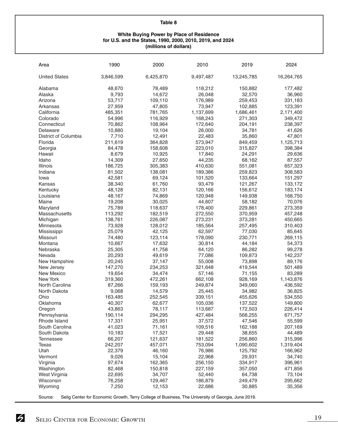#### **White Buying Power by Place of Residence for U.S. and the States, 1990, 2000, 2010, 2019, and 2024 (millions of dollars)**

| Area                 | 1990      | 2000      | 2010      | 2019       | 2024       |
|----------------------|-----------|-----------|-----------|------------|------------|
| <b>United States</b> | 3,846,599 | 6,425,870 | 9,497,487 | 13,245,785 | 16,264,765 |
| Alabama              | 48,670    | 78,489    | 118,212   | 150,882    | 177,482    |
| Alaska               | 9,793     | 14,672    | 26,048    | 32,570     | 36,960     |
| Arizona              | 53,717    | 109,110   | 176,989   | 259,453    | 331,183    |
| Arkansas             | 27,959    | 47,805    | 73,947    | 102,885    | 123,391    |
| California           | 485,351   | 781,765   | 1,137,699 | 1,686,461  | 2,171,400  |
| Colorado             | 54,996    | 116,929   | 168,243   | 271,303    | 349,472    |
| Connecticut          | 70,862    | 108,964   | 172,640   | 204,191    | 238,397    |
| Delaware             | 10,880    | 19,104    | 26,000    | 34,781     | 41,626     |
| District of Columbia | 7,710     | 12,491    | 22,483    | 35,860     | 47,801     |
| Florida              | 211,619   | 364,828   | 573,947   | 849,459    | 1,125,713  |
| Georgia              | 84,478    | 158,608   | 223,010   | 315,827    | 398,384    |
| Hawaii               | 8,679     | 10,925    | 17,840    | 24,291     | 29,636     |
| Idaho                | 14,309    | 27,650    | 44,235    | 68,162     | 87,557     |
| Illinois             | 186,725   | 305,383   | 410,630   | 551,081    | 657,323    |
| Indiana              | 81,502    | 138,081   | 189,386   | 259,823    | 308,583    |
| Iowa                 | 42,581    | 69,124    | 101,520   | 133,664    |            |
| Kansas               |           |           |           |            | 151,297    |
|                      | 38,340    | 61,760    | 93,479    | 121,267    | 133,172    |
| Kentucky             | 48,128    | 82,131    | 120,166   | 156,612    | 183,174    |
| Louisiana            | 48,167    | 74,869    | 120,948   | 149,938    | 168,750    |
| Maine                | 19,208    | 30,025    | 44,607    | 58,182     | 70,076     |
| Maryland             | 75,789    | 118,637   | 178,400   | 229,861    | 273,359    |
| Massachusetts        | 113,292   | 182,519   | 272,550   | 370,959    | 457,248    |
| Michigan             | 138,761   | 226,087   | 273,231   | 373,281    | 450,665    |
| Minnesota            | 73,928    | 128,012   | 185,564   | 257,495    | 310,403    |
| Mississippi          | 25,079    | 42,125    | 62,597    | 77,030     | 85,645     |
| Missouri             | 74,480    | 123,114   | 178,090   | 230,771    | 269,115    |
| Montana              | 10,667    | 17,632    | 30,814    | 44,184     | 54,373     |
| Nebraska             | 25,305    | 41,758    | 64,120    | 86,282     | 99,278     |
| Nevada               | 20,293    | 49,619    | 77,086    | 109,873    | 142,237    |
| New Hampshire        | 20,245    | 37,147    | 55,008    | 73,898     | 89,176     |
| New Jersey           | 147,270   | 234,253   | 321,648   | 419,544    | 501,489    |
| New Mexico           | 19,654    | 34,474    | 57,146    | 71,155     | 83,289     |
| New York             | 319,360   | 472,261   | 662,108   | 928,169    | 1,143,876  |
| North Carolina       | 87,266    | 159,193   | 249,874   | 349,060    | 436,592    |
| North Dakota         | 9,068     | 14,579    | 25,445    | 34,982     | 36,825     |
| Ohio                 | 163,485   | 252,545   | 339,151   | 455,626    | 534,550    |
| Oklahoma             | 40,307    | 62,677    | 105,036   | 137,522    | 149,800    |
| Oregon               | 43,863    | 78,117    | 113,687   | 172,503    | 226,414    |
| Pennsylvania         | 190,114   | 294,295   | 427,484   | 568,255    | 671,757    |
| Rhode Island         | 17,331    | 25,951    | 37,572    | 47,546     | 55,599     |
| South Carolina       | 41,023    | 71,161    | 109,516   | 162,188    | 207,169    |
| South Dakota         | 10,183    | 17,521    | 29,448    | 38,655     | 44,489     |
| <b>Tennessee</b>     | 66,207    | 121,637   | 181,522   | 256,860    | 315,996    |
| Texas                | 242,207   | 457,071   | 753,094   | 1,090,602  | 1,319,404  |
| Utah                 | 22,379    | 46,160    | 76,986    | 125,792    | 166,962    |
| Vermont              | 9,026     | 15,104    | 22,968    | 29,931     | 34,740     |
| Virginia             | 97,674    | 162,365   | 256,150   | 334,917    | 396,961    |
| Washington           | 82,468    | 150,818   | 227,159   | 357,050    | 471,856    |
| West Virginia        | 22,695    | 34,707    | 52,440    | 64,738     | 73,104     |
| Wisconsin            | 76,258    | 129,467   | 186,879   | 249,479    | 295,662    |
| Wyoming              | 7,250     | 12,153    | 22,686    | 30,885     | 35,356     |
|                      |           |           |           |            |            |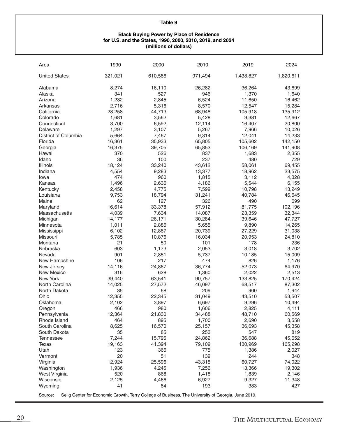#### **Black Buying Power by Place of Residence for U.S. and the States, 1990, 2000, 2010, 2019, and 2024 (millions of dollars)**

| Area                 | 1990                                                                                               | 2000    | 2010    | 2019      | 2024      |
|----------------------|----------------------------------------------------------------------------------------------------|---------|---------|-----------|-----------|
| <b>United States</b> | 321,021                                                                                            | 610,586 | 971,494 | 1,438,827 | 1,820,611 |
| Alabama              | 8,274                                                                                              | 16,110  | 26,282  | 36,264    | 43,699    |
| Alaska               | 341                                                                                                | 527     | 946     | 1,370     | 1,640     |
| Arizona              | 1,232                                                                                              | 2,845   | 6,524   | 11,650    | 16,462    |
| Arkansas             | 2,716                                                                                              | 5,316   | 8,570   | 12,547    | 15,284    |
| California           | 28,258                                                                                             | 44,713  | 68,948  | 105,918   | 135,912   |
| Colorado             | 1,681                                                                                              | 3,562   | 5,428   | 9,381     | 12,667    |
| Connecticut          | 3,700                                                                                              | 6,592   | 12,114  | 16,407    | 20,800    |
| Delaware             | 1,297                                                                                              | 3,107   | 5,267   | 7,966     | 10,026    |
| District of Columbia | 5,664                                                                                              | 7,467   | 9,314   | 12,041    | 14,233    |
| Florida              | 16,361                                                                                             | 35,933  | 65,805  | 105,602   | 142,150   |
| Georgia              | 16,375                                                                                             | 39,705  | 65,853  | 106,169   | 141,908   |
| Hawaii               | 370                                                                                                | 526     | 837     | 1,683     | 2,355     |
| Idaho                | 36                                                                                                 | 100     | 237     | 480       | 729       |
| Illinois             | 18,124                                                                                             | 33,240  | 43,612  | 58,061    | 69,455    |
| Indiana              | 4,554                                                                                              | 9,283   | 13,377  | 18,962    | 23,575    |
| lowa                 | 474                                                                                                | 960     | 1,815   | 3,112     | 4,328     |
| Kansas               | 1,496                                                                                              | 2,636   | 4,186   | 5,544     | 6,155     |
| Kentucky             | 2,458                                                                                              | 4,775   | 7,599   | 10,798    | 13,249    |
| Louisiana            | 9,753                                                                                              | 18,794  | 31,241  | 40,784    | 46,645    |
| Maine                | 62                                                                                                 | 127     | 326     | 490       | 699       |
| Maryland             | 16,614                                                                                             | 33,378  | 57,912  | 81,775    | 102,196   |
| Massachusetts        | 4,039                                                                                              | 7,634   | 14,087  | 23,359    | 32,344    |
| Michigan             | 14,177                                                                                             | 26,171  | 30,284  | 39,646    | 47,727    |
| Minnesota            | 1,011                                                                                              | 2,886   | 5,655   | 9,890     | 14,265    |
| Mississippi          | 6,102                                                                                              | 12,887  | 20,739  | 27,229    | 31,038    |
| Missouri             | 5,785                                                                                              | 10,876  | 16,034  | 20,953    | 24,810    |
| Montana              | 21                                                                                                 | 50      | 101     | 178       | 236       |
| Nebraska             | 603                                                                                                | 1,173   | 2,053   | 3,018     | 3,702     |
| Nevada               | 901                                                                                                | 2,851   | 5,737   | 10,185    | 15,009    |
| New Hampshire        | 106                                                                                                | 217     | 474     | 826       | 1,176     |
| New Jersey           | 14,116                                                                                             | 24,867  | 36,774  | 52,073    | 64,970    |
| New Mexico           | 316                                                                                                | 628     | 1,360   | 2,022     | 2,513     |
| New York             | 39,440                                                                                             | 63,541  | 90,757  | 133,825   | 170,424   |
| North Carolina       | 14,025                                                                                             | 27,572  | 46,097  | 68,517    | 87,302    |
| North Dakota         | 35                                                                                                 | 68      | 209     | 900       | 1,944     |
| Ohio                 | 12,355                                                                                             | 22,345  | 31,049  | 43,510    | 53,507    |
| Oklahoma             | 2,102                                                                                              | 3,897   | 6,697   | 9,296     | 10,494    |
| Oregon               | 466                                                                                                | 980     | 1,606   | 2,825     | 4,111     |
| Pennsylvania         | 12,364                                                                                             | 21,830  | 34,488  | 48,710    | 60,569    |
| Rhode Island         | 464                                                                                                | 895     | 1,700   | 2,690     | 3,558     |
| South Carolina       | 8,625                                                                                              | 16,570  | 25,157  | 36,693    | 45,358    |
| South Dakota         | 35                                                                                                 | 85      | 253     | 547       | 819       |
| <b>Tennessee</b>     | 7,244                                                                                              | 15,795  | 24,862  | 36,688    | 45,652    |
| <b>Texas</b>         | 19,163                                                                                             | 41,394  | 79,109  | 130,969   | 165,298   |
| Utah                 | 123                                                                                                | 366     | 775     | 1,386     | 2,027     |
| Vermont              | 20                                                                                                 | 51      | 139     | 244       | 348       |
| Virginia             | 12,924                                                                                             | 25,596  | 43,315  | 60,727    | 74,022    |
| Washington           | 1,936                                                                                              | 4,245   | 7,256   | 13,366    | 19,302    |
| West Virginia        | 520                                                                                                | 868     | 1,418   | 1,839     | 2,146     |
| Wisconsin            | 2,125                                                                                              | 4,466   | 6,927   | 9,327     | 11,348    |
| Wyoming              | 41                                                                                                 | 84      | 193     | 383       | 427       |
| Source:              | Selig Center for Economic Growth, Terry College of Business, The University of Georgia, June 2019. |         |         |           |           |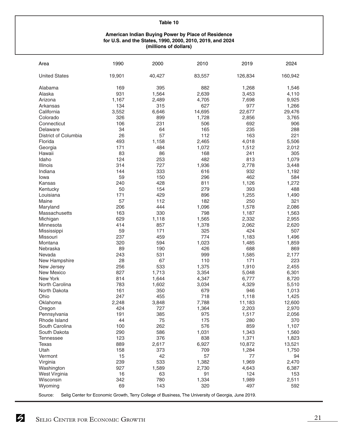#### **American Indian Buying Power by Place of Residence for U.S. and the States, 1990, 2000, 2010, 2019, and 2024 (millions of dollars)**

| Area                 | 1990   | 2000   | 2010                                                                                               | 2019    | 2024    |
|----------------------|--------|--------|----------------------------------------------------------------------------------------------------|---------|---------|
| <b>United States</b> | 19,901 | 40,427 | 83,557                                                                                             | 126,834 | 160,942 |
| Alabama              | 169    | 395    | 882                                                                                                | 1,268   | 1,546   |
| Alaska               | 931    | 1,564  | 2,639                                                                                              | 3,453   | 4,110   |
| Arizona              | 1,167  | 2,489  | 4,705                                                                                              | 7,698   | 9,925   |
| Arkansas             | 134    | 315    | 627                                                                                                | 977     | 1,266   |
| California           | 3,552  | 6,646  | 14,695                                                                                             | 22,677  | 29,476  |
| Colorado             | 326    | 899    | 1,728                                                                                              | 2,856   | 3,765   |
| Connecticut          | 106    | 231    | 506                                                                                                | 692     | 906     |
| Delaware             | 34     | 64     | 165                                                                                                | 235     | 288     |
| District of Columbia | 26     | 57     | 112                                                                                                | 163     | 221     |
| Florida              | 493    | 1,158  | 2,465                                                                                              | 4,018   | 5,506   |
| Georgia              | 171    | 484    | 1,072                                                                                              | 1,512   | 2,012   |
| Hawaii               | 83     | 86     | 168                                                                                                | 241     | 305     |
| Idaho                | 124    | 253    | 482                                                                                                | 813     | 1,079   |
| Illinois             | 314    | 727    | 1,936                                                                                              | 2,778   | 3,448   |
| Indiana              | 144    | 333    | 616                                                                                                | 932     | 1,192   |
| Iowa                 | 59     | 150    | 296                                                                                                | 462     | 584     |
| Kansas               | 240    | 428    | 811                                                                                                | 1,126   | 1,272   |
| Kentucky             | 50     | 154    | 279                                                                                                | 393     | 488     |
| Louisiana            | 171    | 429    | 896                                                                                                | 1,255   | 1,490   |
| Maine                | 57     | 112    | 182                                                                                                | 250     | 321     |
| Maryland             | 206    | 444    | 1,096                                                                                              | 1,578   | 2,086   |
| Massachusetts        | 163    | 330    | 798                                                                                                | 1,187   | 1,563   |
| Michigan             | 629    | 1,118  | 1,565                                                                                              | 2,332   | 2,955   |
| Minnesota            | 414    | 857    | 1,378                                                                                              | 2,062   | 2,620   |
| Mississippi          | 59     | 171    | 325                                                                                                | 424     | 507     |
| Missouri             | 237    | 459    | 774                                                                                                | 1,183   | 1,496   |
| Montana              | 320    | 594    | 1,023                                                                                              | 1,485   | 1,859   |
| Nebraska             | 89     | 190    | 426                                                                                                | 688     | 869     |
| Nevada               | 243    | 531    | 999                                                                                                | 1,585   | 2,177   |
| New Hampshire        | 28     | 67     | 110                                                                                                | 171     | 223     |
| New Jersey           | 256    | 533    | 1,375                                                                                              | 1,910   | 2,455   |
| New Mexico           | 827    | 1,713  | 3,354                                                                                              | 5,048   | 6,301   |
| New York             | 814    | 1,644  | 4,347                                                                                              | 6,777   | 8,720   |
| North Carolina       | 783    | 1,602  | 3,034                                                                                              | 4,329   | 5,510   |
| North Dakota         | 161    | 350    | 679                                                                                                | 946     | 1,013   |
| Ohio                 | 247    | 455    | 718                                                                                                | 1,118   | 1,425   |
| Oklahoma             | 2,248  | 3,848  | 7,788                                                                                              | 11,183  | 12,600  |
| Oregon               | 424    | 727    | 1,364                                                                                              | 2,203   | 2,970   |
| Pennsylvania         | 191    | 385    | 975                                                                                                | 1,517   | 2,056   |
| Rhode Island         | 44     | 75     | 175                                                                                                | 280     | 370     |
| South Carolina       | 100    | 262    | 576                                                                                                | 859     | 1,107   |
| South Dakota         | 290    | 586    | 1,031                                                                                              | 1,343   | 1,560   |
| <b>Tennessee</b>     | 123    | 376    | 838                                                                                                | 1,371   | 1,823   |
| <b>Texas</b>         | 889    | 2,617  | 6,927                                                                                              | 10,872  | 13,521  |
| Utah                 | 158    | 373    | 709                                                                                                | 1,284   | 1,750   |
| Vermont              | 15     | 42     | 57                                                                                                 | 77      | 94      |
| Virginia             | 239    | 533    | 1,382                                                                                              | 1,969   | 2,470   |
| Washington           | 927    | 1,589  | 2,730                                                                                              | 4,643   | 6,387   |
| West Virginia        | 16     | 63     | 91                                                                                                 | 124     | 153     |
| Wisconsin            | 342    | 780    | 1,334                                                                                              | 1,989   | 2,511   |
| Wyoming              | 69     | 143    | 320                                                                                                | 497     | 592     |
| Source:              |        |        | Selig Center for Economic Growth, Terry College of Business, The University of Georgia, June 2019. |         |         |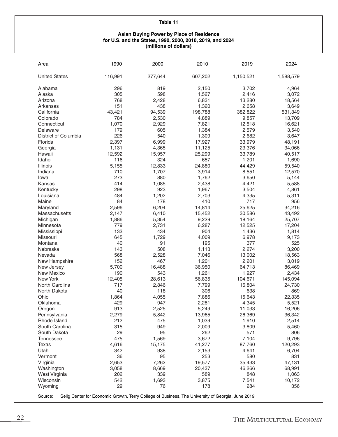#### **Asian Buying Power by Place of Residence for U.S. and the States, 1990, 2000, 2010, 2019, and 2024 (millions of dollars)**

| Area                                                                                                          | 1990    | 2000    | 2010    | 2019      | 2024      |  |  |
|---------------------------------------------------------------------------------------------------------------|---------|---------|---------|-----------|-----------|--|--|
| <b>United States</b>                                                                                          | 116,991 | 277,644 | 607,202 | 1,150,521 | 1,588,579 |  |  |
| Alabama                                                                                                       | 296     | 819     | 2,150   | 3,702     | 4,964     |  |  |
| Alaska                                                                                                        | 305     | 598     | 1,527   | 2,416     | 3,072     |  |  |
| Arizona                                                                                                       | 768     | 2,428   | 6,831   | 13,280    | 18,564    |  |  |
| Arkansas                                                                                                      | 151     | 438     | 1,320   | 2,658     | 3,649     |  |  |
| California                                                                                                    | 43,421  | 94,539  | 198,788 | 382,822   | 531,349   |  |  |
| Colorado                                                                                                      | 784     | 2,530   | 4,889   | 9,857     | 13,709    |  |  |
| Connecticut                                                                                                   | 1,070   | 2,929   | 7,821   | 12,518    | 16,621    |  |  |
| Delaware                                                                                                      | 179     | 605     | 1,384   | 2,579     | 3,540     |  |  |
| District of Columbia                                                                                          | 226     | 540     | 1,309   | 2,682     | 3,647     |  |  |
| Florida                                                                                                       | 2,397   | 6,999   | 17,927  | 33,979    | 48,191    |  |  |
| Georgia                                                                                                       | 1,131   | 4,365   | 11,125  | 23,376    | 34,066    |  |  |
| Hawaii                                                                                                        | 12,592  | 15,957  | 25,299  | 33,789    | 40,517    |  |  |
| Idaho                                                                                                         | 116     | 324     | 657     | 1,201     | 1,690     |  |  |
| Illinois                                                                                                      | 5,155   | 12,833  | 24,880  | 44,429    | 59,540    |  |  |
| Indiana                                                                                                       | 710     | 1,707   | 3,914   | 8,551     | 12,570    |  |  |
| Iowa                                                                                                          | 273     | 880     | 1,762   | 3,650     | 5,144     |  |  |
| Kansas                                                                                                        | 414     | 1,085   | 2,438   | 4,421     | 5,588     |  |  |
| Kentucky                                                                                                      | 298     | 923     | 1,967   | 3,504     | 4,861     |  |  |
| Louisiana                                                                                                     | 484     | 1,202   | 2,703   | 4,335     | 5,311     |  |  |
| Maine                                                                                                         | 84      | 178     | 410     | 717       | 956       |  |  |
| Maryland                                                                                                      | 2,596   | 6,204   | 14,814  | 25,625    | 34,216    |  |  |
| Massachusetts                                                                                                 | 2,147   | 6,410   | 15,452  | 30,586    | 43,492    |  |  |
| Michigan                                                                                                      | 1,886   | 5,354   | 9,229   | 18,164    | 25,707    |  |  |
| Minnesota                                                                                                     | 779     | 2,731   | 6,287   | 12,525    | 17,204    |  |  |
| Mississippi                                                                                                   | 133     | 434     | 904     | 1,436     | 1,814     |  |  |
| Missouri                                                                                                      | 645     | 1,729   | 4,009   | 6,978     | 9,173     |  |  |
| Montana                                                                                                       | 40      | 91      | 195     | 377       | 525       |  |  |
| Nebraska                                                                                                      | 143     | 508     | 1,113   | 2,274     | 3,200     |  |  |
| Nevada                                                                                                        | 568     | 2,528   | 7,046   | 13,002    | 18,563    |  |  |
| New Hampshire                                                                                                 | 152     | 467     | 1,201   | 2,201     | 3,019     |  |  |
| New Jersey                                                                                                    | 5,700   | 16,488  | 36,950  | 64,713    | 86,469    |  |  |
| <b>New Mexico</b>                                                                                             | 190     | 543     | 1,261   | 1,927     | 2,434     |  |  |
| New York                                                                                                      | 12,405  | 28,613  | 56,835  | 104,671   | 145,094   |  |  |
| North Carolina                                                                                                | 717     | 2,846   | 7,799   | 16,804    | 24,730    |  |  |
| North Dakota                                                                                                  | 40      | 118     | 306     | 638       | 869       |  |  |
| Ohio                                                                                                          | 1,864   | 4,055   | 7,886   | 15,643    | 22,335    |  |  |
| Oklahoma                                                                                                      | 429     | 947     | 2,281   | 4,345     | 5,521     |  |  |
| Oregon                                                                                                        | 913     | 2,525   | 5,249   | 11,033    | 16,206    |  |  |
| Pennsylvania                                                                                                  | 2,279   | 5,842   | 13,965  | 26,369    | 36,342    |  |  |
| Rhode Island                                                                                                  | 212     | 475     | 1,039   | 1,910     | 2,514     |  |  |
| South Carolina                                                                                                | 315     | 949     | 2,009   | 3,809     | 5,460     |  |  |
| South Dakota                                                                                                  | 29      | 95      | 262     | 571       | 806       |  |  |
| <b>Tennessee</b>                                                                                              | 475     | 1,569   | 3,672   | 7,104     | 9,796     |  |  |
| Texas                                                                                                         | 4,616   | 15,175  | 41,277  | 87,760    | 120,293   |  |  |
| Utah                                                                                                          | 342     | 938     | 2,153   | 4,641     | 6,704     |  |  |
| Vermont                                                                                                       | 36      | 95      | 253     | 580       | 831       |  |  |
| Virginia                                                                                                      | 2,653   | 7,262   | 19,577  | 35,433    | 47,131    |  |  |
| Washington                                                                                                    | 3,058   | 8,669   | 20,437  | 46,266    | 68,991    |  |  |
| West Virginia                                                                                                 | 202     | 339     | 589     | 848       | 1,063     |  |  |
| Wisconsin                                                                                                     | 542     | 1,693   | 3,875   | 7,541     | 10,172    |  |  |
| Wyoming                                                                                                       | 29      | 76      | 178     | 284       | 356       |  |  |
| Source:<br>Selig Center for Economic Growth, Terry College of Business, The University of Georgia, June 2019. |         |         |         |           |           |  |  |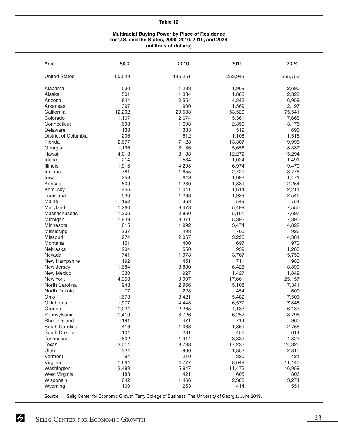#### **Multiracial Buying Power by Place of Residence for U.S. and the States, 2000, 2010, 2019, and 2024 (millions of dollars)**

| Area                 | 2000   | 2010                                                                                               | 2019    | 2024    |
|----------------------|--------|----------------------------------------------------------------------------------------------------|---------|---------|
| <b>United States</b> | 60,549 | 146,251                                                                                            | 253,943 | 355,753 |
| Alabama              | 530    | 1,233                                                                                              | 1,969   | 2,690   |
| Alaska               | 501    | 1,334                                                                                              | 1,888   | 2,322   |
| Arizona              | 844    | 2,554                                                                                              | 4,842   | 6,959   |
| Arkansas             | 397    | 900                                                                                                | 1,569   | 2,197   |
| California           | 12,202 | 29,538                                                                                             | 53,520  | 75,541  |
| Colorado             | 1,107  | 2,674                                                                                              | 5,361   | 7,665   |
| Connecticut          | 698    | 1,698                                                                                              | 2,350   | 3,175   |
| Delaware             | 138    | 333                                                                                                | 512     | 696     |
| District of Columbia | 206    | 612                                                                                                | 1,108   | 1,516   |
| Florida              | 2,677  | 7,128                                                                                              | 13,307  | 19,996  |
| Georgia              | 1,196  | 3,136                                                                                              | 5,656   | 8,387   |
| Hawaii               | 4,013  | 8,188                                                                                              | 12,272  | 15,294  |
| Idaho                | 214    | 534                                                                                                | 1,024   | 1,491   |
| <b>Illinois</b>      | 1,918  | 4,293                                                                                              | 6,974   | 9,470   |
| Indiana              | 761    | 1,655                                                                                              | 2,720   | 3,776   |
| lowa                 | 258    | 649                                                                                                | 1,093   | 1,471   |
| Kansas               | 509    | 1,230                                                                                              | 1,839   | 2,254   |
|                      | 456    |                                                                                                    | 1,614   |         |
| Kentucky             |        | 1,041                                                                                              |         | 2,211   |
| Louisiana            | 530    | 1,298                                                                                              | 1,929   | 2,546   |
| Maine                | 162    | 368                                                                                                | 549     | 754     |
| Maryland             | 1,260  | 3,473                                                                                              | 5,499   | 7,550   |
| Massachusetts        | 1,206  | 2,860                                                                                              | 5,161   | 7,697   |
| Michigan             | 1,939  | 3,371                                                                                              | 5,395   | 7,390   |
| Minnesota            | 815    | 1,992                                                                                              | 3,474   | 4,822   |
| Mississippi          | 237    | 498                                                                                                | 700     | 926     |
| Missouri             | 974    | 2,067                                                                                              | 3,226   | 4,361   |
| Montana              | 151    | 400                                                                                                | 697     | 973     |
| Nebraska             | 204    | 550                                                                                                | 939     | 1,268   |
| Nevada               | 741    | 1,978                                                                                              | 3,767   | 5,750   |
| New Hampshire        | 192    | 451                                                                                                | 711     | 983     |
| New Jersey           | 1,684  | 3,880                                                                                              | 6,428   | 8,899   |
| New Mexico           | 330    | 927                                                                                                | 1,427   | 1,849   |
| New York             | 4,353  | 9,907                                                                                              | 17,661  | 25,157  |
| North Carolina       | 948    | 2,966                                                                                              | 5,108   | 7,341   |
| North Dakota         | 77     | 228                                                                                                | 454     | 600     |
| Ohio                 | 1,673  | 3,421                                                                                              | 5,482   | 7,506   |
| Oklahoma             | 1,977  | 4,448                                                                                              | 6,577   | 7,848   |
| Oregon               | 1,034  | 2,265                                                                                              | 4,183   | 6,183   |
| Pennsylvania         | 1,410  | 3,726                                                                                              | 6,252   | 8,796   |
| Rhode Island         | 191    | 471                                                                                                | 714     | 960     |
| South Carolina       | 416    | 1,068                                                                                              | 1,859   | 2,756   |
| South Dakota         | 104    | 281                                                                                                | 456     | 614     |
| <b>Tennessee</b>     | 802    | 1,914                                                                                              | 3,339   | 4,823   |
| Texas                | 3,014  | 8,738                                                                                              | 17,235  | 24,325  |
| Utah                 | 324    | 900                                                                                                | 1,852   | 2,815   |
| Vermont              | 94     | 210                                                                                                | 320     | 421     |
| Virginia             | 1,664  | 4,777                                                                                              | 8,049   | 11,140  |
| Washington           | 2,489  | 5,947                                                                                              | 11,472  | 16,959  |
| West Virginia        | 188    | 421                                                                                                | 605     | 806     |
| Wisconsin            | 642    | 1,466                                                                                              | 2,388   | 3,274   |
| Wyoming              | 100    | 253                                                                                                | 414     | 551     |
| Source:              |        | Selig Center for Economic Growth, Terry College of Business, The University of Georgia, June 2019. |         |         |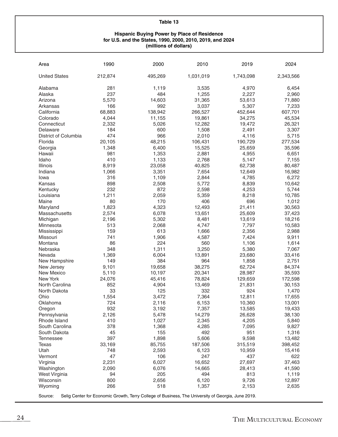#### **Hispanic Buying Power by Place of Residence for U.S. and the States, 1990, 2000, 2010, 2019, and 2024 (millions of dollars)**

| <b>United States</b><br>212,874<br>495,269<br>1,031,019<br>1,743,098<br>2,343,566<br>Alabama<br>281<br>1,119<br>3,535<br>4,970<br>6,454<br>237<br>484<br>1,255<br>2,227<br>2,960<br>Alaska<br>5,570<br>14,603<br>31,365<br>71,880<br>Arizona<br>53,613<br>Arkansas<br>166<br>992<br>3,037<br>5,307<br>7,233<br>California<br>68,883<br>138,942<br>266,527<br>607,701<br>452,644<br>4,044<br>11,155<br>45,534<br>Colorado<br>19,861<br>34,275<br>2,332<br>5,026<br>12,282<br>26,321<br>Connecticut<br>19,472<br>600<br>1,508<br>Delaware<br>184<br>2,491<br>3,307<br>District of Columbia<br>474<br>966<br>2,010<br>4,116<br>5,715<br>20,105<br>48,215<br>106,431<br>277,534<br>Florida<br>190,729<br>1,348<br>6,400<br>15,525<br>25,659<br>35,596<br>Georgia<br>981<br>1,353<br>2,881<br>4,955<br>6,651<br>Hawaii<br>Idaho<br>410<br>1,133<br>2,768<br>7,155<br>5,147<br>8,919<br>23,058<br>80,487<br>Illinois<br>40,825<br>62,738<br>Indiana<br>3,351<br>7,654<br>16,982<br>1,066<br>12,649<br>316<br>2,844<br>6,272<br>1,109<br>4,785<br>Iowa<br>898<br>2,508<br>5,772<br>10,642<br>8,839<br>Kansas<br>232<br>872<br>2,598<br>5,744<br>Kentucky<br>4,253<br>Louisiana<br>1,211<br>2,059<br>5,359<br>8,218<br>10,785<br>Maine<br>80<br>170<br>406<br>696<br>1,012<br>1,823<br>4,323<br>12,493<br>21,411<br>30,563<br>Maryland<br>2,574<br>6,078<br>13,651<br>37,423<br>Massachusetts<br>25,609<br>2,196<br>18,216<br>Michigan<br>5,302<br>8,481<br>13,619<br>Minnesota<br>513<br>2,068<br>4,747<br>7,797<br>10,583<br>159<br>613<br>1,666<br>2,356<br>2,988<br>Mississippi<br>741<br>4,587<br>9,911<br>Missouri<br>1,906<br>7,424<br>86<br>224<br>560<br>1,614<br>Montana<br>1,106<br>348<br>1,311<br>3,250<br>Nebraska<br>5,380<br>7,067<br>Nevada<br>1,369<br>6,004<br>13,891<br>23,680<br>33,416<br>384<br>New Hampshire<br>149<br>964<br>1,858<br>2,751<br>9,101<br>19,658<br>38,275<br>84,374<br>New Jersey<br>62,724<br>New Mexico<br>5,110<br>35,593<br>10,197<br>20,341<br>28,987<br>New York<br>24,076<br>45,416<br>78,824<br>129,659<br>172,598<br>North Carolina<br>852<br>4,904<br>13,469<br>21,831<br>30,153<br>33<br>332<br>North Dakota<br>125<br>924<br>1,470<br>Ohio<br>7,364<br>1,554<br>3,472<br>12,811<br>17,655<br>724<br>Oklahoma<br>2,116<br>6,153<br>10,360<br>13,001<br>7,357<br>13,585<br>19,433<br>Oregon<br>932<br>3,192<br>2,126<br>5,478<br>14,279<br>26,628<br>38,130<br>Pennsylvania<br>Rhode Island<br>410<br>1,027<br>2,345<br>4,205<br>5,840<br>4,285<br>South Carolina<br>378<br>1,368<br>7,095<br>9,827<br>45<br>492<br>951<br>1,316<br>155<br>South Dakota<br>397<br>1,898<br>5,606<br>9,598<br>13,482<br><b>Tennessee</b><br>85,755<br>187,506<br>398,452<br>Texas<br>33,169<br>315,519<br>Utah<br>15,416<br>748<br>2,593<br>6,123<br>10,959<br>47<br>106<br>247<br>437<br>622<br>Vermont<br>16,652<br>Virginia<br>2,231<br>6,027<br>27,697<br>37,463<br>2,090<br>6,076<br>14,665<br>41,590<br>Washington<br>28,413<br>205<br>494<br>813<br>West Virginia<br>94<br>1,119<br>Wisconsin<br>800<br>2,656<br>6,120<br>9,726<br>12,897<br>Wyoming<br>266<br>518<br>1,357<br>2,635<br>2,153<br>Selig Center for Economic Growth, Terry College of Business, The University of Georgia, June 2019. | Area    | 1990 | 2000 | 2010 | 2019 | 2024 |
|-------------------------------------------------------------------------------------------------------------------------------------------------------------------------------------------------------------------------------------------------------------------------------------------------------------------------------------------------------------------------------------------------------------------------------------------------------------------------------------------------------------------------------------------------------------------------------------------------------------------------------------------------------------------------------------------------------------------------------------------------------------------------------------------------------------------------------------------------------------------------------------------------------------------------------------------------------------------------------------------------------------------------------------------------------------------------------------------------------------------------------------------------------------------------------------------------------------------------------------------------------------------------------------------------------------------------------------------------------------------------------------------------------------------------------------------------------------------------------------------------------------------------------------------------------------------------------------------------------------------------------------------------------------------------------------------------------------------------------------------------------------------------------------------------------------------------------------------------------------------------------------------------------------------------------------------------------------------------------------------------------------------------------------------------------------------------------------------------------------------------------------------------------------------------------------------------------------------------------------------------------------------------------------------------------------------------------------------------------------------------------------------------------------------------------------------------------------------------------------------------------------------------------------------------------------------------------------------------------------------------------------------------------------------------------------------------------------------------------------------------------------------------------------------------------------------------------------------------------------------------------------------------------------------------------------------------------------------------------------------------------------------------------------------------------------------------------------------------------------------------------------------------------------------------------------------------------------------------------------|---------|------|------|------|------|------|
|                                                                                                                                                                                                                                                                                                                                                                                                                                                                                                                                                                                                                                                                                                                                                                                                                                                                                                                                                                                                                                                                                                                                                                                                                                                                                                                                                                                                                                                                                                                                                                                                                                                                                                                                                                                                                                                                                                                                                                                                                                                                                                                                                                                                                                                                                                                                                                                                                                                                                                                                                                                                                                                                                                                                                                                                                                                                                                                                                                                                                                                                                                                                                                                                                                     |         |      |      |      |      |      |
|                                                                                                                                                                                                                                                                                                                                                                                                                                                                                                                                                                                                                                                                                                                                                                                                                                                                                                                                                                                                                                                                                                                                                                                                                                                                                                                                                                                                                                                                                                                                                                                                                                                                                                                                                                                                                                                                                                                                                                                                                                                                                                                                                                                                                                                                                                                                                                                                                                                                                                                                                                                                                                                                                                                                                                                                                                                                                                                                                                                                                                                                                                                                                                                                                                     |         |      |      |      |      |      |
|                                                                                                                                                                                                                                                                                                                                                                                                                                                                                                                                                                                                                                                                                                                                                                                                                                                                                                                                                                                                                                                                                                                                                                                                                                                                                                                                                                                                                                                                                                                                                                                                                                                                                                                                                                                                                                                                                                                                                                                                                                                                                                                                                                                                                                                                                                                                                                                                                                                                                                                                                                                                                                                                                                                                                                                                                                                                                                                                                                                                                                                                                                                                                                                                                                     |         |      |      |      |      |      |
|                                                                                                                                                                                                                                                                                                                                                                                                                                                                                                                                                                                                                                                                                                                                                                                                                                                                                                                                                                                                                                                                                                                                                                                                                                                                                                                                                                                                                                                                                                                                                                                                                                                                                                                                                                                                                                                                                                                                                                                                                                                                                                                                                                                                                                                                                                                                                                                                                                                                                                                                                                                                                                                                                                                                                                                                                                                                                                                                                                                                                                                                                                                                                                                                                                     |         |      |      |      |      |      |
|                                                                                                                                                                                                                                                                                                                                                                                                                                                                                                                                                                                                                                                                                                                                                                                                                                                                                                                                                                                                                                                                                                                                                                                                                                                                                                                                                                                                                                                                                                                                                                                                                                                                                                                                                                                                                                                                                                                                                                                                                                                                                                                                                                                                                                                                                                                                                                                                                                                                                                                                                                                                                                                                                                                                                                                                                                                                                                                                                                                                                                                                                                                                                                                                                                     |         |      |      |      |      |      |
|                                                                                                                                                                                                                                                                                                                                                                                                                                                                                                                                                                                                                                                                                                                                                                                                                                                                                                                                                                                                                                                                                                                                                                                                                                                                                                                                                                                                                                                                                                                                                                                                                                                                                                                                                                                                                                                                                                                                                                                                                                                                                                                                                                                                                                                                                                                                                                                                                                                                                                                                                                                                                                                                                                                                                                                                                                                                                                                                                                                                                                                                                                                                                                                                                                     |         |      |      |      |      |      |
|                                                                                                                                                                                                                                                                                                                                                                                                                                                                                                                                                                                                                                                                                                                                                                                                                                                                                                                                                                                                                                                                                                                                                                                                                                                                                                                                                                                                                                                                                                                                                                                                                                                                                                                                                                                                                                                                                                                                                                                                                                                                                                                                                                                                                                                                                                                                                                                                                                                                                                                                                                                                                                                                                                                                                                                                                                                                                                                                                                                                                                                                                                                                                                                                                                     |         |      |      |      |      |      |
|                                                                                                                                                                                                                                                                                                                                                                                                                                                                                                                                                                                                                                                                                                                                                                                                                                                                                                                                                                                                                                                                                                                                                                                                                                                                                                                                                                                                                                                                                                                                                                                                                                                                                                                                                                                                                                                                                                                                                                                                                                                                                                                                                                                                                                                                                                                                                                                                                                                                                                                                                                                                                                                                                                                                                                                                                                                                                                                                                                                                                                                                                                                                                                                                                                     |         |      |      |      |      |      |
|                                                                                                                                                                                                                                                                                                                                                                                                                                                                                                                                                                                                                                                                                                                                                                                                                                                                                                                                                                                                                                                                                                                                                                                                                                                                                                                                                                                                                                                                                                                                                                                                                                                                                                                                                                                                                                                                                                                                                                                                                                                                                                                                                                                                                                                                                                                                                                                                                                                                                                                                                                                                                                                                                                                                                                                                                                                                                                                                                                                                                                                                                                                                                                                                                                     |         |      |      |      |      |      |
|                                                                                                                                                                                                                                                                                                                                                                                                                                                                                                                                                                                                                                                                                                                                                                                                                                                                                                                                                                                                                                                                                                                                                                                                                                                                                                                                                                                                                                                                                                                                                                                                                                                                                                                                                                                                                                                                                                                                                                                                                                                                                                                                                                                                                                                                                                                                                                                                                                                                                                                                                                                                                                                                                                                                                                                                                                                                                                                                                                                                                                                                                                                                                                                                                                     |         |      |      |      |      |      |
|                                                                                                                                                                                                                                                                                                                                                                                                                                                                                                                                                                                                                                                                                                                                                                                                                                                                                                                                                                                                                                                                                                                                                                                                                                                                                                                                                                                                                                                                                                                                                                                                                                                                                                                                                                                                                                                                                                                                                                                                                                                                                                                                                                                                                                                                                                                                                                                                                                                                                                                                                                                                                                                                                                                                                                                                                                                                                                                                                                                                                                                                                                                                                                                                                                     |         |      |      |      |      |      |
|                                                                                                                                                                                                                                                                                                                                                                                                                                                                                                                                                                                                                                                                                                                                                                                                                                                                                                                                                                                                                                                                                                                                                                                                                                                                                                                                                                                                                                                                                                                                                                                                                                                                                                                                                                                                                                                                                                                                                                                                                                                                                                                                                                                                                                                                                                                                                                                                                                                                                                                                                                                                                                                                                                                                                                                                                                                                                                                                                                                                                                                                                                                                                                                                                                     |         |      |      |      |      |      |
|                                                                                                                                                                                                                                                                                                                                                                                                                                                                                                                                                                                                                                                                                                                                                                                                                                                                                                                                                                                                                                                                                                                                                                                                                                                                                                                                                                                                                                                                                                                                                                                                                                                                                                                                                                                                                                                                                                                                                                                                                                                                                                                                                                                                                                                                                                                                                                                                                                                                                                                                                                                                                                                                                                                                                                                                                                                                                                                                                                                                                                                                                                                                                                                                                                     |         |      |      |      |      |      |
|                                                                                                                                                                                                                                                                                                                                                                                                                                                                                                                                                                                                                                                                                                                                                                                                                                                                                                                                                                                                                                                                                                                                                                                                                                                                                                                                                                                                                                                                                                                                                                                                                                                                                                                                                                                                                                                                                                                                                                                                                                                                                                                                                                                                                                                                                                                                                                                                                                                                                                                                                                                                                                                                                                                                                                                                                                                                                                                                                                                                                                                                                                                                                                                                                                     |         |      |      |      |      |      |
|                                                                                                                                                                                                                                                                                                                                                                                                                                                                                                                                                                                                                                                                                                                                                                                                                                                                                                                                                                                                                                                                                                                                                                                                                                                                                                                                                                                                                                                                                                                                                                                                                                                                                                                                                                                                                                                                                                                                                                                                                                                                                                                                                                                                                                                                                                                                                                                                                                                                                                                                                                                                                                                                                                                                                                                                                                                                                                                                                                                                                                                                                                                                                                                                                                     |         |      |      |      |      |      |
|                                                                                                                                                                                                                                                                                                                                                                                                                                                                                                                                                                                                                                                                                                                                                                                                                                                                                                                                                                                                                                                                                                                                                                                                                                                                                                                                                                                                                                                                                                                                                                                                                                                                                                                                                                                                                                                                                                                                                                                                                                                                                                                                                                                                                                                                                                                                                                                                                                                                                                                                                                                                                                                                                                                                                                                                                                                                                                                                                                                                                                                                                                                                                                                                                                     |         |      |      |      |      |      |
|                                                                                                                                                                                                                                                                                                                                                                                                                                                                                                                                                                                                                                                                                                                                                                                                                                                                                                                                                                                                                                                                                                                                                                                                                                                                                                                                                                                                                                                                                                                                                                                                                                                                                                                                                                                                                                                                                                                                                                                                                                                                                                                                                                                                                                                                                                                                                                                                                                                                                                                                                                                                                                                                                                                                                                                                                                                                                                                                                                                                                                                                                                                                                                                                                                     |         |      |      |      |      |      |
|                                                                                                                                                                                                                                                                                                                                                                                                                                                                                                                                                                                                                                                                                                                                                                                                                                                                                                                                                                                                                                                                                                                                                                                                                                                                                                                                                                                                                                                                                                                                                                                                                                                                                                                                                                                                                                                                                                                                                                                                                                                                                                                                                                                                                                                                                                                                                                                                                                                                                                                                                                                                                                                                                                                                                                                                                                                                                                                                                                                                                                                                                                                                                                                                                                     |         |      |      |      |      |      |
|                                                                                                                                                                                                                                                                                                                                                                                                                                                                                                                                                                                                                                                                                                                                                                                                                                                                                                                                                                                                                                                                                                                                                                                                                                                                                                                                                                                                                                                                                                                                                                                                                                                                                                                                                                                                                                                                                                                                                                                                                                                                                                                                                                                                                                                                                                                                                                                                                                                                                                                                                                                                                                                                                                                                                                                                                                                                                                                                                                                                                                                                                                                                                                                                                                     |         |      |      |      |      |      |
|                                                                                                                                                                                                                                                                                                                                                                                                                                                                                                                                                                                                                                                                                                                                                                                                                                                                                                                                                                                                                                                                                                                                                                                                                                                                                                                                                                                                                                                                                                                                                                                                                                                                                                                                                                                                                                                                                                                                                                                                                                                                                                                                                                                                                                                                                                                                                                                                                                                                                                                                                                                                                                                                                                                                                                                                                                                                                                                                                                                                                                                                                                                                                                                                                                     |         |      |      |      |      |      |
|                                                                                                                                                                                                                                                                                                                                                                                                                                                                                                                                                                                                                                                                                                                                                                                                                                                                                                                                                                                                                                                                                                                                                                                                                                                                                                                                                                                                                                                                                                                                                                                                                                                                                                                                                                                                                                                                                                                                                                                                                                                                                                                                                                                                                                                                                                                                                                                                                                                                                                                                                                                                                                                                                                                                                                                                                                                                                                                                                                                                                                                                                                                                                                                                                                     |         |      |      |      |      |      |
|                                                                                                                                                                                                                                                                                                                                                                                                                                                                                                                                                                                                                                                                                                                                                                                                                                                                                                                                                                                                                                                                                                                                                                                                                                                                                                                                                                                                                                                                                                                                                                                                                                                                                                                                                                                                                                                                                                                                                                                                                                                                                                                                                                                                                                                                                                                                                                                                                                                                                                                                                                                                                                                                                                                                                                                                                                                                                                                                                                                                                                                                                                                                                                                                                                     |         |      |      |      |      |      |
|                                                                                                                                                                                                                                                                                                                                                                                                                                                                                                                                                                                                                                                                                                                                                                                                                                                                                                                                                                                                                                                                                                                                                                                                                                                                                                                                                                                                                                                                                                                                                                                                                                                                                                                                                                                                                                                                                                                                                                                                                                                                                                                                                                                                                                                                                                                                                                                                                                                                                                                                                                                                                                                                                                                                                                                                                                                                                                                                                                                                                                                                                                                                                                                                                                     |         |      |      |      |      |      |
|                                                                                                                                                                                                                                                                                                                                                                                                                                                                                                                                                                                                                                                                                                                                                                                                                                                                                                                                                                                                                                                                                                                                                                                                                                                                                                                                                                                                                                                                                                                                                                                                                                                                                                                                                                                                                                                                                                                                                                                                                                                                                                                                                                                                                                                                                                                                                                                                                                                                                                                                                                                                                                                                                                                                                                                                                                                                                                                                                                                                                                                                                                                                                                                                                                     |         |      |      |      |      |      |
|                                                                                                                                                                                                                                                                                                                                                                                                                                                                                                                                                                                                                                                                                                                                                                                                                                                                                                                                                                                                                                                                                                                                                                                                                                                                                                                                                                                                                                                                                                                                                                                                                                                                                                                                                                                                                                                                                                                                                                                                                                                                                                                                                                                                                                                                                                                                                                                                                                                                                                                                                                                                                                                                                                                                                                                                                                                                                                                                                                                                                                                                                                                                                                                                                                     |         |      |      |      |      |      |
|                                                                                                                                                                                                                                                                                                                                                                                                                                                                                                                                                                                                                                                                                                                                                                                                                                                                                                                                                                                                                                                                                                                                                                                                                                                                                                                                                                                                                                                                                                                                                                                                                                                                                                                                                                                                                                                                                                                                                                                                                                                                                                                                                                                                                                                                                                                                                                                                                                                                                                                                                                                                                                                                                                                                                                                                                                                                                                                                                                                                                                                                                                                                                                                                                                     |         |      |      |      |      |      |
|                                                                                                                                                                                                                                                                                                                                                                                                                                                                                                                                                                                                                                                                                                                                                                                                                                                                                                                                                                                                                                                                                                                                                                                                                                                                                                                                                                                                                                                                                                                                                                                                                                                                                                                                                                                                                                                                                                                                                                                                                                                                                                                                                                                                                                                                                                                                                                                                                                                                                                                                                                                                                                                                                                                                                                                                                                                                                                                                                                                                                                                                                                                                                                                                                                     |         |      |      |      |      |      |
|                                                                                                                                                                                                                                                                                                                                                                                                                                                                                                                                                                                                                                                                                                                                                                                                                                                                                                                                                                                                                                                                                                                                                                                                                                                                                                                                                                                                                                                                                                                                                                                                                                                                                                                                                                                                                                                                                                                                                                                                                                                                                                                                                                                                                                                                                                                                                                                                                                                                                                                                                                                                                                                                                                                                                                                                                                                                                                                                                                                                                                                                                                                                                                                                                                     |         |      |      |      |      |      |
|                                                                                                                                                                                                                                                                                                                                                                                                                                                                                                                                                                                                                                                                                                                                                                                                                                                                                                                                                                                                                                                                                                                                                                                                                                                                                                                                                                                                                                                                                                                                                                                                                                                                                                                                                                                                                                                                                                                                                                                                                                                                                                                                                                                                                                                                                                                                                                                                                                                                                                                                                                                                                                                                                                                                                                                                                                                                                                                                                                                                                                                                                                                                                                                                                                     |         |      |      |      |      |      |
|                                                                                                                                                                                                                                                                                                                                                                                                                                                                                                                                                                                                                                                                                                                                                                                                                                                                                                                                                                                                                                                                                                                                                                                                                                                                                                                                                                                                                                                                                                                                                                                                                                                                                                                                                                                                                                                                                                                                                                                                                                                                                                                                                                                                                                                                                                                                                                                                                                                                                                                                                                                                                                                                                                                                                                                                                                                                                                                                                                                                                                                                                                                                                                                                                                     |         |      |      |      |      |      |
|                                                                                                                                                                                                                                                                                                                                                                                                                                                                                                                                                                                                                                                                                                                                                                                                                                                                                                                                                                                                                                                                                                                                                                                                                                                                                                                                                                                                                                                                                                                                                                                                                                                                                                                                                                                                                                                                                                                                                                                                                                                                                                                                                                                                                                                                                                                                                                                                                                                                                                                                                                                                                                                                                                                                                                                                                                                                                                                                                                                                                                                                                                                                                                                                                                     |         |      |      |      |      |      |
|                                                                                                                                                                                                                                                                                                                                                                                                                                                                                                                                                                                                                                                                                                                                                                                                                                                                                                                                                                                                                                                                                                                                                                                                                                                                                                                                                                                                                                                                                                                                                                                                                                                                                                                                                                                                                                                                                                                                                                                                                                                                                                                                                                                                                                                                                                                                                                                                                                                                                                                                                                                                                                                                                                                                                                                                                                                                                                                                                                                                                                                                                                                                                                                                                                     |         |      |      |      |      |      |
|                                                                                                                                                                                                                                                                                                                                                                                                                                                                                                                                                                                                                                                                                                                                                                                                                                                                                                                                                                                                                                                                                                                                                                                                                                                                                                                                                                                                                                                                                                                                                                                                                                                                                                                                                                                                                                                                                                                                                                                                                                                                                                                                                                                                                                                                                                                                                                                                                                                                                                                                                                                                                                                                                                                                                                                                                                                                                                                                                                                                                                                                                                                                                                                                                                     |         |      |      |      |      |      |
|                                                                                                                                                                                                                                                                                                                                                                                                                                                                                                                                                                                                                                                                                                                                                                                                                                                                                                                                                                                                                                                                                                                                                                                                                                                                                                                                                                                                                                                                                                                                                                                                                                                                                                                                                                                                                                                                                                                                                                                                                                                                                                                                                                                                                                                                                                                                                                                                                                                                                                                                                                                                                                                                                                                                                                                                                                                                                                                                                                                                                                                                                                                                                                                                                                     |         |      |      |      |      |      |
|                                                                                                                                                                                                                                                                                                                                                                                                                                                                                                                                                                                                                                                                                                                                                                                                                                                                                                                                                                                                                                                                                                                                                                                                                                                                                                                                                                                                                                                                                                                                                                                                                                                                                                                                                                                                                                                                                                                                                                                                                                                                                                                                                                                                                                                                                                                                                                                                                                                                                                                                                                                                                                                                                                                                                                                                                                                                                                                                                                                                                                                                                                                                                                                                                                     |         |      |      |      |      |      |
|                                                                                                                                                                                                                                                                                                                                                                                                                                                                                                                                                                                                                                                                                                                                                                                                                                                                                                                                                                                                                                                                                                                                                                                                                                                                                                                                                                                                                                                                                                                                                                                                                                                                                                                                                                                                                                                                                                                                                                                                                                                                                                                                                                                                                                                                                                                                                                                                                                                                                                                                                                                                                                                                                                                                                                                                                                                                                                                                                                                                                                                                                                                                                                                                                                     |         |      |      |      |      |      |
|                                                                                                                                                                                                                                                                                                                                                                                                                                                                                                                                                                                                                                                                                                                                                                                                                                                                                                                                                                                                                                                                                                                                                                                                                                                                                                                                                                                                                                                                                                                                                                                                                                                                                                                                                                                                                                                                                                                                                                                                                                                                                                                                                                                                                                                                                                                                                                                                                                                                                                                                                                                                                                                                                                                                                                                                                                                                                                                                                                                                                                                                                                                                                                                                                                     |         |      |      |      |      |      |
|                                                                                                                                                                                                                                                                                                                                                                                                                                                                                                                                                                                                                                                                                                                                                                                                                                                                                                                                                                                                                                                                                                                                                                                                                                                                                                                                                                                                                                                                                                                                                                                                                                                                                                                                                                                                                                                                                                                                                                                                                                                                                                                                                                                                                                                                                                                                                                                                                                                                                                                                                                                                                                                                                                                                                                                                                                                                                                                                                                                                                                                                                                                                                                                                                                     |         |      |      |      |      |      |
|                                                                                                                                                                                                                                                                                                                                                                                                                                                                                                                                                                                                                                                                                                                                                                                                                                                                                                                                                                                                                                                                                                                                                                                                                                                                                                                                                                                                                                                                                                                                                                                                                                                                                                                                                                                                                                                                                                                                                                                                                                                                                                                                                                                                                                                                                                                                                                                                                                                                                                                                                                                                                                                                                                                                                                                                                                                                                                                                                                                                                                                                                                                                                                                                                                     |         |      |      |      |      |      |
|                                                                                                                                                                                                                                                                                                                                                                                                                                                                                                                                                                                                                                                                                                                                                                                                                                                                                                                                                                                                                                                                                                                                                                                                                                                                                                                                                                                                                                                                                                                                                                                                                                                                                                                                                                                                                                                                                                                                                                                                                                                                                                                                                                                                                                                                                                                                                                                                                                                                                                                                                                                                                                                                                                                                                                                                                                                                                                                                                                                                                                                                                                                                                                                                                                     |         |      |      |      |      |      |
|                                                                                                                                                                                                                                                                                                                                                                                                                                                                                                                                                                                                                                                                                                                                                                                                                                                                                                                                                                                                                                                                                                                                                                                                                                                                                                                                                                                                                                                                                                                                                                                                                                                                                                                                                                                                                                                                                                                                                                                                                                                                                                                                                                                                                                                                                                                                                                                                                                                                                                                                                                                                                                                                                                                                                                                                                                                                                                                                                                                                                                                                                                                                                                                                                                     |         |      |      |      |      |      |
|                                                                                                                                                                                                                                                                                                                                                                                                                                                                                                                                                                                                                                                                                                                                                                                                                                                                                                                                                                                                                                                                                                                                                                                                                                                                                                                                                                                                                                                                                                                                                                                                                                                                                                                                                                                                                                                                                                                                                                                                                                                                                                                                                                                                                                                                                                                                                                                                                                                                                                                                                                                                                                                                                                                                                                                                                                                                                                                                                                                                                                                                                                                                                                                                                                     |         |      |      |      |      |      |
|                                                                                                                                                                                                                                                                                                                                                                                                                                                                                                                                                                                                                                                                                                                                                                                                                                                                                                                                                                                                                                                                                                                                                                                                                                                                                                                                                                                                                                                                                                                                                                                                                                                                                                                                                                                                                                                                                                                                                                                                                                                                                                                                                                                                                                                                                                                                                                                                                                                                                                                                                                                                                                                                                                                                                                                                                                                                                                                                                                                                                                                                                                                                                                                                                                     |         |      |      |      |      |      |
|                                                                                                                                                                                                                                                                                                                                                                                                                                                                                                                                                                                                                                                                                                                                                                                                                                                                                                                                                                                                                                                                                                                                                                                                                                                                                                                                                                                                                                                                                                                                                                                                                                                                                                                                                                                                                                                                                                                                                                                                                                                                                                                                                                                                                                                                                                                                                                                                                                                                                                                                                                                                                                                                                                                                                                                                                                                                                                                                                                                                                                                                                                                                                                                                                                     |         |      |      |      |      |      |
|                                                                                                                                                                                                                                                                                                                                                                                                                                                                                                                                                                                                                                                                                                                                                                                                                                                                                                                                                                                                                                                                                                                                                                                                                                                                                                                                                                                                                                                                                                                                                                                                                                                                                                                                                                                                                                                                                                                                                                                                                                                                                                                                                                                                                                                                                                                                                                                                                                                                                                                                                                                                                                                                                                                                                                                                                                                                                                                                                                                                                                                                                                                                                                                                                                     |         |      |      |      |      |      |
|                                                                                                                                                                                                                                                                                                                                                                                                                                                                                                                                                                                                                                                                                                                                                                                                                                                                                                                                                                                                                                                                                                                                                                                                                                                                                                                                                                                                                                                                                                                                                                                                                                                                                                                                                                                                                                                                                                                                                                                                                                                                                                                                                                                                                                                                                                                                                                                                                                                                                                                                                                                                                                                                                                                                                                                                                                                                                                                                                                                                                                                                                                                                                                                                                                     |         |      |      |      |      |      |
|                                                                                                                                                                                                                                                                                                                                                                                                                                                                                                                                                                                                                                                                                                                                                                                                                                                                                                                                                                                                                                                                                                                                                                                                                                                                                                                                                                                                                                                                                                                                                                                                                                                                                                                                                                                                                                                                                                                                                                                                                                                                                                                                                                                                                                                                                                                                                                                                                                                                                                                                                                                                                                                                                                                                                                                                                                                                                                                                                                                                                                                                                                                                                                                                                                     |         |      |      |      |      |      |
|                                                                                                                                                                                                                                                                                                                                                                                                                                                                                                                                                                                                                                                                                                                                                                                                                                                                                                                                                                                                                                                                                                                                                                                                                                                                                                                                                                                                                                                                                                                                                                                                                                                                                                                                                                                                                                                                                                                                                                                                                                                                                                                                                                                                                                                                                                                                                                                                                                                                                                                                                                                                                                                                                                                                                                                                                                                                                                                                                                                                                                                                                                                                                                                                                                     |         |      |      |      |      |      |
|                                                                                                                                                                                                                                                                                                                                                                                                                                                                                                                                                                                                                                                                                                                                                                                                                                                                                                                                                                                                                                                                                                                                                                                                                                                                                                                                                                                                                                                                                                                                                                                                                                                                                                                                                                                                                                                                                                                                                                                                                                                                                                                                                                                                                                                                                                                                                                                                                                                                                                                                                                                                                                                                                                                                                                                                                                                                                                                                                                                                                                                                                                                                                                                                                                     |         |      |      |      |      |      |
|                                                                                                                                                                                                                                                                                                                                                                                                                                                                                                                                                                                                                                                                                                                                                                                                                                                                                                                                                                                                                                                                                                                                                                                                                                                                                                                                                                                                                                                                                                                                                                                                                                                                                                                                                                                                                                                                                                                                                                                                                                                                                                                                                                                                                                                                                                                                                                                                                                                                                                                                                                                                                                                                                                                                                                                                                                                                                                                                                                                                                                                                                                                                                                                                                                     |         |      |      |      |      |      |
|                                                                                                                                                                                                                                                                                                                                                                                                                                                                                                                                                                                                                                                                                                                                                                                                                                                                                                                                                                                                                                                                                                                                                                                                                                                                                                                                                                                                                                                                                                                                                                                                                                                                                                                                                                                                                                                                                                                                                                                                                                                                                                                                                                                                                                                                                                                                                                                                                                                                                                                                                                                                                                                                                                                                                                                                                                                                                                                                                                                                                                                                                                                                                                                                                                     |         |      |      |      |      |      |
|                                                                                                                                                                                                                                                                                                                                                                                                                                                                                                                                                                                                                                                                                                                                                                                                                                                                                                                                                                                                                                                                                                                                                                                                                                                                                                                                                                                                                                                                                                                                                                                                                                                                                                                                                                                                                                                                                                                                                                                                                                                                                                                                                                                                                                                                                                                                                                                                                                                                                                                                                                                                                                                                                                                                                                                                                                                                                                                                                                                                                                                                                                                                                                                                                                     |         |      |      |      |      |      |
|                                                                                                                                                                                                                                                                                                                                                                                                                                                                                                                                                                                                                                                                                                                                                                                                                                                                                                                                                                                                                                                                                                                                                                                                                                                                                                                                                                                                                                                                                                                                                                                                                                                                                                                                                                                                                                                                                                                                                                                                                                                                                                                                                                                                                                                                                                                                                                                                                                                                                                                                                                                                                                                                                                                                                                                                                                                                                                                                                                                                                                                                                                                                                                                                                                     | Source: |      |      |      |      |      |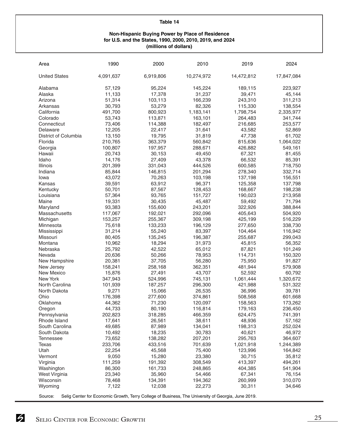#### **Non-Hispanic Buying Power by Place of Residence for U.S. and the States, 1990, 2000, 2010, 2019, and 2024 (millions of dollars)**

| Area                 | 1990      | 2000      | 2010       | 2019       | 2024       |
|----------------------|-----------|-----------|------------|------------|------------|
| <b>United States</b> | 4,091,637 | 6,919,806 | 10,274,972 | 14,472,812 | 17,847,084 |
| Alabama              | 57,129    | 95,224    | 145,224    | 189,115    | 223,927    |
| Alaska               | 11,133    | 17,378    | 31,237     | 39,471     | 45,144     |
| Arizona              | 51,314    | 103,113   | 166,239    | 243,310    | 311,213    |
| Arkansas             | 30,793    | 53,279    | 82,326     | 115,330    | 138,554    |
| California           | 491,700   | 800,923   | 1,183,141  | 1,798,754  | 2,335,977  |
| Colorado             | 53,743    | 113,871   | 163,101    | 264,483    | 341,744    |
| Connecticut          | 73,406    | 114,388   | 182,497    | 216,685    | 253,577    |
| Delaware             | 12,205    | 22,417    | 31,641     | 43,582     | 52,869     |
| District of Columbia | 13,150    | 19,795    | 31,819     | 47,738     | 61,702     |
| Florida              | 210,765   | 363,379   | 560,842    | 815,636    | 1,064,022  |
|                      | 100,807   | 197,957   | 288,671    | 426,882    | 549,161    |
| Georgia              |           |           |            |            |            |
| Hawaii<br>Idaho      | 20,743    | 30,153    | 49,450     | 67,321     | 81,455     |
|                      | 14,176    | 27,409    | 43,378     | 66,532     | 85,391     |
| Illinois             | 201,399   | 331,043   | 444,526    | 600,585    | 718,750    |
| Indiana              | 85,844    | 146,815   | 201,294    | 278,340    | 332,714    |
| lowa                 | 43,072    | 70,263    | 103,198    | 137,198    | 156,551    |
| Kansas               | 39,591    | 63,912    | 96,371     | 125,358    | 137,798    |
| Kentucky             | 50,701    | 87,567    | 128,453    | 168,667    | 198,238    |
| Louisiana            | 57,364    | 93,765    | 151,727    | 190,023    | 213,958    |
| Maine                | 19,331    | 30,435    | 45,487     | 59,492     | 71,794     |
| Maryland             | 93,383    | 155,600   | 243,201    | 322,926    | 388,844    |
| Massachusetts        | 117,067   | 192,021   | 292,096    | 405,643    | 504,920    |
| Michigan             | 153,257   | 255,367   | 309,198    | 425,199    | 516,229    |
| Minnesota            | 75,618    | 133,233   | 196,129    | 277,650    | 338,730    |
| Mississippi          | 31,214    | 55,240    | 83,397     | 104,464    | 116,942    |
| Missouri             | 80,405    | 135,245   | 196,387    | 255,687    | 299,043    |
| Montana              | 10,962    | 18,294    | 31,973     | 45,815     | 56,352     |
| Nebraska             | 25,792    | 42,522    | 65,012     | 87,821     | 101,249    |
| Nevada               | 20,636    | 50,266    | 78,953     | 114,731    | 150,320    |
| New Hampshire        | 20,381    | 37,705    | 56,280     | 75,950     | 91,827     |
| New Jersey           | 158,241   | 258,168   | 362,351    | 481,944    | 579,908    |
| <b>New Mexico</b>    | 15,876    | 27,491    | 43,707     | 52,592     | 60,792     |
| New York             | 347,943   | 524,996   | 745,131    | 1,061,444  | 1,320,672  |
| North Carolina       | 101,939   | 187,257   | 296,300    | 421,988    | 531,322    |
| North Dakota         | 9,271     | 15,066    | 26,535     | 36,996     | 39,781     |
| Ohio                 | 176,398   | 277,600   | 374,861    | 508,568    | 601,668    |
| Oklahoma             | 44,362    | 71,230    | 120,097    | 158,563    | 173,262    |
| Oregon               | 44,733    | 80,190    | 116,814    | 179,163    | 236,450    |
| Pennsylvania         | 202,823   | 318,285   | 466,359    | 624,475    | 741,391    |
| Rhode Island         | 17,641    | 26,561    | 38,611     | 48,936     | 57,162     |
| South Carolina       | 49,685    | 87,989    | 134,041    | 198,313    | 252,024    |
| South Dakota         | 10,492    | 18,235    | 30,783     | 40,621     | 46,972     |
| Tennessee            | 73,652    | 138,282   | 207,201    | 295,763    | 364,607    |
| <b>Texas</b>         | 233,706   | 433,516   | 701,639    | 1,021,918  | 1,244,389  |
| Utah                 | 22,254    | 45,568    | 75,400     | 123,996    | 164,842    |
| Vermont              |           |           | 23,380     |            | 35,812     |
|                      | 9,050     | 15,280    |            | 30,715     |            |
| Virginia             | 111,259   | 191,392   | 308,549    | 413,397    | 494,261    |
| Washington           | 86,300    | 161,733   | 248,865    | 404,385    | 541,904    |
| West Virginia        | 23,340    | 35,960    | 54,466     | 67,341     | 76,154     |
| Wisconsin            | 78,468    | 134,391   | 194,362    | 260,999    | 310,070    |
| Wyoming              | 7,122     | 12,038    | 22,273     | 30,311     | 34,646     |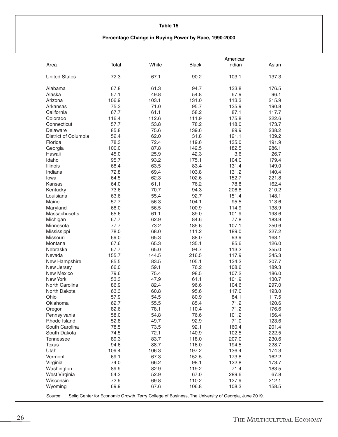#### **Percentage Change in Buying Power by Race, 1990-2000**

|                            |              |              |                | American                                                                                           |                |
|----------------------------|--------------|--------------|----------------|----------------------------------------------------------------------------------------------------|----------------|
| Area                       | Total        | White        | <b>Black</b>   | Indian                                                                                             | Asian          |
| <b>United States</b>       | 72.3         | 67.1         | 90.2           | 103.1                                                                                              | 137.3          |
| Alabama                    | 67.8         | 61.3         | 94.7           | 133.8                                                                                              | 176.5          |
| Alaska                     | 57.1         | 49.8         | 54.8           | 67.9                                                                                               | 96.1           |
| Arizona                    | 106.9        | 103.1        | 131.0          | 113.3                                                                                              | 215.9          |
| Arkansas                   | 75.3         | 71.0         | 95.7           | 135.9                                                                                              | 190.8          |
| California                 | 67.7         | 61.1         | 58.2           | 87.1                                                                                               | 117.7          |
| Colorado                   | 116.4        | 112.6        | 111.9          | 175.8                                                                                              | 222.6          |
| Connecticut                | 57.7         | 53.8         | 78.2           | 118.0                                                                                              | 173.7          |
| Delaware                   | 85.8         | 75.6         | 139.6          | 89.9                                                                                               | 238.2          |
| District of Columbia       | 52.4         | 62.0         | 31.8           | 121.1                                                                                              | 139.2          |
| Florida                    | 78.3         | 72.4         | 119.6          | 135.0                                                                                              | 191.9          |
| Georgia                    | 100.0        | 87.8         | 142.5          | 182.5                                                                                              | 286.1          |
| Hawaii                     | 45.0         | 25.9         | 42.3           | 3.6                                                                                                | 26.7           |
| Idaho                      | 95.7         | 93.2         | 175.1          | 104.0                                                                                              | 179.4          |
| Illinois                   | 68.4         | 63.5         | 83.4           | 131.4                                                                                              | 149.0          |
| Indiana                    | 72.8         | 69.4         | 103.8          | 131.2                                                                                              | 140.4          |
| lowa                       | 64.5         | 62.3         | 102.6          | 152.7                                                                                              | 221.8          |
| Kansas                     | 64.0         | 61.1         | 76.2           | 78.8                                                                                               | 162.4          |
| Kentucky                   | 73.6         | 70.7         | 94.3           | 206.8                                                                                              | 210.2          |
| Louisiana                  | 63.6         | 55.4         | 92.7           | 151.4                                                                                              | 148.1          |
| Maine                      | 57.7         | 56.3         | 104.1          | 95.5                                                                                               | 113.6          |
| Maryland                   | 68.0         | 56.5         | 100.9          | 114.9                                                                                              | 138.9          |
| Massachusetts              | 65.6         | 61.1         | 89.0           | 101.9                                                                                              | 198.6          |
| Michigan                   | 67.7         | 62.9         | 84.6           | 77.8                                                                                               | 183.9          |
| Minnesota                  | 77.7         | 73.2         | 185.6          | 107.1                                                                                              | 250.6          |
| Mississippi                | 78.0         | 68.0         | 111.2          | 189.0                                                                                              | 227.2          |
| Missouri                   | 69.0         | 65.3         | 88.0           | 93.9                                                                                               | 168.1          |
| Montana                    | 67.6         | 65.3         | 135.1          | 85.6                                                                                               | 126.0          |
| Nebraska                   | 67.7         | 65.0         | 94.7           | 113.2                                                                                              | 255.0          |
| Nevada                     | 155.7        | 144.5        | 216.5          | 117.9                                                                                              | 345.3          |
| New Hampshire              | 85.5         | 83.5         | 105.1          | 134.2                                                                                              | 207.7          |
| New Jersey                 | 66.0         | 59.1         | 76.2           | 108.6                                                                                              | 189.3          |
| <b>New Mexico</b>          | 79.6         | 75.4         | 98.5           | 107.2                                                                                              | 186.0          |
| New York                   | 53.3         | 47.9         | 61.1           | 101.9                                                                                              | 130.7          |
| North Carolina             | 86.9         | 82.4         | 96.6           | 104.6                                                                                              | 297.0          |
| North Dakota               | 63.3         | 60.8         | 95.6           | 117.0                                                                                              | 193.0          |
| Ohio                       | 57.9         | 54.5         | 80.9           | 84.1                                                                                               | 117.5          |
| Oklahoma                   | 62.7         | 55.5         | 85.4           | 71.2                                                                                               | 120.6          |
| Oregon                     | 82.6         | 78.1         | 110.4          | 71.2                                                                                               | 176.6          |
| Pennsylvania               | 58.0         | 54.8         | 76.6           | 101.2                                                                                              | 156.4          |
| Rhode Island               | 52.8         | 49.7         | 92.9           | 71.0                                                                                               | 123.6          |
| South Carolina             | 78.5         | 73.5         | 92.1           | 160.4                                                                                              | 201.4          |
| South Dakota               | 74.5         | 72.1         | 140.9          | 102.5                                                                                              | 222.5          |
| <b>Tennessee</b>           | 89.3         | 83.7         | 118.0          | 207.0                                                                                              | 230.6          |
| Texas                      | 94.6         | 88.7         | 116.0          | 194.5                                                                                              | 228.7          |
| Utah                       | 109.4        | 106.3        | 197.2          | 136.4                                                                                              | 174.3          |
| Vermont                    | 69.1         | 67.3         | 152.5          | 173.8                                                                                              | 162.2          |
| Virginia                   | 74.0         | 66.2         | 98.1           | 122.8                                                                                              | 173.7          |
| Washington                 | 89.9         | 82.9         | 119.2          | 71.4                                                                                               | 183.5          |
| West Virginia<br>Wisconsin | 54.3         | 52.9         | 67.0           | 289.6                                                                                              | 67.8           |
| Wyoming                    | 72.9<br>69.9 | 69.8<br>67.6 | 110.2<br>106.8 | 127.9<br>108.3                                                                                     | 212.1<br>158.5 |
|                            |              |              |                |                                                                                                    |                |
| Source:                    |              |              |                | Selig Center for Economic Growth, Terry College of Business, The University of Georgia, June 2019. |                |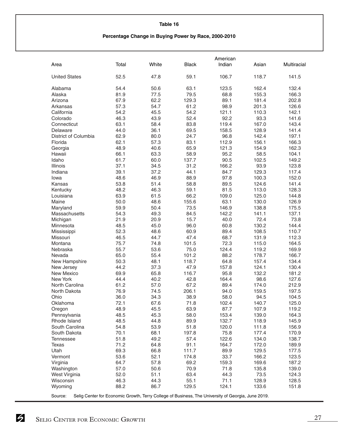#### **Percentage Change in Buying Power by Race, 2000-2010**

|                      |              |              |               | American                                                                                           |                |                |
|----------------------|--------------|--------------|---------------|----------------------------------------------------------------------------------------------------|----------------|----------------|
| Area                 | Total        | White        | <b>Black</b>  | Indian                                                                                             | Asian          | Multiracial    |
| <b>United States</b> | 52.5         | 47.8         | 59.1          | 106.7                                                                                              | 118.7          | 141.5          |
| Alabama              | 54.4         | 50.6         | 63.1          | 123.5                                                                                              | 162.4          | 132.4          |
| Alaska               | 81.9         | 77.5         | 79.5          | 68.8                                                                                               | 155.3          | 166.3          |
| Arizona              | 67.9         | 62.2         | 129.3         | 89.1                                                                                               | 181.4          | 202.8          |
| Arkansas             | 57.3         | 54.7         | 61.2          | 98.9                                                                                               | 201.3          | 126.6          |
| California           | 54.2         | 45.5         | 54.2          | 121.1                                                                                              | 110.3          | 142.1          |
| Colorado             | 46.3         | 43.9         | 52.4          | 92.2                                                                                               | 93.3           | 141.6          |
| Connecticut          | 63.1         | 58.4         | 83.8          | 119.4                                                                                              | 167.0          | 143.4          |
| Delaware             | 44.0         | 36.1         | 69.5          | 158.5                                                                                              | 128.9          | 141.4          |
| District of Columbia | 62.9         | 80.0         | 24.7          | 96.8                                                                                               | 142.4          | 197.1          |
| Florida              | 62.1         | 57.3         | 83.1          | 112.9                                                                                              | 156.1          | 166.3          |
| Georgia              | 48.9         | 40.6         | 65.9          | 121.3                                                                                              | 154.9          | 162.3          |
| Hawaii               | 66.1         | 63.3         | 58.9          | 95.2                                                                                               | 58.5           | 104.1          |
| Idaho                | 61.7         | 60.0         | 137.7         | 90.5                                                                                               | 102.5          | 149.2          |
| Illinois             | 37.1         | 34.5         | 31.2          | 166.2                                                                                              | 93.9           | 123.8          |
| Indiana              | 39.1         | 37.2         | 44.1          | 84.7                                                                                               | 129.3          | 117.4          |
| lowa                 | 48.6         | 46.9         | 88.9          | 97.8                                                                                               | 100.3          | 152.0          |
| Kansas               | 53.8         | 51.4         | 58.8          | 89.5                                                                                               | 124.6          | 141.4          |
| Kentucky             | 48.2         | 46.3         | 59.1          | 81.5                                                                                               | 113.0          | 128.3          |
| Louisiana            | 63.9         | 61.5         | 66.2          | 109.0                                                                                              | 125.0          | 144.8          |
| Maine                | 50.0         | 48.6         | 155.6         | 63.1                                                                                               | 130.0          | 126.9          |
| Maryland             | 59.9         | 50.4         | 73.5          | 146.9                                                                                              | 138.8          | 175.5          |
| Massachusetts        | 54.3         | 49.3         | 84.5          | 142.2                                                                                              | 141.1          | 137.1          |
| Michigan             | 21.9         | 20.9         | 15.7          | 40.0                                                                                               | 72.4           | 73.8           |
| Minnesota            | 48.5         | 45.0         | 96.0          | 60.8                                                                                               | 130.2          | 144.4          |
| Mississippi          | 52.3         | 48.6         | 60.9          | 89.4                                                                                               | 108.5          | 110.7          |
| Missouri             | 46.5         | 44.7         | 47.4          | 68.7                                                                                               | 131.9          | 112.3          |
| Montana              | 75.7         | 74.8         | 101.5         | 72.3                                                                                               | 115.0          | 164.5          |
| Nebraska             | 55.7         | 53.6         | 75.0          | 124.4                                                                                              | 119.2          | 169.9          |
| Nevada               | 65.0         | 55.4         | 101.2         | 88.2                                                                                               | 178.7          | 166.7          |
| New Hampshire        | 50.3         | 48.1         | 118.7         | 64.8                                                                                               | 157.4          | 134.4          |
| New Jersey           | 44.2         | 37.3         | 47.9          | 157.8                                                                                              | 124.1          | 130.4          |
| <b>New Mexico</b>    | 69.9         | 65.8         | 116.7         | 95.8                                                                                               | 132.2          | 181.2          |
| New York             | 44.4         | 40.2         | 42.8          | 164.4                                                                                              | 98.6           | 127.6          |
| North Carolina       | 61.2         | 57.0         | 67.2          | 89.4                                                                                               | 174.0          | 212.9          |
| North Dakota         | 76.9         | 74.5         | 206.1         | 94.0                                                                                               | 159.5          | 197.5          |
| Ohio                 | 36.0         | 34.3         | 38.9          | 58.0                                                                                               | 94.5           | 104.5          |
| Oklahoma             | 72.1         | 67.6         | 71.8          | 102.4                                                                                              | 140.7          | 125.0          |
| Oregon               | 48.9         | 45.5         | 63.9          | 87.7                                                                                               | 107.9          | 119.2          |
| Pennsylvania         | 48.5         | 45.3         | 58.0          | 153.4                                                                                              | 139.0          | 164.3          |
| Rhode Island         | 48.5         | 44.8         | 89.9          | 132.7                                                                                              | 118.9          | 145.9          |
| South Carolina       | 54.8         | 53.9         | 51.8          | 120.0                                                                                              | 111.8          | 156.9          |
| South Dakota         | 70.1         | 68.1         | 197.8         | 75.8                                                                                               | 177.4          | 170.9          |
| <b>Tennessee</b>     | 51.8         | 49.2         | 57.4          | 122.6                                                                                              | 134.0          | 138.7          |
| <b>Texas</b>         | 71.2         | 64.8         | 91.1          | 164.7                                                                                              | 172.0          | 189.9          |
| Utah                 | 69.3         | 66.8         | 111.7         | 89.9                                                                                               | 129.5          | 177.5          |
| Vermont              | 53.6         | 52.1         | 174.8         | 33.7                                                                                               | 166.2          | 123.5          |
| Virginia             | 64.7         | 57.8         | 69.2          | 159.3                                                                                              | 169.6          | 187.2          |
| Washington           | 57.0         | 50.6         | 70.9          | 71.8                                                                                               | 135.8          | 139.0          |
| West Virginia        | 52.0         | 51.1         | 63.4          | 44.3                                                                                               | 73.5           | 124.3          |
| Wisconsin<br>Wyoming | 46.3<br>88.2 | 44.3<br>86.7 | 55.1<br>129.5 | 71.1<br>124.1                                                                                      | 128.9<br>133.6 | 128.5<br>151.8 |
|                      |              |              |               |                                                                                                    |                |                |
| Source:              |              |              |               | Selig Center for Economic Growth, Terry College of Business, The University of Georgia, June 2019. |                |                |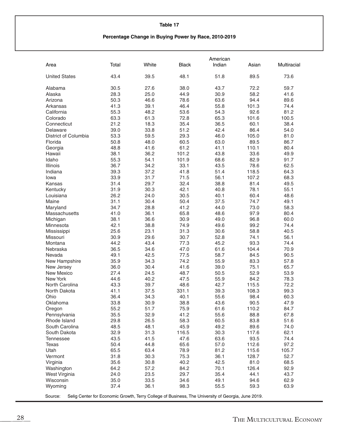#### **Percentage Change in Buying Power by Race, 2010-2019**

|                                                                                                        |       |       |              | American |       |             |
|--------------------------------------------------------------------------------------------------------|-------|-------|--------------|----------|-------|-------------|
| Area                                                                                                   | Total | White | <b>Black</b> | Indian   | Asian | Multiracial |
| <b>United States</b>                                                                                   | 43.4  | 39.5  | 48.1         | 51.8     | 89.5  | 73.6        |
| Alabama                                                                                                | 30.5  | 27.6  | 38.0         | 43.7     | 72.2  | 59.7        |
| Alaska                                                                                                 | 28.3  | 25.0  | 44.9         | 30.9     | 58.2  | 41.6        |
| Arizona                                                                                                | 50.3  | 46.6  | 78.6         | 63.6     | 94.4  | 89.6        |
| Arkansas                                                                                               | 41.3  | 39.1  | 46.4         | 55.8     | 101.3 | 74.4        |
| California                                                                                             | 55.3  | 48.2  | 53.6         | 54.3     | 92.6  | 81.2        |
| Colorado                                                                                               | 63.3  | 61.3  | 72.8         | 65.3     | 101.6 | 100.5       |
| Connecticut                                                                                            | 21.2  | 18.3  | 35.4         | 36.5     | 60.1  | 38.4        |
| Delaware                                                                                               |       |       | 51.2         |          | 86.4  |             |
|                                                                                                        | 39.0  | 33.8  |              | 42.4     |       | 54.0        |
| District of Columbia                                                                                   | 53.3  | 59.5  | 29.3         | 46.0     | 105.0 | 81.0        |
| Florida                                                                                                | 50.8  | 48.0  | 60.5         | 63.0     | 89.5  | 86.7        |
| Georgia                                                                                                | 48.8  | 41.6  | 61.2         | 41.1     | 110.1 | 80.4        |
| Hawaii                                                                                                 | 38.1  | 36.2  | 101.2        | 43.8     | 33.6  | 49.9        |
| Idaho                                                                                                  | 55.3  | 54.1  | 101.9        | 68.6     | 82.9  | 91.7        |
| Illinois                                                                                               | 36.7  | 34.2  | 33.1         | 43.5     | 78.6  | 62.5        |
| Indiana                                                                                                | 39.3  | 37.2  | 41.8         | 51.4     | 118.5 | 64.3        |
| lowa                                                                                                   | 33.9  | 31.7  | 71.5         | 56.1     | 107.2 | 68.3        |
| Kansas                                                                                                 | 31.4  | 29.7  | 32.4         | 38.8     | 81.4  | 49.5        |
| Kentucky                                                                                               | 31.9  | 30.3  | 42.1         | 40.8     | 78.1  | 55.1        |
| Louisiana                                                                                              | 26.2  | 24.0  | 30.5         | 40.1     | 60.4  | 48.6        |
| Maine                                                                                                  | 31.1  | 30.4  | 50.4         | 37.5     | 74.7  | 49.1        |
| Maryland                                                                                               | 34.7  | 28.8  | 41.2         | 44.0     | 73.0  | 58.3        |
| Massachusetts                                                                                          | 41.0  | 36.1  | 65.8         | 48.6     | 97.9  | 80.4        |
| Michigan                                                                                               | 38.1  | 36.6  | 30.9         | 49.0     | 96.8  | 60.0        |
| Minnesota                                                                                              | 42.1  | 38.8  | 74.9         | 49.6     | 99.2  | 74.4        |
| Mississippi                                                                                            | 25.6  | 23.1  | 31.3         | 30.6     | 58.8  | 40.5        |
| Missouri                                                                                               | 30.9  | 29.6  | 30.7         | 52.8     | 74.1  | 56.1        |
| Montana                                                                                                | 44.2  | 43.4  | 77.3         | 45.2     | 93.3  | 74.4        |
| Nebraska                                                                                               | 36.5  | 34.6  | 47.0         | 61.6     | 104.4 | 70.9        |
| Nevada                                                                                                 | 49.1  | 42.5  | 77.5         | 58.7     | 84.5  | 90.5        |
| New Hampshire                                                                                          | 35.9  | 34.3  | 74.2         | 55.9     | 83.3  | 57.8        |
| New Jersey                                                                                             | 36.0  | 30.4  | 41.6         | 39.0     | 75.1  | 65.7        |
| New Mexico                                                                                             | 27.4  | 24.5  | 48.7         | 50.5     | 52.9  | 53.9        |
| <b>New York</b>                                                                                        | 44.6  | 40.2  | 47.5         | 55.9     | 84.2  | 78.3        |
| North Carolina                                                                                         | 43.3  | 39.7  | 48.6         | 42.7     | 115.5 | 72.2        |
| North Dakota                                                                                           | 41.1  | 37.5  | 331.1        | 39.3     | 108.3 | 99.3        |
| Ohio                                                                                                   | 36.4  | 34.3  | 40.1         | 55.6     | 98.4  | 60.3        |
| Oklahoma                                                                                               | 33.8  | 30.9  | 38.8         | 43.6     | 90.5  | 47.9        |
| Oregon                                                                                                 | 55.2  | 51.7  | 75.9         | 61.6     | 110.2 | 84.7        |
| Pennsylvania                                                                                           | 35.5  | 32.9  | 41.2         | 55.6     | 88.8  | 67.8        |
| Rhode Island                                                                                           | 29.8  | 26.5  | 58.3         | 60.5     | 83.8  | 51.6        |
| South Carolina                                                                                         | 48.5  | 48.1  | 45.9         | 49.2     | 89.6  | 74.0        |
| South Dakota                                                                                           | 32.9  | 31.3  | 116.5        | 30.3     | 117.6 | 62.1        |
| <b>Tennessee</b>                                                                                       | 43.5  | 41.5  | 47.6         | 63.6     | 93.5  | 74.4        |
| Texas                                                                                                  | 50.4  | 44.8  | 65.6         | 57.0     | 112.6 | 97.2        |
| Utah                                                                                                   | 65.5  | 63.4  | 78.9         | 81.2     | 115.6 | 105.7       |
| Vermont                                                                                                | 31.8  | 30.3  | 75.3         | 36.1     | 128.7 | 52.7        |
| Virginia                                                                                               | 35.6  | 30.8  | 40.2         | 42.5     | 81.0  | 68.5        |
| Washington                                                                                             | 64.2  | 57.2  | 84.2         | 70.1     | 126.4 | 92.9        |
| West Virginia                                                                                          | 24.0  | 23.5  | 29.7         | 35.4     | 44.1  | 43.7        |
| Wisconsin                                                                                              | 35.0  | 33.5  | 34.6         | 49.1     | 94.6  | 62.9        |
| Wyoming                                                                                                | 37.4  | 36.1  | 98.3         | 55.5     | 59.3  | 63.9        |
| Source: Selig Center for Economic Growth Terry College of Business The University of Georgia June 2010 |       |       |              |          |       |             |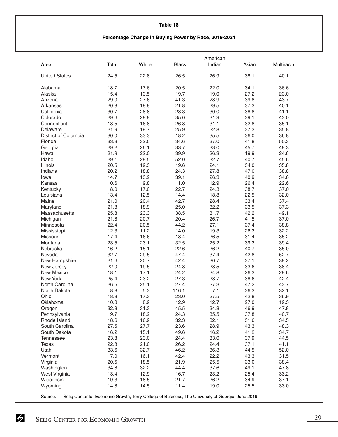#### **Percentage Change in Buying Power by Race, 2019-2024**

|                      |       |       |              | American                                                                                           |       |             |
|----------------------|-------|-------|--------------|----------------------------------------------------------------------------------------------------|-------|-------------|
| Area                 | Total | White | <b>Black</b> | Indian                                                                                             | Asian | Multiracial |
| <b>United States</b> | 24.5  | 22.8  | 26.5         | 26.9                                                                                               | 38.1  | 40.1        |
| Alabama              | 18.7  | 17.6  | 20.5         | 22.0                                                                                               | 34.1  | 36.6        |
| Alaska               | 15.4  | 13.5  | 19.7         | 19.0                                                                                               | 27.2  | 23.0        |
| Arizona              | 29.0  | 27.6  | 41.3         | 28.9                                                                                               | 39.8  | 43.7        |
| Arkansas             | 20.8  | 19.9  | 21.8         | 29.5                                                                                               | 37.3  | 40.1        |
| California           | 30.7  | 28.8  | 28.3         | 30.0                                                                                               | 38.8  | 41.1        |
|                      | 29.6  | 28.8  | 35.0         | 31.9                                                                                               | 39.1  | 43.0        |
| Colorado             |       |       |              |                                                                                                    |       |             |
| Connecticut          | 18.5  | 16.8  | 26.8         | 31.1                                                                                               | 32.8  | 35.1        |
| Delaware             | 21.9  | 19.7  | 25.9         | 22.8                                                                                               | 37.3  | 35.8        |
| District of Columbia | 30.0  | 33.3  | 18.2         | 35.5                                                                                               | 36.0  | 36.8        |
| Florida              | 33.3  | 32.5  | 34.6         | 37.0                                                                                               | 41.8  | 50.3        |
| Georgia              | 29.2  | 26.1  | 33.7         | 33.0                                                                                               | 45.7  | 48.3        |
| Hawaii               | 21.9  | 22.0  | 39.9         | 26.3                                                                                               | 19.9  | 24.6        |
| Idaho                | 29.1  | 28.5  | 52.0         | 32.7                                                                                               | 40.7  | 45.6        |
| Illinois             | 20.5  | 19.3  | 19.6         | 24.1                                                                                               | 34.0  | 35.8        |
| Indiana              | 20.2  | 18.8  | 24.3         | 27.8                                                                                               | 47.0  | 38.8        |
| lowa                 | 14.7  | 13.2  | 39.1         | 26.3                                                                                               | 40.9  | 34.6        |
| Kansas               | 10.6  | 9.8   | 11.0         | 12.9                                                                                               | 26.4  | 22.6        |
| Kentucky             | 18.0  | 17.0  | 22.7         | 24.3                                                                                               | 38.7  | 37.0        |
| Louisiana            | 13.4  | 12.5  | 14.4         | 18.8                                                                                               | 22.5  | 32.0        |
| Maine                | 21.0  | 20.4  | 42.7         | 28.4                                                                                               | 33.4  | 37.4        |
| Maryland             | 21.8  | 18.9  | 25.0         | 32.2                                                                                               | 33.5  | 37.3        |
| Massachusetts        | 25.8  | 23.3  | 38.5         | 31.7                                                                                               | 42.2  | 49.1        |
| Michigan             | 21.8  | 20.7  | 20.4         | 26.7                                                                                               | 41.5  | 37.0        |
| Minnesota            | 22.4  | 20.5  | 44.2         | 27.1                                                                                               | 37.4  | 38.8        |
| Mississippi          | 12.3  | 11.2  | 14.0         | 19.3                                                                                               | 26.3  | 32.2        |
| Missouri             | 17.4  | 16.6  | 18.4         | 26.5                                                                                               | 31.4  | 35.2        |
| Montana              | 23.5  | 23.1  | 32.5         | 25.2                                                                                               | 39.3  | 39.4        |
| Nebraska             | 16.2  | 15.1  | 22.6         | 26.2                                                                                               | 40.7  | 35.0        |
| Nevada               | 32.7  | 29.5  | 47.4         | 37.4                                                                                               | 42.8  | 52.7        |
| New Hampshire        | 21.6  | 20.7  | 42.4         | 30.7                                                                                               | 37.1  | 38.2        |
| New Jersey           | 22.0  | 19.5  | 24.8         | 28.5                                                                                               | 33.6  | 38.4        |
| New Mexico           | 18.1  | 17.1  | 24.2         | 24.8                                                                                               | 26.3  | 29.6        |
| New York             | 25.4  | 23.2  | 27.3         | 28.7                                                                                               | 38.6  | 42.4        |
| North Carolina       | 26.5  | 25.1  | 27.4         | 27.3                                                                                               | 47.2  | 43.7        |
| North Dakota         | 8.8   | 5.3   | 116.1        | 7.1                                                                                                | 36.3  | 32.1        |
| Ohio                 | 18.8  | 17.3  | 23.0         | 27.5                                                                                               | 42.8  | 36.9        |
| Oklahoma             | 10.3  | 8.9   | 12.9         | 12.7                                                                                               | 27.0  | 19.3        |
| Oregon               | 32.8  | 31.3  | 45.5         | 34.8                                                                                               | 46.9  | 47.8        |
| Pennsylvania         | 19.7  | 18.2  | 24.3         | 35.5                                                                                               | 37.8  | 40.7        |
| Rhode Island         | 18.6  | 16.9  | 32.3         | 32.1                                                                                               | 31.6  | 34.5        |
| South Carolina       | 27.5  | 27.7  | 23.6         | 28.9                                                                                               | 43.3  | 48.3        |
| South Dakota         | 16.2  | 15.1  | 49.6         | 16.2                                                                                               | 41.2  | 34.7        |
| <b>Tennessee</b>     | 23.8  | 23.0  | 24.4         | 33.0                                                                                               | 37.9  | 44.5        |
| Texas                | 22.8  | 21.0  | 26.2         | 24.4                                                                                               | 37.1  | 41.1        |
| Utah                 | 33.6  | 32.7  | 46.2         | 36.3                                                                                               | 44.5  | 52.0        |
| Vermont              | 17.0  | 16.1  | 42.4         | 22.2                                                                                               | 43.3  | 31.5        |
| Virginia             | 20.5  | 18.5  | 21.9         | 25.5                                                                                               | 33.0  | 38.4        |
| Washington           | 34.8  | 32.2  | 44.4         | 37.6                                                                                               | 49.1  | 47.8        |
| West Virginia        | 13.4  | 12.9  | 16.7         | 23.2                                                                                               | 25.4  | 33.2        |
| Wisconsin            | 19.3  | 18.5  | 21.7         | 26.2                                                                                               | 34.9  | 37.1        |
| Wyoming              | 14.8  | 14.5  | 11.4         | 19.0                                                                                               | 25.5  | 33.0        |
| Source:              |       |       |              | Selig Center for Economic Growth, Terry College of Business, The University of Georgia, June 2019. |       |             |
|                      |       |       |              |                                                                                                    |       |             |

SELIG CENTER FOR ECONOMIC GROWTH 29

 $\overline{a}$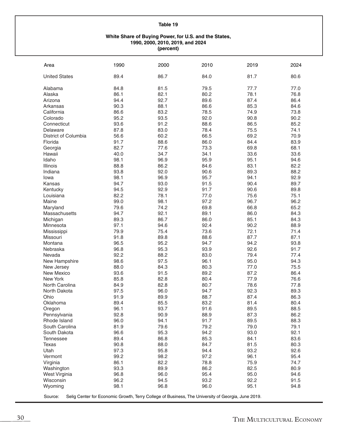#### **White Share of Buying Power, for U.S. and the States, 1990, 2000, 2010, 2019, and 2024 (percent)**

| Area                                                                                                          | 1990 | 2000 | 2010 | 2019 | 2024 |
|---------------------------------------------------------------------------------------------------------------|------|------|------|------|------|
| <b>United States</b>                                                                                          | 89.4 | 86.7 | 84.0 | 81.7 | 80.6 |
| Alabama                                                                                                       | 84.8 | 81.5 | 79.5 | 77.7 | 77.0 |
| Alaska                                                                                                        | 86.1 | 82.1 | 80.2 | 78.1 | 76.8 |
| Arizona                                                                                                       | 94.4 | 92.7 | 89.6 | 87.4 | 86.4 |
| Arkansas                                                                                                      | 90.3 | 88.1 | 86.6 | 85.3 | 84.6 |
|                                                                                                               |      |      |      |      |      |
| California                                                                                                    | 86.6 | 83.2 | 78.5 | 74.9 | 73.8 |
| Colorado                                                                                                      | 95.2 | 93.5 | 92.0 | 90.8 | 90.2 |
| Connecticut                                                                                                   | 93.6 | 91.2 | 88.6 | 86.5 | 85.2 |
| Delaware                                                                                                      | 87.8 | 83.0 | 78.4 | 75.5 | 74.1 |
| District of Columbia                                                                                          | 56.6 | 60.2 | 66.5 | 69.2 | 70.9 |
| Florida                                                                                                       | 91.7 | 88.6 | 86.0 | 84.4 | 83.9 |
| Georgia                                                                                                       | 82.7 | 77.6 | 73.3 | 69.8 | 68.1 |
| Hawaii                                                                                                        | 40.0 | 34.7 | 34.1 | 33.6 | 33.6 |
| Idaho                                                                                                         | 98.1 | 96.9 | 95.9 | 95.1 | 94.6 |
| Illinois                                                                                                      | 88.8 | 86.2 | 84.6 | 83.1 | 82.2 |
| Indiana                                                                                                       | 93.8 | 92.0 | 90.6 | 89.3 | 88.2 |
| lowa                                                                                                          | 98.1 | 96.9 | 95.7 | 94.1 | 92.9 |
| Kansas                                                                                                        | 94.7 | 93.0 | 91.5 | 90.4 | 89.7 |
| Kentucky                                                                                                      | 94.5 | 92.9 | 91.7 | 90.6 | 89.8 |
| Louisiana                                                                                                     | 82.2 | 78.1 | 77.0 | 75.6 | 75.1 |
| Maine                                                                                                         | 99.0 | 98.1 | 97.2 | 96.7 | 96.2 |
| Maryland                                                                                                      | 79.6 | 74.2 | 69.8 | 66.8 | 65.2 |
| Massachusetts                                                                                                 | 94.7 | 92.1 | 89.1 | 86.0 | 84.3 |
| Michigan                                                                                                      | 89.3 | 86.7 | 86.0 | 85.1 | 84.3 |
| Minnesota                                                                                                     | 97.1 | 94.6 | 92.4 | 90.2 | 88.9 |
| Mississippi                                                                                                   | 79.9 | 75.4 | 73.6 | 72.1 | 71.4 |
| Missouri                                                                                                      | 91.8 | 89.8 | 88.6 | 87.7 | 87.1 |
| Montana                                                                                                       | 96.5 | 95.2 | 94.7 | 94.2 | 93.8 |
| Nebraska                                                                                                      | 96.8 | 95.3 | 93.9 | 92.6 | 91.7 |
|                                                                                                               |      | 88.2 |      | 79.4 | 77.4 |
| Nevada                                                                                                        | 92.2 |      | 83.0 |      |      |
| New Hampshire                                                                                                 | 98.6 | 97.5 | 96.1 | 95.0 | 94.3 |
| New Jersey                                                                                                    | 88.0 | 84.3 | 80.3 | 77.0 | 75.5 |
| <b>New Mexico</b>                                                                                             | 93.6 | 91.5 | 89.2 | 87.2 | 86.4 |
| New York                                                                                                      | 85.8 | 82.8 | 80.4 | 77.9 | 76.6 |
| North Carolina                                                                                                | 84.9 | 82.8 | 80.7 | 78.6 | 77.8 |
| North Dakota                                                                                                  | 97.5 | 96.0 | 94.7 | 92.3 | 89.3 |
| Ohio                                                                                                          | 91.9 | 89.9 | 88.7 | 87.4 | 86.3 |
| Oklahoma                                                                                                      | 89.4 | 85.5 | 83.2 | 81.4 | 80.4 |
| Oregon                                                                                                        | 96.1 | 93.7 | 91.6 | 89.5 | 88.5 |
| Pennsylvania                                                                                                  | 92.8 | 90.9 | 88.9 | 87.3 | 86.2 |
| Rhode Island                                                                                                  | 96.0 | 94.1 | 91.7 | 89.5 | 88.3 |
| South Carolina                                                                                                | 81.9 | 79.6 | 79.2 | 79.0 | 79.1 |
| South Dakota                                                                                                  | 96.6 | 95.3 | 94.2 | 93.0 | 92.1 |
| <b>Tennessee</b>                                                                                              | 89.4 | 86.8 | 85.3 | 84.1 | 83.6 |
| Texas                                                                                                         | 90.8 | 88.0 | 84.7 | 81.5 | 80.3 |
| Utah                                                                                                          | 97.3 | 95.8 | 94.4 | 93.2 | 92.6 |
| Vermont                                                                                                       | 99.2 | 98.2 | 97.2 | 96.1 | 95.4 |
| Virginia                                                                                                      | 86.1 | 82.2 | 78.8 | 75.9 | 74.7 |
| Washington                                                                                                    | 93.3 | 89.9 | 86.2 | 82.5 | 80.9 |
| West Virginia                                                                                                 | 96.8 | 96.0 | 95.4 | 95.0 | 94.6 |
| Wisconsin                                                                                                     | 96.2 | 94.5 | 93.2 | 92.2 | 91.5 |
| Wyoming                                                                                                       | 98.1 | 96.8 | 96.0 | 95.1 | 94.8 |
| Selig Center for Economic Growth, Terry College of Business, The University of Georgia, June 2019.<br>Source: |      |      |      |      |      |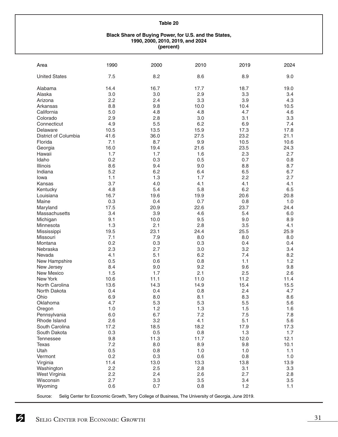#### **Black Share of Buying Power, for U.S. and the States, 1990, 2000, 2010, 2019, and 2024 (percent)**

| Area                 | 1990 | 2000 | 2010 | 2019 | 2024 |
|----------------------|------|------|------|------|------|
| <b>United States</b> | 7.5  | 8.2  | 8.6  | 8.9  | 9.0  |
| Alabama              | 14.4 | 16.7 | 17.7 | 18.7 | 19.0 |
| Alaska               | 3.0  | 3.0  | 2.9  | 3.3  | 3.4  |
| Arizona              | 2.2  | 2.4  | 3.3  | 3.9  | 4.3  |
| Arkansas             | 8.8  | 9.8  | 10.0 | 10.4 | 10.5 |
| California           | 5.0  | 4.8  | 4.8  | 4.7  | 4.6  |
| Colorado             | 2.9  | 2.8  | 3.0  | 3.1  | 3.3  |
| Connecticut          | 4.9  | 5.5  | 6.2  | 6.9  | 7.4  |
| Delaware             | 10.5 | 13.5 | 15.9 | 17.3 | 17.8 |
| District of Columbia | 41.6 | 36.0 | 27.5 | 23.2 | 21.1 |
| Florida              | 7.1  | 8.7  | 9.9  | 10.5 | 10.6 |
| Georgia              | 16.0 | 19.4 | 21.6 | 23.5 | 24.3 |
| Hawaii               | 1.7  | 1.7  | 1.6  | 2.3  | 2.7  |
| Idaho                | 0.2  | 0.3  | 0.5  | 0.7  | 0.8  |
| Illinois             | 8.6  | 9.4  | 9.0  | 8.8  | 8.7  |
| Indiana              | 5.2  | 6.2  | 6.4  | 6.5  | 6.7  |
| lowa                 | 1.1  | 1.3  | 1.7  | 2.2  | 2.7  |
| Kansas               | 3.7  | 4.0  | 4.1  | 4.1  | 4.1  |
| Kentucky             | 4.8  | 5.4  | 5.8  | 6.2  | 6.5  |
| Louisiana            | 16.7 | 19.6 | 19.9 | 20.6 | 20.8 |
| Maine                | 0.3  | 0.4  | 0.7  | 0.8  | 1.0  |
| Maryland             | 17.5 | 20.9 | 22.6 | 23.7 | 24.4 |
| Massachusetts        | 3.4  | 3.9  | 4.6  | 5.4  | 6.0  |
| Michigan             | 9.1  | 10.0 | 9.5  | 9.0  | 8.9  |
| Minnesota            | 1.3  | 2.1  | 2.8  | 3.5  | 4.1  |
| Mississippi          | 19.5 | 23.1 | 24.4 | 25.5 | 25.9 |
| Missouri             | 7.1  | 7.9  | 8.0  | 8.0  | 8.0  |
| Montana              | 0.2  | 0.3  | 0.3  | 0.4  | 0.4  |
| Nebraska             | 2.3  | 2.7  | 3.0  | 3.2  | 3.4  |
| Nevada               | 4.1  | 5.1  | 6.2  | 7.4  | 8.2  |
| New Hampshire        | 0.5  | 0.6  | 0.8  | 1.1  | 1.2  |
| New Jersey           | 8.4  | 9.0  | 9.2  | 9.6  | 9.8  |
| New Mexico           | 1.5  | 1.7  | 2.1  | 2.5  | 2.6  |
| <b>New York</b>      | 10.6 | 11.1 | 11.0 | 11.2 | 11.4 |
| North Carolina       | 13.6 | 14.3 | 14.9 | 15.4 | 15.5 |
| North Dakota         | 0.4  | 0.4  | 0.8  | 2.4  | 4.7  |
| Ohio                 | 6.9  | 8.0  | 8.1  | 8.3  | 8.6  |
| Oklahoma             | 4.7  | 5.3  | 5.3  | 5.5  | 5.6  |
| Oregon               | 1.0  | 1.2  | 1.3  | 1.5  | 1.6  |
| Pennsylvania         | 6.0  | 6.7  | 7.2  | 7.5  | 7.8  |
| Rhode Island         | 2.6  | 3.2  | 4.1  | 5.1  | 5.6  |
| South Carolina       | 17.2 | 18.5 | 18.2 | 17.9 | 17.3 |
| South Dakota         | 0.3  | 0.5  | 0.8  | 1.3  | 1.7  |
| <b>Tennessee</b>     | 9.8  | 11.3 | 11.7 | 12.0 | 12.1 |
| <b>Texas</b>         | 7.2  | 8.0  | 8.9  | 9.8  | 10.1 |
| Utah                 | 0.5  | 0.8  | 1.0  | 1.0  | 1.1  |
| Vermont              | 0.2  | 0.3  | 0.6  | 0.8  | 1.0  |
| Virginia             | 11.4 | 13.0 | 13.3 | 13.8 | 13.9 |
| Washington           | 2.2  | 2.5  | 2.8  | 3.1  | 3.3  |
| West Virginia        | 2.2  | 2.4  | 2.6  | 2.7  | 2.8  |
| Wisconsin            | 2.7  | 3.3  | 3.5  | 3.4  | 3.5  |
| Wyoming              | 0.6  | 0.7  | 0.8  | 1.2  | 1.1  |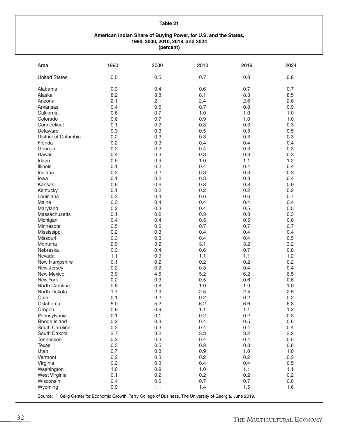#### **American Indian Share of Buying Power, for U.S. and the States, 1990, 2000, 2010, 2019, and 2024 (percent)**

| Area                                                                                                          | 1990       | 2000       | 2010       | 2019 | 2024 |  |
|---------------------------------------------------------------------------------------------------------------|------------|------------|------------|------|------|--|
| <b>United States</b>                                                                                          | 0.5        | 0.5        | 0.7        | 0.8  | 0.8  |  |
| Alabama                                                                                                       | 0.3        | 0.4        | 0.6        | 0.7  | 0.7  |  |
| Alaska                                                                                                        | 8.2        | 8.8        | 8.1        | 8.3  | 8.5  |  |
| Arizona                                                                                                       | 2.1        | 2.1        | 2.4        | 2.6  | 2.6  |  |
| Arkansas                                                                                                      | 0.4        | 0.6        | 0.7        | 0.8  | 0.9  |  |
| California                                                                                                    | 0.6        | 0.7        | 1.0        | 1.0  | 1.0  |  |
| Colorado                                                                                                      | 0.6        | 0.7        | 0.9        | 1.0  | 1.0  |  |
| Connecticut                                                                                                   | 0.1        | 0.2        | 0.3        | 0.3  | 0.3  |  |
| Delaware                                                                                                      | 0.3        | 0.3        | 0.5        | 0.5  | 0.5  |  |
| District of Columbia                                                                                          | 0.2        | 0.3        | 0.3        | 0.3  | 0.3  |  |
| Florida                                                                                                       | 0.2        | 0.3        | 0.4        | 0.4  | 0.4  |  |
| Georgia                                                                                                       | 0.2        | 0.2        | 0.4        | 0.3  | 0.3  |  |
| Hawaii                                                                                                        | 0.4        | 0.3        | 0.3        | 0.3  | 0.3  |  |
| Idaho                                                                                                         | 0.9        | 0.9        | 1.0        | 1.1  | 1.2  |  |
| Illinois                                                                                                      | 0.1        | 0.2        | 0.4        | 0.4  | 0.4  |  |
| Indiana                                                                                                       | 0.2        | 0.2        | 0.3        | 0.3  | 0.3  |  |
| lowa                                                                                                          | 0.1        | 0.2        | 0.3        | 0.3  | 0.4  |  |
| Kansas                                                                                                        | 0.6        | 0.6        | 0.8        | 0.8  | 0.9  |  |
| Kentucky                                                                                                      | 0.1        | 0.2        | 0.2        | 0.2  | 0.2  |  |
| Louisiana                                                                                                     | 0.3        | 0.4        | 0.6        | 0.6  | 0.7  |  |
| Maine                                                                                                         | 0.3        | 0.4        | 0.4        | 0.4  | 0.4  |  |
| Maryland                                                                                                      | 0.2        | 0.3        | 0.4        | 0.5  | 0.5  |  |
| Massachusetts                                                                                                 | 0.1        | 0.2        | 0.3        | 0.3  | 0.3  |  |
| Michigan                                                                                                      | 0.4        | 0.4        | 0.5        | 0.5  | 0.6  |  |
| Minnesota                                                                                                     | 0.5        | 0.6        | 0.7        | 0.7  | 0.7  |  |
| Mississippi                                                                                                   | 0.2        | 0.3        | 0.4        | 0.4  | 0.4  |  |
| Missouri                                                                                                      | 0.3        | 0.3        | 0.4        | 0.4  | 0.5  |  |
| Montana                                                                                                       | 2.9        | 3.2        | 3.1        | 3.2  | 3.2  |  |
| Nebraska                                                                                                      | 0.3        | 0.4        | 0.6        | 0.7  | 0.8  |  |
| Nevada                                                                                                        | 1.1        | 0.9        | 1.1        | 1.1  | 1.2  |  |
| New Hampshire                                                                                                 | 0.1        | 0.2        | 0.2        | 0.2  | 0.2  |  |
| New Jersey                                                                                                    | 0.2        | 0.2        | 0.3        | 0.4  | 0.4  |  |
| New Mexico                                                                                                    | 3.9        | 4.5        | 5.2        | 6.2  | 6.5  |  |
| New York                                                                                                      | 0.2        | 0.3        | 0.5        | 0.6  | 0.6  |  |
| North Carolina                                                                                                | 0.8        | 0.8        | 1.0        | 1.0  | 1.0  |  |
| North Dakota                                                                                                  | 1.7        | 2.3        | 2.5        | 2.5  | 2.5  |  |
| Ohio                                                                                                          | 0.1        | 0.2        | 0.2        | 0.2  | 0.2  |  |
| Oklahoma                                                                                                      | $5.0$      | 5.2        | 6.2        | 6.6  | 6.8  |  |
| Oregon                                                                                                        | 0.9        | 0.9        | 1.1        | 1.1  | 1.2  |  |
| Pennsylvania                                                                                                  | 0.1        | 0.1        | 0.2        | 0.2  | 0.3  |  |
| Rhode Island                                                                                                  | 0.2        | 0.3        | 0.4        | 0.5  | 0.6  |  |
| South Carolina                                                                                                | 0.2        | 0.3        | 0.4        | 0.4  | 0.4  |  |
| South Dakota                                                                                                  | 2.7        | 3.2        | 3.3        | 3.2  | 3.2  |  |
| <b>Tennessee</b>                                                                                              | 0.2        | 0.3        | 0.4        | 0.4  | 0.5  |  |
| Texas                                                                                                         | 0.3        | 0.5        | 0.8        | 0.8  | 0.8  |  |
| Utah                                                                                                          | 0.7        | 0.8        | 0.9        | 1.0  | 1.0  |  |
| Vermont                                                                                                       | 0.2        | 0.3        | 0.2        | 0.2  | 0.3  |  |
| Virginia                                                                                                      | 0.2        | 0.3        | 0.4        | 0.4  | 0.5  |  |
| Washington                                                                                                    | 1.0        | 0.9        | 1.0        | 1.1  | 1.1  |  |
| West Virginia                                                                                                 | 0.1        | 0.2        | 0.2        | 0.2  | 0.2  |  |
| Wisconsin                                                                                                     | 0.4<br>0.9 | 0.6<br>1.1 | 0.7<br>1.4 | 0.7  | 0.8  |  |
| Wyoming                                                                                                       |            |            |            | 1.5  | 1.6  |  |
| Selig Center for Economic Growth, Terry College of Business, The University of Georgia, June 2019.<br>Source: |            |            |            |      |      |  |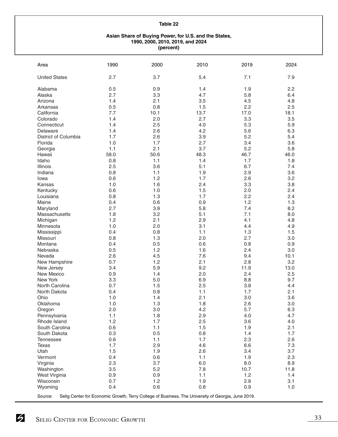#### **Asian Share of Buying Power, for U.S. and the States, 1990, 2000, 2010, 2019, and 2024 (percent)**

| Area                 | 1990 | 2000 | 2010                                                                                               | 2019 | 2024 |
|----------------------|------|------|----------------------------------------------------------------------------------------------------|------|------|
| <b>United States</b> | 2.7  | 3.7  | 5.4                                                                                                | 7.1  | 7.9  |
| Alabama              | 0.5  | 0.9  | 1.4                                                                                                | 1.9  | 2.2  |
| Alaska               | 2.7  | 3.3  | 4.7                                                                                                | 5.8  | 6.4  |
| Arizona              | 1.4  | 2.1  | 3.5                                                                                                | 4.5  | 4.8  |
| Arkansas             | 0.5  | 0.8  | 1.5                                                                                                | 2.2  | 2.5  |
| California           | 7.7  | 10.1 | 13.7                                                                                               | 17.0 | 18.1 |
| Colorado             | 1.4  | 2.0  | 2.7                                                                                                | 3.3  | 3.5  |
| Connecticut          | 1.4  | 2.5  | 4.0                                                                                                | 5.3  | 5.9  |
| Delaware             | 1.4  | 2.6  | 4.2                                                                                                | 5.6  | 6.3  |
| District of Columbia | 1.7  | 2.6  | 3.9                                                                                                | 5.2  | 5.4  |
| Florida              | 1.0  | 1.7  | 2.7                                                                                                | 3.4  | 3.6  |
| Georgia              | 1.1  | 2.1  | 3.7                                                                                                | 5.2  | 5.8  |
| Hawaii               | 58.0 | 50.6 | 48.3                                                                                               | 46.7 | 46.0 |
| Idaho                | 0.8  | 1.1  | 1.4                                                                                                | 1.7  | 1.8  |
| Illinois             | 2.5  | 3.6  | 5.1                                                                                                | 6.7  | 7.4  |
| Indiana              | 0.8  | 1.1  | 1.9                                                                                                | 2.9  | 3.6  |
| lowa                 | 0.6  | 1.2  | 1.7                                                                                                | 2.6  | 3.2  |
| Kansas               | 1.0  | 1.6  | 2.4                                                                                                | 3.3  | 3.8  |
| Kentucky             | 0.6  | 1.0  | 1.5                                                                                                | 2.0  | 2.4  |
| Louisiana            | 0.8  | 1.3  | 1.7                                                                                                | 2.2  | 2.4  |
| Maine                | 0.4  | 0.6  | 0.9                                                                                                | 1.2  | 1.3  |
| Maryland             | 2.7  | 3.9  | 5.8                                                                                                | 7.4  | 8.2  |
| Massachusetts        | 1.8  | 3.2  | 5.1                                                                                                | 7.1  | 8.0  |
| Michigan             | 1.2  | 2.1  | 2.9                                                                                                | 4.1  | 4.8  |
| Minnesota            | 1.0  | 2.0  | 3.1                                                                                                | 4.4  | 4.9  |
| Mississippi          | 0.4  | 0.8  | 1.1                                                                                                | 1.3  | 1.5  |
| Missouri             | 0.8  | 1.3  | 2.0                                                                                                | 2.7  | 3.0  |
| Montana              | 0.4  | 0.5  | 0.6                                                                                                | 0.8  | 0.9  |
| Nebraska             | 0.5  | 1.2  | 1.6                                                                                                | 2.4  | 3.0  |
| Nevada               | 2.6  | 4.5  | 7.6                                                                                                | 9.4  | 10.1 |
| New Hampshire        | 0.7  | 1.2  | 2.1                                                                                                | 2.8  | 3.2  |
| New Jersey           | 3.4  | 5.9  | 9.2                                                                                                | 11.9 | 13.0 |
| New Mexico           | 0.9  | 1.4  | 2.0                                                                                                | 2.4  | 2.5  |
| New York             | 3.3  | 5.0  | 6.9                                                                                                | 8.8  | 9.7  |
| North Carolina       | 0.7  | 1.5  | 2.5                                                                                                | 3.8  | 4.4  |
| North Dakota         | 0.4  | 0.8  | 1.1                                                                                                | 1.7  | 2.1  |
| Ohio                 | 1.0  | 1.4  | 2.1                                                                                                | 3.0  | 3.6  |
| Oklahoma             | 1.0  | 1.3  | 1.8                                                                                                | 2.6  | 3.0  |
| Oregon               | 2.0  | 3.0  | 4.2                                                                                                | 5.7  | 6.3  |
| Pennsylvania         | 1.1  | 1.8  | 2.9                                                                                                | 4.0  | 4.7  |
| Rhode Island         | 1.2  | 1.7  | 2.5                                                                                                | 3.6  | 4.0  |
| South Carolina       | 0.6  | 1.1  | 1.5                                                                                                | 1.9  | 2.1  |
| South Dakota         | 0.3  | 0.5  | 0.8                                                                                                | 1.4  | 1.7  |
| <b>Tennessee</b>     | 0.6  | 1.1  | 1.7                                                                                                | 2.3  | 2.6  |
| <b>Texas</b>         | 1.7  | 2.9  | 4.6                                                                                                | 6.6  | 7.3  |
| Utah                 | 1.5  | 1.9  | 2.6                                                                                                | 3.4  | 3.7  |
| Vermont              | 0.4  | 0.6  | 1.1                                                                                                | 1.9  | 2.3  |
| Virginia             | 2.3  | 3.7  | 6.0                                                                                                | 8.0  | 8.9  |
| Washington           | 3.5  | 5.2  | 7.8                                                                                                | 10.7 | 11.8 |
| West Virginia        | 0.9  | 0.9  | 1.1                                                                                                | 1.2  | 1.4  |
| Wisconsin            | 0.7  | 1.2  | 1.9                                                                                                | 2.8  | 3.1  |
| Wyoming              | 0.4  | 0.6  | 0.8                                                                                                | 0.9  | 1.0  |
| Source:              |      |      | Selig Center for Economic Growth, Terry College of Business, The University of Georgia, June 2019. |      |      |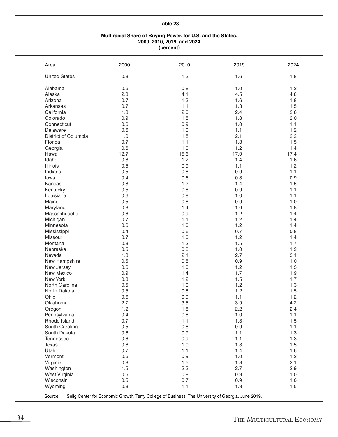#### **Multiracial Share of Buying Power, for U.S. and the States, 2000, 2010, 2019, and 2024 (percent)**

| Area                 | 2000 | 2010                                                                                               | 2019 | 2024 |
|----------------------|------|----------------------------------------------------------------------------------------------------|------|------|
| <b>United States</b> | 0.8  | 1.3                                                                                                | 1.6  | 1.8  |
| Alabama              | 0.6  | 0.8                                                                                                | 1.0  | 1.2  |
| Alaska               | 2.8  | 4.1                                                                                                | 4.5  | 4.8  |
| Arizona              | 0.7  | 1.3                                                                                                | 1.6  | 1.8  |
| Arkansas             | 0.7  | 1.1                                                                                                | 1.3  | 1.5  |
| California           | 1.3  | 2.0                                                                                                | 2.4  | 2.6  |
| Colorado             | 0.9  | 1.5                                                                                                | 1.8  | 2.0  |
| Connecticut          | 0.6  | 0.9                                                                                                | 1.0  | 1.1  |
| Delaware             | 0.6  | 1.0                                                                                                | 1.1  | 1.2  |
| District of Columbia | 1.0  | 1.8                                                                                                | 2.1  | 2.2  |
| Florida              | 0.7  | 1.1                                                                                                | 1.3  | 1.5  |
| Georgia              | 0.6  | 1.0                                                                                                | 1.2  | 1.4  |
| Hawaii               | 12.7 | 15.6                                                                                               | 17.0 | 17.4 |
| Idaho                | 0.8  | 1.2                                                                                                | 1.4  | 1.6  |
| Illinois             | 0.5  | 0.9                                                                                                | 1.1  | 1.2  |
| Indiana              | 0.5  | 0.8                                                                                                | 0.9  | 1.1  |
|                      | 0.4  | 0.6                                                                                                | 0.8  |      |
| lowa                 |      |                                                                                                    |      | 0.9  |
| Kansas               | 0.8  | 1.2                                                                                                | 1.4  | 1.5  |
| Kentucky             | 0.5  | 0.8                                                                                                | 0.9  | 1.1  |
| Louisiana            | 0.6  | 0.8                                                                                                | 1.0  | 1.1  |
| Maine                | 0.5  | 0.8                                                                                                | 0.9  | 1.0  |
| Maryland             | 0.8  | 1.4                                                                                                | 1.6  | 1.8  |
| Massachusetts        | 0.6  | 0.9                                                                                                | 1.2  | 1.4  |
| Michigan             | 0.7  | 1.1                                                                                                | 1.2  | 1.4  |
| Minnesota            | 0.6  | 1.0                                                                                                | 1.2  | 1.4  |
| Mississippi          | 0.4  | 0.6                                                                                                | 0.7  | 0.8  |
| Missouri             | 0.7  | 1.0                                                                                                | 1.2  | 1.4  |
| Montana              | 0.8  | 1.2                                                                                                | 1.5  | 1.7  |
| Nebraska             | 0.5  | 0.8                                                                                                | 1.0  | 1.2  |
| Nevada               | 1.3  | 2.1                                                                                                | 2.7  | 3.1  |
| New Hampshire        | 0.5  | 0.8                                                                                                | 0.9  | 1.0  |
| New Jersey           | 0.6  | 1.0                                                                                                | 1.2  | 1.3  |
| New Mexico           | 0.9  | 1.4                                                                                                | 1.7  | 1.9  |
| New York             | 0.8  | 1.2                                                                                                | 1.5  | 1.7  |
| North Carolina       | 0.5  | 1.0                                                                                                | 1.2  | 1.3  |
| North Dakota         | 0.5  | 0.8                                                                                                | 1.2  | 1.5  |
| Ohio                 | 0.6  | 0.9                                                                                                | 1.1  | 1.2  |
| Oklahoma             | 2.7  | 3.5                                                                                                | 3.9  | 4.2  |
| Oregon               | 1.2  | 1.8                                                                                                | 2.2  | 2.4  |
| Pennsylvania         | 0.4  | 0.8                                                                                                | 1.0  | 1.1  |
| Rhode Island         | 0.7  | 1.1                                                                                                | 1.3  | 1.5  |
| South Carolina       | 0.5  | 0.8                                                                                                | 0.9  | 1.1  |
| South Dakota         | 0.6  | 0.9                                                                                                | 1.1  | 1.3  |
| Tennessee            | 0.6  | 0.9                                                                                                | 1.1  | 1.3  |
| Texas                | 0.6  | 1.0                                                                                                | 1.3  | 1.5  |
| Utah                 | 0.7  | 1.1                                                                                                | 1.4  | 1.6  |
| Vermont              | 0.6  | 0.9                                                                                                | 1.0  | 1.2  |
| Virginia             | 0.8  | 1.5                                                                                                | 1.8  | 2.1  |
| Washington           | 1.5  | 2.3                                                                                                | 2.7  | 2.9  |
| West Virginia        | 0.5  | 0.8                                                                                                | 0.9  | 1.0  |
| Wisconsin            | 0.5  | 0.7                                                                                                | 0.9  | 1.0  |
| Wyoming              | 0.8  | 1.1                                                                                                | 1.3  | 1.5  |
| Source:              |      | Selig Center for Economic Growth, Terry College of Business, The University of Georgia, June 2019. |      |      |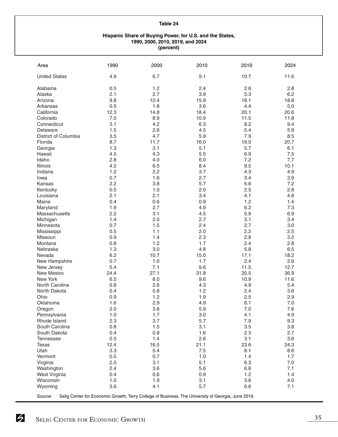#### **Hispanic Share of Buying Power, for U.S. and the States, 1990, 2000, 2010, 2019, and 2024 (percent)**

| Area                       | 1990       | 2000        | 2010       | 2019        | 2024        |
|----------------------------|------------|-------------|------------|-------------|-------------|
| <b>United States</b>       | 4.9        | 6.7         | 9.1        | 10.7        | 11.6        |
| Alabama                    | 0.5        | 1.2         | 2.4        | 2.6         | 2.8         |
| Alaska                     | 2.1        | 2.7         | 3.9        | 5.3         | 6.2         |
| Arizona                    | 9.8        | 12.4        | 15.9       | 18.1        | 18.8        |
| Arkansas                   | 0.5        | 1.8         | 3.6        | 4.4         | 5.0         |
| California                 | 12.3       | 14.8        | 18.4       | 20.1        | 20.6        |
| Colorado                   | 7.0        | 8.9         | 10.9       | 11.5        | 11.8        |
| Connecticut                | 3.1        | 4.2         | 6.3        | 8.2         | 9.4         |
| Delaware                   | 1.5        | 2.6         | 4.5        | 5.4         | 5.9         |
| District of Columbia       | 3.5        | 4.7         | 5.9        | 7.9         | 8.5         |
| Florida                    | 8.7        | 11.7        | 16.0       | 19.0        | 20.7        |
| Georgia                    | 1.3        | 3.1         | 5.1        | 5.7         | 6.1         |
| Hawaii                     | 4.5        | 4.3         | 5.5        | 6.9         | 7.5         |
| Idaho                      | 2.8        | 4.0         | 6.0        | 7.2         | 7.7         |
| Illinois                   | 4.2        | 6.5         | 8.4        | 9.5         | 10.1        |
| Indiana                    | 1.2        | 2.2         | 3.7        | 4.3         | 4.9         |
| lowa                       | 0.7        | 1.6         | 2.7        | 3.4         | 3.9         |
| Kansas                     | 2.2        | 3.8         | 5.7        | 6.6         | 7.2         |
| Kentucky                   | 0.5        | 1.0         | 2.0        | 2.5         | 2.8         |
| Louisiana                  | 2.1        | 2.1         | 3.4        | 4.1         | 4.8         |
| Maine                      | 0.4        | 0.6         | 0.9        | 1.2         | 1.4         |
| Maryland                   | 1.9        | 2.7         | 4.9        | 6.2         | 7.3         |
| Massachusetts              | 2.2        | 3.1         | 4.5        | 5.9         | 6.9         |
| Michigan                   | 1.4        | 2.0         | 2.7        | 3.1         | 3.4         |
| Minnesota                  | 0.7        | 1.5         | 2.4        | 2.7         | 3.0         |
| Mississippi                | 0.5        | 1.1         | 2.0        | 2.2         | 2.5         |
| Missouri                   | 0.9        | 1.4         | 2.3        | 2.8         | 3.2         |
| Montana                    | 0.8        | 1.2         | 1.7        | 2.4         | 2.8         |
| Nebraska                   | 1.3        | 3.0         | 4.8        | 5.8         | 6.5         |
| Nevada                     | 6.2        | 10.7        | 15.0       | 17.1        | 18.2        |
| New Hampshire              | 0.7        | 1.0         | 1.7        | 2.4         | 2.9         |
| New Jersey                 | 5.4        | 7.1         | 9.6        | 11.5        | 12.7        |
| New Mexico                 | 24.4       | 27.1<br>8.0 | 31.8       | 35.5        | 36.9        |
| New York<br>North Carolina | 6.5<br>0.8 | 2.6         | 9.6<br>4.3 | 10.9<br>4.9 | 11.6<br>5.4 |
| North Dakota               | 0.4        | 0.8         | 1.2        | 2.4         | 3.6         |
| Ohio                       | 0.9        | 1.2         | 1.9        | 2.5         | 2.9         |
| Oklahoma                   | 1.6        | 2.9         | 4.9        | 6.1         | $7.0$       |
| Oregon                     | 2.0        | 3.8         | 5.9        | 7.0         | 7.6         |
| Pennsylvania               | 1.0        | 1.7         | 3.0        | 4.1         | 4.9         |
| Rhode Island               | 2.3        | 3.7         | 5.7        | 7.9         | 9.3         |
| South Carolina             | 0.8        | 1.5         | 3.1        | 3.5         | 3.8         |
| South Dakota               | 0.4        | 0.8         | 1.6        | 2.3         | 2.7         |
| <b>Tennessee</b>           | 0.5        | 1.4         | 2.6        | 3.1         | 3.6         |
| Texas                      | 12.4       | 16.5        | 21.1       | 23.6        | 24.3        |
| Utah                       | 3.3        | 5.4         | 7.5        | 8.1         | 8.6         |
| Vermont                    | 0.5        | 0.7         | 1.0        | 1.4         | 1.7         |
| Virginia                   | 2.0        | 3.1         | 5.1        | 6.3         | $7.0\,$     |
| Washington                 | 2.4        | 3.6         | 5.6        | 6.6         | 7.1         |
| West Virginia              | 0.4        | 0.6         | 0.9        | 1.2         | 1.4         |
| Wisconsin                  | 1.0        | 1.9         | 3.1        | 3.6         | 4.0         |
| Wyoming                    | 3.6        | 4.1         | 5.7        | 6.6         | 7.1         |
|                            |            |             |            |             |             |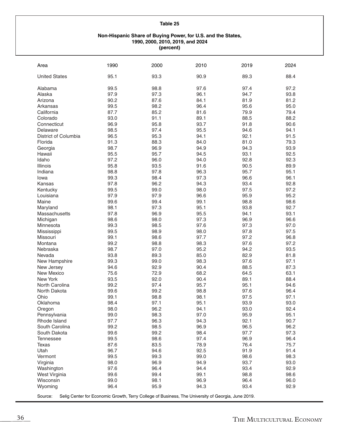#### **Non-Hispanic Share of Buying Power, for U.S. and the States, 1990, 2000, 2010, 2019, and 2024 (percent)**

| Area                 | 1990 | 2000 | 2010 | 2019 | 2024 |
|----------------------|------|------|------|------|------|
| <b>United States</b> | 95.1 | 93.3 | 90.9 | 89.3 | 88.4 |
| Alabama              | 99.5 | 98.8 | 97.6 | 97.4 | 97.2 |
| Alaska               | 97.9 | 97.3 | 96.1 | 94.7 | 93.8 |
| Arizona              | 90.2 | 87.6 | 84.1 | 81.9 | 81.2 |
| Arkansas             | 99.5 | 98.2 | 96.4 | 95.6 | 95.0 |
| California           | 87.7 | 85.2 | 81.6 | 79.9 | 79.4 |
| Colorado             | 93.0 | 91.1 | 89.1 | 88.5 | 88.2 |
| Connecticut          | 96.9 | 95.8 | 93.7 | 91.8 | 90.6 |
| Delaware             | 98.5 | 97.4 | 95.5 | 94.6 | 94.1 |
| District of Columbia | 96.5 | 95.3 | 94.1 | 92.1 | 91.5 |
| Florida              | 91.3 | 88.3 | 84.0 | 81.0 | 79.3 |
| Georgia              | 98.7 | 96.9 | 94.9 | 94.3 | 93.9 |
| Hawaii               | 95.5 | 95.7 | 94.5 | 93.1 | 92.5 |
| Idaho                | 97.2 | 96.0 | 94.0 | 92.8 | 92.3 |
| Illinois             | 95.8 | 93.5 | 91.6 | 90.5 | 89.9 |
|                      | 98.8 |      | 96.3 | 95.7 | 95.1 |
| Indiana              |      | 97.8 |      |      |      |
| lowa                 | 99.3 | 98.4 | 97.3 | 96.6 | 96.1 |
| Kansas               | 97.8 | 96.2 | 94.3 | 93.4 | 92.8 |
| Kentucky             | 99.5 | 99.0 | 98.0 | 97.5 | 97.2 |
| Louisiana            | 97.9 | 97.9 | 96.6 | 95.9 | 95.2 |
| Maine                | 99.6 | 99.4 | 99.1 | 98.8 | 98.6 |
| Maryland             | 98.1 | 97.3 | 95.1 | 93.8 | 92.7 |
| Massachusetts        | 97.8 | 96.9 | 95.5 | 94.1 | 93.1 |
| Michigan             | 98.6 | 98.0 | 97.3 | 96.9 | 96.6 |
| Minnesota            | 99.3 | 98.5 | 97.6 | 97.3 | 97.0 |
| Mississippi          | 99.5 | 98.9 | 98.0 | 97.8 | 97.5 |
| Missouri             | 99.1 | 98.6 | 97.7 | 97.2 | 96.8 |
| Montana              | 99.2 | 98.8 | 98.3 | 97.6 | 97.2 |
| Nebraska             | 98.7 | 97.0 | 95.2 | 94.2 | 93.5 |
| Nevada               | 93.8 | 89.3 | 85.0 | 82.9 | 81.8 |
| New Hampshire        | 99.3 | 99.0 | 98.3 | 97.6 | 97.1 |
| New Jersey           | 94.6 | 92.9 | 90.4 | 88.5 | 87.3 |
| <b>New Mexico</b>    | 75.6 | 72.9 | 68.2 | 64.5 | 63.1 |
| New York             | 93.5 | 92.0 | 90.4 | 89.1 | 88.4 |
| North Carolina       | 99.2 | 97.4 | 95.7 | 95.1 | 94.6 |
| North Dakota         | 99.6 | 99.2 | 98.8 | 97.6 | 96.4 |
| Ohio                 | 99.1 | 98.8 | 98.1 | 97.5 | 97.1 |
| Oklahoma             | 98.4 | 97.1 | 95.1 | 93.9 | 93.0 |
| Oregon               | 98.0 | 96.2 | 94.1 | 93.0 | 92.4 |
| Pennsylvania         | 99.0 | 98.3 | 97.0 | 95.9 | 95.1 |
| Rhode Island         | 97.7 | 96.3 | 94.3 | 92.1 | 90.7 |
| South Carolina       | 99.2 | 98.5 | 96.9 | 96.5 | 96.2 |
| South Dakota         | 99.6 | 99.2 | 98.4 | 97.7 | 97.3 |
| <b>Tennessee</b>     | 99.5 | 98.6 | 97.4 | 96.9 | 96.4 |
| Texas                | 87.6 | 83.5 | 78.9 | 76.4 | 75.7 |
| Utah                 | 96.7 | 94.6 | 92.5 | 91.9 | 91.4 |
| Vermont              | 99.5 | 99.3 | 99.0 | 98.6 | 98.3 |
| Virginia             | 98.0 | 96.9 | 94.9 | 93.7 | 93.0 |
| Washington           | 97.6 | 96.4 | 94.4 | 93.4 | 92.9 |
| West Virginia        | 99.6 | 99.4 | 99.1 | 98.8 | 98.6 |
| Wisconsin            | 99.0 | 98.1 | 96.9 | 96.4 | 96.0 |
| Wyoming              | 96.4 | 95.9 | 94.3 | 93.4 | 92.9 |
|                      |      |      |      |      |      |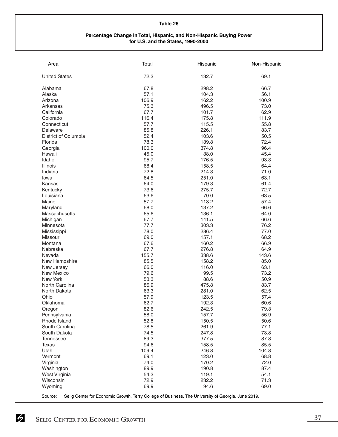#### **Percentage Change in Total, Hispanic, and Non-Hispanic Buying Power for U.S. and the States, 1990-2000**

| Area                 | Total | Hispanic                                                                                           | Non-Hispanic |
|----------------------|-------|----------------------------------------------------------------------------------------------------|--------------|
| <b>United States</b> | 72.3  | 132.7                                                                                              | 69.1         |
| Alabama              | 67.8  | 298.2                                                                                              | 66.7         |
| Alaska               | 57.1  | 104.3                                                                                              | 56.1         |
| Arizona              | 106.9 | 162.2                                                                                              | 100.9        |
| Arkansas             | 75.3  | 496.5                                                                                              | 73.0         |
| California           | 67.7  | 101.7                                                                                              | 62.9         |
| Colorado             | 116.4 | 175.8                                                                                              | 111.9        |
| Connecticut          | 57.7  | 115.5                                                                                              | 55.8         |
| Delaware             | 85.8  | 226.1                                                                                              | 83.7         |
| District of Columbia | 52.4  | 103.6                                                                                              | 50.5         |
| Florida              | 78.3  | 139.8                                                                                              | 72.4         |
| Georgia              | 100.0 | 374.8                                                                                              | 96.4         |
| Hawaii               | 45.0  | 38.0                                                                                               | 45.4         |
| Idaho                | 95.7  | 176.5                                                                                              | 93.3         |
| Illinois             | 68.4  | 158.5                                                                                              | 64.4         |
| Indiana              | 72.8  |                                                                                                    | 71.0         |
|                      |       | 214.3                                                                                              | 63.1         |
| lowa                 | 64.5  | 251.0                                                                                              |              |
| Kansas               | 64.0  | 179.3                                                                                              | 61.4         |
| Kentucky             | 73.6  | 275.7                                                                                              | 72.7         |
| Louisiana            | 63.6  | 70.0                                                                                               | 63.5         |
| Maine                | 57.7  | 113.2                                                                                              | 57.4         |
| Maryland             | 68.0  | 137.2                                                                                              | 66.6         |
| Massachusetts        | 65.6  | 136.1                                                                                              | 64.0         |
| Michigan             | 67.7  | 141.5                                                                                              | 66.6         |
| Minnesota            | 77.7  | 303.3                                                                                              | 76.2         |
| Mississippi          | 78.0  | 286.4                                                                                              | 77.0         |
| Missouri             | 69.0  | 157.1                                                                                              | 68.2         |
| Montana              | 67.6  | 160.2                                                                                              | 66.9         |
| Nebraska             | 67.7  | 276.8                                                                                              | 64.9         |
| Nevada               | 155.7 | 338.6                                                                                              | 143.6        |
| New Hampshire        | 85.5  | 158.2                                                                                              | 85.0         |
| New Jersey           | 66.0  | 116.0                                                                                              | 63.1         |
| New Mexico           | 79.6  | 99.5                                                                                               | 73.2         |
| New York             | 53.3  | 88.6                                                                                               | 50.9         |
| North Carolina       | 86.9  | 475.8                                                                                              | 83.7         |
| North Dakota         | 63.3  | 281.0                                                                                              | 62.5         |
| Ohio                 | 57.9  | 123.5                                                                                              | 57.4         |
| Oklahoma             | 62.7  | 192.3                                                                                              | 60.6         |
| Oregon               | 82.6  | 242.5                                                                                              | 79.3         |
| Pennsylvania         | 58.0  | 157.7                                                                                              | 56.9         |
| Rhode Island         | 52.8  | 150.5                                                                                              | 50.6         |
| South Carolina       | 78.5  | 261.9                                                                                              | 77.1         |
| South Dakota         | 74.5  | 247.8                                                                                              | 73.8         |
| <b>Tennessee</b>     | 89.3  | 377.5                                                                                              | 87.8         |
| <b>Texas</b>         | 94.6  | 158.5                                                                                              | 85.5         |
| Utah                 | 109.4 | 246.8                                                                                              | 104.8        |
| Vermont              | 69.1  | 123.0                                                                                              | 68.8         |
| Virginia             | 74.0  | 170.2                                                                                              | 72.0         |
| Washington           | 89.9  | 190.8                                                                                              | 87.4         |
| West Virginia        | 54.3  | 119.1                                                                                              | 54.1         |
| Wisconsin            | 72.9  | 232.2                                                                                              | 71.3         |
| Wyoming              | 69.9  | 94.6                                                                                               | 69.0         |
| Source:              |       | Selig Center for Economic Growth, Terry College of Business, The University of Georgia, June 2019. |              |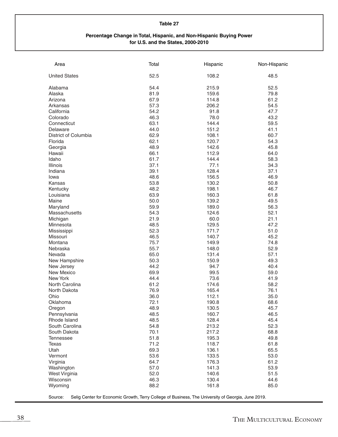#### **Percentage Change in Total, Hispanic, and Non-Hispanic Buying Power for U.S. and the States, 2000-2010**

| <b>United States</b><br>52.5<br>108.2<br>48.5<br>54.4<br>Alabama<br>215.9<br>52.5<br>81.9<br>159.6<br>79.8<br>Alaska<br>67.9<br>114.8<br>61.2<br>Arizona<br>57.3<br>206.2<br>54.5<br>Arkansas<br>54.2<br>91.8<br>47.7<br>California<br>46.3<br>78.0<br>43.2<br>Colorado<br>63.1<br>59.5<br>Connecticut<br>144.4<br>44.0<br>151.2<br>Delaware<br>41.1<br>District of Columbia<br>62.9<br>108.1<br>60.7<br>62.1<br>120.7<br>Florida<br>54.3<br>48.9<br>142.6<br>45.8<br>Georgia<br>Hawaii<br>66.1<br>112.9<br>64.0<br>Idaho<br>61.7<br>144.4<br>58.3<br><b>Illinois</b><br>37.1<br>77.1<br>34.3<br>Indiana<br>39.1<br>128.4<br>37.1<br>48.6<br>156.5<br>46.9<br>Iowa<br>53.8<br>130.2<br>Kansas<br>50.8<br>48.2<br>46.7<br>Kentucky<br>198.1<br>63.9<br>160.3<br>Louisiana<br>61.8<br>Maine<br>50.0<br>139.2<br>49.5<br>59.9<br>189.0<br>56.3<br>Maryland<br>Massachusetts<br>54.3<br>124.6<br>52.1<br>21.9<br>60.0<br>21.1<br>Michigan<br>48.5<br>129.5<br>47.2<br>Minnesota<br>52.3<br>171.7<br>51.0<br>Mississippi<br>46.5<br>140.7<br>45.2<br>Missouri<br>75.7<br>149.9<br>74.8<br>Montana<br>55.7<br>52.9<br>Nebraska<br>148.0<br>65.0<br>131.4<br>57.1<br>Nevada<br>50.3<br>49.3<br>New Hampshire<br>150.9<br>44.2<br>94.7<br>40.4<br>New Jersey<br>69.9<br>99.5<br>59.0<br>New Mexico<br>New York<br>44.4<br>73.6<br>41.9<br>North Carolina<br>61.2<br>174.6<br>58.2<br>76.9<br>165.4<br>North Dakota<br>76.1<br>36.0<br>112.1<br>35.0<br>Ohio<br>72.1<br>68.6<br>Oklahoma<br>190.8<br>48.9<br>130.5<br>45.7<br>Oregon<br>48.5<br>160.7<br>46.5<br>Pennsylvania<br>Rhode Island<br>48.5<br>128.4<br>45.4<br>54.8<br>213.2<br>52.3<br>South Carolina<br>70.1<br>217.2<br>68.8<br>South Dakota<br>51.8<br>49.8<br><b>Tennessee</b><br>195.3<br>71.2<br>61.8<br><b>Texas</b><br>118.7<br>Utah<br>69.3<br>136.1<br>65.5<br>53.6<br>133.5<br>53.0<br>Vermont<br>61.2<br>64.7<br>176.3<br>Virginia<br>57.0<br>141.3<br>53.9<br>Washington<br>52.0<br>140.6<br>51.5<br>West Virginia<br>Wisconsin<br>46.3<br>130.4<br>44.6<br>88.2<br>161.8<br>Wyoming<br>85.0 | Area | Total | Hispanic | Non-Hispanic |
|--------------------------------------------------------------------------------------------------------------------------------------------------------------------------------------------------------------------------------------------------------------------------------------------------------------------------------------------------------------------------------------------------------------------------------------------------------------------------------------------------------------------------------------------------------------------------------------------------------------------------------------------------------------------------------------------------------------------------------------------------------------------------------------------------------------------------------------------------------------------------------------------------------------------------------------------------------------------------------------------------------------------------------------------------------------------------------------------------------------------------------------------------------------------------------------------------------------------------------------------------------------------------------------------------------------------------------------------------------------------------------------------------------------------------------------------------------------------------------------------------------------------------------------------------------------------------------------------------------------------------------------------------------------------------------------------------------------------------------------------------------------------------------------------------------------------------------------------------------------------------------------------------------------------------------------------------------------------------------------------------------------------------------------------------------------|------|-------|----------|--------------|
|                                                                                                                                                                                                                                                                                                                                                                                                                                                                                                                                                                                                                                                                                                                                                                                                                                                                                                                                                                                                                                                                                                                                                                                                                                                                                                                                                                                                                                                                                                                                                                                                                                                                                                                                                                                                                                                                                                                                                                                                                                                              |      |       |          |              |
|                                                                                                                                                                                                                                                                                                                                                                                                                                                                                                                                                                                                                                                                                                                                                                                                                                                                                                                                                                                                                                                                                                                                                                                                                                                                                                                                                                                                                                                                                                                                                                                                                                                                                                                                                                                                                                                                                                                                                                                                                                                              |      |       |          |              |
|                                                                                                                                                                                                                                                                                                                                                                                                                                                                                                                                                                                                                                                                                                                                                                                                                                                                                                                                                                                                                                                                                                                                                                                                                                                                                                                                                                                                                                                                                                                                                                                                                                                                                                                                                                                                                                                                                                                                                                                                                                                              |      |       |          |              |
|                                                                                                                                                                                                                                                                                                                                                                                                                                                                                                                                                                                                                                                                                                                                                                                                                                                                                                                                                                                                                                                                                                                                                                                                                                                                                                                                                                                                                                                                                                                                                                                                                                                                                                                                                                                                                                                                                                                                                                                                                                                              |      |       |          |              |
|                                                                                                                                                                                                                                                                                                                                                                                                                                                                                                                                                                                                                                                                                                                                                                                                                                                                                                                                                                                                                                                                                                                                                                                                                                                                                                                                                                                                                                                                                                                                                                                                                                                                                                                                                                                                                                                                                                                                                                                                                                                              |      |       |          |              |
|                                                                                                                                                                                                                                                                                                                                                                                                                                                                                                                                                                                                                                                                                                                                                                                                                                                                                                                                                                                                                                                                                                                                                                                                                                                                                                                                                                                                                                                                                                                                                                                                                                                                                                                                                                                                                                                                                                                                                                                                                                                              |      |       |          |              |
|                                                                                                                                                                                                                                                                                                                                                                                                                                                                                                                                                                                                                                                                                                                                                                                                                                                                                                                                                                                                                                                                                                                                                                                                                                                                                                                                                                                                                                                                                                                                                                                                                                                                                                                                                                                                                                                                                                                                                                                                                                                              |      |       |          |              |
|                                                                                                                                                                                                                                                                                                                                                                                                                                                                                                                                                                                                                                                                                                                                                                                                                                                                                                                                                                                                                                                                                                                                                                                                                                                                                                                                                                                                                                                                                                                                                                                                                                                                                                                                                                                                                                                                                                                                                                                                                                                              |      |       |          |              |
|                                                                                                                                                                                                                                                                                                                                                                                                                                                                                                                                                                                                                                                                                                                                                                                                                                                                                                                                                                                                                                                                                                                                                                                                                                                                                                                                                                                                                                                                                                                                                                                                                                                                                                                                                                                                                                                                                                                                                                                                                                                              |      |       |          |              |
|                                                                                                                                                                                                                                                                                                                                                                                                                                                                                                                                                                                                                                                                                                                                                                                                                                                                                                                                                                                                                                                                                                                                                                                                                                                                                                                                                                                                                                                                                                                                                                                                                                                                                                                                                                                                                                                                                                                                                                                                                                                              |      |       |          |              |
|                                                                                                                                                                                                                                                                                                                                                                                                                                                                                                                                                                                                                                                                                                                                                                                                                                                                                                                                                                                                                                                                                                                                                                                                                                                                                                                                                                                                                                                                                                                                                                                                                                                                                                                                                                                                                                                                                                                                                                                                                                                              |      |       |          |              |
|                                                                                                                                                                                                                                                                                                                                                                                                                                                                                                                                                                                                                                                                                                                                                                                                                                                                                                                                                                                                                                                                                                                                                                                                                                                                                                                                                                                                                                                                                                                                                                                                                                                                                                                                                                                                                                                                                                                                                                                                                                                              |      |       |          |              |
|                                                                                                                                                                                                                                                                                                                                                                                                                                                                                                                                                                                                                                                                                                                                                                                                                                                                                                                                                                                                                                                                                                                                                                                                                                                                                                                                                                                                                                                                                                                                                                                                                                                                                                                                                                                                                                                                                                                                                                                                                                                              |      |       |          |              |
|                                                                                                                                                                                                                                                                                                                                                                                                                                                                                                                                                                                                                                                                                                                                                                                                                                                                                                                                                                                                                                                                                                                                                                                                                                                                                                                                                                                                                                                                                                                                                                                                                                                                                                                                                                                                                                                                                                                                                                                                                                                              |      |       |          |              |
|                                                                                                                                                                                                                                                                                                                                                                                                                                                                                                                                                                                                                                                                                                                                                                                                                                                                                                                                                                                                                                                                                                                                                                                                                                                                                                                                                                                                                                                                                                                                                                                                                                                                                                                                                                                                                                                                                                                                                                                                                                                              |      |       |          |              |
|                                                                                                                                                                                                                                                                                                                                                                                                                                                                                                                                                                                                                                                                                                                                                                                                                                                                                                                                                                                                                                                                                                                                                                                                                                                                                                                                                                                                                                                                                                                                                                                                                                                                                                                                                                                                                                                                                                                                                                                                                                                              |      |       |          |              |
|                                                                                                                                                                                                                                                                                                                                                                                                                                                                                                                                                                                                                                                                                                                                                                                                                                                                                                                                                                                                                                                                                                                                                                                                                                                                                                                                                                                                                                                                                                                                                                                                                                                                                                                                                                                                                                                                                                                                                                                                                                                              |      |       |          |              |
|                                                                                                                                                                                                                                                                                                                                                                                                                                                                                                                                                                                                                                                                                                                                                                                                                                                                                                                                                                                                                                                                                                                                                                                                                                                                                                                                                                                                                                                                                                                                                                                                                                                                                                                                                                                                                                                                                                                                                                                                                                                              |      |       |          |              |
|                                                                                                                                                                                                                                                                                                                                                                                                                                                                                                                                                                                                                                                                                                                                                                                                                                                                                                                                                                                                                                                                                                                                                                                                                                                                                                                                                                                                                                                                                                                                                                                                                                                                                                                                                                                                                                                                                                                                                                                                                                                              |      |       |          |              |
|                                                                                                                                                                                                                                                                                                                                                                                                                                                                                                                                                                                                                                                                                                                                                                                                                                                                                                                                                                                                                                                                                                                                                                                                                                                                                                                                                                                                                                                                                                                                                                                                                                                                                                                                                                                                                                                                                                                                                                                                                                                              |      |       |          |              |
|                                                                                                                                                                                                                                                                                                                                                                                                                                                                                                                                                                                                                                                                                                                                                                                                                                                                                                                                                                                                                                                                                                                                                                                                                                                                                                                                                                                                                                                                                                                                                                                                                                                                                                                                                                                                                                                                                                                                                                                                                                                              |      |       |          |              |
|                                                                                                                                                                                                                                                                                                                                                                                                                                                                                                                                                                                                                                                                                                                                                                                                                                                                                                                                                                                                                                                                                                                                                                                                                                                                                                                                                                                                                                                                                                                                                                                                                                                                                                                                                                                                                                                                                                                                                                                                                                                              |      |       |          |              |
|                                                                                                                                                                                                                                                                                                                                                                                                                                                                                                                                                                                                                                                                                                                                                                                                                                                                                                                                                                                                                                                                                                                                                                                                                                                                                                                                                                                                                                                                                                                                                                                                                                                                                                                                                                                                                                                                                                                                                                                                                                                              |      |       |          |              |
|                                                                                                                                                                                                                                                                                                                                                                                                                                                                                                                                                                                                                                                                                                                                                                                                                                                                                                                                                                                                                                                                                                                                                                                                                                                                                                                                                                                                                                                                                                                                                                                                                                                                                                                                                                                                                                                                                                                                                                                                                                                              |      |       |          |              |
|                                                                                                                                                                                                                                                                                                                                                                                                                                                                                                                                                                                                                                                                                                                                                                                                                                                                                                                                                                                                                                                                                                                                                                                                                                                                                                                                                                                                                                                                                                                                                                                                                                                                                                                                                                                                                                                                                                                                                                                                                                                              |      |       |          |              |
|                                                                                                                                                                                                                                                                                                                                                                                                                                                                                                                                                                                                                                                                                                                                                                                                                                                                                                                                                                                                                                                                                                                                                                                                                                                                                                                                                                                                                                                                                                                                                                                                                                                                                                                                                                                                                                                                                                                                                                                                                                                              |      |       |          |              |
|                                                                                                                                                                                                                                                                                                                                                                                                                                                                                                                                                                                                                                                                                                                                                                                                                                                                                                                                                                                                                                                                                                                                                                                                                                                                                                                                                                                                                                                                                                                                                                                                                                                                                                                                                                                                                                                                                                                                                                                                                                                              |      |       |          |              |
|                                                                                                                                                                                                                                                                                                                                                                                                                                                                                                                                                                                                                                                                                                                                                                                                                                                                                                                                                                                                                                                                                                                                                                                                                                                                                                                                                                                                                                                                                                                                                                                                                                                                                                                                                                                                                                                                                                                                                                                                                                                              |      |       |          |              |
|                                                                                                                                                                                                                                                                                                                                                                                                                                                                                                                                                                                                                                                                                                                                                                                                                                                                                                                                                                                                                                                                                                                                                                                                                                                                                                                                                                                                                                                                                                                                                                                                                                                                                                                                                                                                                                                                                                                                                                                                                                                              |      |       |          |              |
|                                                                                                                                                                                                                                                                                                                                                                                                                                                                                                                                                                                                                                                                                                                                                                                                                                                                                                                                                                                                                                                                                                                                                                                                                                                                                                                                                                                                                                                                                                                                                                                                                                                                                                                                                                                                                                                                                                                                                                                                                                                              |      |       |          |              |
|                                                                                                                                                                                                                                                                                                                                                                                                                                                                                                                                                                                                                                                                                                                                                                                                                                                                                                                                                                                                                                                                                                                                                                                                                                                                                                                                                                                                                                                                                                                                                                                                                                                                                                                                                                                                                                                                                                                                                                                                                                                              |      |       |          |              |
|                                                                                                                                                                                                                                                                                                                                                                                                                                                                                                                                                                                                                                                                                                                                                                                                                                                                                                                                                                                                                                                                                                                                                                                                                                                                                                                                                                                                                                                                                                                                                                                                                                                                                                                                                                                                                                                                                                                                                                                                                                                              |      |       |          |              |
|                                                                                                                                                                                                                                                                                                                                                                                                                                                                                                                                                                                                                                                                                                                                                                                                                                                                                                                                                                                                                                                                                                                                                                                                                                                                                                                                                                                                                                                                                                                                                                                                                                                                                                                                                                                                                                                                                                                                                                                                                                                              |      |       |          |              |
|                                                                                                                                                                                                                                                                                                                                                                                                                                                                                                                                                                                                                                                                                                                                                                                                                                                                                                                                                                                                                                                                                                                                                                                                                                                                                                                                                                                                                                                                                                                                                                                                                                                                                                                                                                                                                                                                                                                                                                                                                                                              |      |       |          |              |
|                                                                                                                                                                                                                                                                                                                                                                                                                                                                                                                                                                                                                                                                                                                                                                                                                                                                                                                                                                                                                                                                                                                                                                                                                                                                                                                                                                                                                                                                                                                                                                                                                                                                                                                                                                                                                                                                                                                                                                                                                                                              |      |       |          |              |
|                                                                                                                                                                                                                                                                                                                                                                                                                                                                                                                                                                                                                                                                                                                                                                                                                                                                                                                                                                                                                                                                                                                                                                                                                                                                                                                                                                                                                                                                                                                                                                                                                                                                                                                                                                                                                                                                                                                                                                                                                                                              |      |       |          |              |
|                                                                                                                                                                                                                                                                                                                                                                                                                                                                                                                                                                                                                                                                                                                                                                                                                                                                                                                                                                                                                                                                                                                                                                                                                                                                                                                                                                                                                                                                                                                                                                                                                                                                                                                                                                                                                                                                                                                                                                                                                                                              |      |       |          |              |
|                                                                                                                                                                                                                                                                                                                                                                                                                                                                                                                                                                                                                                                                                                                                                                                                                                                                                                                                                                                                                                                                                                                                                                                                                                                                                                                                                                                                                                                                                                                                                                                                                                                                                                                                                                                                                                                                                                                                                                                                                                                              |      |       |          |              |
|                                                                                                                                                                                                                                                                                                                                                                                                                                                                                                                                                                                                                                                                                                                                                                                                                                                                                                                                                                                                                                                                                                                                                                                                                                                                                                                                                                                                                                                                                                                                                                                                                                                                                                                                                                                                                                                                                                                                                                                                                                                              |      |       |          |              |
|                                                                                                                                                                                                                                                                                                                                                                                                                                                                                                                                                                                                                                                                                                                                                                                                                                                                                                                                                                                                                                                                                                                                                                                                                                                                                                                                                                                                                                                                                                                                                                                                                                                                                                                                                                                                                                                                                                                                                                                                                                                              |      |       |          |              |
|                                                                                                                                                                                                                                                                                                                                                                                                                                                                                                                                                                                                                                                                                                                                                                                                                                                                                                                                                                                                                                                                                                                                                                                                                                                                                                                                                                                                                                                                                                                                                                                                                                                                                                                                                                                                                                                                                                                                                                                                                                                              |      |       |          |              |
|                                                                                                                                                                                                                                                                                                                                                                                                                                                                                                                                                                                                                                                                                                                                                                                                                                                                                                                                                                                                                                                                                                                                                                                                                                                                                                                                                                                                                                                                                                                                                                                                                                                                                                                                                                                                                                                                                                                                                                                                                                                              |      |       |          |              |
|                                                                                                                                                                                                                                                                                                                                                                                                                                                                                                                                                                                                                                                                                                                                                                                                                                                                                                                                                                                                                                                                                                                                                                                                                                                                                                                                                                                                                                                                                                                                                                                                                                                                                                                                                                                                                                                                                                                                                                                                                                                              |      |       |          |              |
|                                                                                                                                                                                                                                                                                                                                                                                                                                                                                                                                                                                                                                                                                                                                                                                                                                                                                                                                                                                                                                                                                                                                                                                                                                                                                                                                                                                                                                                                                                                                                                                                                                                                                                                                                                                                                                                                                                                                                                                                                                                              |      |       |          |              |
|                                                                                                                                                                                                                                                                                                                                                                                                                                                                                                                                                                                                                                                                                                                                                                                                                                                                                                                                                                                                                                                                                                                                                                                                                                                                                                                                                                                                                                                                                                                                                                                                                                                                                                                                                                                                                                                                                                                                                                                                                                                              |      |       |          |              |
|                                                                                                                                                                                                                                                                                                                                                                                                                                                                                                                                                                                                                                                                                                                                                                                                                                                                                                                                                                                                                                                                                                                                                                                                                                                                                                                                                                                                                                                                                                                                                                                                                                                                                                                                                                                                                                                                                                                                                                                                                                                              |      |       |          |              |
|                                                                                                                                                                                                                                                                                                                                                                                                                                                                                                                                                                                                                                                                                                                                                                                                                                                                                                                                                                                                                                                                                                                                                                                                                                                                                                                                                                                                                                                                                                                                                                                                                                                                                                                                                                                                                                                                                                                                                                                                                                                              |      |       |          |              |
|                                                                                                                                                                                                                                                                                                                                                                                                                                                                                                                                                                                                                                                                                                                                                                                                                                                                                                                                                                                                                                                                                                                                                                                                                                                                                                                                                                                                                                                                                                                                                                                                                                                                                                                                                                                                                                                                                                                                                                                                                                                              |      |       |          |              |
|                                                                                                                                                                                                                                                                                                                                                                                                                                                                                                                                                                                                                                                                                                                                                                                                                                                                                                                                                                                                                                                                                                                                                                                                                                                                                                                                                                                                                                                                                                                                                                                                                                                                                                                                                                                                                                                                                                                                                                                                                                                              |      |       |          |              |
|                                                                                                                                                                                                                                                                                                                                                                                                                                                                                                                                                                                                                                                                                                                                                                                                                                                                                                                                                                                                                                                                                                                                                                                                                                                                                                                                                                                                                                                                                                                                                                                                                                                                                                                                                                                                                                                                                                                                                                                                                                                              |      |       |          |              |
|                                                                                                                                                                                                                                                                                                                                                                                                                                                                                                                                                                                                                                                                                                                                                                                                                                                                                                                                                                                                                                                                                                                                                                                                                                                                                                                                                                                                                                                                                                                                                                                                                                                                                                                                                                                                                                                                                                                                                                                                                                                              |      |       |          |              |
|                                                                                                                                                                                                                                                                                                                                                                                                                                                                                                                                                                                                                                                                                                                                                                                                                                                                                                                                                                                                                                                                                                                                                                                                                                                                                                                                                                                                                                                                                                                                                                                                                                                                                                                                                                                                                                                                                                                                                                                                                                                              |      |       |          |              |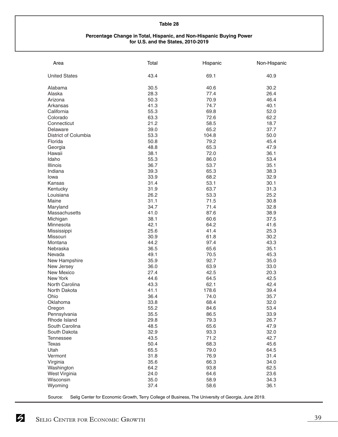#### **Percentage Change in Total, Hispanic, and Non-Hispanic Buying Power for U.S. and the States, 2010-2019**

| Area                 | Total | Hispanic | Non-Hispanic |
|----------------------|-------|----------|--------------|
| <b>United States</b> | 43.4  | 69.1     | 40.9         |
| Alabama              | 30.5  | 40.6     | 30.2         |
| Alaska               | 28.3  | 77.4     | 26.4         |
| Arizona              | 50.3  | 70.9     | 46.4         |
| Arkansas             | 41.3  | 74.7     | 40.1         |
| California           | 55.3  | 69.8     | 52.0         |
| Colorado             | 63.3  | 72.6     | 62.2         |
| Connecticut          | 21.2  | 58.5     | 18.7         |
| Delaware             | 39.0  | 65.2     | 37.7         |
| District of Columbia | 53.3  | 104.8    | 50.0         |
| Florida              | 50.8  | 79.2     | 45.4         |
| Georgia              | 48.8  | 65.3     | 47.9         |
| Hawaii               | 38.1  | 72.0     | 36.1         |
| Idaho                | 55.3  | 86.0     | 53.4         |
| <b>Illinois</b>      | 36.7  | 53.7     | 35.1         |
| Indiana              | 39.3  | 65.3     | 38.3         |
| lowa                 | 33.9  | 68.2     | 32.9         |
| Kansas               | 31.4  | 53.1     | 30.1         |
| Kentucky             | 31.9  | 63.7     | 31.3         |
| Louisiana            | 26.2  | 53.3     | 25.2         |
| Maine                | 31.1  | 71.5     | 30.8         |
| Maryland             | 34.7  | 71.4     | 32.8         |
| Massachusetts        | 41.0  | 87.6     | 38.9         |
| Michigan             | 38.1  | 60.6     | 37.5         |
| Minnesota            | 42.1  | 64.2     | 41.6         |
| Mississippi          | 25.6  | 41.4     | 25.3         |
| Missouri             | 30.9  | 61.8     | 30.2         |
| Montana              | 44.2  | 97.4     | 43.3         |
| Nebraska             | 36.5  | 65.6     | 35.1         |
| Nevada               | 49.1  | 70.5     | 45.3         |
| New Hampshire        | 35.9  | 92.7     | 35.0         |
| New Jersey           | 36.0  | 63.9     | 33.0         |
| New Mexico           | 27.4  | 42.5     | 20.3         |
| New York             | 44.6  | 64.5     | 42.5         |
| North Carolina       | 43.3  | 62.1     | 42.4         |
| North Dakota         | 41.1  | 178.6    | 39.4         |
| Ohio                 | 36.4  | 74.0     | 35.7         |
| Oklahoma             | 33.8  | 68.4     | 32.0         |
| Oregon               | 55.2  | 84.6     | 53.4         |
| Pennsylvania         | 35.5  | 86.5     | 33.9         |
| Rhode Island         | 29.8  | 79.3     | 26.7         |
| South Carolina       | 48.5  | 65.6     | 47.9         |
| South Dakota         | 32.9  | 93.3     | 32.0         |
| <b>Tennessee</b>     | 43.5  | 71.2     | 42.7         |
| Texas                | 50.4  | 68.3     | 45.6         |
| Utah                 | 65.5  | 79.0     | 64.5         |
| Vermont              | 31.8  | 76.9     | 31.4         |
| Virginia             | 35.6  | 66.3     | 34.0         |
| Washington           | 64.2  | 93.8     | 62.5         |
| West Virginia        | 24.0  | 64.6     | 23.6         |
| Wisconsin            | 35.0  | 58.9     | 34.3         |
| Wyoming              | 37.4  | 58.6     | 36.1         |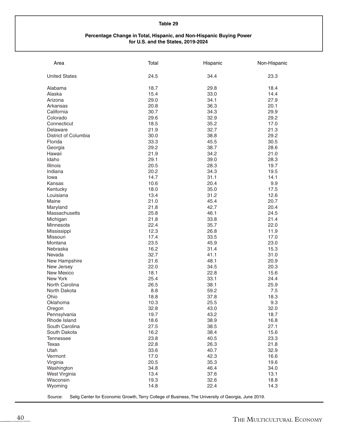#### **Percentage Change in Total, Hispanic, and Non-Hispanic Buying Power for U.S. and the States, 2019-2024**

| Area                 | Total   | Hispanic | Non-Hispanic |
|----------------------|---------|----------|--------------|
| <b>United States</b> | 24.5    | 34.4     | 23.3         |
| Alabama              | 18.7    | 29.8     | 18.4         |
| Alaska               | 15.4    | 33.0     | 14.4         |
| Arizona              | 29.0    | 34.1     | 27.9         |
| Arkansas             | 20.8    | 36.3     | 20.1         |
| California           | 30.7    | 34.3     | 29.9         |
| Colorado             | 29.6    | 32.9     | 29.2         |
| Connecticut          | 18.5    | 35.2     | 17.0         |
| Delaware             | 21.9    | 32.7     | 21.3         |
| District of Columbia | 30.0    | 38.8     | 29.2         |
| Florida              | 33.3    | 45.5     | 30.5         |
| Georgia              | 29.2    | 38.7     | 28.6         |
| Hawaii               | 21.9    | 34.2     | 21.0         |
| Idaho                | 29.1    | 39.0     | 28.3         |
| Illinois             | 20.5    | 28.3     | 19.7         |
| Indiana              | 20.2    | 34.3     | 19.5         |
| lowa                 | 14.7    | 31.1     | 14.1         |
| Kansas               | 10.6    | 20.4     | 9.9          |
| Kentucky             | 18.0    | 35.0     | 17.5         |
| Louisiana            | 13.4    | 31.2     | 12.6         |
| Maine                | 21.0    | 45.4     | 20.7         |
| Maryland             | 21.8    | 42.7     | 20.4         |
| Massachusetts        | 25.8    | 46.1     | 24.5         |
| Michigan             | 21.8    | 33.8     | 21.4         |
| Minnesota            | 22.4    | 35.7     | 22.0         |
| Mississippi          | 12.3    | 26.8     | 11.9         |
| Missouri             | 17.4    | 33.5     | 17.0         |
| Montana              | 23.5    | 45.9     | 23.0         |
| Nebraska             | 16.2    | 31.4     | 15.3         |
| Nevada               | 32.7    | 41.1     | 31.0         |
| New Hampshire        | 21.6    | 48.1     | 20.9         |
| New Jersey           | 22.0    | 34.5     | 20.3         |
| New Mexico           | 18.1    | 22.8     | 15.6         |
| New York             | 25.4    | 33.1     | 24.4         |
| North Carolina       | 26.5    | 38.1     | 25.9         |
| North Dakota         | $8.8\,$ | 59.2     | 7.5          |
| Ohio                 | 18.8    | 37.8     | 18.3         |
| Oklahoma             | 10.3    | 25.5     | 9.3          |
| Oregon               | 32.8    | 43.0     | 32.0         |
| Pennsylvania         | 19.7    | 43.2     | 18.7         |
| Rhode Island         | 18.6    | 38.9     | 16.8         |
| South Carolina       | 27.5    | 38.5     | 27.1         |
| South Dakota         | 16.2    | 38.4     | 15.6         |
| <b>Tennessee</b>     | 23.8    | 40.5     | 23.3         |
| Texas                | 22.8    | 26.3     | 21.8         |
| Utah                 | 33.6    | 40.7     | 32.9         |
| Vermont              | 17.0    | 42.3     | 16.6         |
| Virginia             | 20.5    | 35.3     | 19.6         |
| Washington           | 34.8    | 46.4     | 34.0         |
| West Virginia        | 13.4    | 37.6     | 13.1         |
| Wisconsin            | 19.3    | 32.6     | 18.8         |
| Wyoming              | 14.8    | 22.4     | 14.3         |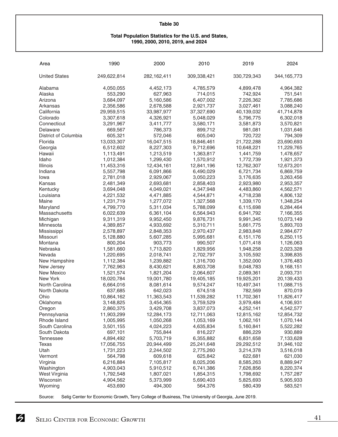#### **Total Population Statistics for the U.S. and States, 1990, 2000, 2010, 2019, and 2024**

| Area                        | 1990                   | 2000                   | 2010                   | 2019                   | 2024                   |
|-----------------------------|------------------------|------------------------|------------------------|------------------------|------------------------|
| <b>United States</b>        | 249,622,814            | 282,162,411            | 309,338,421            | 330,729,343            | 344, 165, 773          |
| Alabama                     | 4,050,055              | 4,452,173              | 4,785,579              | 4,899,478              | 4,964,382              |
| Alaska                      | 553,290                | 627,963                | 714,015                | 742,924                | 751,541                |
| Arizona                     | 3,684,097              | 5,160,586              | 6,407,002              | 7,226,362              | 7,785,686              |
| Arkansas                    | 2,356,586              | 2,678,588              | 2,921,737              | 3,027,461              | 3,088,240              |
| California                  | 29,959,515             | 33,987,977             | 37,327,690             | 40,139,032             | 41,714,878             |
| Colorado                    | 3,307,618              | 4,326,921              | 5,048,029              | 5,796,775              | 6,302,018              |
| Connecticut                 | 3,291,967              | 3,411,777              | 3,580,171              | 3,581,873              | 3,570,821              |
| Delaware                    | 669,567                | 786,373                | 899,712                | 981,081                | 1,031,646              |
| District of Columbia        | 605,321                | 572,046                | 605,040                | 720,722                | 794,309                |
| Florida                     | 13,033,307             | 16,047,515             | 18,846,461             | 21,722,288             | 23,690,693             |
| Georgia                     | 6,512,602              | 8,227,303              | 9,712,696              | 10,648,221             | 11,229,765             |
| Hawaii                      | 1,113,491              | 1,213,519              | 1,363,817              | 1,441,759              | 1,478,657              |
| Idaho                       | 1,012,384              | 1,299,430              | 1,570,912              | 1,772,739              | 1,921,373              |
| Illinois                    | 11,453,316             | 12,434,161             | 12,841,196             | 12,762,307             | 12,673,201             |
| Indiana                     | 5,557,798              | 6,091,866              | 6,490,029              | 6,721,734              | 6,869,759              |
| lowa                        | 2,781,018              | 2,929,067              | 3,050,223              | 3,176,635              | 3,263,456              |
| Kansas                      | 2,481,349              | 2,693,681              | 2,858,403              | 2,923,980              | 2,953,357              |
| Kentucky                    | 3,694,048              | 4,049,021              | 4,347,948              | 4,483,860              | 4,562,571              |
| Louisiana                   | 4,221,532              | 4,471,885              | 4,544,871              | 4,718,238              | 4,806,132              |
| Maine                       | 1,231,719              | 1,277,072              | 1,327,568              | 1,339,170              | 1,348,254              |
| Maryland                    | 4,799,770              | 5,311,034              | 5,788,099              | 6,115,698              | 6,284,464              |
| Massachusetts               | 6,022,639              | 6,361,104              | 6,564,943              | 6,941,792              | 7,166,355              |
| Michigan                    | 9,311,319              | 9,952,450              | 9,876,731              | 9,991,345              | 10,073,149             |
| Minnesota                   | 4,389,857              | 4,933,692              | 5,310,711              | 5,661,775              | 5,893,703              |
| Mississippi                 | 2,578,897              | 2,848,353              | 2,970,437              | 2,983,848              | 2,984,677              |
| Missouri                    | 5,128,880              | 5,607,285              | 5,995,681              | 6,151,176              | 6,250,115              |
| Montana                     | 800,204                | 903,773                | 990,507                | 1,071,418              | 1,126,063              |
| Nebraska                    | 1,581,660              | 1,713,820              | 1,829,956              | 1,948,258              | 2,023,328              |
| Nevada                      | 1,220,695              | 2,018,741              | 2,702,797              | 3,105,592              | 3,398,835              |
| New Hampshire<br>New Jersey | 1,112,384              | 1,239,882<br>8,430,621 | 1,316,700<br>8,803,708 | 1,352,000              | 1,376,483              |
| <b>New Mexico</b>           | 7,762,963<br>1,521,574 | 1,821,204              | 2,064,607              | 9,048,783<br>2,089,361 | 9,168,151<br>2,093,731 |
| New York                    | 18,020,784             | 19,001,780             | 19,405,185             | 19,925,201             | 20,139,433             |
| North Carolina              | 6,664,016              | 8,081,614              | 9,574,247              | 10,497,341             | 11,088,715             |
| North Dakota                | 637,685                | 642,023                | 674,518                | 782,569                | 870,019                |
| Ohio                        | 10,864,162             | 11,363,543             | 11,539,282             | 11,702,361             | 11,826,417             |
| Oklahoma                    | 3,148,825              | 3,454,365              | 3,759,529              | 3,979,484              | 4,106,931              |
| Oregon                      | 2,860,375              | 3,429,708              | 3,837,073              | 4,252,141              | 4,542,577              |
| Pennsylvania                | 11,903,299             | 12,284,173             | 12,711,063             | 12,815,162             | 12,854,732             |
| Rhode Island                | 1,005,995              | 1,050,268              | 1,053,169              | 1,062,161              | 1,070,144              |
| South Carolina              | 3,501,155              | 4,024,223              | 4,635,834              | 5,160,841              | 5,522,282              |
| South Dakota                | 697,101                | 755,844                | 816,227                | 886,229                | 930,889                |
| <b>Tennessee</b>            | 4,894,492              | 5,703,719              | 6,355,882              | 6,831,658              | 7,133,628              |
| <b>Texas</b>                | 17,056,755             | 20,944,499             | 25,241,648             | 29,292,512             | 31,946,102             |
| Utah                        | 1,731,223              | 2,244,502              | 2,775,260              | 3,214,378              | 3,516,018              |
| Vermont                     | 564,798                | 609,618                | 625,842                | 622,681                | 621,030                |
| Virginia                    | 6,216,884              | 7,105,817              | 8,025,206              | 8,585,263              | 8,889,947              |
| Washington                  | 4,903,043              | 5,910,512              | 6,741,386              | 7,626,856              | 8,220,374              |
| West Virginia               | 1,792,548              | 1,807,021              | 1,854,315              | 1,798,692              | 1,757,287              |
| Wisconsin                   | 4,904,562              | 5,373,999              | 5,690,403              | 5,825,693              | 5,905,933              |
| Wyoming                     | 453,690                | 494,300                | 564,376                | 580,439                | 583,521                |
|                             |                        |                        |                        |                        |                        |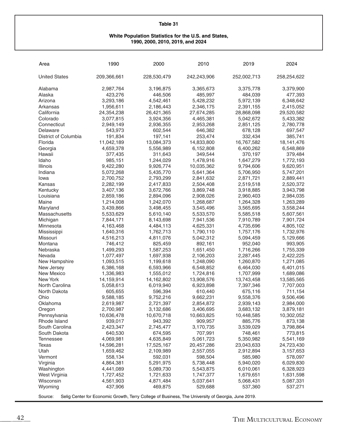#### **White Population Statistics for the U.S. and States, 1990, 2000, 2010, 2019, and 2024**

| Area                 | 1990                 | 2000                                                                                               | 2010                 | 2019                 | 2024                 |
|----------------------|----------------------|----------------------------------------------------------------------------------------------------|----------------------|----------------------|----------------------|
| <b>United States</b> | 209,366,661          | 228,530,479                                                                                        | 242,243,906          | 252,002,713          | 258,254,622          |
| Alabama              | 2,987,764            | 3,196,875                                                                                          | 3,365,673            | 3,375,778            | 3,379,900            |
| Alaska               | 423,276              | 446,506                                                                                            | 485,997              | 484,039              | 477,393              |
| Arizona              | 3,293,186            | 4,542,461                                                                                          | 5,428,232            | 5,972,139            | 6,348,642            |
| Arkansas             | 1,956,611            | 2,186,443                                                                                          | 2,346,175            | 2,391,155            | 2,415,052            |
| California           | 24,354,238           | 26,421,365                                                                                         | 27,674,285           | 28,868,098           | 29,520,582           |
| Colorado             | 3,077,815            | 3,924,356                                                                                          | 4,465,381            | 5,042,672            | 5,433,382            |
| Connecticut          | 2,949,149            | 2,936,355                                                                                          | 2,953,268            | 2,851,125            | 2,780,778            |
| Delaware             | 543,973              | 602,544                                                                                            | 646,382              | 678,128              | 697,547              |
| District of Columbia | 191,834              | 197,141                                                                                            | 253,474              | 332,434              | 385,741              |
| Florida              | 11,042,189           | 13,084,373                                                                                         | 14,833,800           | 16,767,582           | 18, 141, 476         |
| Georgia              | 4,659,378            | 5,556,989                                                                                          | 6,152,808            | 6,400,262            | 6,548,869            |
| Hawaii               | 377,435              | 311,643                                                                                            | 349,544              | 370,197              | 379,484              |
| Idaho                | 985,151              | 1,244,029                                                                                          | 1,478,916            | 1,647,279            | 1,772,193            |
| Illinois             | 9,422,280            | 9,926,774                                                                                          | 10,035,362           | 9,794,606            | 9,620,951            |
| Indiana              | 5,072,268            | 5,435,770                                                                                          | 5,641,364            | 5,706,950            | 5,747,201            |
| Iowa                 | 2,700,752            | 2,793,299                                                                                          | 2,841,632            | 2,871,721            | 2,889,441            |
| Kansas               | 2,282,199            | 2,417,833                                                                                          | 2,504,408            | 2,519,518            | 2,520,372            |
| Kentucky             | 3,407,136            | 3,672,766                                                                                          | 3,869,748            | 3,918,885            | 3,943,798            |
| Louisiana            | 2,859,186            | 2,894,096                                                                                          | 2,908,026            | 2,960,403            | 2,984,035            |
| Maine                | 1,214,008            | 1,242,070                                                                                          | 1,268,687            | 1,264,328            | 1,263,289            |
| Maryland             | 3,439,866            | 3,498,455                                                                                          | 3,545,496            | 3,565,695            | 3,558,244            |
| Massachusetts        | 5,533,629            | 5,610,140                                                                                          | 5,533,570            | 5,585,518            | 5,607,561            |
| Michigan             | 7,844,171            | 8,143,698                                                                                          | 7,941,536            | 7,910,789            | 7,901,724            |
| Minnesota            | 4,163,468            | 4,484,113                                                                                          | 4,625,331            | 4,735,696            | 4,805,102            |
| Mississippi          | 1,640,316            | 1,762,713                                                                                          | 1,790,110            | 1,757,176            | 1,732,976            |
| Missouri             | 4,516,213            | 4,811,076                                                                                          | 5,042,312            | 5,094,459            | 5,129,666            |
| Montana              | 746,412              | 825,459                                                                                            | 892,161              | 952,040              | 993,905              |
| Nebraska             | 1,499,293            | 1,587,253                                                                                          | 1,651,450            | 1,716,266            | 1,755,339            |
| Nevada               | 1,077,497            | 1,697,938                                                                                          | 2,106,203            | 2,287,445            | 2,422,225            |
| New Hampshire        | 1,093,515            | 1,199,618                                                                                          | 1,248,090            | 1,260,870            | 1,271,085            |
| New Jersey           | 6,386,168            | 6,593,966                                                                                          | 6,548,852            | 6,464,030            | 6,401,015            |
| <b>New Mexico</b>    | 1,336,983            | 1,555,012                                                                                          | 1,724,816            | 1,707,999            | 1,689,086            |
| New York             | 14,159,914           | 14,162,802                                                                                         | 13,908,576           | 13,743,458           | 13,585,565           |
| North Carolina       | 5,058,613            | 6,019,940                                                                                          | 6,923,898            | 7,397,346            | 7,707,003            |
| North Dakota         | 605,655              | 596,394                                                                                            | 610,440              | 675,116              | 711,154              |
| Ohio                 | 9,588,185            | 9,752,216                                                                                          | 9,662,231            | 9,558,376            | 9,506,496            |
| Oklahoma             | 2,619,987            | 2,721,397                                                                                          | 2,854,872            | 2,939,143            | 2,984,000            |
| Oregon               | 2,700,987            | 3,132,686                                                                                          | 3,406,695            | 3,683,132            | 3,879,181            |
| Pennsylvania         | 10,636,478           | 10,670,718                                                                                         | 10,663,825           | 10,448,585           | 10,302,052           |
| Rhode Island         | 939,017              | 943,392                                                                                            | 909,957              | 885,776              | 873,138              |
| South Carolina       | 2,423,347            | 2,745,477                                                                                          | 3,170,735            | 3,539,029            | 3,798,864            |
| South Dakota         | 640,530              | 674,595                                                                                            | 707,991              | 748,461              | 773,815              |
| <b>Tennessee</b>     | 4,069,981            | 4,635,849                                                                                          | 5,061,723            | 5,350,982            | 5,541,169            |
| Texas                | 14,596,281           | 17,525,167                                                                                         | 20,457,286           | 23,043,633           | 24,723,430           |
| Utah                 | 1,659,462            | 2,109,989                                                                                          | 2,557,055            | 2,912,894            | 3,157,653            |
| Vermont              | 558,134              | 592,031                                                                                            | 598,504              | 585,980              | 578,097              |
| Virginia             | 4,864,381            | 5,291,975                                                                                          | 5,738,448            | 5,940,020            | 6,029,830            |
| Washington           | 4,441,089            | 5,089,730                                                                                          | 5,543,875            | 6,010,061            | 6,328,923            |
| West Virginia        | 1,727,452            | 1,721,633                                                                                          | 1,747,377            | 1,679,651            | 1,631,598            |
| Wisconsin<br>Wyoming | 4,561,903<br>437,906 | 4,871,484<br>469,875                                                                               | 5,037,641<br>529,688 | 5,068,431<br>537,360 | 5,087,331<br>537,271 |
|                      |                      |                                                                                                    |                      |                      |                      |
| Source:              |                      | Selig Center for Economic Growth, Terry College of Business, The University of Georgia, June 2019. |                      |                      |                      |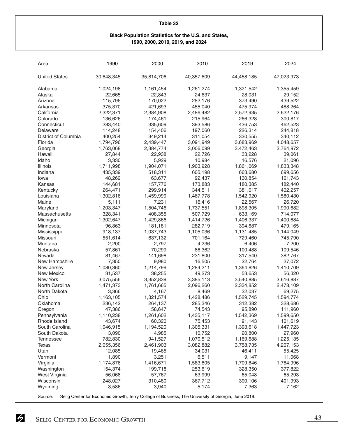#### **Black Population Statistics for the U.S. and States, 1990, 2000, 2010, 2019, and 2024**

| Area                       | 1990             | 2000             | 2010                                                                                               | 2019                 | 2024             |
|----------------------------|------------------|------------------|----------------------------------------------------------------------------------------------------|----------------------|------------------|
| <b>United States</b>       | 30,648,345       | 35,814,706       | 40,357,609                                                                                         | 44,458,185           | 47,023,973       |
| Alabama                    | 1,024,198        | 1,161,454        | 1,261,274                                                                                          | 1,321,542            | 1,355,459        |
| Alaska                     | 22,665           | 22,843           | 24,637                                                                                             | 28,031               | 29,152           |
| Arizona                    | 115,796          | 170,022          | 282,176                                                                                            | 373,490              | 439,522          |
| Arkansas                   | 375,370          | 421,693          | 455,040                                                                                            | 475,974              | 488,264          |
| California                 | 2,322,371        | 2,384,908        | 2,486,482                                                                                          | 2,572,935            | 2,622,176        |
| Colorado                   | 136,626          | 174,461          | 215,964                                                                                            | 266,328              | 300,817          |
| Connecticut                | 283,440          | 335,609          | 393,586                                                                                            | 436,753              | 462,523          |
| Delaware                   | 114,248          | 154,406          | 197,060                                                                                            | 226,314              | 244,818          |
| District of Columbia       | 400,254          | 349,214          | 311,054                                                                                            | 330,555              | 340,112          |
| Florida                    | 1,794,796        | 2,439,447        | 3,091,949                                                                                          | 3,683,969            | 4,048,657        |
| Georgia                    | 1,763,068        | 2,384,774        | 3,006,099                                                                                          | 3,472,463            | 3,764,972        |
| Hawaii                     | 27,844           | 22,938           | 22,726                                                                                             | 33,228               | 39,061           |
| Idaho                      | 3,330            | 5,929            | 10,984                                                                                             | 16,576               | 21,096           |
| Illinois                   | 1,711,998        | 1,904,071        | 1,903,928                                                                                          | 1,861,069            | 1,833,348        |
| Indiana                    | 435,339          | 518,311          | 605,198                                                                                            | 663,680              | 699,656          |
| Iowa                       | 48,262           | 63,677           | 92,437                                                                                             | 130,854              | 161,743          |
| Kansas                     | 144,681          | 157,776          | 173,883                                                                                            | 180,385              | 182,440          |
| Kentucky                   | 264,471          | 299,914          | 344,511                                                                                            | 381,017              | 402,257          |
| Louisiana                  | 1,302,816        | 1,459,999        | 1,467,778                                                                                          | 1,542,920            | 1,580,430        |
| Maine                      | 5,111            | 7,231            | 16,416                                                                                             | 22,567               | 26,720           |
| Maryland                   | 1,203,347        | 1,504,746        | 1,737,551                                                                                          | 1,898,305            | 1,990,682        |
| Massachusetts              | 328,341          | 408,355          | 507,729                                                                                            | 633,169              | 714,077          |
| Michigan                   | 1,302,647        | 1,429,866        | 1,414,726                                                                                          | 1,406,337            | 1,400,684        |
| Minnesota                  | 96,863           | 181,181          | 282,719                                                                                            | 394,687              | 479,165          |
| Mississippi                | 918,137          | 1,037,743        | 1,105,036                                                                                          | 1,131,485            | 1,144,049        |
| Missouri                   | 551,614          | 637,132          | 701,164                                                                                            | 729,460              | 745,790          |
| Montana                    | 2,200            | 2,797            | 4,236                                                                                              | 6,406                | 7,200            |
| Nebraska                   | 57,861           | 70,299           | 86,362                                                                                             | 100,488              | 109,546          |
| Nevada                     | 81,467           | 141,698          | 231,800                                                                                            | 317,540              | 382,767          |
| New Hampshire              | 7,350            | 9,980            | 16,505                                                                                             | 22,764               | 27,072           |
| New Jersey                 | 1,080,360        | 1,214,799        | 1,284,211                                                                                          | 1,364,826            | 1,410,709        |
| <b>New Mexico</b>          | 31,537           | 38,255           | 49,273                                                                                             | 53,653               | 56,320           |
| New York                   | 3,075,556        | 3,352,839        | 3,385,113                                                                                          | 3,540,885            | 3,616,887        |
| North Carolina             | 1,471,373        | 1,761,665        | 2,096,260                                                                                          | 2,334,852            | 2,478,109        |
| North Dakota               | 3,366            | 4,167            | 8,469                                                                                              | 32,037               | 69,275           |
| Ohio                       | 1,163,105        | 1,321,574        | 1,428,486                                                                                          | 1,529,745            | 1,594,774        |
| Oklahoma                   | 236,142          | 264,137          | 285,346                                                                                            | 312,382              | 328,686          |
| Oregon                     | 47,386           | 58,647           | 74,543                                                                                             | 95,890               | 111,960          |
| Pennsylvania               | 1,110,238        | 1,261,602        | 1,435,117                                                                                          | 1,542,369            | 1,599,650        |
| Rhode Island               | 43,674           | 60,320           | 75,453                                                                                             | 91,143               | 101,619          |
| South Carolina             | 1,046,915        | 1,194,520        | 1,305,331                                                                                          | 1,393,618            | 1,447,723        |
| South Dakota               | 3,090            | 4,985            | 10,752                                                                                             | 20,800               | 27,960           |
| <b>Tennessee</b>           | 782,830          | 941,527          | 1,070,512                                                                                          | 1,169,688            | 1,225,135        |
| Texas                      | 2,055,356        | 2,461,903        | 3,082,882                                                                                          | 3,758,735            | 4,207,153        |
| Utah                       | 12,085           | 19,465           | 34,031                                                                                             | 46,411               | 55,425           |
| Vermont                    | 1,890            | 3,251            | 6,511                                                                                              | 9,147                | 11,068           |
| Virginia                   | 1,174,876        | 1,416,671        | 1,583,805                                                                                          | 1,709,846<br>328,350 | 1,784,996        |
| Washington                 | 154,374          | 199,718          | 253,619                                                                                            |                      | 377,822          |
| West Virginia<br>Wisconsin | 56,068           | 57,767           | 63,999                                                                                             | 65,048               | 65,293           |
| Wyoming                    | 248,027<br>3,586 | 310,480<br>3,940 | 367,712<br>5,174                                                                                   | 390,106<br>7,363     | 401,993<br>7,162 |
|                            |                  |                  |                                                                                                    |                      |                  |
| Source:                    |                  |                  | Selig Center for Economic Growth, Terry College of Business, The University of Georgia, June 2019. |                      |                  |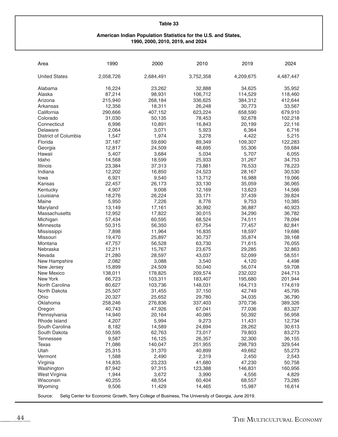#### **American Indian Population Statistics for the U.S. and States, 1990, 2000, 2010, 2019, and 2024**

| Area                                                                                                          | 1990      | 2000      | 2010      | 2019      | 2024      |  |
|---------------------------------------------------------------------------------------------------------------|-----------|-----------|-----------|-----------|-----------|--|
| <b>United States</b>                                                                                          | 2,058,726 | 2,684,491 | 3,752,358 | 4,209,675 | 4,487,447 |  |
| Alabama                                                                                                       | 16,224    | 23,262    | 32,888    | 34,625    | 35,952    |  |
| Alaska                                                                                                        | 87,214    | 98,931    | 106,712   | 114,529   | 118,460   |  |
| Arizona                                                                                                       | 215,940   | 268,184   | 336,625   | 384,312   | 412,644   |  |
| Arkansas                                                                                                      | 12,356    | 18,311    | 26,248    | 30,773    | 33,567    |  |
| California                                                                                                    | 290,666   | 407,152   | 623,224   | 658,590   | 679,910   |  |
| Colorado                                                                                                      | 31,030    | 50,135    | 78,453    | 92,678    | 102,218   |  |
| Connecticut                                                                                                   | 6,996     | 10,891    | 16,843    | 20,199    | 22,116    |  |
| Delaware                                                                                                      | 2,064     | 3,071     | 5,923     | 6,364     | 6,716     |  |
| District of Columbia                                                                                          | 1,547     | 1,974     | 3,278     | 4,422     | 5,215     |  |
| Florida                                                                                                       | 37,187    | 59,690    | 89,349    | 109,307   | 122,283   |  |
| Georgia                                                                                                       | 12,817    | 24,509    | 48,695    | 55,306    | 59,684    |  |
| Hawaii                                                                                                        | 5,407     | 3,684     | 5,034     | 5,707     | 6,055     |  |
| Idaho                                                                                                         | 14,568    | 18,599    | 25,933    | 31,267    | 34,753    |  |
| Illinois                                                                                                      | 23,384    | 37,313    | 73,881    | 76,533    | 78,223    |  |
| Indiana                                                                                                       | 12,202    | 16,850    | 24,523    | 28,167    | 30,530    |  |
| Iowa                                                                                                          | 6,921     | 9,540     | 13,712    | 16,988    | 19,066    |  |
| Kansas                                                                                                        | 22,457    | 26,173    | 33,130    | 35,059    | 36,065    |  |
| Kentucky                                                                                                      | 4,907     | 9,008     | 12,169    | 13,623    | 14,566    |  |
| Louisiana                                                                                                     | 18,276    | 26,224    |           | 37,439    | 39,824    |  |
|                                                                                                               |           |           | 33,171    |           |           |  |
| Maine                                                                                                         | 5,950     | 7,226     | 8,776     | 9,753     | 10,385    |  |
| Maryland<br>Massachusetts                                                                                     | 13,149    | 17,161    | 30,992    | 36,887    | 40,923    |  |
|                                                                                                               | 12,952    | 17,822    | 30,015    | 34,290    | 36,782    |  |
| Michigan                                                                                                      | 57,434    | 60,595    | 68,524    | 74,511    | 78,094    |  |
| Minnesota                                                                                                     | 50,315    | 56,350    | 67,754    | 77,457    | 82,841    |  |
| Mississippi                                                                                                   | 7,898     | 11,964    | 16,835    | 18,597    | 19,686    |  |
| Missouri                                                                                                      | 19,470    | 25,897    | 30,737    | 35,874    | 39,168    |  |
| Montana                                                                                                       | 47,757    | 56,528    | 63,730    | 71,615    | 76,055    |  |
| Nebraska                                                                                                      | 12,211    | 15,767    | 23,675    | 29,285    | 32,863    |  |
| Nevada                                                                                                        | 21,280    | 28,597    | 43,037    | 52,099    | 58,551    |  |
| New Hampshire                                                                                                 | 2,082     | 3,088     | 3,540     | 4,120     | 4,498     |  |
| New Jersey                                                                                                    | 15,899    | 24,509    | 50,040    | 56,074    | 59,708    |  |
| <b>New Mexico</b>                                                                                             | 138,011   | 178,825   | 209,574   | 232,022   | 244,713   |  |
| New York                                                                                                      | 66,723    | 103,311   | 183,407   | 195,680   | 201,944   |  |
| North Carolina                                                                                                | 80,627    | 103,736   | 148,031   | 164,713   | 174,619   |  |
| North Dakota                                                                                                  | 25,507    | 31,455    | 37,150    | 42,749    | 45,795    |  |
| Ohio                                                                                                          | 20,327    | 25,652    | 29,780    | 34,035    | 36,790    |  |
| Oklahoma                                                                                                      | 258,246   | 276,836   | 337,403   | 370,736   | 389,326   |  |
| Oregon                                                                                                        | 40,743    | 47,926    | 67,041    | 77,036    | 83,327    |  |
| Pennsylvania                                                                                                  | 14,940    | 20,164    | 40,085    | 50,392    | 56,958    |  |
| Rhode Island                                                                                                  | 4,207     | 5,994     | 9,273     | 11,431    | 12,734    |  |
| South Carolina                                                                                                | 8,182     | 14,589    | 24,694    | 28,262    | 30,613    |  |
| South Dakota                                                                                                  | 50,595    | 62,763    | 73,017    | 79,803    | 83,273    |  |
| <b>Tennessee</b>                                                                                              | 9,587     | 16,125    | 26,357    | 32,300    | 36,155    |  |
| Texas                                                                                                         | 71,086    | 140,047   | 251,955   | 298,793   | 329,544   |  |
| Utah                                                                                                          | 25,315    | 31,370    | 40,899    | 49,662    | 55,273    |  |
| Vermont                                                                                                       | 1,588     | 2,490     | 2,319     | 2,450     | 2,543     |  |
| Virginia                                                                                                      | 14,835    | 23,233    | 41,680    | 47,230    | 50,758    |  |
| Washington                                                                                                    | 87,942    | 97,315    | 123,388   | 146,831   | 160,956   |  |
| West Virginia                                                                                                 | 1,944     | 3,672     | 3,990     | 4,556     | 4,829     |  |
| Wisconsin                                                                                                     | 40,255    | 48,554    | 60,404    | 68,557    | 73,285    |  |
| Wyoming                                                                                                       | 9,506     | 11,429    | 14,465    | 15,987    | 16,614    |  |
| Selig Center for Economic Growth, Terry College of Business, The University of Georgia, June 2019.<br>Source: |           |           |           |           |           |  |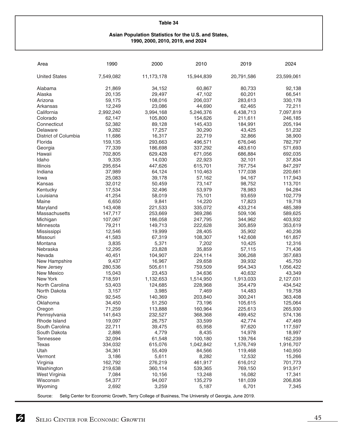#### **Asian Population Statistics for the U.S. and States, 1990, 2000, 2010, 2019, and 2024**

| Area                                                                                                          | 1990             | 2000            | 2010             | 2019             | 2024             |
|---------------------------------------------------------------------------------------------------------------|------------------|-----------------|------------------|------------------|------------------|
| <b>United States</b>                                                                                          | 7,549,082        | 11,173,178      | 15,944,839       | 20,791,586       | 23,599,061       |
| Alabama                                                                                                       | 21,869           | 34,152          | 60,867           | 80,733           | 92,138           |
| Alaska                                                                                                        | 20,135           | 29,497          | 47,102           | 60,201           | 66,541           |
| Arizona                                                                                                       | 59,175           | 108,016         | 206,037          | 283,613          | 330,178          |
| Arkansas                                                                                                      | 12,249           | 23,086          | 44,690           | 62,465           | 72,211           |
| California                                                                                                    | 2,992,240        | 3,994,168       | 5,246,376        | 6,438,713        | 7,097,819        |
| Colorado                                                                                                      | 62,147           | 105,800         | 154,626          | 211,611          | 246,185          |
| Connecticut                                                                                                   | 52,382           | 89,128          | 145,433          | 184,991          | 205,194          |
| Delaware                                                                                                      | 9,282            | 17,257          | 30,290           | 43,425           | 51,232           |
| District of Columbia                                                                                          | 11,686           | 16,317          | 22,719           | 32,866           | 38,900           |
| Florida                                                                                                       | 159,135          | 293,663         | 496,571          | 676,046          | 782,797          |
| Georgia                                                                                                       | 77,339           | 186,698         | 337,292          | 483,610          | 571,693          |
| Hawaii                                                                                                        | 702,805          | 629,428         | 671,056          | 686,884          | 692,035          |
| Idaho                                                                                                         | 9,335            | 14,030          | 22,923           | 32,101           | 37,834           |
| Illinois                                                                                                      | 295,654          | 447,626         | 615,701          | 767,754          | 847,297          |
| Indiana                                                                                                       | 37,989           | 64,124          | 110,463          | 177,038          | 220,661          |
| Iowa                                                                                                          | 25,083           | 39,178          | 57,162           | 94,167           | 117,943          |
| Kansas                                                                                                        | 32,012           | 50,459          | 73,147           | 98,752           | 113,701          |
| Kentucky                                                                                                      | 17,534           | 32,496          | 53,979           | 78,983           | 94,284           |
| Louisiana                                                                                                     | 41,254           | 58,019          | 75,101           | 93,659           | 102,779          |
| Maine                                                                                                         | 6,650            | 9,841           | 14,220           | 17,823           | 19,718           |
| Maryland                                                                                                      | 143,408          | 221,533         | 335,072          | 433,214          | 485,389          |
| Massachusetts                                                                                                 | 147,717          | 253,669         | 369,286          | 509,106          | 589,625          |
| Michigan                                                                                                      | 107,067          | 186,058         | 247,795          | 344,962          | 403,932          |
| Minnesota                                                                                                     | 79,211           | 149,713         | 222,628          | 305,859          | 353,619          |
| Mississippi                                                                                                   | 12,546           | 19,999          | 28,405           | 35,902           | 40,236           |
| Missouri                                                                                                      | 41,583           | 67,319          | 108,307          | 142,608          | 161,857          |
| Montana                                                                                                       | 3,835            | 5,371           | 7,202            | 10,425           | 12,316           |
| Nebraska                                                                                                      | 12,295           | 23,828          | 35,859           | 57,115           | 71,436           |
| Nevada                                                                                                        | 40,451           | 104,907         | 224,114          | 306,268          | 357,683          |
| New Hampshire                                                                                                 | 9,437            | 16,967          | 29,658           | 39,932           | 45,750           |
| New Jersey                                                                                                    | 280,536          | 505,611         | 759,509          | 954,343          | 1,056,422        |
| <b>New Mexico</b>                                                                                             | 15,043           | 23,453          | 34,636           | 40,632           | 43,349           |
| New York                                                                                                      | 718,591          | 1,132,653       | 1,514,950        | 1,913,033        | 2,127,031        |
| North Carolina                                                                                                | 53,403           | 124,685         | 228,968          | 354,479          | 434,542          |
| North Dakota                                                                                                  | 3,157            | 3,985           | 7,469            | 14,483           | 19,758           |
| Ohio                                                                                                          | 92,545           | 140,369         | 203,840          | 300,241          | 363,408          |
| Oklahoma                                                                                                      | 34,450           | 51,250          | 73,196           | 105,615          | 125,064          |
| Oregon                                                                                                        | 71,259           | 113,888         | 160,964          | 225,613          | 265,930          |
| Pennsylvania                                                                                                  | 141,643          | 232,527         | 368,368          | 499,452          | 574,136          |
| Rhode Island                                                                                                  | 19,097           | 26,757          | 33,599           | 42,774           | 47,469           |
| South Carolina                                                                                                | 22,711           | 39,475          | 65,958           | 97,620           | 117,597          |
| South Dakota                                                                                                  | 2,886            | 4,779           | 8,435            | 14,978           | 18,997           |
| <b>Tennessee</b>                                                                                              | 32,094           | 61,548          | 100,180          | 139,764          | 162,239          |
| <b>Texas</b>                                                                                                  | 334,032          | 615,076         | 1,042,842        | 1,576,749        | 1,916,707        |
| Utah                                                                                                          | 34,361           | 55,409          | 84,566           | 119,468          | 140,950          |
| Vermont                                                                                                       | 3,186            | 5,611           | 8,282            | 12,532           | 15,266           |
| Virginia                                                                                                      | 162,792          | 276,219         | 461,917          | 616,012          | 701,773          |
| Washington                                                                                                    | 219,638<br>7,084 | 360,114         | 539,365          | 769,150          | 913,917          |
| West Virginia                                                                                                 |                  | 10,156          | 13,248           | 16,082           | 17,341           |
| Wisconsin<br>Wyoming                                                                                          | 54,377<br>2,692  | 94,007<br>3,259 | 135,279<br>5,187 | 181,039<br>6,701 | 206,836<br>7,345 |
|                                                                                                               |                  |                 |                  |                  |                  |
| Source:<br>Selig Center for Economic Growth, Terry College of Business, The University of Georgia, June 2019. |                  |                 |                  |                  |                  |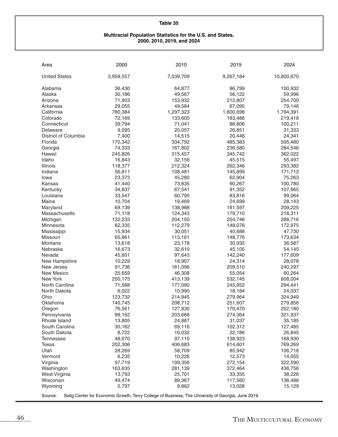#### **Multiracial Population Statistics for the U.S. and States, 2000, 2010, 2019, and 2024**

 $\overline{a}$ 

| Area                 | 2000      | 2010                                                                                               | 2019      | 2024       |
|----------------------|-----------|----------------------------------------------------------------------------------------------------|-----------|------------|
| <b>United States</b> | 3,959,557 | 7,039,709                                                                                          | 9,267,184 | 10,800,670 |
| Alabama              | 36,430    | 64,877                                                                                             | 86,799    | 100,932    |
| Alaska               | 30,186    | 49,567                                                                                             | 56,122    | 59,996     |
| Arizona              | 71,903    | 153,932                                                                                            | 212,807   | 254,700    |
| Arkansas             | 29,055    | 49,584                                                                                             | 67,095    | 79,146     |
| California           | 780,384   | 1,297,323                                                                                          | 1,600,698 | 1,794,391  |
| Colorado             | 72,169    | 133,605                                                                                            | 183,486   | 219,418    |
| Connecticut          | 39,794    | 71,041                                                                                             | 88,806    | 100,211    |
| Delaware             | 9,095     | 20,057                                                                                             | 26,851    | 31,333     |
| District of Columbia | 7,400     | 14,515                                                                                             | 20,446    | 24,341     |
| Florida              | 170,342   | 334,792                                                                                            | 485,383   | 595,480    |
| Georgia              | 74,333    | 167,802                                                                                            | 236,580   | 284,546    |
| Hawaii               | 245,826   | 315,457                                                                                            | 345,742   | 362,022    |
| Idaho                | 16,843    | 32,156                                                                                             | 45,515    | 55,497     |
| Illinois             | 118,377   | 212,324                                                                                            | 262,346   | 293,382    |
| Indiana              | 56,811    | 108,481                                                                                            | 145,899   | 171,712    |
| Iowa                 | 23,373    | 45,280                                                                                             | 62,904    | 75,263     |
| Kansas               | 41,440    | 73,835                                                                                             | 90,267    | 100,780    |
| Kentucky             | 34,837    | 67,541                                                                                             | 91,352    | 107,665    |
| Louisiana            | 33,547    | 60,795                                                                                             | 83,816    | 99,064     |
| Maine                | 10,704    | 19,469                                                                                             | 24,699    | 28,143     |
| Maryland             | 69,139    | 138,988                                                                                            | 181,597   | 209,225    |
| Massachusetts        | 71,118    | 124,343                                                                                            | 179,710   | 218,311    |
| Michigan             | 132,233   | 204,150                                                                                            | 254,746   | 288,716    |
| Minnesota            | 62,335    | 112,279                                                                                            | 148,076   | 172,975    |
| Mississippi          | 15,934    | 30,051                                                                                             | 40,688    | 47,730     |
| Missouri             | 65,861    | 113,161                                                                                            | 148,776   | 173,634    |
| Montana              | 13,618    | 23,178                                                                                             | 30,932    | 36,587     |
| Nebraska             | 16,673    | 32,610                                                                                             | 45,105    | 54,145     |
| Nevada               | 45,601    | 97,643                                                                                             | 142,240   | 177,609    |
| New Hampshire        | 10,229    | 18,907                                                                                             | 24,314    | 28,078     |
| New Jersey           | 91,736    | 161,096                                                                                            | 209,510   | 240,297    |
| <b>New Mexico</b>    | 25,659    | 46,308                                                                                             | 55,054    | 60,264     |
| <b>New York</b>      | 250,175   | 413,139                                                                                            | 532,145   | 608,004    |
| North Carolina       | 71,588    | 177,090                                                                                            | 245,952   | 294,441    |
| North Dakota         | 6,022     | 10,990                                                                                             | 18,184    | 24,037     |
| Ohio                 | 123,732   | 214,945                                                                                            | 279,964   | 324,949    |
| Oklahoma             | 140,745   | 208,712                                                                                            | 251,607   | 279,856    |
| Oregon               | 76,561    | 127,830                                                                                            | 170,470   | 202,180    |
| Pennsylvania         | 99,162    | 203,668                                                                                            | 274,364   | 321,937    |
| Rhode Island         | 13,805    | 24,887                                                                                             | 31,037    | 35,185     |
| South Carolina       | 30,162    | 69,116                                                                                             | 102,312   | 127,485    |
| South Dakota         | 8,722     | 16,032                                                                                             | 22,186    | 26,845     |
| <b>Tennessee</b>     | 48,670    | 97,110                                                                                             | 138,923   | 168,930    |
| <b>Texas</b>         | 202,306   | 406,683                                                                                            | 614,601   | 769,269    |
| Utah                 | 28,269    | 58,709                                                                                             | 85,942    | 106,716    |
| Vermont              | 6,235     | 10,226                                                                                             | 12,573    | 14,055     |
| Virginia             | 97,719    | 199,356                                                                                            | 272,154   | 322,590    |
| Washington           | 163,635   | 281,139                                                                                            | 372,464   | 438,756    |
| West Virginia        | 13,793    | 25,701                                                                                             | 33,355    | 38,226     |
| Wisconsin            | 49,474    | 89,367                                                                                             | 117,560   | 136,488    |
| Wyoming              | 5,797     | 9,862                                                                                              | 13,028    | 15,129     |
|                      |           |                                                                                                    |           |            |
| Source:              |           | Selig Center for Economic Growth, Terry College of Business, The University of Georgia, June 2019. |           |            |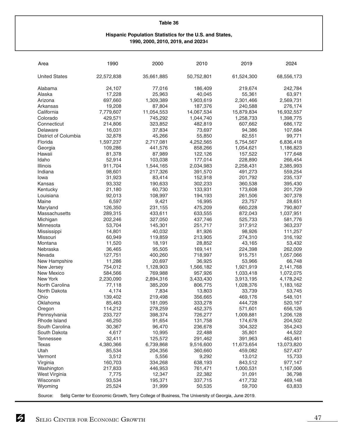#### **Hispanic Population Statistics for the U.S. and States, 1990, 2000, 2010, 2019, and 2023**4

| Area                 | 1990                                                                                               | 2000             | 2010              | 2019              | 2024              |  |
|----------------------|----------------------------------------------------------------------------------------------------|------------------|-------------------|-------------------|-------------------|--|
| <b>United States</b> | 22,572,838                                                                                         | 35,661,885       | 50,752,801        | 61,524,300        | 68,556,173        |  |
| Alabama              | 24,107                                                                                             | 77,016           | 186,409           | 219,674           | 242,784           |  |
| Alaska               | 17,228                                                                                             | 25,963           | 40,045            | 55,361            | 63,971            |  |
| Arizona              | 697,660                                                                                            | 1,309,389        | 1,903,619         | 2,301,466         | 2,569,731         |  |
| Arkansas             | 19,208                                                                                             | 87,804           | 187,376           | 240,588           | 276,174           |  |
| California           | 7,779,607                                                                                          | 11,054,553       | 14,067,534        | 15,879,834        | 16,932,557        |  |
| Colorado             | 429,571                                                                                            | 745,292          | 1,044,740         | 1,258,733         | 1,398,775         |  |
| Connecticut          | 214,806                                                                                            | 323,852          | 482,819           | 607,662           | 686,172           |  |
| Delaware             | 16,031                                                                                             | 37,834           | 73,697            | 94,386            | 107,684           |  |
| District of Columbia | 32,878                                                                                             | 45,266           | 55,850            | 82,551            | 99,771            |  |
| Florida              | 1,597,237                                                                                          | 2,717,081        | 4,252,565         | 5,754,567         | 6,836,418         |  |
| Georgia              | 109,286                                                                                            | 441,576          | 858,266           | 1,054,621         | 1,186,823         |  |
| Hawaii               | 81,378                                                                                             | 87,989           | 122,126           | 157,522           | 177,648           |  |
| Idaho                | 52,914                                                                                             | 103,038          | 177,014           | 228,890           | 266,454           |  |
| Illinois             | 911,704                                                                                            | 1,544,165        | 2,034,983         | 2,258,431         | 2,385,993         |  |
| Indiana              | 98,601                                                                                             | 217,326          | 391,570           | 491,273           | 559,254           |  |
| Iowa                 | 31,923                                                                                             | 83,414           | 152,918           | 201,792           | 235,137           |  |
| Kansas               | 93,332                                                                                             | 190,633          | 302,233           | 360,538           | 395,430           |  |
| Kentucky             | 21,180                                                                                             | 60,730           | 133,931           | 173,608           | 201,729           |  |
| Louisiana            | 92,013                                                                                             |                  |                   |                   |                   |  |
| Maine                | 6,597                                                                                              | 108,997<br>9,421 | 194,193<br>16,995 | 261,506<br>23,757 | 307,378<br>28,651 |  |
|                      |                                                                                                    |                  | 475,209           |                   |                   |  |
| Maryland             | 126,350                                                                                            | 231,155          |                   | 660,228           | 790,807           |  |
| Massachusetts        | 289,315                                                                                            | 433,611          | 633,555           | 872,043           | 1,037,951         |  |
| Michigan             | 202,246                                                                                            | 327,050          | 437,746           | 525,733           | 581,776           |  |
| Minnesota            | 53,704                                                                                             | 145,301          | 251,717           | 317,912           | 363,237           |  |
| Mississippi          | 14,801                                                                                             | 40,032           | 81,926            | 98,926            | 111,257           |  |
| Missouri             | 60,949                                                                                             | 119,859          | 213,905           | 274,310           | 316,192           |  |
| Montana              | 11,520                                                                                             | 18,191           | 28,852            | 43,165            | 53,432            |  |
| Nebraska             | 36,465                                                                                             | 95,505           | 169,141           | 224,398           | 262,009           |  |
| Nevada               | 127,751                                                                                            | 400,260          | 718,997           | 915,751           | 1,057,066         |  |
| New Hampshire        | 11,286                                                                                             | 20,697           | 36,925            | 53,966            | 66,748            |  |
| New Jersey           | 754,012                                                                                            | 1,128,903        | 1,566,182         | 1,921,919         | 2,141,768         |  |
| <b>New Mexico</b>    | 584,566                                                                                            | 769,988          | 957,926           | 1,033,418         | 1,072,075         |  |
| New York             | 2,230,090                                                                                          | 2,894,316        | 3,433,430         | 3,913,195         | 4,178,242         |  |
| North Carolina       | 77,118                                                                                             | 385,209          | 806,775           | 1,028,376         | 1,183,162         |  |
| North Dakota         | 4,174                                                                                              | 7,834            | 13,803            | 33,739            | 53,745            |  |
| Ohio                 | 139,402                                                                                            | 219,498          | 356,665           | 469,176           | 548,101           |  |
| Oklahoma             | 85,463                                                                                             | 181,095          | 333,278           | 444,728           | 520,167           |  |
| Oregon               | 114,212                                                                                            | 278,259          | 452,375           | 571,601           | 656,126           |  |
| Pennsylvania         | 233,727                                                                                            | 398,374          | 726,277           | 1,009,881         | 1,206,128         |  |
| Rhode Island         | 46,250                                                                                             | 91,654           | 131,758           | 174,678           | 204,502           |  |
| South Carolina       | 30,367                                                                                             | 96,470           | 236,678           | 304,322           | 354,243           |  |
| South Dakota         | 4,617                                                                                              | 10,995           | 22,488            | 35,801            | 44,522            |  |
| <b>Tennessee</b>     | 32,411                                                                                             | 125,572          | 291,462           | 391,963           | 463,461           |  |
| <b>Texas</b>         | 4,380,366                                                                                          | 6,739,868        | 9,516,600         | 11,673,654        | 13,073,820        |  |
| Utah                 | 85,534                                                                                             | 204,356          | 360,660           | 459,082           | 527,437           |  |
| Vermont              | 3,512                                                                                              | 5,556            | 9,292             | 13,012            | 15,733            |  |
| Virginia             | 160,703                                                                                            | 334,268          | 638,193           | 843,512           | 977,147           |  |
| Washington           | 217,833                                                                                            | 446,953          | 761,471           | 1,000,531         | 1,167,006         |  |
| West Virginia        | 7,775                                                                                              | 12,347           | 22,382            | 31,091            | 36,798            |  |
| Wisconsin            | 93,534                                                                                             | 195,371          | 337,715           | 417,732           | 469,148           |  |
| Wyoming              | 25,524                                                                                             | 31,999           | 50,535            | 59,700            | 63,833            |  |
| Source:              | Selig Center for Economic Growth, Terry College of Business, The University of Georgia, June 2019. |                  |                   |                   |                   |  |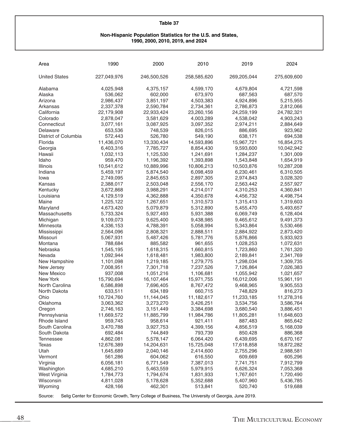#### **Non-Hispanic Population Statistics for the U.S. and States, 1990, 2000, 2010, 2019, and 2024**

| Area                 | 1990                                                                                               | 2000        | 2010        | 2019        | 2024        |  |  |
|----------------------|----------------------------------------------------------------------------------------------------|-------------|-------------|-------------|-------------|--|--|
| <b>United States</b> | 227,049,976                                                                                        | 246,500,526 | 258,585,620 | 269,205,044 | 275,609,600 |  |  |
| Alabama              | 4,025,948                                                                                          | 4,375,157   | 4,599,170   | 4,679,804   | 4,721,598   |  |  |
| Alaska               | 536,062                                                                                            | 602,000     | 673,970     | 687,563     | 687,570     |  |  |
| Arizona              | 2,986,437                                                                                          | 3,851,197   | 4,503,383   | 4,924,896   | 5,215,955   |  |  |
| Arkansas             | 2,337,378                                                                                          | 2,590,784   | 2,734,361   | 2,786,873   | 2,812,066   |  |  |
| California           | 22,179,908                                                                                         | 22,933,424  | 23,260,156  | 24,259,199  | 24,782,321  |  |  |
| Colorado             | 2,878,047                                                                                          | 3,581,629   | 4,003,289   | 4,538,042   | 4,903,243   |  |  |
| Connecticut          | 3,077,161                                                                                          | 3,087,925   | 3,097,352   | 2,974,211   | 2,884,649   |  |  |
| Delaware             | 653,536                                                                                            | 748,539     | 826,015     | 886,695     | 923,962     |  |  |
| District of Columbia | 572,443                                                                                            | 526,780     | 549,190     | 638,171     | 694,538     |  |  |
| Florida              | 11,436,070                                                                                         | 13,330,434  | 14,593,896  | 15,967,721  | 16,854,275  |  |  |
| Georgia              | 6,403,316                                                                                          | 7,785,727   | 8,854,430   | 9,593,600   | 10,042,942  |  |  |
| Hawaii               | 1,032,113                                                                                          | 1,125,530   | 1,241,691   | 1,284,237   | 1,301,009   |  |  |
| Idaho                | 959,470                                                                                            | 1,196,392   | 1,393,898   | 1,543,848   | 1,654,919   |  |  |
| Illinois             | 10,541,612                                                                                         | 10,889,996  | 10,806,213  | 10,503,876  | 10,287,208  |  |  |
| Indiana              | 5,459,197                                                                                          | 5,874,540   | 6,098,459   | 6,230,461   | 6,310,505   |  |  |
| Iowa                 | 2,749,095                                                                                          | 2,845,653   | 2,897,305   | 2,974,843   | 3,028,320   |  |  |
| Kansas               | 2,388,017                                                                                          | 2,503,048   | 2,556,170   | 2,563,442   | 2,557,927   |  |  |
| Kentucky             | 3,672,868                                                                                          | 3,988,291   | 4,214,017   | 4,310,253   | 4,360,841   |  |  |
| Louisiana            | 4,129,519                                                                                          | 4,362,888   | 4,350,678   | 4,456,732   | 4,498,754   |  |  |
| Maine                | 1,225,122                                                                                          | 1,267,651   | 1,310,573   | 1,315,413   | 1,319,603   |  |  |
| Maryland             | 4,673,420                                                                                          | 5,079,879   | 5,312,890   | 5,455,470   | 5,493,657   |  |  |
| Massachusetts        | 5,733,324                                                                                          | 5,927,493   | 5,931,388   | 6,069,749   | 6,128,404   |  |  |
| Michigan             | 9,109,073                                                                                          | 9,625,400   | 9,438,985   | 9,465,612   | 9,491,373   |  |  |
| Minnesota            | 4,336,153                                                                                          | 4,788,391   | 5,058,994   | 5,343,864   | 5,530,466   |  |  |
| Mississippi          | 2,564,096                                                                                          | 2,808,321   | 2,888,511   | 2,884,922   | 2,873,420   |  |  |
| Missouri             | 5,067,931                                                                                          | 5,487,426   | 5,781,776   | 5,876,866   | 5,933,923   |  |  |
| Montana              | 788,684                                                                                            | 885,582     | 961,655     | 1,028,253   | 1,072,631   |  |  |
| Nebraska             | 1,545,195                                                                                          | 1,618,315   | 1,660,815   | 1,723,860   | 1,761,320   |  |  |
| Nevada               | 1,092,944                                                                                          | 1,618,481   | 1,983,800   | 2,189,841   | 2,341,769   |  |  |
| New Hampshire        | 1,101,098                                                                                          | 1,219,185   | 1,279,775   | 1,298,034   | 1,309,735   |  |  |
| New Jersey           | 7,008,951                                                                                          | 7,301,718   | 7,237,526   | 7,126,864   | 7,026,383   |  |  |
| <b>New Mexico</b>    | 937,008                                                                                            | 1,051,216   | 1,106,681   | 1,055,942   | 1,021,657   |  |  |
| New York             | 15,790,694                                                                                         | 16,107,464  | 15,971,755  | 16,012,006  | 15,961,191  |  |  |
| North Carolina       | 6,586,898                                                                                          | 7,696,405   | 8,767,472   | 9,468,965   | 9,905,553   |  |  |
| North Dakota         | 633,511                                                                                            | 634,189     | 660,715     | 748,829     | 816,273     |  |  |
| Ohio                 | 10,724,760                                                                                         | 11,144,045  | 11,182,617  | 11,233,185  | 11,278,316  |  |  |
| Oklahoma             | 3,063,362                                                                                          | 3,273,270   | 3,426,251   | 3,534,756   | 3,586,764   |  |  |
| Oregon               | 2,746,163                                                                                          | 3,151,449   | 3,384,698   | 3,680,540   | 3,886,451   |  |  |
| Pennsylvania         | 11,669,572                                                                                         | 11,885,799  | 11,984,786  | 11,805,281  | 11,648,603  |  |  |
| Rhode Island         | 959,745                                                                                            | 958,614     | 921,411     | 887,483     | 865,642     |  |  |
| South Carolina       | 3,470,788                                                                                          | 3,927,753   | 4,399,156   | 4,856,519   | 5,168,039   |  |  |
| South Dakota         | 692,484                                                                                            | 744,849     | 793,739     | 850,428     | 886,368     |  |  |
| <b>Tennessee</b>     | 4,862,081                                                                                          | 5,578,147   | 6,064,420   | 6,439,695   | 6,670,167   |  |  |
| <b>Texas</b>         | 12,676,389                                                                                         | 14,204,631  | 15,725,048  | 17,618,858  | 18,872,282  |  |  |
| Utah                 | 1,645,689                                                                                          | 2,040,146   | 2,414,600   | 2,755,296   | 2,988,581   |  |  |
| Vermont              | 561,286                                                                                            | 604,062     | 616,550     | 609,669     | 605,296     |  |  |
| Virginia             | 6,056,181                                                                                          | 6,771,549   | 7,387,013   | 7,741,751   | 7,912,799   |  |  |
| Washington           | 4,685,210                                                                                          | 5,463,559   | 5,979,915   | 6,626,324   | 7,053,368   |  |  |
| West Virginia        | 1,784,773                                                                                          | 1,794,674   | 1,831,933   | 1,767,601   | 1,720,490   |  |  |
| Wisconsin            | 4,811,028                                                                                          | 5,178,628   | 5,352,688   | 5,407,960   | 5,436,785   |  |  |
| Wyoming              | 428,166                                                                                            | 462,301     | 513,841     | 520,740     | 519,688     |  |  |
| Source:              | Selig Center for Economic Growth, Terry College of Business, The University of Georgia, June 2019. |             |             |             |             |  |  |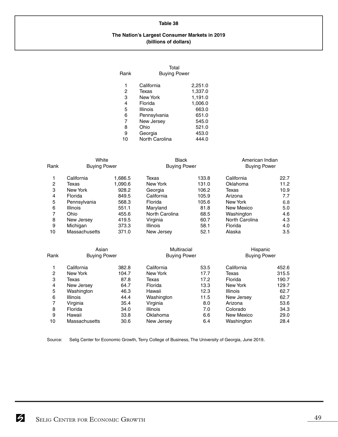#### **The Nation's Largest Consumer Markets in 2019 (billions of dollars)**

| Rank | Total<br><b>Buying Power</b> |         |
|------|------------------------------|---------|
| 1    | California                   | 2,251.0 |
| 2    | Texas                        | 1,337.0 |
| 3    | New York                     | 1,191.0 |
| 4    | Florida                      | 1,006.0 |
| 5    | Illinois                     | 663.0   |
| 6    | Pennsylvania                 | 651.0   |
| 7    | New Jersey                   | 545.0   |
| 8    | Ohio                         | 521.0   |
| 9    | Georgia                      | 453.0   |
| 10   | North Carolina               | 444.0   |

| Rank           | White<br><b>Buying Power</b> |         | <b>Black</b><br><b>Buying Power</b> |       | American Indian<br><b>Buying Power</b> |       |
|----------------|------------------------------|---------|-------------------------------------|-------|----------------------------------------|-------|
| 1              | California                   | 1,686.5 | Texas                               | 133.8 | California                             | 22.7  |
| $\overline{2}$ | Texas                        | 1,090.6 | New York                            | 131.0 | Oklahoma                               | 11.2  |
| 3              | New York                     | 928.2   | Georgia                             | 106.2 | Texas                                  | 10.9  |
| 4              | Florida                      | 849.5   | California                          | 105.9 | Arizona                                | 7.7   |
| 5              | Pennsylvania                 | 568.3   | Florida                             | 105.6 | New York                               | 6.8   |
| 6              | <b>Illinois</b>              | 551.1   | Maryland                            | 81.8  | New Mexico                             | 5.0   |
| 7              | Ohio                         | 455.6   | North Carolina                      | 68.5  | Washington                             | 4.6   |
| 8              | New Jersey                   | 419.5   | Virginia                            | 60.7  | North Carolina                         | 4.3   |
| 9              | Michigan                     | 373.3   | <b>Illinois</b>                     | 58.1  | Florida                                | 4.0   |
| 10             | Massachusetts                | 371.0   | New Jersey                          | 52.1  | Alaska                                 | 3.5   |
|                | Asian                        |         | Multiracial                         |       | Hispanic                               |       |
| Rank           | <b>Buying Power</b>          |         | <b>Buying Power</b>                 |       | <b>Buying Power</b>                    |       |
| 1              | California                   | 382.8   | California                          | 53.5  | California                             | 452.6 |
| $\overline{2}$ | New York                     | 104.7   | New York                            | 17.7  | Texas                                  | 315.5 |
| 3              | Texas                        | 87.8    | Texas                               | 17.2  | Florida                                | 190.7 |
| $\overline{4}$ | New Jersey                   | 64.7    | Florida                             | 13.3  | New York                               | 129.7 |
| 5              | Washington                   | 46.3    | Hawaii                              | 12.3  | Illinois                               | 62.7  |

|    | Washington           | 46.3 | Hawaii          | 12.3 | <b>Illinois</b> | 62.7 |
|----|----------------------|------|-----------------|------|-----------------|------|
| 6  | <b>Illinois</b>      | 44.4 | Washington      | 11.5 | New Jersey      | 62.7 |
|    | Virginia             | 35.4 | Virginia        | 8.0  | Arizona         | 53.6 |
| 8  | Florida              | 34.0 | <b>Illinois</b> | 7.0  | Colorado        | 34.3 |
| 9  | Hawaii               | 33.8 | Oklahoma        | 6.6  | New Mexico      | 29.0 |
| 10 | <b>Massachusetts</b> | 30.6 | New Jersey      | 6.4  | Washington      | 28.4 |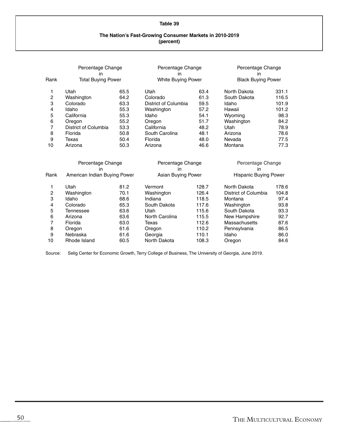#### **The Nation's Fast-Growing Consumer Markets in 2010-2019 (percent)**

| Rank           | Percentage Change<br>in<br><b>Total Buying Power</b> |      | Percentage Change<br>in<br>White Buying Power |       | in                      | Percentage Change<br><b>Black Buying Power</b> |  |  |
|----------------|------------------------------------------------------|------|-----------------------------------------------|-------|-------------------------|------------------------------------------------|--|--|
| 1              | Utah                                                 | 65.5 | Utah                                          | 63.4  | North Dakota            | 331.1                                          |  |  |
| $\overline{c}$ | Washington                                           | 64.2 | Colorado                                      | 61.3  | South Dakota            | 116.5                                          |  |  |
| 3              | Colorado                                             | 63.3 | District of Columbia                          | 59.5  | Idaho                   | 101.9                                          |  |  |
| 4              | Idaho                                                | 55.3 | Washington                                    | 57.2  | Hawaii                  | 101.2                                          |  |  |
| 5              | California                                           | 55.3 | Idaho                                         | 54.1  | Wyoming                 | 98.3                                           |  |  |
| 6              | Oregon                                               | 55.2 | Oregon                                        | 51.7  | Washington              | 84.2                                           |  |  |
| $\overline{7}$ | District of Columbia                                 | 53.3 | California                                    | 48.2  | Utah                    | 78.9                                           |  |  |
| 8              | Florida                                              | 50.8 | South Carolina                                | 48.1  | Arizona                 | 78.6                                           |  |  |
| 9              | Texas                                                | 50.4 | Florida                                       | 48.0  | Nevada                  | 77.5                                           |  |  |
| 10             | Arizona                                              | 50.3 | Arizona                                       | 46.6  | Montana                 | 77.3                                           |  |  |
|                | Percentage Change<br>in                              |      | Percentage Change<br>in                       |       | Percentage Change<br>in |                                                |  |  |
| Rank           | American Indian Buying Power                         |      | Asian Buying Power                            |       | Hispanic Buying Power   |                                                |  |  |
| 1              | Utah                                                 | 81.2 | Vermont                                       | 128.7 | North Dakota            | 178.6                                          |  |  |
| $\overline{c}$ | Washington                                           | 70.1 | Washington                                    | 126.4 | District of Columbia    | 104.8                                          |  |  |
| 3              | Idaho                                                | 68.6 | Indiana                                       | 118.5 | Montana                 | 97.4                                           |  |  |
| 4              | Colorado                                             | 65.3 | South Dakota                                  | 117.6 | Washington              | 93.8                                           |  |  |
| 5              | Tennessee                                            | 63.6 | Utah                                          | 115.6 | South Dakota            | 93.3                                           |  |  |
| 6              | Arizona                                              | 63.6 | North Carolina                                | 115.5 | New Hampshire           | 92.7                                           |  |  |
| 7              | Florida                                              | 63.0 | Texas                                         | 112.6 | Massachusetts           | 87.6                                           |  |  |
| 8              | Oregon                                               | 61.6 | Oregon                                        | 110.2 | Pennsylvania            | 86.5                                           |  |  |
| 9              | Nebraska                                             | 61.6 | Georgia                                       | 110.1 | Idaho                   | 86.0                                           |  |  |
| 10             | Rhode Island                                         | 60.5 | North Dakota                                  | 108.3 | Oregon                  | 84.6                                           |  |  |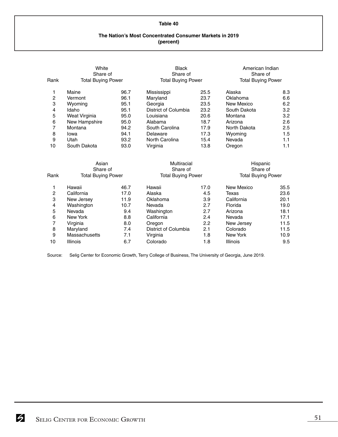#### **The Nation's Most Concentrated Consumer Markets in 2019 (percent)**

| Rank           | White<br>Share of<br><b>Total Buying Power</b> |      | <b>Black</b><br>Share of<br><b>Total Buying Power</b> |                           | American Indian<br>Share of<br><b>Total Buying Power</b> |                           |
|----------------|------------------------------------------------|------|-------------------------------------------------------|---------------------------|----------------------------------------------------------|---------------------------|
| 1              | Maine                                          | 96.7 | Mississippi                                           | 25.5                      | Alaska                                                   | 8.3                       |
| $\overline{c}$ | Vermont                                        | 96.1 | Maryland                                              | 23.7                      | Oklahoma                                                 | 6.6                       |
| 3              | Wyoming                                        | 95.1 | Georgia                                               | 23.5                      | New Mexico                                               | 6.2                       |
| 4              | Idaho                                          | 95.1 | District of Columbia                                  | 23.2                      | South Dakota                                             | 3.2                       |
| 5              | Weat Virginia                                  | 95.0 | Louisiana                                             | 20.6                      | Montana                                                  | 3.2                       |
| 6              | New Hampshire                                  | 95.0 | Alabama                                               | 18.7                      | Arizona                                                  | 2.6                       |
| 7              | Montana                                        | 94.2 | South Carolina                                        | 17.9                      | North Dakota                                             | 2.5                       |
| 8              | lowa                                           | 94.1 | Delaware                                              | 17.3                      | Wyoming                                                  | 1.5                       |
| 9              | Utah                                           | 93.2 | North Carolina                                        | 15.4                      | Nevada                                                   | 1.1                       |
| 10             | South Dakota                                   | 93.0 | Virginia                                              | 13.8                      | Oregon                                                   | 1.1                       |
|                | Asian<br>Share of                              |      | Multiracial<br>Share of                               |                           | Hispanic<br>Share of                                     |                           |
| Rank           | <b>Total Buying Power</b>                      |      |                                                       | <b>Total Buying Power</b> |                                                          | <b>Total Buying Power</b> |
| 1              | Hawaii                                         | 46.7 | Hawaii                                                | 17.0                      | New Mexico                                               | 35.5                      |
| $\overline{c}$ | California                                     | 17.0 | Alaska                                                | 4.5                       | Texas                                                    | 23.6                      |
| 3              | New Jersey                                     | 11.9 | Oklahoma                                              | 3.9                       | California                                               | 20.1                      |
| 4              | Washington                                     | 10.7 | Nevada                                                | 2.7                       | Florida                                                  | 19.0                      |
| 5              | Nevada                                         | 9.4  | Washington                                            | 2.7                       | Arizona                                                  | 18.1                      |
| 6              | New York                                       | 8.8  | California                                            | 2.4                       | Nevada                                                   | 17.1                      |
| 7              | Virginia                                       | 8.0  | Oregon                                                | 2.2                       | New Jersey                                               | 11.5                      |
| 8              | Maryland                                       | 7.4  | District of Columbia                                  | 2.1                       | Colorado                                                 | 11.5                      |
| 9              | Massachusetts                                  | 7.1  | Virginia                                              | 1.8                       | <b>New York</b>                                          | 10.9                      |
| 10             | Illinois                                       | 6.7  | Colorado                                              | 1.8                       | Illinois                                                 | 9.5                       |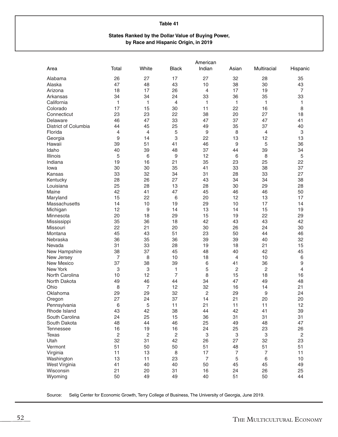#### **States Ranked by the Dollar Value of Buying Power, by Race and Hispanic Origin, in 2019**

|                      |       |       |                | American         |                           |                           |                |
|----------------------|-------|-------|----------------|------------------|---------------------------|---------------------------|----------------|
| Area                 | Total | White | <b>Black</b>   | Indian           | Asian                     | Multiracial               | Hispanic       |
| Alabama              | 26    | 27    | 17             | 27               | 32                        | 28                        | 35             |
| Alaska               | 47    | 48    | 43             | 10               | 38                        | 30                        | 43             |
| Arizona              | 18    | 17    | 26             | 4                | 17                        | 19                        | $\overline{7}$ |
| Arkansas             | 34    | 34    | 24             | 33               | 36                        | 35                        | 33             |
| California           | 1     | 1     | 4              | 1                | 1                         | 1                         | 1              |
| Colorado             | 17    | 15    | 30             | 11               | 22                        | 16                        | 8              |
| Connecticut          | 23    | 23    | 22             | 38               | 20                        | 27                        | 18             |
| Delaware             | 46    | 47    | 33             | 47               | 37                        | 47                        | 41             |
| District of Columbia | 44    | 45    | 25             | 49               | 35                        | 37                        | 40             |
| Florida              | 4     | 4     | 5              | $\boldsymbol{9}$ | 8                         | $\overline{4}$            | 3              |
| Georgia              | 9     | 14    | 3              | 22               | 13                        | 12                        | 13             |
| Hawaii               | 39    | 51    | 41             | 46               | 9                         | 5                         | 36             |
| Idaho                | 40    | 39    | 48             | 37               | 44                        | 39                        | 34             |
| Illinois             | 5     | 6     | 9              | 12               | 6                         | 8                         | 5              |
| Indiana              | 19    | 16    | 21             | 35               | 23                        | 25                        | 22             |
| Iowa                 | 30    | 30    | 35             | 41               | 33                        | 38                        | 37             |
| Kansas               | 33    | 32    | 34             | 31               | 28                        | 33                        | 27             |
| Kentucky             | 28    | 26    | 27             | 43               | 34                        | 34                        | 38             |
| Louisiana            | 25    | 28    | 13             | 28               | 30                        | 29                        | 28             |
| Maine                | 42    | 41    | 47             | 45               | 46                        | 46                        | 50             |
| Maryland             | 15    | 22    | 6              | 20               | 12                        | 13                        | 17             |
| Massachusetts        | 14    | 10    | 19             | 29               | 10                        | 17                        | 14             |
| Michigan             | 12    | 9     | 14             | 13               | 14                        | 15                        | 19             |
| Minnesota            | 20    | 18    | 29             | 15               | 19                        | 22                        | 29             |
| Mississippi          | 35    | 36    | 18             | 42               | 43                        | 43                        | 42             |
| Missouri             | 22    | 21    | 20             | 30               | 26                        | 24                        | 30             |
| Montana              | 45    | 43    | 51             | 23               | 50                        | 44                        | 46             |
| Nebraska             | 36    | 35    | 36             | 39               | 39                        | 40                        | 32             |
| Nevada               | 31    | 33    | 28             | 19               | 18                        | 21                        | 15             |
| New Hampshire        | 38    | 37    | 45             | 48               | 40                        | 42                        | 45             |
| New Jersey           | 7     | 8     | 10             | 18               | 4                         | 10                        | 6              |
| New Mexico           | 37    | 38    | 39             | 6                | 41                        | 36                        | 9              |
| New York             | 3     | 3     | 1              | 5                | $\overline{2}$            | 2                         | 4              |
| North Carolina       | 10    | 12    | $\overline{7}$ | 8                | 15                        | 18                        | 16             |
| North Dakota         | 49    | 46    | 44             | 34               | 47                        | 49                        | 48             |
| Ohio                 | 8     | 7     | 12             | 32               | 16                        | 14                        | 21             |
| Oklahoma             | 29    | 29    | 32             | 2                | 29                        | 9                         | 24             |
| Oregon               | 27    | 24    | 37             | 14               | 21                        | 20                        | 20             |
| Pennsylvania         | 6     | 5     | 11             | 21               | 11                        | 11                        | 12             |
| Rhode Island         | 43    | 42    | 38             | 44               | 42                        | 41                        | 39             |
| South Carolina       | 24    | 25    | 15             | 36               | 31                        | 31                        | 31             |
| South Dakota         | 48    | 44    | 46             | 25               | 49                        | 48                        | 47             |
| Tennessee            | 16    | 19    | 16             | 24               | 25                        | 23                        | 26             |
| <b>Texas</b>         | 2     | 2     | $\mathbf 2$    | 3                | $\ensuremath{\mathsf{3}}$ | $\ensuremath{\mathsf{3}}$ | $\sqrt{2}$     |
| Utah                 | 32    | 31    | 42             | 26               | 27                        | 32                        | 23             |
| Vermont              | 51    | 50    | 50             | 51               | 48                        | 51                        | 51             |
| Virginia             | 11    | 13    | $\, 8$         | 17               | $\overline{7}$            | $\overline{7}$            | 11             |
| Washington           | 13    | 11    | 23             | $\overline{7}$   | 5                         | $\,$ 6 $\,$               | 10             |
| West Virginia        | 41    | 40    | 40             | 50               | 45                        | 45                        | 49             |
| Wisconsin            | 21    | 20    | 31             | 16               | 24                        | 26                        | 25             |
| Wyoming              | 50    | 49    | 49             | 40               | 51                        | 50                        | 44             |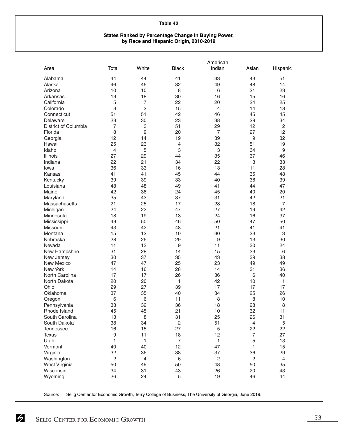#### **States Ranked by Percentage Change in Buying Power, by Race and Hispanic Origin, 2010-2019**

|                      |                  |                  |                | American       |                          |                  |
|----------------------|------------------|------------------|----------------|----------------|--------------------------|------------------|
| Area                 | Total            | White            | <b>Black</b>   | Indian         | Asian                    | Hispanic         |
| Alabama              | 44               | 44               | 41             | 33             | 43                       | 51               |
| Alaska               | 46               | 46               | 32             | 49             | 48                       | 14               |
| Arizona              | 10               | 10               | 8              | 6              | 21                       | 23               |
| Arkansas             | 19               | 18               | 30             | 16             | 15                       | 16               |
| California           | 5                | $\overline{7}$   | 22             | 20             | 24                       | 25               |
| Colorado             | 3                | $\overline{2}$   | 15             | $\overline{4}$ | 14                       | 18               |
| Connecticut          | 51               | 51               | 42             | 46             | 45                       | 45               |
| Delaware             | 23               | 30               | 23             | 38             | 29                       | 34               |
| District of Columbia | 7                | 3                | 51             | 29             | 12                       | $\overline{c}$   |
| Florida              | 8                | $\boldsymbol{9}$ | 20             | $\overline{7}$ | 27                       | 12               |
| Georgia              | 12               | 14               | 19             | 39             | $\boldsymbol{9}$         | 32               |
| Hawaii               | 25               | 23               | $\overline{4}$ | 32             | 51                       | 19               |
| Idaho                | 4                | 5                | 3              | 3              | 34                       | $\boldsymbol{9}$ |
| Illinois             | 27               | 29               | 44             | 35             | 37                       | 46               |
| Indiana              | 22               | 21               | 34             | 22             | 3                        | 33               |
| lowa                 | 36               | 33               | 16             | 13             | 11                       | 28               |
| Kansas               | 41               | 41               | 45             | 44             | 35                       | 48               |
|                      | 39               | 39               | 33             | 40             | 38                       | 39               |
| Kentucky             |                  | 48               |                |                | 44                       |                  |
| Louisiana<br>Maine   | 48               |                  | 49             | 41             |                          | 47               |
|                      | 42               | 38               | 24             | 45             | 40                       | 20               |
| Maryland             | 35               | 43               | 37             | 31             | 42                       | 21               |
| Massachusetts        | 21               | 25               | 17             | 28             | 18                       | $\overline{7}$   |
| Michigan             | 24               | 22               | 47             | 27             | 19                       | 42               |
| Minnesota            | 18               | 19               | 13             | 24             | 16                       | 37               |
| Mississippi          | 49               | 50               | 46             | 50             | 47                       | 50               |
| Missouri             | 43               | 42               | 48             | 21             | 41                       | 41               |
| Montana              | 15               | 12               | 10             | 30             | 23                       | 3                |
| Nebraska             | 28               | 26               | 29             | 9              | 13                       | 30               |
| Nevada               | 11               | 13               | 9              | 11             | 30                       | 24               |
| New Hampshire        | 31               | 28               | 14             | 15             | 33                       | 6                |
| New Jersey           | 30               | 37               | 35             | 43             | 39                       | 38               |
| New Mexico           | 47               | 47               | 25             | 23             | 49                       | 49               |
| <b>New York</b>      | 14               | 16               | 28             | 14             | 31                       | 36               |
| North Carolina       | 17               | 17               | 26             | 36             | 6                        | 40               |
| North Dakota         | 20               | 20               | 1              | 42             | 10                       | 1                |
| Ohio                 | 29               | 27               | 39             | 17             | 17                       | 17               |
| Oklahoma             | 37               | 35               | 40             | 34             | 25                       | 26               |
| Oregon               | 6                | 6                | 11             | 8              | 8                        | 10               |
| Pennsylvania         | 33               | 32               | 36             | 18             | 28                       | 8                |
| Rhode Island         | 45               | 45               | 21             | 10             | 32                       | 11               |
| South Carolina       | 13               | 8                | 31             | 25             | 26                       | 31               |
| South Dakota         | 38               | 34               | $\sqrt{2}$     | 51             | $\overline{4}$           | 5                |
| <b>Tennessee</b>     | 16               | 15               | 27             | 5              | 22                       | 22               |
| <b>Texas</b>         | $\boldsymbol{9}$ | 11               | 18             | 12             | $\overline{\mathcal{I}}$ | 27               |
| Utah                 | 1                | $\mathbf{1}$     | 7              | 1              | 5                        | 13               |
| Vermont              | 40               | 40               | 12             | 47             | 1                        | 15               |
| Virginia             | 32               | 36               | 38             | 37             | 36                       | 29               |
| Washington           | $\sqrt{2}$       | $\overline{4}$   | 6              | $\mathbf 2$    | $\sqrt{2}$               | $\overline{4}$   |
| West Virginia        | 50               | 49               | 50             | 48             | 50                       | 35               |
| Wisconsin            | 34               | 31               | 43             | 26             | 20                       | 43               |
| Wyoming              | 26               | 24               | 5              | 19             | 46                       | 44               |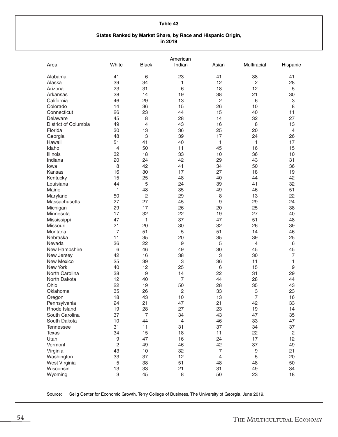#### **States Ranked by Market Share, by Race and Hispanic Origin, in 2019**

|                      |         |                | American       |                  |                |                |
|----------------------|---------|----------------|----------------|------------------|----------------|----------------|
| Area                 | White   | <b>Black</b>   | Indian         | Asian            | Multiracial    | Hispanic       |
| Alabama              | 41      | 6              | 23             | 41               | 38             | 41             |
| Alaska               | 39      | 34             | 1              | 12               | $\overline{c}$ | 28             |
| Arizona              | 23      | 31             | 6              | 18               | 12             | 5              |
| Arkansas             | 28      | 14             | 19             | 38               | 21             | 30             |
| California           | 46      | 29             | 13             | $\overline{c}$   | 6              | 3              |
| Colorado             | 14      | 36             | 15             | 26               | 10             | 8              |
| Connecticut          | 26      | 23             | 44             | 15               | 40             | 11             |
| Delaware             | 45      | 8              | 28             | 14               | 32             | 27             |
| District of Columbia | 49      | 4              | 43             | 16               | 8              | 13             |
| Florida              | 30      | 13             | 36             | 25               | 20             | 4              |
| Georgia              | 48      | 3              | 39             | 17               | 24             | 26             |
| Hawaii               | 51      | 41             | 40             | 1                | 1              | 17             |
| Idaho                | 4       | 50             | 11             | 45               | 16             | 15             |
| <b>Illinois</b>      | 32      | 18             | 33             | 10               | 36             | 10             |
| Indiana              | 20      | 24             | 42             | 29               | 43             | 31             |
| lowa                 | 8       | 42             | 41             | 34               | 50             | 36             |
| Kansas               | 16      | 30             | 17             | 27               | 18             | 19             |
| Kentucky             | 15      | 25             | 48             | 40               | 44             | 42             |
| Louisiana            | 44      | 5              | 24             | 39               | 41             | 32             |
| Maine                | 1       | 48             | 35             | 49               | 46             | 51             |
| Maryland             | 50      | $\sqrt{2}$     | 29             | 8                | 13             | 22             |
| Massachusetts        | 27      | 27             | 45             | $\boldsymbol{9}$ | 29             | 24             |
| Michigan             | 29      | 17             | 26             | 20               | 25             | 38             |
| Minnesota            | 17      | 32             | 22             | 19               | 27             | 40             |
| Mississippi          | 47      | 1              | 37             | 47               | 51             | 48             |
| Missouri             | 21      | 20             | 30             | 32               | 26             | 39             |
| Montana              | 7       | 51             | 5              | 51               | 14             | 46             |
| Nebraska             | 11      | 35             | 20             | 35               | 39             | 25             |
| Nevada               | 36      | 22             | 9              | 5                | 4              | 6              |
| New Hampshire        | $\,6\,$ | 46             | 49             | 30               | 45             | 45             |
| New Jersey           | 42      | 16             | 38             | 3                | 30             | $\overline{7}$ |
| New Mexico           | 25      | 39             | 3              | 36               | 11             | 1              |
| New York             | 40      | 12             | 25             | 6                | 15             | 9              |
| North Carolina       | 38      | 9              | 14             | 22               | 31             | 29             |
| North Dakota         | 12      | 40             | 7              | 44               | 28             | 44             |
| Ohio                 | 22      | 19             | 50             | 28               | 35             | 43             |
| Oklahoma             | 35      | 26             | 2              | 33               | 3              | 23             |
| Oregon               | 18      | 43             | 10             | 13               | 7              | 16             |
| Pennsylvania         | 24      | 21             | 47             | 21               | 42             | 33             |
| Rhode Island         | 19      | 28             | 27             | 23               | 19             | 14             |
| South Carolina       | 37      | $\overline{7}$ | 34             | 43               | 47             | 35             |
| South Dakota         | 10      | 44             | $\overline{4}$ | 46               | 33             | 47             |
| <b>Tennessee</b>     | 31      | 11             | 31             | 37               | 34             | 37             |
| Texas                | 34      | 15             | 18             | 11               | 22             | $\sqrt{2}$     |
| Utah                 | 9       | 47             | 16             | 24               | 17             | 12             |
| Vermont              | 2       | 49             | 46             | 42               | 37             | 49             |
| Virginia             | 43      | 10             | 32             | $\overline{7}$   | 9              | 21             |
| Washington           | 33      | 37             | 12             | 4                | 5              | 20             |
| West Virginia        | 5       | 38             | 51             | 48               | 48             | 50             |
| Wisconsin            | 13      | 33             | 21             | 31               | 49             | 34             |
| Wyoming              | 3       | 45             | 8              | 50               | 23             | 18             |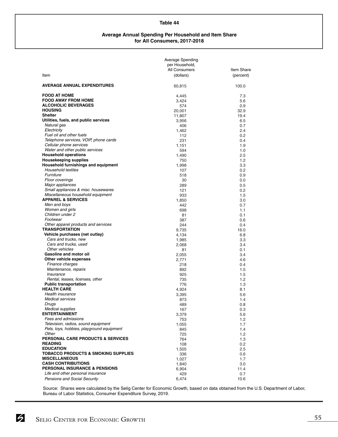#### **Average Annual Spending Per Household and Item Share for All Consumers, 2017-2018**

|                                                                        | Average Spending<br>per Household,<br>All Consumers | Item Share  |
|------------------------------------------------------------------------|-----------------------------------------------------|-------------|
| Item                                                                   | (dollars)                                           | (percent)   |
| <b>AVERAGE ANNUAL EXPENDITURES</b>                                     | 60,815                                              | 100.0       |
| <b>FOOD AT HOME</b>                                                    | 4,445                                               | 7.3         |
| <b>FOOD AWAY FROM HOME</b>                                             | 3,424                                               | 5.6         |
| <b>ALCOHOLIC BEVERAGES</b>                                             | 574                                                 | 0.9         |
| <b>HOUSING</b>                                                         | 20,001                                              | 32.9        |
| <b>Shelter</b>                                                         | 11,807                                              | 19.4        |
| Utilities, fuels, and public services                                  | 3,956                                               | 6.5         |
| Natural gas                                                            | 406                                                 | 0.7         |
| Electricity                                                            | 1,462                                               | 2.4         |
| Fuel oil and other fuels                                               | 112                                                 | 0.2         |
| Telephone services, VOIP, phone cards<br>Cellular phone services       | 231                                                 | 0.4         |
| Water and other public services                                        | 1,151<br>594                                        | 1.9<br>1.0  |
| <b>Household operations</b>                                            | 1,490                                               | 2.5         |
| <b>Housekeeping supplies</b>                                           | 750                                                 | 1.2         |
| Household furnishings and equipment                                    | 1.998                                               | 3.3         |
| Household textiles                                                     | 107                                                 | 0.2         |
| Furniture                                                              | 518                                                 | 0.9         |
| Floor coverings                                                        | 30                                                  | 0.0         |
| Major appliances                                                       | 289                                                 | 0.5         |
| Small appliances & misc. housewares                                    | 121                                                 | 0.2         |
| Miscellaneous household equipment                                      | 933                                                 | 1.5         |
| <b>APPAREL &amp; SERVICES</b>                                          | 1,850                                               | 3.0         |
| Men and bovs                                                           | 442                                                 | 0.7         |
| Women and girls                                                        | 698                                                 | 1.1         |
| Children under 2                                                       | 81                                                  | 0.1         |
| Footwear                                                               | 387                                                 | 0.6         |
| Other apparel products and services                                    | 244                                                 | 0.4         |
| <b>TRANSPORTATION</b>                                                  | 9,735                                               | 16.0        |
| Vehicle purchases (net outlay)                                         | 4,134                                               | 6.8         |
| Cars and trucks, new                                                   | 1,985                                               | 3.3         |
| Cars and trucks, used                                                  | 2,068                                               | 3.4         |
| Other vehicles<br>Gasoline and motor oil                               | 81                                                  | 0.1         |
| Other vehicle expenses                                                 | 2,055                                               | 3.4         |
| Finance charges                                                        | 2,771<br>218                                        | 4.6<br>0.4  |
| Maintenance, repairs                                                   | 892                                                 | 1.5         |
| Insurance                                                              | 925                                                 | 1.5         |
| Rental, leases, licenses, other                                        | 735                                                 | 1.2         |
| <b>Public transportation</b>                                           | 776                                                 | 1.3         |
| <b>HEALTH CARE</b>                                                     | 4,924                                               | 8.1         |
| Health insurance                                                       | 3,395                                               | 5.6         |
| <b>Medical services</b>                                                | 873                                                 | 1.4         |
| Drugs                                                                  | 489                                                 | 0.8         |
| <b>Medical supplies</b>                                                | 167                                                 | 0.3         |
| <b>ENTERTAINMENT</b>                                                   | 3,379                                               | 5.6         |
| Fees and admissions                                                    | 753                                                 | 1.2         |
| Television, radios, sound equipment                                    | 1,055                                               | 1.7         |
| Pets, toys, hobbies, playground equipment                              | 845                                                 | 1.4         |
| Other                                                                  | 725                                                 | 1.2         |
| <b>PERSONAL CARE PRODUCTS &amp; SERVICES</b>                           | 764                                                 | 1.3         |
| <b>READING</b>                                                         | 108                                                 | 0.2         |
| <b>EDUCATION</b>                                                       | 1,505                                               | 2.5         |
| <b>TOBACCO PRODUCTS &amp; SMOKING SUPPLIES</b><br><b>MISCELLANEOUS</b> | 336                                                 | 0.6         |
| <b>CASH CONTRIBUTIONS</b>                                              | 1,027                                               | 1.7         |
| <b>PERSONAL INSURANCE &amp; PENSIONS</b>                               | 1,840                                               | 3.0         |
| Life and other personal insurance                                      | 6,904<br>429                                        | 11.4<br>0.7 |
| <b>Pensions and Social Security</b>                                    | 6,474                                               | 10.6        |
|                                                                        |                                                     |             |

Source: Shares were calculated by the Selig Center for Economic Growth, based on data obtained from the U.S. Department of Labor, Bureau of Labor Statistics, Consumer Expenditure Survey, 2019.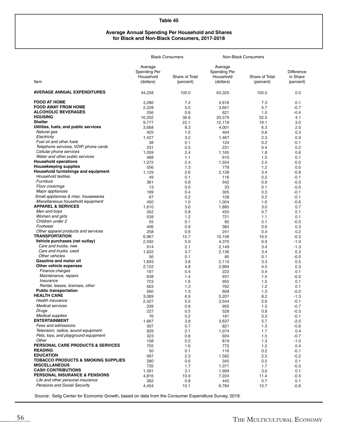#### **Average Annual Spending Per Household and Shares for Black and Non-Black Consumers, 2017-2018**

|                                                                 |                                                   | <b>Black Consumers</b>      |                                                   | Non-Black Consumers         |                                     |
|-----------------------------------------------------------------|---------------------------------------------------|-----------------------------|---------------------------------------------------|-----------------------------|-------------------------------------|
| Item                                                            | Average<br>Spending Per<br>Household<br>(dollars) | Share of Total<br>(percent) | Average<br>Spending Per<br>Household<br>(dollars) | Share of Total<br>(percent) | Difference<br>in Share<br>(percent) |
| <b>AVERAGE ANNUAL EXPENDITURES</b>                              | 44,258                                            | 100.0                       | 63,325                                            | 100.0                       | 0.0                                 |
| <b>FOOD AT HOME</b>                                             | 3,286                                             | 7.4                         | 4,616                                             | 7.3                         | 0.1                                 |
| <b>FOOD AWAY FROM HOME</b>                                      | 2,228                                             | 5.0                         | 3,601                                             | 5.7                         | $-0.7$                              |
| <b>ALCOHOLIC BEVERAGES</b>                                      | 256                                               | 0.6                         | 621                                               | 1.0                         | $-0.4$                              |
| <b>HOUSING</b><br><b>Shelter</b>                                | 16,202                                            | 36.6                        | 20,579                                            | 32.5                        | 4.1                                 |
| Utilities, fuels, and public services                           | 9,777                                             | 22.1                        | 12,119                                            | 19.1                        | 3.0                                 |
| Natural gas                                                     | 3,668                                             | 8.3                         | 4,001                                             | 6.3                         | 2.0                                 |
| Electricity                                                     | 425                                               | 1.0                         | 404                                               | 0.6                         | 0.3                                 |
| Fuel oil and other fuels                                        | 1,427                                             | 3.2                         | 1,467                                             | 2.3                         | 0.9                                 |
| Telephone services, VOIP, phone cards                           | 38<br>231                                         | 0.1                         | 124<br>231                                        | 0.2<br>0.4                  | -0.1<br>0.2                         |
| Cellular phone services                                         | 1,059                                             | 0.5<br>2.4                  |                                                   | 1.8                         | 0.6                                 |
| Water and other public services                                 | 488                                               | 1.1                         | 1,165<br>610                                      | 1.0                         | 0.1                                 |
| <b>Household operations</b>                                     | 1,072                                             | 2.4                         | 1,554                                             | 2.5                         | $-0.0$                              |
| <b>Housekeeping supplies</b>                                    | 556                                               | 1.3                         | 778                                               | 1.2                         | 0.0                                 |
| Household furnishings and equipment                             | 1,129                                             | 2.6                         | 2,128                                             | 3.4                         | $-0.8$                              |
| Household textiles                                              | 49                                                | 0.1                         | 116                                               | 0.2                         | $-0.1$                              |
| Furniture                                                       | 361                                               | 0.8                         | 542                                               | 0.9                         | $-0.0$                              |
| Floor coverings                                                 | 13                                                | 0.0                         | 33                                                | 0.1                         | $-0.0$                              |
| Major appliances                                                | 189                                               | 0.4                         | 305                                               | 0.5                         | $-0.1$                              |
| Small appliances & misc. housewares                             | 67                                                | 0.2                         | 128                                               | 0.2                         | $-0.1$                              |
| Miscellaneous household equipment                               | 450                                               | 1.0                         | 1,004                                             | 1.6                         | $-0.6$                              |
| <b>APPAREL &amp; SERVICES</b>                                   | 1,610                                             | 3.6                         | 1,885                                             | 3.0                         | 0.7                                 |
| Men and boys                                                    | 352                                               | 0.8                         | 455                                               | 0.7                         | 0.1                                 |
| Women and girls                                                 | 539                                               | 1.2                         | 721                                               | 1.1                         | 0.1                                 |
| Children under 2                                                | 55                                                | 0.1                         | 85                                                | 0.1                         | $-0.0$                              |
| Footwear                                                        | 406                                               | 0.9                         | 384                                               | 0.6                         | 0.3                                 |
| Other apparel products and services                             | 258                                               | 0.6                         | 241                                               | 0.4                         | 0.2                                 |
| <b>TRANSPORTATION</b>                                           | 6,967                                             | 15.7                        | 10,158                                            | 16.0                        | $-0.3$                              |
| Vehicle purchases (net outlay)                                  | 2,592                                             | 5.9                         | 4,370                                             | 6.9                         | $-1.0$                              |
| Cars and trucks, new                                            | 914                                               | 2.1                         | 2,149                                             | 3.4                         | $-1.3$                              |
| Cars and trucks, used                                           | 1,622                                             | 3.7                         | 2,136                                             | 3.4                         | 0.3                                 |
| Other vehicles                                                  | 56                                                | 0.1                         | 85                                                | 0.1                         | $-0.0$                              |
| Gasoline and motor oil                                          | 1,693                                             | 3.8                         | 2,110                                             | 3.3                         | 0.5                                 |
| Other vehicle expenses                                          | 2,122                                             | 4.8                         | 2,869                                             | 4.5                         | 0.3                                 |
| Finance charges                                                 | 197                                               | 0.4                         | 222                                               | 0.4                         | 0.1                                 |
| Maintenance, repairs                                            | 638                                               | 1.4                         | 931                                               | 1.5                         | $-0.0$                              |
| Insurance                                                       | 723                                               | 1.6                         | 955                                               | 1.5                         | 0.1                                 |
| Rental, leases, licenses, other<br><b>Public transportation</b> | 563                                               | 1.3                         | 762                                               | 1.2                         | 0.1                                 |
| <b>HEALTH CARE</b>                                              | 560                                               | 1.3                         | 809                                               | 1.3                         | $-0.0$                              |
| Health insurance                                                | 3,069                                             | 6.9                         | 5,207                                             | 8.2                         | $-1.3$                              |
| <b>Medical services</b>                                         | 2,427                                             | 5.5                         | 3,544                                             | 5.6                         | $-0.1$                              |
| Drugs                                                           | 339                                               | 0.8                         | 955                                               | 1.5                         | $-0.7$                              |
| <b>Medical supplies</b>                                         | 227<br>76                                         | 0.5                         | 528                                               | 0.8                         | $-0.3$                              |
| <b>ENTERTAINMENT</b>                                            | 1,667                                             | 0.2<br>3.8                  | 181<br>3,637                                      | 0.3<br>5.7                  | $-0.1$<br>$-2.0$                    |
| Fees and admissions                                             | 307                                               | 0.7                         | 821                                               | 1.3                         | $-0.6$                              |
| Television, radios, sound equipment                             | 929                                               | 2.1                         | 1,074                                             | 1.7                         | 0.4                                 |
| Pets, toys, and playground equipment                            | 323                                               | 0.8                         | 924                                               | 1.5                         | $-0.7$                              |
| Other                                                           | 108                                               | 0.2                         | 819                                               | 1.3                         | $-1.0$                              |
| <b>PERSONAL CARE PRODUCTS &amp; SERVICES</b>                    | 705                                               | 1.6                         | 772                                               | 1.2                         | 0.4                                 |
| <b>READING</b>                                                  | 50                                                | 0.1                         | 116                                               | 0.2                         | $-0.1$                              |
| <b>EDUCATION</b>                                                | 997                                               | 2.3                         | 1,582                                             | 2.5                         | $-0.2$                              |
| <b>TOBACCO PRODUCTS &amp; SMOKING SUPPLIES</b>                  | 280                                               | 0.6                         | 345                                               | 0.5                         | 0.1                                 |
| <b>MISCELLANEOUS</b>                                            | 735                                               | 1.7                         | 1,071                                             | 1.7                         | $-0.0$                              |
| <b>CASH CONTRIBUTIONS</b>                                       | 1,391                                             | 3.1                         | 1,909                                             | 3.0                         | 0.1                                 |
| <b>PERSONAL INSURANCE &amp; PENSIONS</b>                        | 4,816                                             | 10.9                        | 7,224                                             | 11.4                        | $-0.5$                              |
| Life and other personal insurance                               | 362                                               | 0.8                         | 440                                               | 0.7                         | 0.1                                 |
| <b>Pensions and Social Security</b>                             | 4,454                                             | 10.1                        | 6,784                                             | 10.7                        | $-0.6$                              |
|                                                                 |                                                   |                             |                                                   |                             |                                     |

Source: Selig Center for Economic Growth, based on data from the Consumer Expenditure Survey, 2019.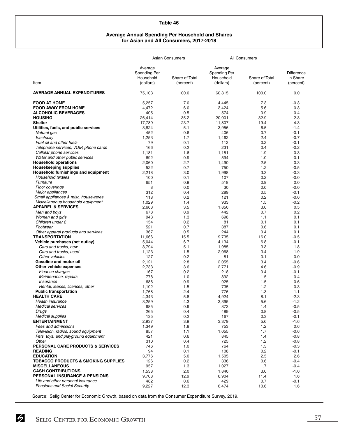#### **Average Annual Spending Per Household and Shares for Asian and All Consumers, 2017-2018**

|                                                |                                                   | <b>Asian Consumers</b>      |                                                   | <b>All Consumers</b>        |                                            |
|------------------------------------------------|---------------------------------------------------|-----------------------------|---------------------------------------------------|-----------------------------|--------------------------------------------|
| Item                                           | Average<br>Spending Per<br>Household<br>(dollars) | Share of Total<br>(percent) | Average<br>Spending Per<br>Household<br>(dollars) | Share of Total<br>(percent) | <b>Difference</b><br>in Share<br>(percent) |
| <b>AVERAGE ANNUAL EXPENDITURES</b>             | 75,103                                            | 100.0                       | 60,815                                            | 100.0                       | 0.0                                        |
| <b>FOOD AT HOME</b>                            | 5,257                                             | 7.0                         | 4,445                                             | 7.3                         | $-0.3$                                     |
| <b>FOOD AWAY FROM HOME</b>                     | 4,472                                             | 6.0                         | 3,424                                             | 5.6                         | 0.3                                        |
| <b>ALCOHOLIC BEVERAGES</b>                     | 405                                               | 0.5                         | 574                                               | 0.9                         | $-0.4$                                     |
| <b>HOUSING</b>                                 | 26,414                                            | 35.2                        | 20,001                                            | 32.9                        | 2.3                                        |
| <b>Shelter</b>                                 | 17,789                                            | 23.7                        | 11,807                                            | 19.4                        | 4.3                                        |
| Utilities, fuels, and public services          | 3,824                                             | 5.1                         | 3,956                                             | 6.5                         | $-1.4$                                     |
| Natural gas                                    | 452                                               | 0.6                         | 406                                               | 0.7                         | $-0.1$                                     |
| Electricity                                    | 1,253                                             | 1.7                         | 1,462                                             | 2.4                         | $-0.7$                                     |
| Fuel oil and other fuels                       | 79                                                | 0.1                         | 112                                               | 0.2                         | $-0.1$                                     |
| Telephone services, VOIP, phone cards          | 166                                               | 0.2                         | 231                                               | 0.4                         | $-0.2$                                     |
| Cellular phone services                        | 1,181                                             | 1.6                         | 1,151                                             | 1.9                         | $-0.3$                                     |
| Water and other public services                | 692                                               | 0.9                         | 594                                               | 1.0                         | $-0.1$                                     |
| <b>Household operations</b>                    | 2,060                                             | 2.7                         | 1,490                                             | 2.5                         | 0.3                                        |
| <b>Housekeeping supplies</b>                   | 522                                               | 0.7                         | 750                                               | 1.2                         | $-0.5$                                     |
| Household furnishings and equipment            | 2,218                                             | 3.0                         | 1,998                                             | 3.3                         | $-0.3$                                     |
| Household textiles                             | 100                                               | 0.1                         | 107                                               | 0.2                         | $-0.0$                                     |
| Furniture                                      | 651                                               | 0.9                         | 518                                               | 0.9                         | 0.0                                        |
| Floor coverings                                | 8                                                 | 0.0                         | 30                                                | 0.0                         | $-0.0$                                     |
| Major appliances                               | 312                                               | 0.4                         | 289                                               | 0.5                         | $-0.1$                                     |
| Small appliances & misc. housewares            | 118                                               | 0.2                         | 121                                               | 0.2                         | $-0.0$                                     |
| Miscellaneous household equipment              | 1,029                                             | 1.4                         | 933                                               | 1.5                         | $-0.2$                                     |
| <b>APPAREL &amp; SERVICES</b>                  | 2,663                                             | 3.5                         | 1,850                                             | 3.0                         | 0.5                                        |
| Men and boys                                   | 678                                               | 0.9                         | 442                                               | 0.7                         | 0.2                                        |
| Women and girls                                | 943                                               | 1.3                         | 698                                               | 1.1                         | 0.1                                        |
| Children under 2                               | 154                                               | 0.2                         | 81                                                | 0.1                         | 0.1                                        |
| Footwear                                       | 521                                               | 0.7                         | 387                                               | 0.6                         | 0.1                                        |
| Other apparel products and services            | 367                                               | 0.5                         | 244                                               | 0.4                         | 0.1                                        |
| <b>TRANSPORTATION</b>                          | 11,666                                            | 15.5                        | 9,735                                             | 16.0                        | $-0.5$                                     |
| Vehicle purchases (net outlay)                 | 5,044                                             | 6.7                         | 4,134                                             | 6.8                         | $-0.1$                                     |
| Cars and trucks, new                           | 3,794                                             | 5.1                         | 1,985                                             | 3.3                         | 1.8                                        |
| Cars and trucks, used                          | 1,123                                             | 1.5                         | 2,068                                             | 3.4                         | $-1.9$                                     |
| Other vehicles                                 | 127                                               | 0.2                         | 81                                                | 0.1                         | 0.0                                        |
| Gasoline and motor oil                         | 2,121                                             | 2.8                         | 2,055                                             | 3.4                         | $-0.6$                                     |
| Other vehicle expenses                         | 2,733                                             | 3.6                         | 2,771                                             | 4.6                         | $-0.9$                                     |
| Finance charges                                | 167                                               | 0.2                         | 218                                               | 0.4                         | $-0.1$                                     |
| Maintenance, repairs                           | 778                                               | 1.0                         | 892                                               | 1.5                         | $-0.4$                                     |
| Insurance                                      | 686                                               | 0.9                         | 925                                               | 1.5                         | $-0.6$                                     |
| Rental, leases, licenses, other                | 1,102                                             | 1.5                         | 735                                               | 1.2                         | 0.3                                        |
| <b>Public transportation</b>                   | 1,768                                             | 2.4                         | 776                                               | 1.3                         | 1.1                                        |
| <b>HEALTH CARE</b>                             | 4,343                                             | 5.8                         | 4,924                                             | 8.1                         | $-2.3$                                     |
| Health insurance                               | 3,259                                             | 4.3                         | 3,395                                             | 5.6                         | $-1.2$                                     |
| <b>Medical services</b>                        | 685                                               | 0.9                         | 873                                               | 1.4                         | $-0.5$                                     |
| Drugs                                          | 265                                               | 0.4                         | 489                                               | 0.8                         | $-0.5$                                     |
| <b>Medical supplies</b>                        | 135                                               | 0.2                         | 167                                               | 0.3                         | $-0.1$                                     |
| <b>ENTERTAINMENT</b>                           | 2,937                                             | 3.9                         | 3,379                                             | 5.6                         | $-1.6$                                     |
| Fees and admissions                            | 1,349                                             | 1.8                         | 753                                               | 1.2                         | 0.6                                        |
| Television, radios, sound equipment            | 857                                               | 1.1                         | 1,055                                             | 1.7                         | $-0.6$                                     |
| Pets, toys, and playground equipment           | 421                                               | 0.6                         | 845                                               | 1.4                         | $-0.8$                                     |
| Other                                          | 310                                               | 0.4                         | 725                                               | $1.2$                       | $-0.8$                                     |
| <b>PERSONAL CARE PRODUCTS &amp; SERVICES</b>   | 746                                               | 1.0                         | 764                                               | 1.3                         | $-0.3$                                     |
| <b>READING</b>                                 | 94                                                | 0.1                         | 108                                               | 0.2                         | $-0.1$                                     |
| <b>EDUCATION</b>                               | 3,776                                             | 5.0                         | 1,505                                             | 2.5                         | 2.6                                        |
| <b>TOBACCO PRODUCTS &amp; SMOKING SUPPLIES</b> | 126                                               | 0.2                         | 336                                               | 0.6                         | $-0.4$                                     |
| <b>MISCELLANEOUS</b>                           | 957                                               | 1.3                         | 1,027                                             | 1.7                         | $-0.4$                                     |
| <b>CASH CONTRIBUTIONS</b>                      | 1,538                                             | 2.0                         | 1,840                                             | 3.0                         | $-1.0$                                     |
| <b>PERSONAL INSURANCE &amp; PENSIONS</b>       | 9,708                                             | 12.9                        | 6,904                                             | 11.4                        | 1.6                                        |
| Life and other personal insurance              | 482                                               | 0.6                         | 429                                               | 0.7                         | $-0.1$                                     |
| <b>Pensions and Social Security</b>            | 9,227                                             | 12.3                        | 6,474                                             | 10.6                        | 1.6                                        |

Source: Selig Center for Economic Growth, based on data from the Consumer Expenditure Survey, 2019.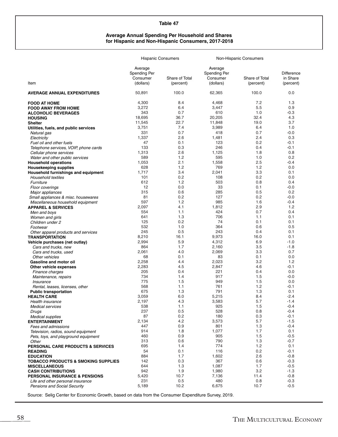#### **Average Annual Spending Per Household and Shares for Hispanic and Non-Hispanic Consumers, 2017-2018**

|                                                                       | <b>Hispanic Consumers</b>           |                |                                     | Non-Hispanic Consumers |                        |
|-----------------------------------------------------------------------|-------------------------------------|----------------|-------------------------------------|------------------------|------------------------|
|                                                                       | Average<br>Spending Per<br>Consumer | Share of Total | Average<br>Spending Per<br>Consumer | Share of Total         | Difference<br>in Share |
| Item                                                                  | (dollars)                           | (percent)      | (dollars)                           | (percent)              | (percent)              |
| <b>AVERAGE ANNUAL EXPENDITURES</b>                                    | 50,891                              | 100.0          | 62,365                              | 100.0                  | 0.0                    |
| <b>FOOD AT HOME</b>                                                   | 4,300                               | 8.4            | 4,468                               | 7.2                    | 1.3                    |
| <b>FOOD AWAY FROM HOME</b>                                            | 3,272                               | 6.4            | 3,447                               | 5.5                    | 0.9                    |
| <b>ALCOHOLIC BEVERAGES</b><br><b>HOUSING</b>                          | 343<br>18,695                       | 0.7<br>36.7    | 610<br>20,205                       | 1.0<br>32.4            | $-0.3$<br>4.3          |
| <b>Shelter</b>                                                        | 11,545                              | 22.7           | 11,848                              | 19.0                   | 3.7                    |
| Utilities, fuels, and public services                                 | 3,751                               | 7.4            | 3,989                               | 6.4                    | 1.0                    |
| Natural gas                                                           | 331                                 | 0.7            | 418                                 | 0.7                    | $-0.0$                 |
| Electricity                                                           | 1,337                               | 2.6            | 1,481                               | 2.4                    | 0.3                    |
| Fuel oil and other fuels                                              | 47                                  | 0.1            | 123                                 | 0.2                    | $-0.1$                 |
| Telephone services, VOIP, phone cards                                 | 133                                 | 0.3            | 246                                 | 0.4                    | $-0.1$                 |
| Cellular phone services                                               | 1,313                               | 2.6            | 1,125                               | 1.8                    | 0.8                    |
| Water and other public services                                       | 589<br>1,053                        | 1.2<br>2.1     | 595<br>1,558                        | 1.0<br>2.5             | 0.2<br>$-0.4$          |
| <b>Household operations</b><br><b>Housekeeping supplies</b>           | 628                                 | 1.2            | 769                                 | 1.2                    | 0.0                    |
| Household furnishings and equipment                                   | 1,717                               | 3.4            | 2,041                               | 3.3                    | 0.1                    |
| Household textiles                                                    | 101                                 | 0.2            | 108                                 | 0.2                    | 0.0                    |
| Furniture                                                             | 612                                 | 1.2            | 503                                 | 0.8                    | 0.4                    |
| Floor coverings                                                       | 12                                  | 0.0            | 33                                  | 0.1                    | $-0.0$                 |
| Major appliances                                                      | 315                                 | 0.6            | 285                                 | 0.5                    | 0.2                    |
| Small appliances & misc. housewares                                   | 81                                  | 0.2            | 127                                 | 0.2                    | $-0.0$                 |
| Miscellaneous household equipment                                     | 597                                 | 1.2            | 985                                 | 1.6                    | $-0.4$                 |
| <b>APPAREL &amp; SERVICES</b>                                         | 2,097<br>554                        | 4.1<br>1.1     | 1,812<br>424                        | 2.9<br>0.7             | 1.2<br>0.4             |
| Men and boys                                                          | 641                                 | 1.3            | 706                                 | 1.1                    | 0.1                    |
| Women and girls<br>Children under 2                                   | 125                                 | 0.2            | 74                                  | 0.1                    | 0.1                    |
| Footwear                                                              | 532                                 | 1.0            | 364                                 | 0.6                    | 0.5                    |
| Other apparel products and services                                   | 245                                 | 0.5            | 243                                 | 0.4                    | 0.1                    |
| <b>TRANSPORTATION</b>                                                 | 8,210                               | 16.1           | 9,973                               | 16.0                   | 0.1                    |
| Vehicle purchases (net outlay)                                        | 2,994                               | 5.9            | 4,312                               | 6.9                    | $-1.0$                 |
| Cars and trucks, new                                                  | 864                                 | 1.7            | 2,160                               | 3.5                    | $-1.8$                 |
| Cars and trucks, used                                                 | 2,061                               | 4.0            | 2,069                               | 3.3                    | 0.7                    |
| Other vehicles                                                        | 68                                  | 0.1            | 83                                  | 0.1                    | 0.0                    |
| Gasoline and motor oil                                                | 2,258<br>2,283                      | 4.4<br>4.5     | 2,023<br>2,847                      | 3.2<br>4.6             | 1.2<br>$-0.1$          |
| Other vehicle expenses<br>Finance charges                             | 205                                 | 0.4            | 221                                 | 0.4                    | 0.0                    |
| Maintenance, repairs                                                  | 734                                 | 1.4            | 917                                 | 1.5                    | $-0.0$                 |
| Insurance                                                             | 775                                 | 1.5            | 949                                 | 1.5                    | 0.0                    |
| Rental, leases, licenses, other                                       | 568                                 | 1.1            | 761                                 | 1.2                    | $-0.1$                 |
| <b>Public transportation</b>                                          | 675                                 | 1.3            | 791                                 | 1.3                    | 0.1                    |
| <b>HEALTH CARE</b>                                                    | 3,059                               | 6.0            | 5,215                               | 8.4                    | $-2.4$                 |
| Health insurance                                                      | 2,197                               | 4.3            | 3,583                               | 5.7                    | $-1.4$                 |
| <b>Medical services</b>                                               | 538                                 | 1.1            | 925                                 | 1.5                    | $-0.4$<br>$-0.4$       |
| Drugs<br><b>Medical supplies</b>                                      | 237<br>87                           | 0.5<br>0.2     | 528<br>180                          | 0.8<br>0.3             | $-0.1$                 |
| <b>ENTERTAINMENT</b>                                                  | 2,134                               | 4.2            | 3,573                               | 5.7                    | $-1.5$                 |
| Fees and admissions                                                   | 447                                 | 0.9            | 801                                 | 1.3                    | $-0.4$                 |
| Television, radios, sound equipment                                   | 914                                 | 1.8            | 1,077                               | 1.7                    | 0.1                    |
| Pets, toys, and playground equipment                                  | 460                                 | 0.9            | 905                                 | 1.5                    | $-0.5$                 |
| Other                                                                 | 313                                 | 0.6            | 790                                 | 1.3                    | $-0.7$                 |
| <b>PERSONAL CARE PRODUCTS &amp; SERVICES</b>                          | 695                                 | 1.4            | 774                                 | 1.2                    | 0.1                    |
| <b>READING</b>                                                        | 54                                  | 0.1            | 116                                 | 0.2                    | $-0.1$                 |
| <b>EDUCATION</b>                                                      | 884                                 | 1.7            | 1,602                               | 2.6                    | $-0.8$                 |
| <b>TOBACCO PRODUCTS &amp; SMOKING SUPPLIES</b>                        | 142                                 | 0.3            | 367                                 | 0.6                    | $-0.3$                 |
| <b>MISCELLANEOUS</b>                                                  | 644<br>942                          | 1.3<br>1.9     | 1,087<br>1,980                      | 1.7<br>3.2             | $-0.5$<br>$-1.3$       |
| <b>CASH CONTRIBUTIONS</b><br><b>PERSONAL INSURANCE &amp; PENSIONS</b> | 5,420                               | 10.7           | 7,136                               | 11.4                   | $-0.8$                 |
| Life and other personal insurance                                     | 231                                 | 0.5            | 480                                 | 0.8                    | $-0.3$                 |
| <b>Pensions and Social Security</b>                                   | 5,189                               | 10.2           | 6,675                               | 10.7                   | $-0.5$                 |

Source: Selig Center for Economic Growth, based on data from the Consumer Expenditure Survey, 2019.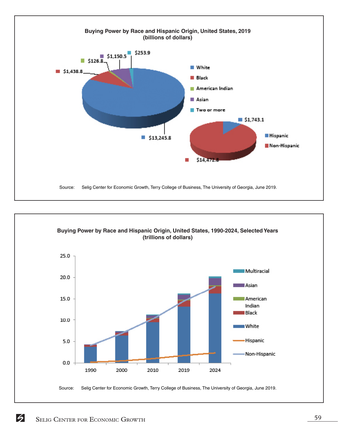

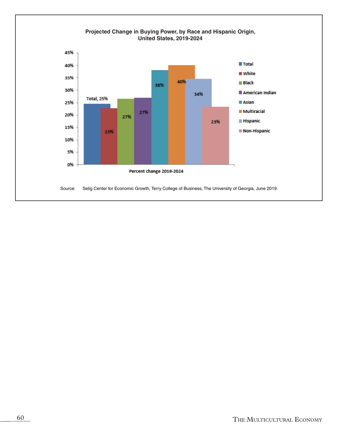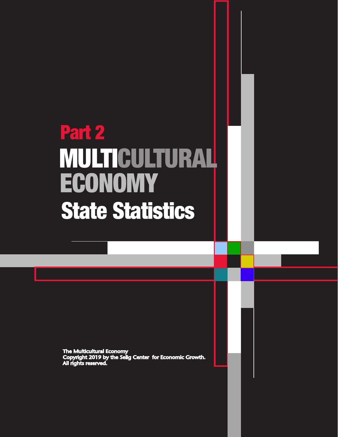# Part 2 **ECONOMY** MULTICULTURAL State Statistics

The Multicultural Economy<br>Copyright 2019 by the Selig Center for Economic Growth.<br>All rights reserved.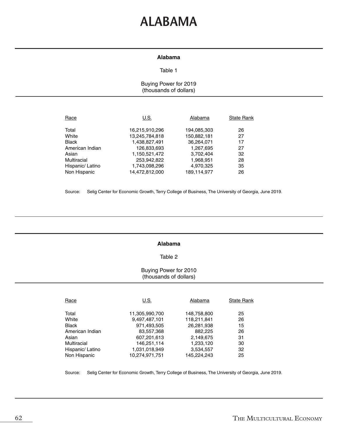### **ALABAMA**

#### **Alabama**

#### Table 1

#### Buying Power for 2019 (thousands of dollars)

| U.S.           | Alabama     | <b>State Rank</b> |
|----------------|-------------|-------------------|
| 16,215,910,296 | 194,085,303 | 26                |
| 13,245,784,818 | 150,882,181 | 27                |
| 1,438,827,491  | 36,264,071  | 17                |
| 126,833,693    | 1,267,695   | 27                |
| 1,150,521,472  | 3,702,404   | 32                |
| 253,942,822    | 1,968,951   | 28                |
| 1,743,098,296  | 4,970,325   | 35                |
| 14,472,812,000 | 189,114,977 | 26                |
|                |             |                   |

Source: Selig Center for Economic Growth, Terry College of Business, The University of Georgia, June 2019.

#### **Alabama**

#### Table 2

#### Buying Power for 2010 (thousands of dollars)

| Race             | U.S.           | Alabama     | <b>State Rank</b> |
|------------------|----------------|-------------|-------------------|
| Total            | 11,305,990,700 | 148,758,800 | 25                |
| White            | 9,497,487,101  | 118,211,841 | 26                |
| <b>Black</b>     | 971,493,505    | 26,281,938  | 15                |
| American Indian  | 83,557,368     | 882,225     | 26                |
| Asian            | 607,201,613    | 2,149,675   | 31                |
| Multiracial      | 146,251,114    | 1,233,120   | 30                |
| Hispanic/ Latino | 1,031,018,949  | 3,534,557   | 32                |
| Non Hispanic     | 10.274.971.751 | 145,224,243 | 25                |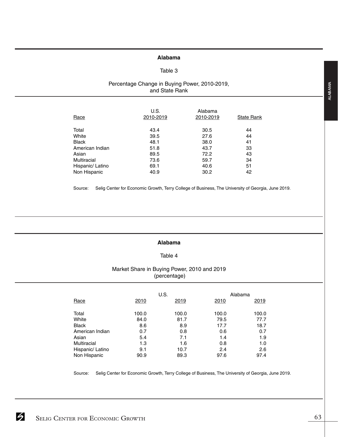#### **Alabama**

#### Table 3

#### Percentage Change in Buying Power, 2010-2019, and State Rank

| Race             | U.S.<br>2010-2019 | Alabama<br>2010-2019 | <b>State Rank</b> |
|------------------|-------------------|----------------------|-------------------|
| Total            | 43.4              | 30.5                 | 44                |
| White            | 39.5              | 27.6                 | 44                |
| <b>Black</b>     | 48.1              | 38.0                 | 41                |
| American Indian  | 51.8              | 43.7                 | 33                |
| Asian            | 89.5              | 72.2                 | 43                |
| Multiracial      | 73.6              | 59.7                 | 34                |
| Hispanic/ Latino | 69.1              | 40.6                 | 51                |
| Non Hispanic     | 40.9              | 30.2                 | 42                |

Source: Selig Center for Economic Growth, Terry College of Business, The University of Georgia, June 2019.

#### **Alabama**

#### Table 4

#### Market Share in Buying Power, 2010 and 2019 (percentage)

|                  |       | U.S.  | Alabama |       |
|------------------|-------|-------|---------|-------|
| Race             | 2010  | 2019  | 2010    | 2019  |
|                  |       |       |         |       |
| Total            | 100.0 | 100.0 | 100.0   | 100.0 |
| White            | 84.0  | 81.7  | 79.5    | 77.7  |
| <b>Black</b>     | 8.6   | 8.9   | 17.7    | 18.7  |
| American Indian  | 0.7   | 0.8   | 0.6     | 0.7   |
| Asian            | 5.4   | 7.1   | 1.4     | 1.9   |
| Multiracial      | 1.3   | 1.6   | 0.8     | 1.0   |
| Hispanic/ Latino | 9.1   | 10.7  | 2.4     | 2.6   |
| Non Hispanic     | 90.9  | 89.3  | 97.6    | 97.4  |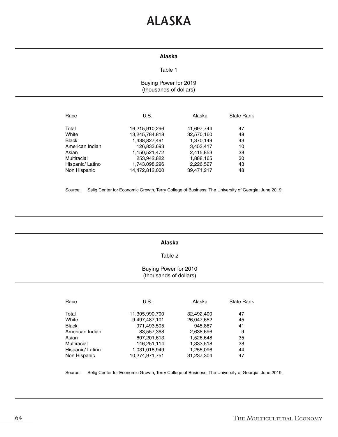### **ALASKA**

#### **Alaska**

#### Table 1

#### Buying Power for 2019 (thousands of dollars)

| Race             | U.S.           | Alaska     | <b>State Rank</b> |
|------------------|----------------|------------|-------------------|
| Total            | 16,215,910,296 | 41,697,744 | 47                |
| White            | 13,245,784,818 | 32,570,160 | 48                |
| <b>Black</b>     | 1,438,827,491  | 1,370,149  | 43                |
| American Indian  | 126,833,693    | 3,453,417  | 10                |
| Asian            | 1,150,521,472  | 2,415,853  | 38                |
| Multiracial      | 253,942,822    | 1,888,165  | 30                |
| Hispanic/ Latino | 1,743,098,296  | 2,226,527  | 43                |
| Non Hispanic     | 14.472.812.000 | 39.471.217 | 48                |

Source: Selig Center for Economic Growth, Terry College of Business, The University of Georgia, June 2019.

#### **Alaska**

#### Table 2

#### Buying Power for 2010 (thousands of dollars)

| Race             | U.S.           | Alaska     | <b>State Rank</b> |
|------------------|----------------|------------|-------------------|
| Total            | 11,305,990,700 | 32.492.400 | 47                |
| White            | 9,497,487,101  | 26,047,652 | 45                |
| <b>Black</b>     | 971,493,505    | 945,887    | 41                |
| American Indian  | 83,557,368     | 2,638,696  | 9                 |
| Asian            | 607,201,613    | 1,526,648  | 35                |
| Multiracial      | 146,251,114    | 1,333,518  | 28                |
| Hispanic/ Latino | 1,031,018,949  | 1,255,096  | 44                |
| Non Hispanic     | 10.274.971.751 | 31.237.304 | 47                |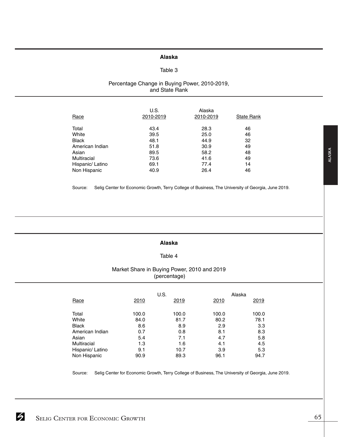#### **Alaska**

#### Table 3

#### Percentage Change in Buying Power, 2010-2019, and State Rank

| 2010-2019 | <b>State Rank</b> |
|-----------|-------------------|
| 28.3      | 46                |
| 25.0      | 46                |
| 44.9      | 32                |
| 30.9      | 49                |
| 58.2      | 48                |
| 41.6      | 49                |
| 77.4      | 14                |
| 26.4      | 46                |
|           | Alaska            |

Source: Selig Center for Economic Growth, Terry College of Business, The University of Georgia, June 2019.

#### **Alaska**

#### Table 4

#### Market Share in Buying Power, 2010 and 2019 (percentage)

|                  |       | U.S.  | Alaska |       |
|------------------|-------|-------|--------|-------|
| Race             | 2010  | 2019  | 2010   | 2019  |
| Total            | 100.0 | 100.0 | 100.0  | 100.0 |
| White            | 84.0  | 81.7  | 80.2   | 78.1  |
| <b>Black</b>     | 8.6   | 8.9   | 2.9    | 3.3   |
| American Indian  | 0.7   | 0.8   | 8.1    | 8.3   |
| Asian            | 5.4   | 7.1   | 4.7    | 5.8   |
| Multiracial      | 1.3   | 1.6   | 4.1    | 4.5   |
| Hispanic/ Latino | 9.1   | 10.7  | 3.9    | 5.3   |
| Non Hispanic     | 90.9  | 89.3  | 96.1   | 94.7  |

Source: Selig Center for Economic Growth, Terry College of Business, The University of Georgia, June 2019.

ALASKA **ALASKA**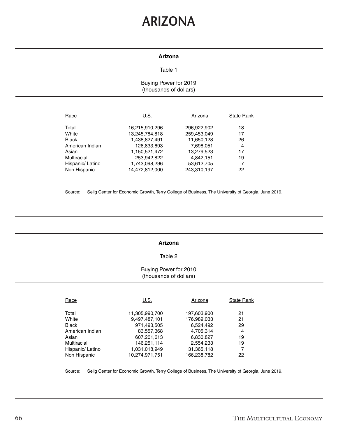### **ARIZONA**

#### **Arizona**

#### Table 1

#### Buying Power for 2019 (thousands of dollars)

| Race             | U.S.           | Arizona     | <b>State Rank</b> |
|------------------|----------------|-------------|-------------------|
| Total            | 16,215,910,296 | 296,922,902 | 18                |
| White            | 13,245,784,818 | 259,453,049 | 17                |
| <b>Black</b>     | 1,438,827,491  | 11,650,128  | 26                |
| American Indian  | 126,833,693    | 7,698,051   | 4                 |
| Asian            | 1,150,521,472  | 13,279,523  | 17                |
| Multiracial      | 253,942,822    | 4,842,151   | 19                |
| Hispanic/ Latino | 1,743,098,296  | 53,612,705  |                   |
| Non Hispanic     | 14.472.812.000 | 243.310.197 | 22                |

Source: Selig Center for Economic Growth, Terry College of Business, The University of Georgia, June 2019.

#### **Arizona**

#### Table 2

#### Buying Power for 2010 (thousands of dollars)

| Race               | U.S.           | Arizona     | <b>State Rank</b> |
|--------------------|----------------|-------------|-------------------|
|                    |                |             |                   |
| Total              | 11,305,990,700 | 197,603,900 | 21                |
| White              | 9,497,487,101  | 176,989,033 | 21                |
| <b>Black</b>       | 971,493,505    | 6,524,492   | 29                |
| American Indian    | 83,557,368     | 4,705,314   | 4                 |
| Asian              | 607,201,613    | 6,830,827   | 19                |
| <b>Multiracial</b> | 146,251,114    | 2,554,233   | 19                |
| Hispanic/ Latino   | 1,031,018,949  | 31,365,118  | 7                 |
| Non Hispanic       | 10.274.971.751 | 166.238.782 | 22                |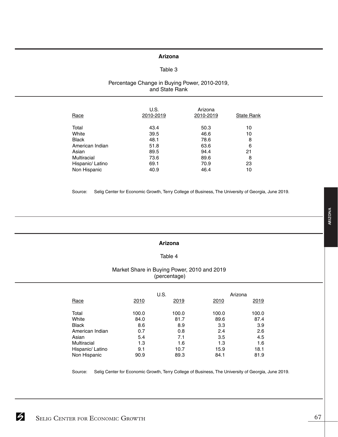#### **Arizona**

#### Table 3

#### Percentage Change in Buying Power, 2010-2019, and State Rank

| Race             | U.S.<br>2010-2019 | Arizona<br>2010-2019 | <b>State Rank</b> |
|------------------|-------------------|----------------------|-------------------|
| Total            | 43.4              | 50.3                 | 10                |
| White            | 39.5              | 46.6                 | 10                |
| <b>Black</b>     | 48.1              | 78.6                 | 8                 |
| American Indian  | 51.8              | 63.6                 | 6                 |
| Asian            | 89.5              | 94.4                 | 21                |
| Multiracial      | 73.6              | 89.6                 | 8                 |
| Hispanic/ Latino | 69.1              | 70.9                 | 23                |
| Non Hispanic     | 40.9              | 46.4                 | 10                |

Source: Selig Center for Economic Growth, Terry College of Business, The University of Georgia, June 2019.

#### **Arizona**

### Table 4

#### Market Share in Buying Power, 2010 and 2019 (percentage)

|                  |       | U.S.  | Arizona |       |
|------------------|-------|-------|---------|-------|
| Race             | 2010  | 2019  | 2010    | 2019  |
| Total            | 100.0 | 100.0 | 100.0   | 100.0 |
| White            | 84.0  | 81.7  | 89.6    | 87.4  |
| <b>Black</b>     | 8.6   | 8.9   | 3.3     | 3.9   |
| American Indian  | 0.7   | 0.8   | 2.4     | 2.6   |
| Asian            | 5.4   | 7.1   | 3.5     | 4.5   |
| Multiracial      | 1.3   | 1.6   | 1.3     | 1.6   |
| Hispanic/ Latino | 9.1   | 10.7  | 15.9    | 18.1  |
| Non Hispanic     | 90.9  | 89.3  | 84.1    | 81.9  |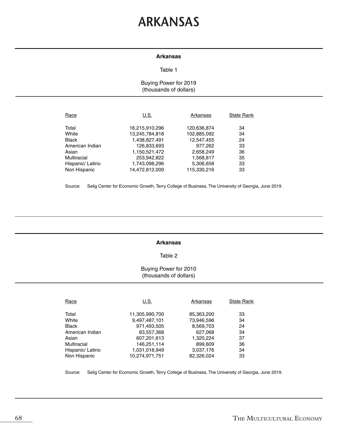### **ARKANSAS**

#### **Arkansas**

#### Table 1

#### Buying Power for 2019 (thousands of dollars)

| Race             | U.S.           | Arkansas    | <b>State Rank</b> |
|------------------|----------------|-------------|-------------------|
| Total            | 16,215,910,296 | 120,636,874 | 34                |
| White            | 13,245,784,818 | 102,885,092 | 34                |
| <b>Black</b>     | 1,438,827,491  | 12,547,455  | 24                |
| American Indian  | 126,833,693    | 977.262     | 33                |
| Asian            | 1,150,521,472  | 2,658,249   | 36                |
| Multiracial      | 253,942,822    | 1,568,817   | 35                |
| Hispanic/ Latino | 1,743,098,296  | 5,306,658   | 33                |
| Non Hispanic     | 14.472.812.000 | 115.330.216 | 33                |

Source: Selig Center for Economic Growth, Terry College of Business, The University of Georgia, June 2019.

#### **Arkansas**

#### Table 2

#### Buying Power for 2010 (thousands of dollars)

| Race             | U.S.           | Arkansas   | State Rank |
|------------------|----------------|------------|------------|
| Total            | 11,305,990,700 | 85,363,200 | 33         |
| White            | 9,497,487,101  | 73,946,596 | 34         |
| <b>Black</b>     | 971,493,505    | 8,569,703  | 24         |
| American Indian  | 83,557,368     | 627,068    | 34         |
| Asian            | 607,201,613    | 1,320,224  | 37         |
| Multiracial      | 146,251,114    | 899,609    | 36         |
| Hispanic/ Latino | 1,031,018,949  | 3,037,176  | 34         |
| Non Hispanic     | 10.274.971.751 | 82,326,024 | 33         |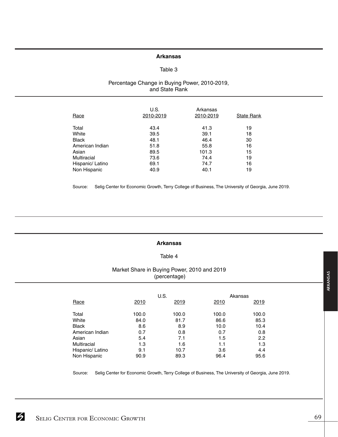#### **Arkansas**

#### Table 3

#### Percentage Change in Buying Power, 2010-2019, and State Rank

| Race             | U.S.<br>2010-2019 | Arkansas<br>2010-2019 | <b>State Rank</b> |
|------------------|-------------------|-----------------------|-------------------|
| Total            | 43.4              | 41.3                  | 19                |
| White            | 39.5              | 39.1                  | 18                |
| <b>Black</b>     | 48.1              | 46.4                  | 30                |
| American Indian  | 51.8              | 55.8                  | 16                |
| Asian            | 89.5              | 101.3                 | 15                |
| Multiracial      | 73.6              | 74.4                  | 19                |
| Hispanic/ Latino | 69.1              | 74.7                  | 16                |
| Non Hispanic     | 40.9              | 40.1                  | 19                |

Source: Selig Center for Economic Growth, Terry College of Business, The University of Georgia, June 2019.

#### **Arkansas**

#### Table 4

#### Market Share in Buying Power, 2010 and 2019 (percentage)

|                  |       | U.S.  |       | Akansas |
|------------------|-------|-------|-------|---------|
| Race             | 2010  | 2019  | 2010  | 2019    |
| Total            | 100.0 | 100.0 | 100.0 | 100.0   |
| White            | 84.0  | 81.7  | 86.6  | 85.3    |
| <b>Black</b>     | 8.6   | 8.9   | 10.0  | 10.4    |
| American Indian  | 0.7   | 0.8   | 0.7   | 0.8     |
| Asian            | 5.4   | 7.1   | 1.5   | 2.2     |
| Multiracial      | 1.3   | 1.6   | 1.1   | 1.3     |
| Hispanic/ Latino | 9.1   | 10.7  | 3.6   | 4.4     |
| Non Hispanic     | 90.9  | 89.3  | 96.4  | 95.6    |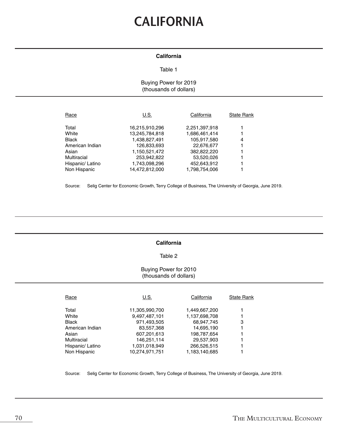## **CALIFORNIA**

#### **California**

#### Table 1

#### Buying Power for 2019 (thousands of dollars)

| Race            | U.S.           | California    | <b>State Rank</b> |
|-----------------|----------------|---------------|-------------------|
|                 |                |               |                   |
| Total           | 16,215,910,296 | 2,251,397,918 |                   |
| White           | 13,245,784,818 | 1,686,461,414 |                   |
| <b>Black</b>    | 1,438,827,491  | 105,917,580   | 4                 |
| American Indian | 126,833,693    | 22,676,677    |                   |
| Asian           | 1,150,521,472  | 382,822,220   |                   |
| Multiracial     | 253,942,822    | 53,520,026    |                   |
| Hispanic/Latino | 1,743,098,296  | 452,643,912   |                   |
| Non Hispanic    | 14.472.812.000 | 1.798.754.006 |                   |

Source: Selig Center for Economic Growth, Terry College of Business, The University of Georgia, June 2019.

#### **California**

#### Table 2

#### Buying Power for 2010 (thousands of dollars)

| Race             | U.S.           | California    | <b>State Rank</b> |
|------------------|----------------|---------------|-------------------|
| Total            | 11,305,990,700 | 1,449,667,200 |                   |
| White            | 9,497,487,101  | 1,137,698,708 |                   |
| <b>Black</b>     | 971,493,505    | 68,947,745    | 3                 |
| American Indian  | 83,557,368     | 14,695,190    |                   |
| Asian            | 607,201,613    | 198,787,654   |                   |
| Multiracial      | 146,251,114    | 29,537,903    |                   |
| Hispanic/ Latino | 1,031,018,949  | 266,526,515   |                   |
| Non Hispanic     | 10.274.971.751 | 1.183.140.685 |                   |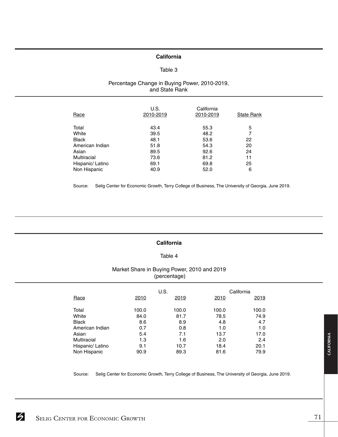#### **California**

#### Table 3

#### Percentage Change in Buying Power, 2010-2019, and State Rank

| Race             | U.S.<br>2010-2019 | California<br>2010-2019 | <b>State Rank</b> |
|------------------|-------------------|-------------------------|-------------------|
| Total            | 43.4              | 55.3                    | 5                 |
| White            | 39.5              | 48.2                    | 7                 |
| <b>Black</b>     | 48.1              | 53.6                    | 22                |
| American Indian  | 51.8              | 54.3                    | 20                |
| Asian            | 89.5              | 92.6                    | 24                |
| Multiracial      | 73.6              | 81.2                    | 11                |
| Hispanic/ Latino | 69.1              | 69.8                    | 25                |
| Non Hispanic     | 40.9              | 52.0                    | 6                 |

Source: Selig Center for Economic Growth, Terry College of Business, The University of Georgia, June 2019.

#### **California**

#### Table 4

#### Market Share in Buying Power, 2010 and 2019 (percentage)

|                    |       | U.S.  |       | California |
|--------------------|-------|-------|-------|------------|
| Race               | 2010  | 2019  | 2010  | 2019       |
| Total              | 100.0 | 100.0 | 100.0 | 100.0      |
| White              | 84.0  | 81.7  | 78.5  | 74.9       |
| <b>Black</b>       | 8.6   | 8.9   | 4.8   | 4.7        |
| American Indian    | 0.7   | 0.8   | 1.0   | 1.0        |
| Asian              | 5.4   | 7.1   | 13.7  | 17.0       |
| <b>Multiracial</b> | 1.3   | 1.6   | 2.0   | 2.4        |
| Hispanic/ Latino   | 9.1   | 10.7  | 18.4  | 20.1       |
| Non Hispanic       | 90.9  | 89.3  | 81.6  | 79.9       |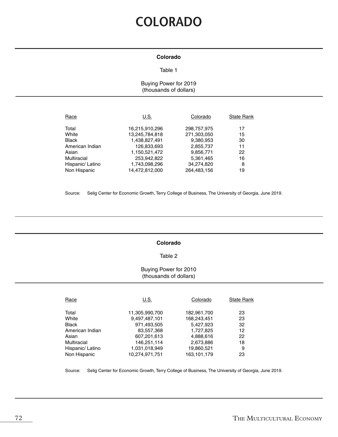### **COLORADO**

#### **Colorado**

#### Table 1

#### Buying Power for 2019 (thousands of dollars)

| Race             | U.S.           | Colorado    | <b>State Rank</b> |
|------------------|----------------|-------------|-------------------|
| Total            | 16,215,910,296 | 298,757,975 | 17                |
| White            | 13,245,784,818 | 271,303,050 | 15                |
| <b>Black</b>     | 1,438,827,491  | 9,380,953   | 30                |
| American Indian  | 126,833,693    | 2,855,737   | 11                |
| Asian            | 1,150,521,472  | 9,856,771   | 22                |
| Multiracial      | 253,942,822    | 5,361,465   | 16                |
| Hispanic/ Latino | 1,743,098,296  | 34,274,820  | 8                 |
| Non Hispanic     | 14,472,812,000 | 264,483,156 | 19                |

Source: Selig Center for Economic Growth, Terry College of Business, The University of Georgia, June 2019.

#### **Colorado**

#### Table 2

#### Buying Power for 2010 (thousands of dollars)

| Race             | U.S.           | Colorado    | <b>State Rank</b> |
|------------------|----------------|-------------|-------------------|
| Total            | 11,305,990,700 | 182,961,700 | 23                |
| White            | 9,497,487,101  | 168,243,451 | 23                |
| <b>Black</b>     | 971,493,505    | 5,427,923   | 32                |
| American Indian  | 83,557,368     | 1,727,825   | 12                |
| Asian            | 607,201,613    | 4,888,616   | 22                |
| Multiracial      | 146,251,114    | 2,673,886   | 18                |
| Hispanic/ Latino | 1,031,018,949  | 19,860,521  | 9                 |
| Non Hispanic     | 10.274.971.751 | 163.101.179 | 23                |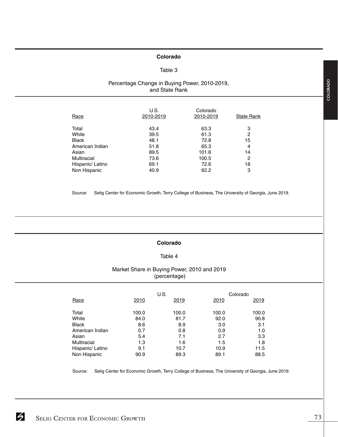#### **Colorado**

#### Table 3

### Percentage Change in Buying Power, 2010-2019, and State Rank

| Race             | U.S.<br>2010-2019 | Colorado<br>2010-2019 | <b>State Rank</b> |
|------------------|-------------------|-----------------------|-------------------|
| Total            | 43.4              | 63.3                  | 3                 |
| White            | 39.5              | 61.3                  | 2                 |
| <b>Black</b>     | 48.1              | 72.8                  | 15                |
| American Indian  | 51.8              | 65.3                  | 4                 |
| Asian            | 89.5              | 101.6                 | 14                |
| Multiracial      | 73.6              | 100.5                 | 2                 |
| Hispanic/ Latino | 69.1              | 72.6                  | 18                |
| Non Hispanic     | 40.9              | 62.2                  | 3                 |

Source: Selig Center for Economic Growth, Terry College of Business, The University of Georgia, June 2019.

#### **Colorado**

#### Table 4

# Market Share in Buying Power, 2010 and 2019 (percentage)

|                  |       | U.S.  |       | Colorado |
|------------------|-------|-------|-------|----------|
| Race             | 2010  | 2019  | 2010  | 2019     |
| Total            | 100.0 | 100.0 | 100.0 | 100.0    |
| White            | 84.0  | 81.7  | 92.0  | 90.8     |
| <b>Black</b>     | 8.6   | 8.9   | 3.0   | 3.1      |
| American Indian  | 0.7   | 0.8   | 0.9   | 1.0      |
| Asian            | 5.4   | 7.1   | 2.7   | 3.3      |
| Multiracial      | 1.3   | 1.6   | 1.5   | 1.8      |
| Hispanic/ Latino | 9.1   | 10.7  | 10.9  | 11.5     |
| Non Hispanic     | 90.9  | 89.3  | 89.1  | 88.5     |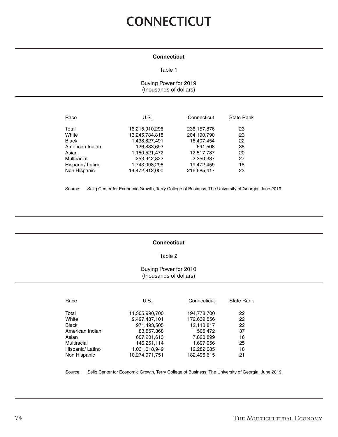# **CONNECTICUT**

#### **Connecticut**

#### Table 1

Buying Power for 2019 (thousands of dollars)

| U.S.           | Connecticut   | <b>State Rank</b> |
|----------------|---------------|-------------------|
| 16,215,910,296 | 236, 157, 876 | 23                |
| 13,245,784,818 | 204,190,790   | 23                |
| 1,438,827,491  | 16.407.454    | 22                |
| 126,833,693    | 691,508       | 38                |
| 1,150,521,472  | 12,517,737    | 20                |
| 253,942,822    | 2,350,387     | 27                |
| 1,743,098,296  | 19,472,459    | 18                |
| 14,472,812,000 | 216,685,417   | 23                |
|                |               |                   |

Source: Selig Center for Economic Growth, Terry College of Business, The University of Georgia, June 2019.

#### **Connecticut**

### Table 2

# Buying Power for 2010 (thousands of dollars)

| Race             | U.S.           | Connecticut | <b>State Rank</b> |
|------------------|----------------|-------------|-------------------|
| Total            | 11,305,990,700 | 194,778,700 | 22                |
| White            | 9,497,487,101  | 172,639,556 | 22                |
| <b>Black</b>     | 971,493,505    | 12,113,817  | 22                |
| American Indian  | 83,557,368     | 506,472     | 37                |
| Asian            | 607,201,613    | 7,820,899   | 16                |
| Multiracial      | 146.251.114    | 1,697,956   | 25                |
| Hispanic/ Latino | 1,031,018,949  | 12,282,085  | 18                |
| Non Hispanic     | 10.274.971.751 | 182.496.615 | 21                |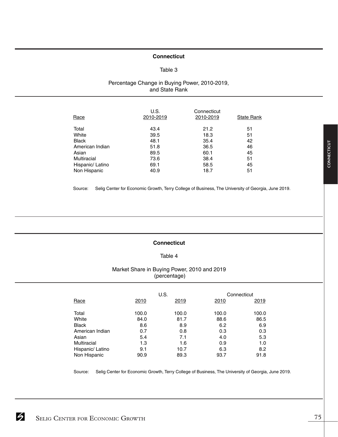# **Connecticut**

### Table 3

### Percentage Change in Buying Power, 2010-2019, and State Rank

| Race             | U.S.<br>2010-2019 | Connecticut<br>2010-2019 | <b>State Rank</b> |
|------------------|-------------------|--------------------------|-------------------|
| Total            | 43.4              | 21.2                     | 51                |
| White            | 39.5              | 18.3                     | 51                |
| <b>Black</b>     | 48.1              | 35.4                     | 42                |
| American Indian  | 51.8              | 36.5                     | 46                |
| Asian            | 89.5              | 60.1                     | 45                |
| Multiracial      | 73.6              | 38.4                     | 51                |
| Hispanic/ Latino | 69.1              | 58.5                     | 45                |
| Non Hispanic     | 40.9              | 18.7                     | 51                |

Source: Selig Center for Economic Growth, Terry College of Business, The University of Georgia, June 2019.

### **Connecticut**

# Table 4

# Market Share in Buying Power, 2010 and 2019 (percentage)

|                    |       | U.S.  |       | Connecticut |
|--------------------|-------|-------|-------|-------------|
| Race               | 2010  | 2019  | 2010  | 2019        |
|                    |       |       |       |             |
| Total              | 100.0 | 100.0 | 100.0 | 100.0       |
| White              | 84.0  | 81.7  | 88.6  | 86.5        |
| <b>Black</b>       | 8.6   | 8.9   | 6.2   | 6.9         |
| American Indian    | 0.7   | 0.8   | 0.3   | 0.3         |
| Asian              | 5.4   | 7.1   | 4.0   | 5.3         |
| <b>Multiracial</b> | 1.3   | 1.6   | 0.9   | 1.0         |
| Hispanic/ Latino   | 9.1   | 10.7  | 6.3   | 8.2         |
| Non Hispanic       | 90.9  | 89.3  | 93.7  | 91.8        |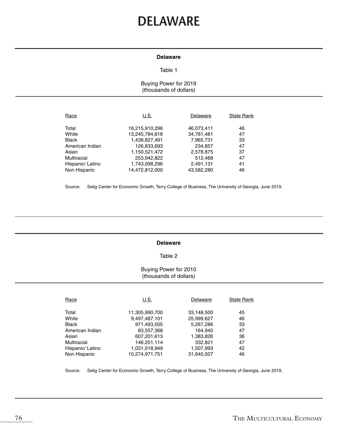# **DELAWARE**

#### **Delaware**

#### Table 1

### Buying Power for 2019 (thousands of dollars)

| Race             | U.S.           | Delaware   | <b>State Rank</b> |
|------------------|----------------|------------|-------------------|
| Total            | 16,215,910,296 | 46,073,411 | 46                |
| White            | 13,245,784,818 | 34,781,481 | 47                |
| <b>Black</b>     | 1,438,827,491  | 7,965,731  | 33                |
| American Indian  | 126,833,693    | 234,857    | 47                |
| Asian            | 1,150,521,472  | 2,578,875  | 37                |
| Multiracial      | 253,942,822    | 512,468    | 47                |
| Hispanic/ Latino | 1,743,098,296  | 2,491,131  | 41                |
| Non Hispanic     | 14,472,812,000 | 43.582.280 | 46                |

Source: Selig Center for Economic Growth, Terry College of Business, The University of Georgia, June 2019.

#### **Delaware**

#### Table 2

#### Buying Power for 2010 (thousands of dollars)

| Race             | U.S.           | Delaware   | <b>State Rank</b> |
|------------------|----------------|------------|-------------------|
| Total            | 11,305,990,700 | 33,148,500 | 45                |
| White            | 9,497,487,101  | 25,999,627 | 46                |
| <b>Black</b>     | 971,493,505    | 5,267,286  | 33                |
| American Indian  | 83,557,368     | 164.940    | 47                |
| Asian            | 607,201,613    | 1,383,826  | 36                |
| Multiracial      | 146,251,114    | 332,821    | 47                |
| Hispanic/ Latino | 1,031,018,949  | 1,507,993  | 42                |
| Non Hispanic     | 10.274.971.751 | 31.640.507 | 46                |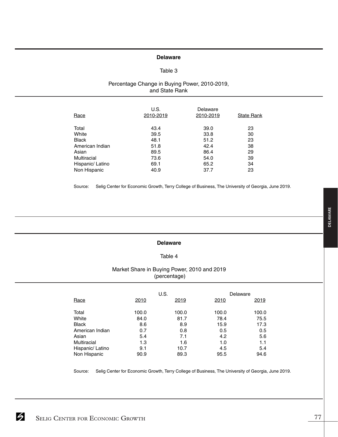# **Delaware**

# Table 3

### Percentage Change in Buying Power, 2010-2019, and State Rank

| Race             | U.S.<br>2010-2019 | Delaware<br>2010-2019 | <b>State Rank</b> |
|------------------|-------------------|-----------------------|-------------------|
| Total            | 43.4              | 39.0                  | 23                |
| White            | 39.5              | 33.8                  | 30                |
| <b>Black</b>     | 48.1              | 51.2                  | 23                |
| American Indian  | 51.8              | 42.4                  | 38                |
| Asian            | 89.5              | 86.4                  | 29                |
| Multiracial      | 73.6              | 54.0                  | 39                |
| Hispanic/ Latino | 69.1              | 65.2                  | 34                |
| Non Hispanic     | 40.9              | 37.7                  | 23                |

Source: Selig Center for Economic Growth, Terry College of Business, The University of Georgia, June 2019.

# **Delaware**

#### Table 4

# Market Share in Buying Power, 2010 and 2019 (percentage)

|                    |       | U.S.  |       | Delaware |
|--------------------|-------|-------|-------|----------|
| Race               | 2010  | 2019  | 2010  | 2019     |
| Total              | 100.0 | 100.0 | 100.0 | 100.0    |
| White              | 84.0  | 81.7  | 78.4  | 75.5     |
| <b>Black</b>       | 8.6   | 8.9   | 15.9  | 17.3     |
| American Indian    | 0.7   | 0.8   | 0.5   | 0.5      |
| Asian              | 5.4   | 7.1   | 4.2   | 5.6      |
| <b>Multiracial</b> | 1.3   | 1.6   | 1.0   | 1.1      |
| Hispanic/ Latino   | 9.1   | 10.7  | 4.5   | 5.4      |
| Non Hispanic       | 90.9  | 89.3  | 95.5  | 94.6     |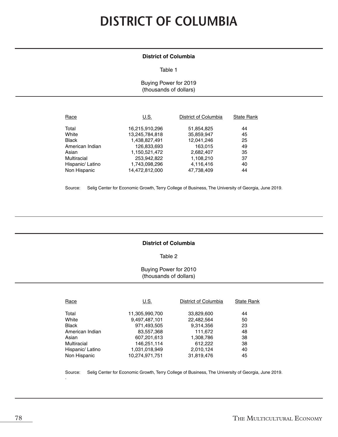# **DISTRICT OF COLUMBIA**

# **District of Columbia**

#### Table 1

Buying Power for 2019 (thousands of dollars)

| Race             | U.S.           | District of Columbia | <b>State Rank</b> |
|------------------|----------------|----------------------|-------------------|
| Total            | 16,215,910,296 | 51,854,825           | 44                |
| White            | 13,245,784,818 | 35,859,947           | 45                |
| <b>Black</b>     | 1,438,827,491  | 12,041,246           | 25                |
| American Indian  | 126,833,693    | 163.015              | 49                |
| Asian            | 1,150,521,472  | 2,682,407            | 35                |
| Multiracial      | 253,942,822    | 1,108,210            | 37                |
| Hispanic/ Latino | 1,743,098,296  | 4,116,416            | 40                |
| Non Hispanic     | 14,472,812,000 | 47,738,409           | 44                |

Source: Selig Center for Economic Growth, Terry College of Business, The University of Georgia, June 2019.

### **District of Columbia**

Table 2

#### Buying Power for 2010 (thousands of dollars)

| Race             | U.S.           | District of Columbia | <b>State Rank</b> |
|------------------|----------------|----------------------|-------------------|
| Total            | 11,305,990,700 | 33,829,600           | 44                |
| White            | 9,497,487,101  | 22,482,564           | 50                |
| <b>Black</b>     | 971,493,505    | 9,314,356            | 23                |
| American Indian  | 83,557,368     | 111,672              | 48                |
| Asian            | 607,201,613    | 1,308,786            | 38                |
| Multiracial      | 146,251,114    | 612,222              | 38                |
| Hispanic/ Latino | 1,031,018,949  | 2,010,124            | 40                |
| Non Hispanic     | 10,274,971,751 | 31,819,476           | 45                |

Source: Selig Center for Economic Growth, Terry College of Business, The University of Georgia, June 2019.

.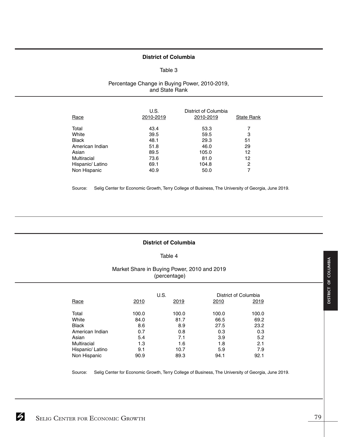#### **District of Columbia**

#### Table 3

# Percentage Change in Buying Power, 2010-2019, and State Rank

| Race             | U.S.<br>2010-2019 | District of Columbia<br>2010-2019 | <b>State Rank</b> |
|------------------|-------------------|-----------------------------------|-------------------|
| Total            | 43.4              | 53.3                              |                   |
| White            | 39.5              | 59.5                              | З                 |
| <b>Black</b>     | 48.1              | 29.3                              | 51                |
| American Indian  | 51.8              | 46.0                              | 29                |
| Asian            | 89.5              | 105.0                             | $12 \overline{ }$ |
| Multiracial      | 73.6              | 81.0                              | 12                |
| Hispanic/ Latino | 69.1              | 104.8                             | 2                 |
| Non Hispanic     | 40.9              | 50.0                              |                   |

Source: Selig Center for Economic Growth, Terry College of Business, The University of Georgia, June 2019.

# **District of Columbia**

#### Table 4

# Market Share in Buying Power, 2010 and 2019 (percentage)

|                  |       | U.S.  |             | District of Columbia |
|------------------|-------|-------|-------------|----------------------|
| Race             | 2010  | 2019  | <b>2010</b> | 2019                 |
| Total            | 100.0 | 100.0 | 100.0       | 100.0                |
| White            | 84.0  | 81.7  | 66.5        | 69.2                 |
| <b>Black</b>     | 8.6   | 8.9   | 27.5        | 23.2                 |
| American Indian  | 0.7   | 0.8   | 0.3         | 0.3                  |
| Asian            | 5.4   | 7.1   | 3.9         | 5.2                  |
| Multiracial      | 1.3   | 1.6   | 1.8         | 2.1                  |
| Hispanic/ Latino | 9.1   | 10.7  | 5.9         | 7.9                  |
| Non Hispanic     | 90.9  | 89.3  | 94.1        | 92.1                 |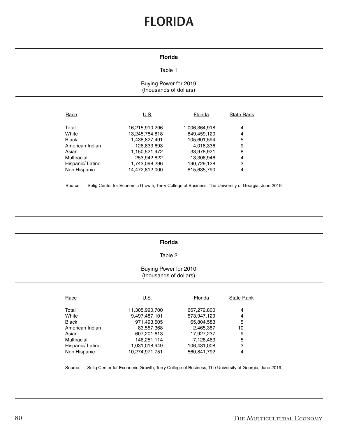# **FLORIDA**

#### **Florida**

#### Table 1

# Buying Power for 2019 (thousands of dollars)

| Race             | U.S.                             | Florida                      | <b>State Rank</b>   |
|------------------|----------------------------------|------------------------------|---------------------|
| Total<br>White   | 16,215,910,296<br>13,245,784,818 | 1,006,364,918<br>849,459,120 | $\overline{4}$<br>4 |
| <b>Black</b>     | 1,438,827,491                    | 105,601,594                  | 5                   |
| American Indian  | 126,833,693                      | 4,018,336                    | 9                   |
| Asian            | 1,150,521,472                    | 33,978,921                   | 8                   |
| Multiracial      | 253,942,822                      | 13,306,946                   | 4                   |
| Hispanic/ Latino | 1,743,098,296                    | 190,729,128                  | 3                   |
| Non Hispanic     | 14,472,812,000                   | 815,635,790                  | 4                   |

Source: Selig Center for Economic Growth, Terry College of Business, The University of Georgia, June 2019.

#### **Florida**

#### Table 2

# Buying Power for 2010 (thousands of dollars)

| Race             | U.S.           | Florida     | <b>State Rank</b> |
|------------------|----------------|-------------|-------------------|
| Total            | 11,305,990,700 | 667,272,800 | 4                 |
| White            | 9,497,487,101  | 573,947,129 | 4                 |
| <b>Black</b>     | 971,493,505    | 65,804,583  | 5                 |
| American Indian  | 83,557,368     | 2,465,387   | 10                |
| Asian            | 607,201,613    | 17,927,237  | 9                 |
| Multiracial      | 146,251,114    | 7,128,463   | 5                 |
| Hispanic/ Latino | 1,031,018,949  | 106,431,008 | 3                 |
| Non Hispanic     | 10.274.971.751 | 560.841.792 | 4                 |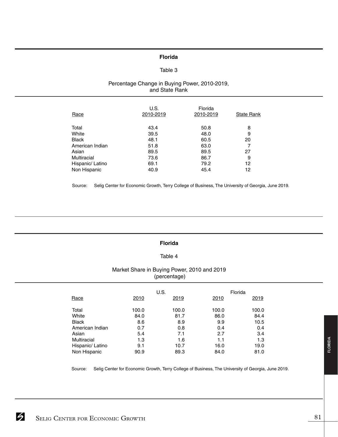#### **Florida**

#### Table 3

### Percentage Change in Buying Power, 2010-2019, and State Rank

| Race             | U.S.<br>2010-2019 | Florida<br>2010-2019 | <b>State Rank</b> |
|------------------|-------------------|----------------------|-------------------|
| Total            | 43.4              | 50.8                 | 8                 |
| White            | 39.5              | 48.0                 | 9                 |
| <b>Black</b>     | 48.1              | 60.5                 | 20                |
| American Indian  | 51.8              | 63.0                 |                   |
| Asian            | 89.5              | 89.5                 | 27                |
| Multiracial      | 73.6              | 86.7                 | 9                 |
| Hispanic/ Latino | 69.1              | 79.2                 | 12                |
| Non Hispanic     | 40.9              | 45.4                 | 12                |

Source: Selig Center for Economic Growth, Terry College of Business, The University of Georgia, June 2019.

#### **Florida**

### Table 4

#### Market Share in Buying Power, 2010 and 2019 (percentage)

|                  |       | U.S.  |       | Florida |
|------------------|-------|-------|-------|---------|
| Race             | 2010  | 2019  | 2010  | 2019    |
| Total            | 100.0 | 100.0 | 100.0 | 100.0   |
| White            | 84.0  | 81.7  | 86.0  | 84.4    |
| <b>Black</b>     | 8.6   | 8.9   | 9.9   | 10.5    |
| American Indian  | 0.7   | 0.8   | 0.4   | 0.4     |
| Asian            | 5.4   | 7.1   | 2.7   | 3.4     |
| Multiracial      | 1.3   | 1.6   | 1.1   | 1.3     |
| Hispanic/ Latino | 9.1   | 10.7  | 16.0  | 19.0    |
| Non Hispanic     | 90.9  | 89.3  | 84.0  | 81.0    |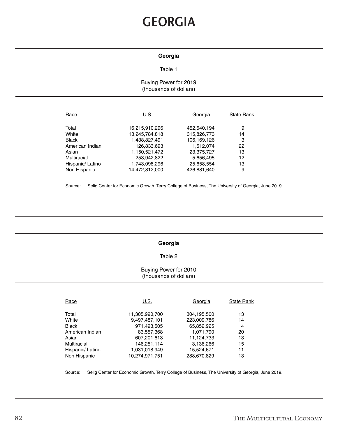# **GEORGIA**

# **Georgia**

#### Table 1

# Buying Power for 2019 (thousands of dollars)

| Race             | U.S.           | Georgia     | <b>State Rank</b> |
|------------------|----------------|-------------|-------------------|
| Total            | 16,215,910,296 | 452,540,194 | 9                 |
| White            | 13,245,784,818 | 315,826,773 | 14                |
| <b>Black</b>     | 1,438,827,491  | 106,169,126 | 3                 |
| American Indian  | 126,833,693    | 1.512.074   | 22                |
| Asian            | 1,150,521,472  | 23,375,727  | 13                |
| Multiracial      | 253,942,822    | 5,656,495   | 12                |
| Hispanic/ Latino | 1,743,098,296  | 25,658,554  | 13                |
| Non Hispanic     | 14,472,812,000 | 426,881,640 | 9                 |

Source: Selig Center for Economic Growth, Terry College of Business, The University of Georgia, June 2019.

#### **Georgia**

#### Table 2

### Buying Power for 2010 (thousands of dollars)

| Race             | U.S.           | Georgia     | <b>State Rank</b> |
|------------------|----------------|-------------|-------------------|
| Total            | 11,305,990,700 | 304,195,500 | 13                |
| White            | 9,497,487,101  | 223,009,786 | 14                |
| <b>Black</b>     | 971,493,505    | 65.852.925  | 4                 |
| American Indian  | 83,557,368     | 1,071,790   | 20                |
| Asian            | 607,201,613    | 11,124,733  | 13                |
| Multiracial      | 146,251,114    | 3,136,266   | 15                |
| Hispanic/ Latino | 1,031,018,949  | 15,524,671  | 11                |
| Non Hispanic     | 10.274.971.751 | 288.670.829 | 13                |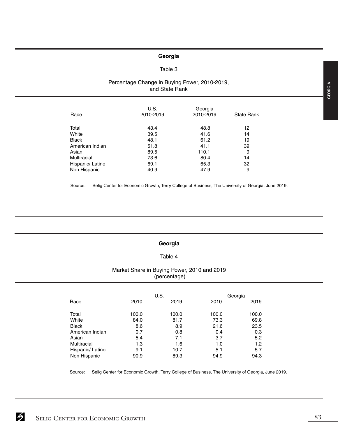# **Georgia**

### Table 3

# Percentage Change in Buying Power, 2010-2019, and State Rank

| Race               | U.S.<br>2010-2019 | Georgia<br>2010-2019 | <b>State Rank</b> |
|--------------------|-------------------|----------------------|-------------------|
| Total              | 43.4              | 48.8                 | 12                |
| White              | 39.5              | 41.6                 | 14                |
| <b>Black</b>       | 48.1              | 61.2                 | 19                |
| American Indian    | 51.8              | 41.1                 | 39                |
| Asian              | 89.5              | 110.1                | 9                 |
| <b>Multiracial</b> | 73.6              | 80.4                 | 14                |
| Hispanic/ Latino   | 69.1              | 65.3                 | 32                |
| Non Hispanic       | 40.9              | 47.9                 | 9                 |

Source: Selig Center for Economic Growth, Terry College of Business, The University of Georgia, June 2019.

#### **Georgia**

#### Table 4

# Market Share in Buying Power, 2010 and 2019 (percentage)

|                    |       | U.S.  |       | Georgia |
|--------------------|-------|-------|-------|---------|
| Race               | 2010  | 2019  | 2010  | 2019    |
| Total              | 100.0 | 100.0 | 100.0 | 100.0   |
| White              | 84.0  | 81.7  | 73.3  | 69.8    |
| <b>Black</b>       | 8.6   | 8.9   | 21.6  | 23.5    |
| American Indian    | 0.7   | 0.8   | 0.4   | 0.3     |
| Asian              | 5.4   | 7.1   | 3.7   | 5.2     |
| <b>Multiracial</b> | 1.3   | 1.6   | 1.0   | 1.2     |
| Hispanic/ Latino   | 9.1   | 10.7  | 5.1   | 5.7     |
| Non Hispanic       | 90.9  | 89.3  | 94.9  | 94.3    |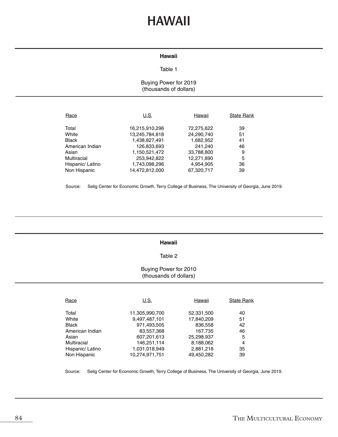# **HAWAII**

### **Hawaii**

#### Table 1

### Buying Power for 2019 (thousands of dollars)

| Race             | U.S.           | Hawaii     | <b>State Rank</b> |
|------------------|----------------|------------|-------------------|
| Total            | 16,215,910,296 | 72,275,622 | 39                |
| White            | 13,245,784,818 | 24,290,740 | 51                |
| <b>Black</b>     | 1,438,827,491  | 1,682,952  | 41                |
| American Indian  | 126,833,693    | 241,240    | 46                |
| Asian            | 1,150,521,472  | 33,788,800 | 9                 |
| Multiracial      | 253,942,822    | 12,271,890 | 5                 |
| Hispanic/ Latino | 1,743,098,296  | 4,954,905  | 36                |
| Non Hispanic     | 14,472,812,000 | 67,320,717 | 39                |

Source: Selig Center for Economic Growth, Terry College of Business, The University of Georgia, June 2019.

#### **Hawaii**

# Table 2

# Buying Power for 2010 (thousands of dollars)

| Race             | U.S.           | Hawaii     | <b>State Rank</b> |
|------------------|----------------|------------|-------------------|
|                  |                |            |                   |
| Total            | 11,305,990,700 | 52,331,500 | 40                |
| White            | 9,497,487,101  | 17,840,209 | 51                |
| <b>Black</b>     | 971,493,505    | 836,558    | 42                |
| American Indian  | 83,557,368     | 167,735    | 46                |
| Asian            | 607,201,613    | 25,298,937 | 5                 |
| Multiracial      | 146,251,114    | 8,188,062  | 4                 |
| Hispanic/ Latino | 1,031,018,949  | 2,881,218  | 35                |
| Non Hispanic     | 10.274.971.751 | 49.450.282 | 39                |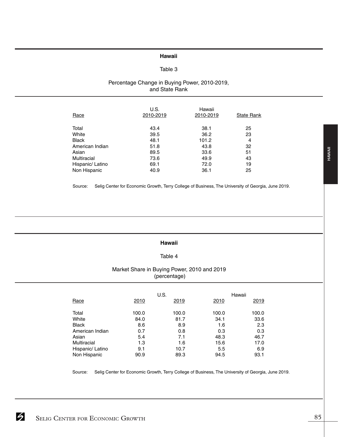### **Hawaii**

# Table 3

### Percentage Change in Buying Power, 2010-2019, and State Rank

| Race             | U.S.<br>2010-2019 | Hawaii<br>2010-2019 | <b>State Rank</b> |
|------------------|-------------------|---------------------|-------------------|
| Total            | 43.4              | 38.1                | 25                |
| White            | 39.5              | 36.2                | 23                |
| <b>Black</b>     | 48.1              | 101.2               | 4                 |
| American Indian  | 51.8              | 43.8                | 32                |
| Asian            | 89.5              | 33.6                | 51                |
| Multiracial      | 73.6              | 49.9                | 43                |
| Hispanic/ Latino | 69.1              | 72.0                | 19                |
| Non Hispanic     | 40.9              | 36.1                | 25                |

Source: Selig Center for Economic Growth, Terry College of Business, The University of Georgia, June 2019.

#### **Hawaii**

### Table 4

### Market Share in Buying Power, 2010 and 2019 (percentage)

|                  |       | U.S.  |       | Hawaii |
|------------------|-------|-------|-------|--------|
| Race             | 2010  | 2019  | 2010  | 2019   |
| Total            | 100.0 | 100.0 | 100.0 | 100.0  |
| White            | 84.0  | 81.7  | 34.1  | 33.6   |
| <b>Black</b>     | 8.6   | 8.9   | 1.6   | 2.3    |
| American Indian  | 0.7   | 0.8   | 0.3   | 0.3    |
| Asian            | 5.4   | 7.1   | 48.3  | 46.7   |
| Multiracial      | 1.3   | 1.6   | 15.6  | 17.0   |
| Hispanic/ Latino | 9.1   | 10.7  | 5.5   | 6.9    |
| Non Hispanic     | 90.9  | 89.3  | 94.5  | 93.1   |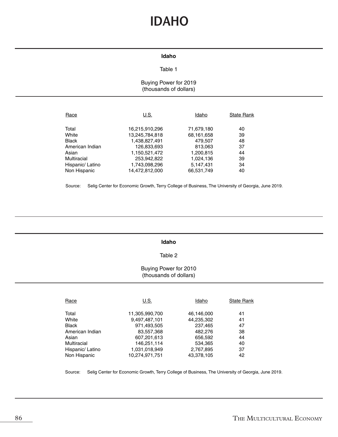# **IDAHO**

### **Idaho**

# Table 1

# Buying Power for 2019 (thousands of dollars)

| Race             | U.S.                             | Idaho                    | <b>State Rank</b> |
|------------------|----------------------------------|--------------------------|-------------------|
| Total<br>White   | 16,215,910,296<br>13,245,784,818 | 71,679,180<br>68,161,658 | 40<br>39          |
| <b>Black</b>     | 1,438,827,491                    | 479,507                  | 48                |
| American Indian  | 126,833,693                      | 813,063                  | 37                |
| Asian            | 1,150,521,472                    | 1,200,815                | 44                |
| Multiracial      | 253,942,822                      | 1,024,136                | 39                |
| Hispanic/ Latino | 1,743,098,296                    | 5,147,431                | 34                |
| Non Hispanic     | 14,472,812,000                   | 66,531,749               | 40                |

Source: Selig Center for Economic Growth, Terry College of Business, The University of Georgia, June 2019.

#### **Idaho**

#### Table 2

# Buying Power for 2010 (thousands of dollars)

| Race             | U.S.           | Idaho      | <b>State Rank</b> |
|------------------|----------------|------------|-------------------|
| Total            | 11,305,990,700 | 46,146,000 | 41                |
| White            | 9,497,487,101  | 44,235,302 | 41                |
| <b>Black</b>     | 971,493,505    | 237.465    | 47                |
| American Indian  | 83,557,368     | 482,276    | 38                |
| Asian            | 607,201,613    | 656,592    | 44                |
| Multiracial      | 146,251,114    | 534,365    | 40                |
| Hispanic/ Latino | 1,031,018,949  | 2,767,895  | 37                |
| Non Hispanic     | 10.274.971.751 | 43.378.105 | 42                |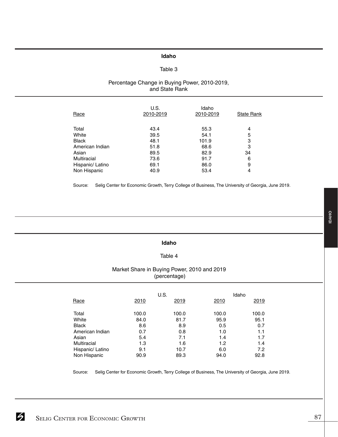# **Idaho**

# Table 3

# Percentage Change in Buying Power, 2010-2019, and State Rank

| Race             | U.S.<br>2010-2019 | Idaho<br>2010-2019 | <b>State Rank</b> |
|------------------|-------------------|--------------------|-------------------|
| Total            | 43.4              | 55.3               | 4                 |
| White            | 39.5              | 54.1               | 5                 |
| <b>Black</b>     | 48.1              | 101.9              | 3                 |
| American Indian  | 51.8              | 68.6               | 3                 |
| Asian            | 89.5              | 82.9               | 34                |
| Multiracial      | 73.6              | 91.7               | 6                 |
| Hispanic/ Latino | 69.1              | 86.0               | 9                 |
| Non Hispanic     | 40.9              | 53.4               | 4                 |

Source: Selig Center for Economic Growth, Terry College of Business, The University of Georgia, June 2019.

#### **Idaho**

### Table 4

# Market Share in Buying Power, 2010 and 2019 (percentage)

|                  |       | U.S.  |       | Idaho |
|------------------|-------|-------|-------|-------|
| Race             | 2010  | 2019  | 2010  | 2019  |
| Total            | 100.0 | 100.0 | 100.0 | 100.0 |
| White            | 84.0  | 81.7  | 95.9  | 95.1  |
| <b>Black</b>     | 8.6   | 8.9   | 0.5   | 0.7   |
| American Indian  | 0.7   | 0.8   | 1.0   | 1.1   |
| Asian            | 5.4   | 7.1   | 1.4   | 1.7   |
| Multiracial      | 1.3   | 1.6   | 1.2   | 1.4   |
| Hispanic/ Latino | 9.1   | 10.7  | 6.0   | 7.2   |
| Non Hispanic     | 90.9  | 89.3  | 94.0  | 92.8  |

Source: Selig Center for Economic Growth, Terry College of Business, The University of Georgia, June 2019.

**IDAHO**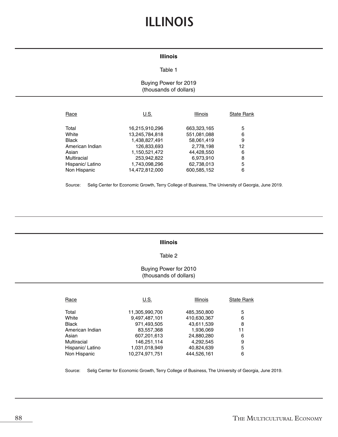# **ILLINOIS**

# **Illinois**

#### Table 1

# Buying Power for 2019 (thousands of dollars)

| Race             | U.S.           | Illinois    | <b>State Rank</b> |
|------------------|----------------|-------------|-------------------|
| Total            | 16,215,910,296 | 663,323,165 | 5                 |
| White            | 13,245,784,818 | 551,081,088 | 6                 |
| <b>Black</b>     | 1,438,827,491  | 58,061,419  | 9                 |
| American Indian  | 126,833,693    | 2,778,198   | 12                |
| Asian            | 1,150,521,472  | 44,428,550  | 6                 |
| Multiracial      | 253,942,822    | 6,973,910   | 8                 |
| Hispanic/ Latino | 1,743,098,296  | 62,738,013  | 5                 |
| Non Hispanic     | 14,472,812,000 | 600,585,152 | 6                 |

Source: Selig Center for Economic Growth, Terry College of Business, The University of Georgia, June 2019.

#### **Illinois**

### Table 2

### Buying Power for 2010 (thousands of dollars)

| Race             | U.S.           | <b>Illinois</b> | <b>State Rank</b> |
|------------------|----------------|-----------------|-------------------|
| Total            | 11,305,990,700 | 485,350,800     | 5                 |
| White            | 9,497,487,101  | 410,630,367     | 6                 |
| <b>Black</b>     | 971,493,505    | 43,611,539      | 8                 |
| American Indian  | 83,557,368     | 1,936,069       | 11                |
| Asian            | 607,201,613    | 24,880,280      | 6                 |
| Multiracial      | 146,251,114    | 4,292,545       | 9                 |
| Hispanic/ Latino | 1,031,018,949  | 40,824,639      | 5                 |
| Non Hispanic     | 10.274.971.751 | 444.526.161     | 6                 |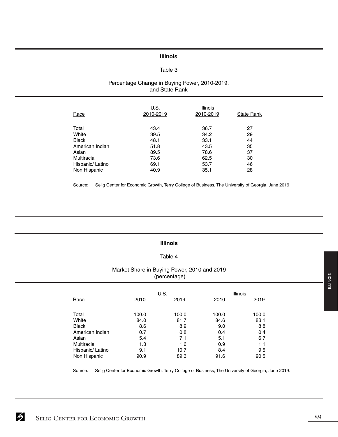# **Illinois**

# Table 3

# Percentage Change in Buying Power, 2010-2019, and State Rank

| Race             | U.S.<br>2010-2019 | <b>Illinois</b><br>2010-2019 | <b>State Rank</b> |
|------------------|-------------------|------------------------------|-------------------|
| Total            | 43.4              | 36.7                         | 27                |
| White            | 39.5              | 34.2                         | 29                |
| <b>Black</b>     | 48.1              | 33.1                         | 44                |
| American Indian  | 51.8              | 43.5                         | 35                |
| Asian            | 89.5              | 78.6                         | 37                |
| Multiracial      | 73.6              | 62.5                         | 30                |
| Hispanic/ Latino | 69.1              | 53.7                         | 46                |
| Non Hispanic     | 40.9              | 35.1                         | 28                |

Source: Selig Center for Economic Growth, Terry College of Business, The University of Georgia, June 2019.

#### **Illinois**

#### Table 4

# Market Share in Buying Power, 2010 and 2019 (percentage)

|                  |       | U.S.  |       | <b>Illinois</b> |
|------------------|-------|-------|-------|-----------------|
| Race             | 2010  | 2019  | 2010  | 2019            |
| Total            | 100.0 | 100.0 | 100.0 | 100.0           |
| White            | 84.0  | 81.7  | 84.6  | 83.1            |
| <b>Black</b>     | 8.6   | 8.9   | 9.0   | 8.8             |
| American Indian  | 0.7   | 0.8   | 0.4   | 0.4             |
| Asian            | 5.4   | 7.1   | 5.1   | 6.7             |
| Multiracial      | 1.3   | 1.6   | 0.9   | 1.1             |
| Hispanic/ Latino | 9.1   | 10.7  | 8.4   | 9.5             |
| Non Hispanic     | 90.9  | 89.3  | 91.6  | 90.5            |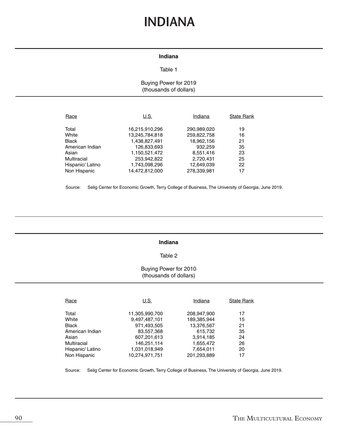# **INDIANA**

# **Indiana**

#### Table 1

# Buying Power for 2019 (thousands of dollars)

| Race             | U.S.           | Indiana     | <b>State Rank</b> |
|------------------|----------------|-------------|-------------------|
| Total            | 16,215,910,296 | 290,989,020 | 19                |
| White            | 13,245,784,818 | 259,822,758 | 16                |
| <b>Black</b>     | 1,438,827,491  | 18,962,156  | 21                |
| American Indian  | 126,833,693    | 932,259     | 35                |
| Asian            | 1,150,521,472  | 8,551,416   | 23                |
| Multiracial      | 253,942,822    | 2,720,431   | 25                |
| Hispanic/ Latino | 1,743,098,296  | 12,649,039  | 22                |
| Non Hispanic     | 14.472.812.000 | 278.339.981 | 17                |

Source: Selig Center for Economic Growth, Terry College of Business, The University of Georgia, June 2019.

#### **Indiana**

#### Table 2

# Buying Power for 2010 (thousands of dollars)

| Race             | U.S.           | Indiana     | <b>State Rank</b> |
|------------------|----------------|-------------|-------------------|
|                  |                |             |                   |
| Total            | 11,305,990,700 | 208,947,900 | 17                |
| White            | 9,497,487,101  | 189,385,944 | 15                |
| Black            | 971,493,505    | 13,376,567  | 21                |
| American Indian  | 83,557,368     | 615,732     | 35                |
| Asian            | 607,201,613    | 3,914,185   | 24                |
| Multiracial      | 146.251.114    | 1,655,472   | 26                |
| Hispanic/ Latino | 1,031,018,949  | 7,654,011   | 20                |
| Non Hispanic     | 10.274.971.751 | 201,293,889 | 17                |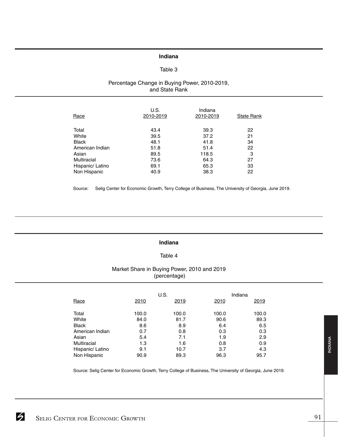# **Indiana**

#### Table 3

### Percentage Change in Buying Power, 2010-2019, and State Rank

| Race             | U.S.<br>2010-2019 | Indiana<br>2010-2019 | <b>State Rank</b> |
|------------------|-------------------|----------------------|-------------------|
| Total            | 43.4              | 39.3                 | 22                |
| White            | 39.5              | 37.2                 | 21                |
| <b>Black</b>     | 48.1              | 41.8                 | 34                |
| American Indian  | 51.8              | 51.4                 | 22                |
| Asian            | 89.5              | 118.5                | 3                 |
| Multiracial      | 73.6              | 64.3                 | 27                |
| Hispanic/ Latino | 69.1              | 65.3                 | 33                |
| Non Hispanic     | 40.9              | 38.3                 | 22                |

Source: Selig Center for Economic Growth, Terry College of Business, The University of Georgia, June 2019.

#### **Indiana**

#### Table 4

# Market Share in Buying Power, 2010 and 2019 (percentage)

|                    |       | U.S.  |       | Indiana |
|--------------------|-------|-------|-------|---------|
| Race               | 2010  | 2019  | 2010  | 2019    |
| Total              | 100.0 | 100.0 | 100.0 | 100.0   |
| White              | 84.0  | 81.7  | 90.6  | 89.3    |
| <b>Black</b>       | 8.6   | 8.9   | 6.4   | 6.5     |
| American Indian    | 0.7   | 0.8   | 0.3   | 0.3     |
| Asian              | 5.4   | 7.1   | 1.9   | 2.9     |
| <b>Multiracial</b> | 1.3   | 1.6   | 0.8   | 0.9     |
| Hispanic/ Latino   | 9.1   | 10.7  | 3.7   | 4.3     |
| Non Hispanic       | 90.9  | 89.3  | 96.3  | 95.7    |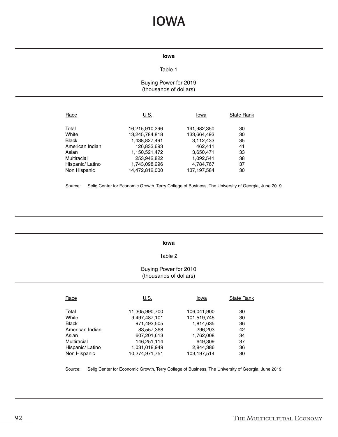# **IOWA**

#### **Iowa**

# Table 1

# Buying Power for 2019 (thousands of dollars)

| Race             | U.S.           | Iowa          | <b>State Rank</b> |
|------------------|----------------|---------------|-------------------|
| Total            | 16,215,910,296 | 141,982,350   | 30                |
| White            | 13,245,784,818 | 133,664,493   | 30                |
| <b>Black</b>     | 1,438,827,491  | 3,112,433     | 35                |
| American Indian  | 126,833,693    | 462.411       | 41                |
| Asian            | 1,150,521,472  | 3,650,471     | 33                |
| Multiracial      | 253,942,822    | 1,092,541     | 38                |
| Hispanic/ Latino | 1,743,098,296  | 4,784,767     | 37                |
| Non Hispanic     | 14,472,812,000 | 137, 197, 584 | 30                |

Source: Selig Center for Economic Growth, Terry College of Business, The University of Georgia, June 2019.

#### **Iowa**

### Table 2

# Buying Power for 2010 (thousands of dollars)

| Race             | U.S.           | Iowa        | <b>State Rank</b> |
|------------------|----------------|-------------|-------------------|
| Total            | 11,305,990,700 | 106,041,900 | 30                |
| White            | 9,497,487,101  | 101,519,745 | 30                |
| <b>Black</b>     | 971,493,505    | 1,814,635   | 36                |
| American Indian  | 83,557,368     | 296,203     | 42                |
| Asian            | 607,201,613    | 1,762,008   | 34                |
| Multiracial      | 146,251,114    | 649.309     | 37                |
| Hispanic/ Latino | 1,031,018,949  | 2,844,386   | 36                |
| Non Hispanic     | 10.274.971.751 | 103.197.514 | 30                |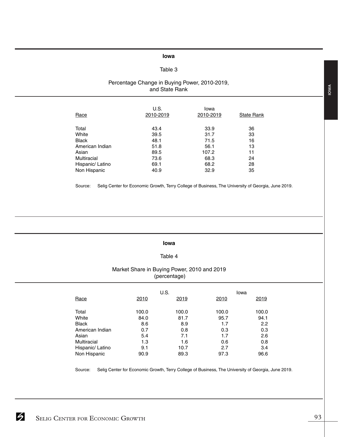#### **Iowa**

# Table 3

### Percentage Change in Buying Power, 2010-2019, and State Rank

| Race             | U.S.<br>2010-2019 | Iowa<br>2010-2019 | <b>State Rank</b> |
|------------------|-------------------|-------------------|-------------------|
| Total            | 43.4              | 33.9              | 36                |
| White            | 39.5              | 31.7              | 33                |
| <b>Black</b>     | 48.1              | 71.5              | 16                |
| American Indian  | 51.8              | 56.1              | 13                |
| Asian            | 89.5              | 107.2             | 11                |
| Multiracial      | 73.6              | 68.3              | 24                |
| Hispanic/ Latino | 69.1              | 68.2              | 28                |
| Non Hispanic     | 40.9              | 32.9              | 35                |

Source: Selig Center for Economic Growth, Terry College of Business, The University of Georgia, June 2019.

#### **Iowa**

#### Table 4

#### Market Share in Buying Power, 2010 and 2019 (percentage)

|                  |       | U.S.  | Iowa  |       |
|------------------|-------|-------|-------|-------|
| Race             | 2010  | 2019  | 2010  | 2019  |
| Total            | 100.0 | 100.0 | 100.0 | 100.0 |
| White            | 84.0  | 81.7  | 95.7  | 94.1  |
| <b>Black</b>     | 8.6   | 8.9   | 1.7   | 2.2   |
| American Indian  | 0.7   | 0.8   | 0.3   | 0.3   |
| Asian            | 5.4   | 7.1   | 1.7   | 2.6   |
| Multiracial      | 1.3   | 1.6   | 0.6   | 0.8   |
| Hispanic/ Latino | 9.1   | 10.7  | 2.7   | 3.4   |
| Non Hispanic     | 90.9  | 89.3  | 97.3  | 96.6  |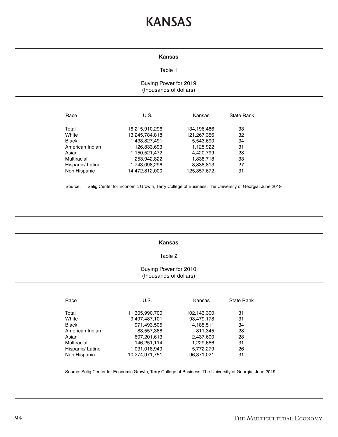# **KANSAS**

#### **Kansas**

#### Table 1

# Buying Power for 2019 (thousands of dollars)

| Race             | U.S.           | Kansas      | <b>State Rank</b> |
|------------------|----------------|-------------|-------------------|
| Total            | 16,215,910,296 | 134,196,486 | 33                |
| White            | 13,245,784,818 | 121,267,356 | 32                |
| <b>Black</b>     | 1,438,827,491  | 5,543,690   | 34                |
| American Indian  | 126,833,693    | 1,125,922   | 31                |
| Asian            | 1,150,521,472  | 4,420,799   | 28                |
| Multiracial      | 253,942,822    | 1,838,718   | 33                |
| Hispanic/ Latino | 1,743,098,296  | 8,838,813   | 27                |
| Non Hispanic     | 14,472,812,000 | 125.357.672 | 31                |

Source: Selig Center for Economic Growth, Terry College of Business, The University of Georgia, June 2019.

#### **Kansas**

#### Table 2

# Buying Power for 2010 (thousands of dollars)

| Race             | U.S.           | Kansas      | <b>State Rank</b> |
|------------------|----------------|-------------|-------------------|
| Total            | 11,305,990,700 | 102,143,300 | 31                |
| White            | 9,497,487,101  | 93,479,178  | 31                |
| <b>Black</b>     | 971,493,505    | 4,185,511   | 34                |
| American Indian  | 83,557,368     | 811,345     | 28                |
| Asian            | 607,201,613    | 2,437,600   | 28                |
| Multiracial      | 146,251,114    | 1,229,666   | 31                |
| Hispanic/ Latino | 1,031,018,949  | 5,772,279   | 26                |
| Non Hispanic     | 10.274.971.751 | 96.371.021  | 31                |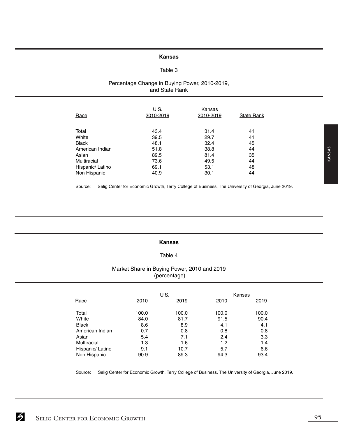#### **Kansas**

# Table 3

### Percentage Change in Buying Power, 2010-2019, and State Rank

| Race             | U.S.<br>2010-2019 | Kansas<br>2010-2019 | State Rank |
|------------------|-------------------|---------------------|------------|
| Total            | 43.4              | 31.4                | 41         |
| White            | 39.5              | 29.7                | 41         |
| <b>Black</b>     | 48.1              | 32.4                | 45         |
| American Indian  | 51.8              | 38.8                | 44         |
| Asian            | 89.5              | 81.4                | 35         |
| Multiracial      | 73.6              | 49.5                | 44         |
| Hispanic/ Latino | 69.1              | 53.1                | 48         |
| Non Hispanic     | 40.9              | 30.1                | 44         |

Source: Selig Center for Economic Growth, Terry College of Business, The University of Georgia, June 2019.

#### **Kansas**

#### Table 4

# Market Share in Buying Power, 2010 and 2019 (percentage)

|                  |       | U.S.  |       | Kansas |
|------------------|-------|-------|-------|--------|
| Race             | 2010  | 2019  | 2010  | 2019   |
| Total            | 100.0 | 100.0 | 100.0 | 100.0  |
| White            | 84.0  | 81.7  | 91.5  | 90.4   |
| Black            | 8.6   | 8.9   | 4.1   | 4.1    |
| American Indian  | 0.7   | 0.8   | 0.8   | 0.8    |
| Asian            | 5.4   | 7.1   | 2.4   | 3.3    |
| Multiracial      | 1.3   | 1.6   | 1.2   | 1.4    |
| Hispanic/ Latino | 9.1   | 10.7  | 5.7   | 6.6    |
| Non Hispanic     | 90.9  | 89.3  | 94.3  | 93.4   |

Source: Selig Center for Economic Growth, Terry College of Business, The University of Georgia, June 2019.

SELIG CENTER FOR ECONOMIC GROWTH 95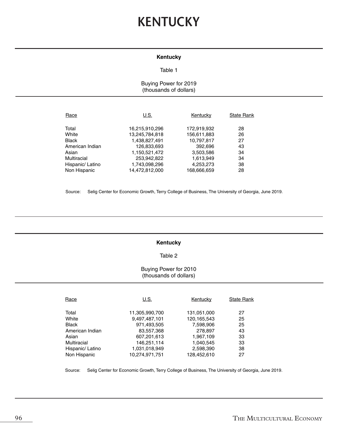# **KENTUCKY**

### **Kentucky**

#### Table 1

# Buying Power for 2019 (thousands of dollars)

| Race             | U.S.           | Kentucky    | <b>State Rank</b> |
|------------------|----------------|-------------|-------------------|
| Total            | 16,215,910,296 | 172,919,932 | 28                |
| White            | 13,245,784,818 | 156,611,883 | 26                |
| <b>Black</b>     | 1,438,827,491  | 10,797,817  | 27                |
| American Indian  | 126,833,693    | 392,696     | 43                |
| Asian            | 1,150,521,472  | 3,503,586   | 34                |
| Multiracial      | 253,942,822    | 1,613,949   | 34                |
| Hispanic/ Latino | 1,743,098,296  | 4,253,273   | 38                |
| Non Hispanic     | 14.472.812.000 | 168,666,659 | 28                |

Source: Selig Center for Economic Growth, Terry College of Business, The University of Georgia, June 2019.

### **Kentucky**

# Table 2

# Buying Power for 2010 (thousands of dollars)

| Race             | U.S.           | Kentucky      | <b>State Rank</b> |
|------------------|----------------|---------------|-------------------|
| Total            | 11,305,990,700 | 131,051,000   | 27                |
| White            | 9,497,487,101  | 120, 165, 543 | 25                |
| <b>Black</b>     | 971,493,505    | 7,598,906     | 25                |
| American Indian  | 83,557,368     | 278.897       | 43                |
| Asian            | 607,201,613    | 1,967,109     | 33                |
| Multiracial      | 146,251,114    | 1.040.545     | 33                |
| Hispanic/ Latino | 1,031,018,949  | 2,598,390     | 38                |
| Non Hispanic     | 10.274.971.751 | 128.452.610   | 27                |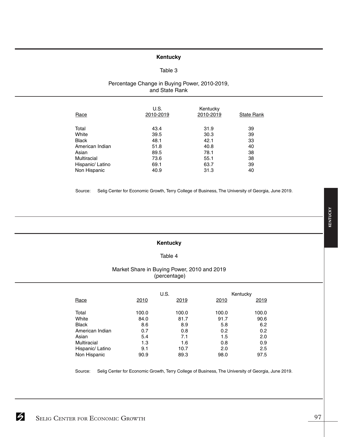# **Kentucky**

#### Table 3

# Percentage Change in Buying Power, 2010-2019, and State Rank

| Race             | U.S.<br>2010-2019 | Kentucky<br>2010-2019 | <b>State Rank</b> |
|------------------|-------------------|-----------------------|-------------------|
| Total            | 43.4              | 31.9                  | 39                |
| White            | 39.5              | 30.3                  | 39                |
| <b>Black</b>     | 48.1              | 42.1                  | 33                |
| American Indian  | 51.8              | 40.8                  | 40                |
| Asian            | 89.5              | 78.1                  | 38                |
| Multiracial      | 73.6              | 55.1                  | 38                |
| Hispanic/ Latino | 69.1              | 63.7                  | 39                |
| Non Hispanic     | 40.9              | 31.3                  | 40                |

Source: Selig Center for Economic Growth, Terry College of Business, The University of Georgia, June 2019.

# Table 4

**Kentucky**

# Market Share in Buying Power, 2010 and 2019 (percentage)

|                  |       | U.S.  |       | Kentucky |
|------------------|-------|-------|-------|----------|
| Race             | 2010  | 2019  | 2010  | 2019     |
| Total            | 100.0 | 100.0 | 100.0 | 100.0    |
| White            | 84.0  | 81.7  | 91.7  | 90.6     |
| <b>Black</b>     | 8.6   | 8.9   | 5.8   | 6.2      |
| American Indian  | 0.7   | 0.8   | 0.2   | 0.2      |
| Asian            | 5.4   | 7.1   | 1.5   | 2.0      |
| Multiracial      | 1.3   | 1.6   | 0.8   | 0.9      |
| Hispanic/ Latino | 9.1   | 10.7  | 2.0   | 2.5      |
| Non Hispanic     | 90.9  | 89.3  | 98.0  | 97.5     |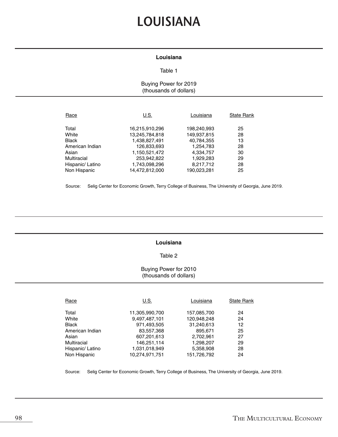# **LOUISIANA**

# **Louisiana**

#### Table 1

Buying Power for 2019 (thousands of dollars)

| Race             | U.S.           | Louisiana   | <b>State Rank</b> |
|------------------|----------------|-------------|-------------------|
| Total            | 16,215,910,296 | 198,240,993 | 25                |
| White            | 13,245,784,818 | 149,937,815 | 28                |
| <b>Black</b>     | 1,438,827,491  | 40,784,355  | 13                |
| American Indian  | 126,833,693    | 1,254,783   | 28                |
| Asian            | 1,150,521,472  | 4,334,757   | 30                |
| Multiracial      | 253,942,822    | 1,929,283   | 29                |
| Hispanic/ Latino | 1,743,098,296  | 8,217,712   | 28                |
| Non Hispanic     | 14.472.812.000 | 190.023.281 | 25                |

Source: Selig Center for Economic Growth, Terry College of Business, The University of Georgia, June 2019.

### **Louisiana**

# Table 2

# Buying Power for 2010 (thousands of dollars)

| Race             | U.S.           | Louisiana   | <b>State Rank</b> |
|------------------|----------------|-------------|-------------------|
| Total            | 11,305,990,700 | 157,085,700 | 24                |
| White            | 9,497,487,101  | 120,948,248 | 24                |
| <b>Black</b>     | 971,493,505    | 31,240,613  | 12                |
| American Indian  | 83,557,368     | 895.671     | 25                |
| Asian            | 607,201,613    | 2.702.961   | 27                |
| Multiracial      | 146,251,114    | 1,298,207   | 29                |
| Hispanic/ Latino | 1,031,018,949  | 5,358,908   | 28                |
| Non Hispanic     | 10.274.971.751 | 151,726,792 | 24                |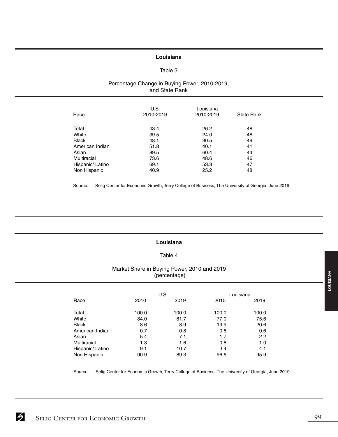### **Louisiana**

#### Table 3

# Percentage Change in Buying Power, 2010-2019, and State Rank

| Race             | U.S.<br>2010-2019 | Louisiana<br>2010-2019 | <b>State Rank</b> |
|------------------|-------------------|------------------------|-------------------|
| Total            | 43.4              | 26.2                   | 48                |
| White            | 39.5              | 24.0                   | 48                |
| <b>Black</b>     | 48.1              | 30.5                   | 49                |
| American Indian  | 51.8              | 40.1                   | 41                |
| Asian            | 89.5              | 60.4                   | 44                |
| Multiracial      | 73.6              | 48.6                   | 46                |
| Hispanic/ Latino | 69.1              | 53.3                   | 47                |
| Non Hispanic     | 40.9              | 25.2                   | 48                |

Source: Selig Center for Economic Growth, Terry College of Business, The University of Georgia, June 2019.

#### **Louisiana**

#### Table 4

# Market Share in Buying Power, 2010 and 2019 (percentage)

|                  |       | U.S.  | Louisiana |       |
|------------------|-------|-------|-----------|-------|
| Race             | 2010  | 2019  | 2010      | 2019  |
| Total            | 100.0 | 100.0 | 100.0     | 100.0 |
| White            | 84.0  | 81.7  | 77.0      | 75.6  |
| <b>Black</b>     | 8.6   | 8.9   | 19.9      | 20.6  |
| American Indian  | 0.7   | 0.8   | 0.6       | 0.6   |
| Asian            | 5.4   | 7.1   | 1.7       | 2.2   |
| Multiracial      | 1.3   | 1.6   | 0.8       | 1.0   |
| Hispanic/ Latino | 9.1   | 10.7  | 3.4       | 4.1   |
| Non Hispanic     | 90.9  | 89.3  | 96.6      | 95.9  |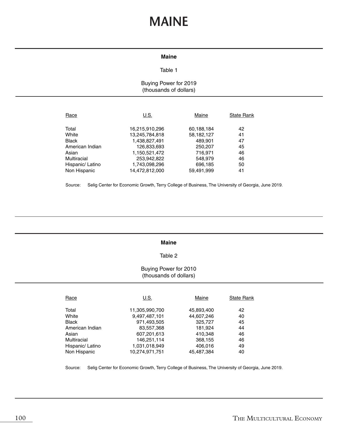# **MAINE**

#### **Maine**

### Table 1

# Buying Power for 2019 (thousands of dollars)

| Race             | U.S.           | Maine      | <b>State Rank</b> |
|------------------|----------------|------------|-------------------|
| Total            | 16,215,910,296 | 60,188,184 | 42                |
| White            | 13,245,784,818 | 58,182,127 | 41                |
| <b>Black</b>     | 1,438,827,491  | 489.901    | 47                |
| American Indian  | 126,833,693    | 250,207    | 45                |
| Asian            | 1,150,521,472  | 716,971    | 46                |
| Multiracial      | 253,942,822    | 548,979    | 46                |
| Hispanic/ Latino | 1,743,098,296  | 696,185    | 50                |
| Non Hispanic     | 14,472,812,000 | 59.491.999 | 41                |

Source: Selig Center for Economic Growth, Terry College of Business, The University of Georgia, June 2019.

#### **Maine**

# Table 2

# Buying Power for 2010 (thousands of dollars)

| Race             | U.S.           | Maine      | <b>State Rank</b> |
|------------------|----------------|------------|-------------------|
| Total            | 11,305,990,700 | 45,893,400 | 42                |
| White            | 9,497,487,101  | 44,607,246 | 40                |
| Black            | 971,493,505    | 325,727    | 45                |
| American Indian  | 83,557,368     | 181,924    | 44                |
| Asian            | 607,201,613    | 410,348    | 46                |
| Multiracial      | 146,251,114    | 368,155    | 46                |
| Hispanic/ Latino | 1,031,018,949  | 406,016    | 49                |
| Non Hispanic     | 10.274.971.751 | 45.487.384 | 40                |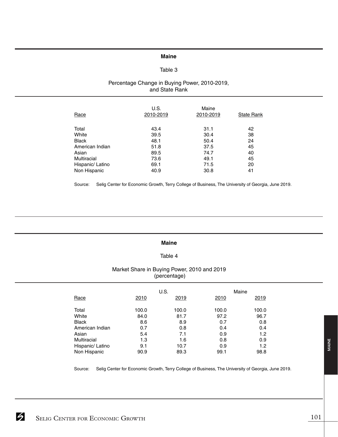# **Maine**

# Table 3

# Percentage Change in Buying Power, 2010-2019, and State Rank

| Race             | U.S.<br>2010-2019 | Maine<br>2010-2019 | <b>State Rank</b> |
|------------------|-------------------|--------------------|-------------------|
| Total            | 43.4              | 31.1               | 42                |
| White            | 39.5              | 30.4               | 38                |
| <b>Black</b>     | 48.1              | 50.4               | 24                |
| American Indian  | 51.8              | 37.5               | 45                |
| Asian            | 89.5              | 74.7               | 40                |
| Multiracial      | 73.6              | 49.1               | 45                |
| Hispanic/ Latino | 69.1              | 71.5               | 20                |
| Non Hispanic     | 40.9              | 30.8               | 41                |

Source: Selig Center for Economic Growth, Terry College of Business, The University of Georgia, June 2019.

#### **Maine**

# Table 4

# Market Share in Buying Power, 2010 and 2019 (percentage)

|                  |       | U.S.  |       | Maine |
|------------------|-------|-------|-------|-------|
| Race             | 2010  | 2019  | 2010  | 2019  |
| Total            | 100.0 | 100.0 | 100.0 | 100.0 |
| White            | 84.0  | 81.7  | 97.2  | 96.7  |
| <b>Black</b>     | 8.6   | 8.9   | 0.7   | 0.8   |
| American Indian  | 0.7   | 0.8   | 0.4   | 0.4   |
| Asian            | 5.4   | 7.1   | 0.9   | 1.2   |
| Multiracial      | 1.3   | 1.6   | 0.8   | 0.9   |
| Hispanic/ Latino | 9.1   | 10.7  | 0.9   | 1.2   |
| Non Hispanic     | 90.9  | 89.3  | 99.1  | 98.8  |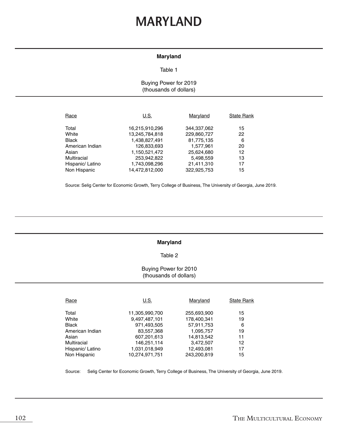# **MARYLAND**

# **Maryland**

#### Table 1

# Buying Power for 2019 (thousands of dollars)

| Race             | U.S.           | Maryland    | <b>State Rank</b> |
|------------------|----------------|-------------|-------------------|
| Total            | 16,215,910,296 | 344,337,062 | 15                |
| White            | 13,245,784,818 | 229,860,727 | 22                |
| <b>Black</b>     | 1,438,827,491  | 81,775,135  | 6                 |
| American Indian  | 126,833,693    | 1.577.961   | 20                |
| Asian            | 1,150,521,472  | 25,624,680  | 12                |
| Multiracial      | 253,942,822    | 5,498,559   | 13                |
| Hispanic/ Latino | 1,743,098,296  | 21,411,310  | 17                |
| Non Hispanic     | 14,472,812,000 | 322.925.753 | 15                |

Source: Selig Center for Economic Growth, Terry College of Business, The University of Georgia, June 2019.

#### **Maryland**

#### Table 2

### Buying Power for 2010 (thousands of dollars)

| Race             | U.S.           | Maryland    | <b>State Rank</b> |
|------------------|----------------|-------------|-------------------|
| Total            | 11,305,990,700 | 255,693,900 | 15                |
| White            | 9,497,487,101  | 178,400,341 | 19                |
| <b>Black</b>     | 971,493,505    | 57,911,753  | 6                 |
| American Indian  | 83,557,368     | 1,095,757   | 19                |
| Asian            | 607,201,613    | 14,813,542  | 11                |
| Multiracial      | 146,251,114    | 3,472,507   | 12                |
| Hispanic/ Latino | 1,031,018,949  | 12,493,081  | 17                |
| Non Hispanic     | 10.274.971.751 | 243.200.819 | 15                |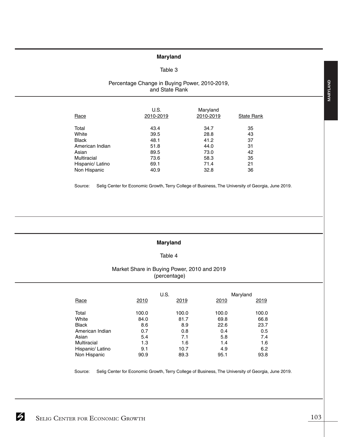#### **Maryland**

#### Table 3

# Percentage Change in Buying Power, 2010-2019, and State Rank

| Race             | U.S.<br>2010-2019 | Maryland<br>2010-2019 | <b>State Rank</b> |
|------------------|-------------------|-----------------------|-------------------|
| Total            | 43.4              | 34.7                  | 35                |
| White            | 39.5              | 28.8                  | 43                |
| <b>Black</b>     | 48.1              | 41.2                  | 37                |
| American Indian  | 51.8              | 44.0                  | 31                |
| Asian            | 89.5              | 73.0                  | 42                |
| Multiracial      | 73.6              | 58.3                  | 35                |
| Hispanic/ Latino | 69.1              | 71.4                  | 21                |
| Non Hispanic     | 40.9              | 32.8                  | 36                |

Source: Selig Center for Economic Growth, Terry College of Business, The University of Georgia, June 2019.

### **Maryland**

#### Table 4

# Market Share in Buying Power, 2010 and 2019 (percentage)

|                    |       | U.S.  |       | Maryland |
|--------------------|-------|-------|-------|----------|
| Race               | 2010  | 2019  | 2010  | 2019     |
| Total              | 100.0 | 100.0 | 100.0 | 100.0    |
| White              | 84.0  | 81.7  | 69.8  | 66.8     |
| <b>Black</b>       | 8.6   | 8.9   | 22.6  | 23.7     |
| American Indian    | 0.7   | 0.8   | 0.4   | 0.5      |
| Asian              | 5.4   | 7.1   | 5.8   | 7.4      |
| <b>Multiracial</b> | 1.3   | 1.6   | 1.4   | 1.6      |
| Hispanic/ Latino   | 9.1   | 10.7  | 4.9   | 6.2      |
| Non Hispanic       | 90.9  | 89.3  | 95.1  | 93.8     |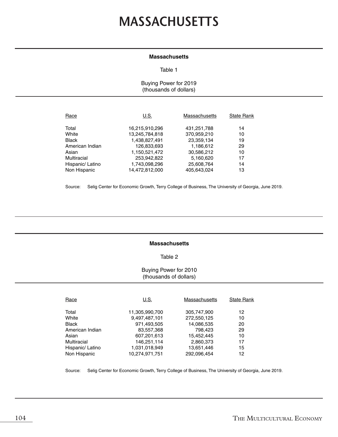# **MASSACHUSETTS**

#### **Massachusetts**

#### Table 1

Buying Power for 2019 (thousands of dollars)

| Race             | U.S.           | <b>Massachusetts</b> | <b>State Rank</b> |
|------------------|----------------|----------------------|-------------------|
| Total            | 16,215,910,296 | 431,251,788          | 14                |
| White            | 13,245,784,818 | 370,959,210          | 10                |
| <b>Black</b>     | 1,438,827,491  | 23,359,134           | 19                |
| American Indian  | 126,833,693    | 1,186,612            | 29                |
| Asian            | 1,150,521,472  | 30,586,212           | 10                |
| Multiracial      | 253,942,822    | 5,160,620            | 17                |
| Hispanic/ Latino | 1,743,098,296  | 25,608,764           | 14                |
| Non Hispanic     | 14,472,812,000 | 405.643.024          | 13                |

Source: Selig Center for Economic Growth, Terry College of Business, The University of Georgia, June 2019.

#### **Massachusetts**

#### Table 2

### Buying Power for 2010 (thousands of dollars)

| Race             | U.S.           | Massachusetts | <b>State Rank</b> |
|------------------|----------------|---------------|-------------------|
| Total            | 11,305,990,700 | 305,747,900   | 12                |
| White            | 9,497,487,101  | 272,550,125   | 10                |
| <b>Black</b>     | 971,493,505    | 14,086,535    | 20                |
| American Indian  | 83,557,368     | 798,423       | 29                |
| Asian            | 607,201,613    | 15,452,445    | 10                |
| Multiracial      | 146,251,114    | 2,860,373     | 17                |
| Hispanic/ Latino | 1,031,018,949  | 13,651,446    | 15                |
| Non Hispanic     | 10.274.971.751 | 292.096.454   | 12                |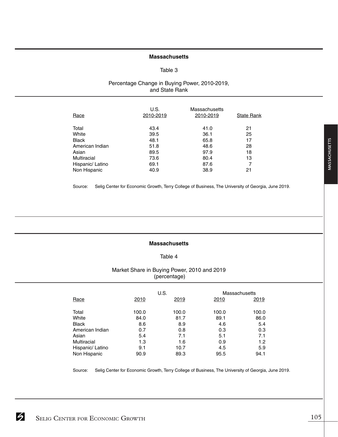#### **Massachusetts**

#### Table 3

# Percentage Change in Buying Power, 2010-2019, and State Rank

| Race             | U.S.<br>2010-2019 | Massachusetts<br>2010-2019 | <b>State Rank</b> |
|------------------|-------------------|----------------------------|-------------------|
| Total            | 43.4              | 41.0                       | 21                |
| White            | 39.5              | 36.1                       | 25                |
| <b>Black</b>     | 48.1              | 65.8                       | 17                |
| American Indian  | 51.8              | 48.6                       | 28                |
| Asian            | 89.5              | 97.9                       | 18                |
| Multiracial      | 73.6              | 80.4                       | 13                |
| Hispanic/ Latino | 69.1              | 87.6                       | 7                 |
| Non Hispanic     | 40.9              | 38.9                       | 21                |

Source: Selig Center for Economic Growth, Terry College of Business, The University of Georgia, June 2019.

#### **Massachusetts**

### Table 4

# Market Share in Buying Power, 2010 and 2019 (percentage)

|                  |       | U.S.  | Massachusetts |       |
|------------------|-------|-------|---------------|-------|
| Race             | 2010  | 2019  | 2010          | 2019  |
| Total            | 100.0 | 100.0 | 100.0         | 100.0 |
| White            | 84.0  | 81.7  | 89.1          | 86.0  |
| <b>Black</b>     | 8.6   | 8.9   | 4.6           | 5.4   |
| American Indian  | 0.7   | 0.8   | 0.3           | 0.3   |
| Asian            | 5.4   | 7.1   | 5.1           | 7.1   |
| Multiracial      | 1.3   | 1.6   | 0.9           | 1.2   |
| Hispanic/ Latino | 9.1   | 10.7  | 4.5           | 5.9   |
| Non Hispanic     | 90.9  | 89.3  | 95.5          | 94.1  |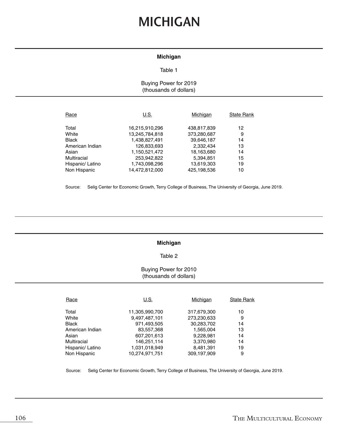# **MICHIGAN**

#### **Michigan**

#### Table 1

# Buying Power for 2019 (thousands of dollars)

| Race             | U.S.           | Michigan    | <b>State Rank</b> |
|------------------|----------------|-------------|-------------------|
| Total            | 16,215,910,296 | 438,817,839 | 12                |
| White            | 13,245,784,818 | 373,280,687 | 9                 |
| <b>Black</b>     | 1,438,827,491  | 39,646,187  | 14                |
| American Indian  | 126,833,693    | 2,332,434   | 13                |
| Asian            | 1,150,521,472  | 18,163,680  | 14                |
| Multiracial      | 253,942,822    | 5,394,851   | 15                |
| Hispanic/ Latino | 1,743,098,296  | 13,619,303  | 19                |
| Non Hispanic     | 14,472,812,000 | 425.198.536 | 10                |

Source: Selig Center for Economic Growth, Terry College of Business, The University of Georgia, June 2019.

#### **Michigan**

#### Table 2

#### Buying Power for 2010 (thousands of dollars)

| Race             | U.S.           | Michigan    | <b>State Rank</b> |
|------------------|----------------|-------------|-------------------|
| Total            | 11,305,990,700 | 317,679,300 | 10                |
| White            | 9,497,487,101  | 273,230,633 | 9                 |
| <b>Black</b>     | 971,493,505    | 30,283,702  | 14                |
| American Indian  | 83,557,368     | 1,565,004   | 13                |
| Asian            | 607,201,613    | 9,228,981   | 14                |
| Multiracial      | 146,251,114    | 3,370,980   | 14                |
| Hispanic/ Latino | 1,031,018,949  | 8,481,391   | 19                |
| Non Hispanic     | 10.274.971.751 | 309.197.909 | 9                 |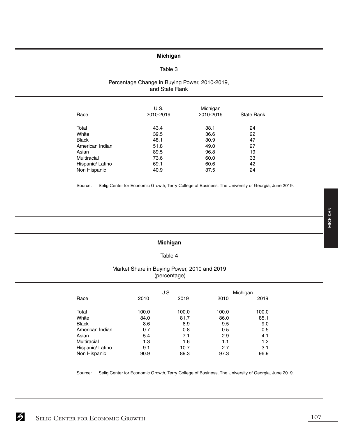# **Michigan**

#### Table 3

### Percentage Change in Buying Power, 2010-2019, and State Rank

| <b>State Rank</b> |
|-------------------|
| 24                |
| 22                |
| 47                |
| 27                |
| 19                |
| 33                |
| 42                |
| 24                |
|                   |

Source: Selig Center for Economic Growth, Terry College of Business, The University of Georgia, June 2019.

# **Michigan**

# Table 4

# Market Share in Buying Power, 2010 and 2019 (percentage)

|                  |       | U.S.  |       | Michigan |
|------------------|-------|-------|-------|----------|
| Race             | 2010  | 2019  | 2010  | 2019     |
| Total            | 100.0 | 100.0 | 100.0 | 100.0    |
| White            | 84.0  | 81.7  | 86.0  | 85.1     |
| <b>Black</b>     | 8.6   | 8.9   | 9.5   | 9.0      |
| American Indian  | 0.7   | 0.8   | 0.5   | 0.5      |
| Asian            | 5.4   | 7.1   | 2.9   | 4.1      |
| Multiracial      | 1.3   | 1.6   | 1.1   | 1.2      |
| Hispanic/ Latino | 9.1   | 10.7  | 2.7   | 3.1      |
| Non Hispanic     | 90.9  | 89.3  | 97.3  | 96.9     |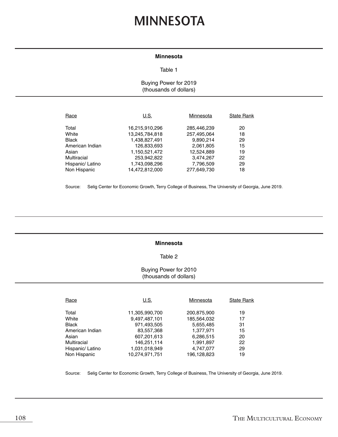# **MINNESOTA**

#### **Minnesota**

#### Table 1

# Buying Power for 2019 (thousands of dollars)

| Race             | U.S.           | Minnesota   | <b>State Rank</b> |
|------------------|----------------|-------------|-------------------|
| Total            | 16,215,910,296 | 285,446,239 | 20                |
| White            | 13,245,784,818 | 257,495,064 | 18                |
| <b>Black</b>     | 1,438,827,491  | 9,890,214   | 29                |
| American Indian  | 126,833,693    | 2,061,805   | 15                |
| Asian            | 1,150,521,472  | 12,524,889  | 19                |
| Multiracial      | 253,942,822    | 3,474,267   | 22                |
| Hispanic/ Latino | 1,743,098,296  | 7,796,509   | 29                |
| Non Hispanic     | 14,472,812,000 | 277,649,730 | 18                |

Source: Selig Center for Economic Growth, Terry College of Business, The University of Georgia, June 2019.

#### **Minnesota**

#### Table 2

# Buying Power for 2010 (thousands of dollars)

| Race             | U.S.           | Minnesota   | <b>State Rank</b> |
|------------------|----------------|-------------|-------------------|
| Total            | 11,305,990,700 | 200,875,900 | 19                |
| White            | 9,497,487,101  | 185,564,032 | 17                |
| <b>Black</b>     | 971,493,505    | 5,655,485   | 31                |
| American Indian  | 83,557,368     | 1,377,971   | 15                |
| Asian            | 607,201,613    | 6,286,515   | 20                |
| Multiracial      | 146,251,114    | 1,991,897   | 22                |
| Hispanic/ Latino | 1,031,018,949  | 4,747,077   | 29                |
| Non Hispanic     | 10.274.971.751 | 196,128,823 | 19                |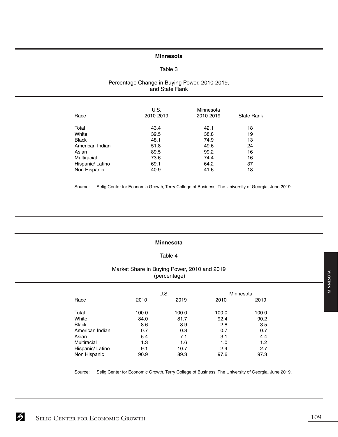# **Minnesota**

## Table 3

## Percentage Change in Buying Power, 2010-2019, and State Rank

| Race             | U.S.<br>2010-2019 | Minnesota<br>2010-2019 | <b>State Rank</b> |
|------------------|-------------------|------------------------|-------------------|
| Total            | 43.4              | 42.1                   | 18                |
| White            | 39.5              | 38.8                   | 19                |
| <b>Black</b>     | 48.1              | 74.9                   | 13                |
| American Indian  | 51.8              | 49.6                   | 24                |
| Asian            | 89.5              | 99.2                   | 16                |
| Multiracial      | 73.6              | 74.4                   | 16                |
| Hispanic/ Latino | 69.1              | 64.2                   | 37                |
| Non Hispanic     | 40.9              | 41.6                   | 18                |

Source: Selig Center for Economic Growth, Terry College of Business, The University of Georgia, June 2019.

## **Minnesota**

# Table 4

## Market Share in Buying Power, 2010 and 2019 (percentage)

|                  |       | U.S.  | Minnesota |       |
|------------------|-------|-------|-----------|-------|
| Race             | 2010  | 2019  | 2010      | 2019  |
| Total            | 100.0 | 100.0 | 100.0     | 100.0 |
| White            | 84.0  | 81.7  | 92.4      | 90.2  |
| <b>Black</b>     | 8.6   | 8.9   | 2.8       | 3.5   |
| American Indian  | 0.7   | 0.8   | 0.7       | 0.7   |
| Asian            | 5.4   | 7.1   | 3.1       | 4.4   |
| Multiracial      | 1.3   | 1.6   | 1.0       | 1.2   |
| Hispanic/ Latino | 9.1   | 10.7  | 2.4       | 2.7   |
| Non Hispanic     | 90.9  | 89.3  | 97.6      | 97.3  |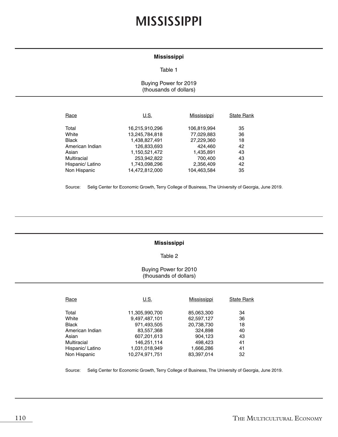# **MISSISSIPPI**

### **Mississippi**

#### Table 1

## Buying Power for 2019 (thousands of dollars)

| Race             | U.S.           | Mississippi | <b>State Rank</b> |
|------------------|----------------|-------------|-------------------|
| Total            | 16,215,910,296 | 106,819,994 | 35                |
| White            | 13,245,784,818 | 77,029,883  | 36                |
| <b>Black</b>     | 1,438,827,491  | 27,229,360  | 18                |
| American Indian  | 126,833,693    | 424.460     | 42                |
| Asian            | 1,150,521,472  | 1,435,891   | 43                |
| Multiracial      | 253,942,822    | 700.400     | 43                |
| Hispanic/ Latino | 1,743,098,296  | 2,356,409   | 42                |
| Non Hispanic     | 14.472.812.000 | 104.463.584 | 35                |

Source: Selig Center for Economic Growth, Terry College of Business, The University of Georgia, June 2019.

#### **Mississippi**

## Table 2

## Buying Power for 2010 (thousands of dollars)

| Race               | U.S.           | Mississippi | <b>State Rank</b> |
|--------------------|----------------|-------------|-------------------|
|                    |                |             |                   |
| Total              | 11,305,990,700 | 85,063,300  | 34                |
| White              | 9,497,487,101  | 62,597,127  | 36                |
| <b>Black</b>       | 971,493,505    | 20,738,730  | 18                |
| American Indian    | 83,557,368     | 324,898     | 40                |
| Asian              | 607,201,613    | 904,123     | 43                |
| <b>Multiracial</b> | 146,251,114    | 498,423     | 41                |
| Hispanic/ Latino   | 1,031,018,949  | 1,666,286   | 41                |
| Non Hispanic       | 10.274.971.751 | 83.397.014  | 32                |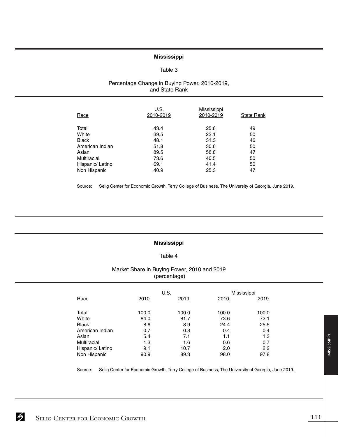# **Mississippi**

## Table 3

## Percentage Change in Buying Power, 2010-2019, and State Rank

| Race             | U.S.<br>2010-2019 | Mississippi<br>2010-2019 | <b>State Rank</b> |
|------------------|-------------------|--------------------------|-------------------|
| Total            | 43.4              | 25.6                     | 49                |
| White            | 39.5              | 23.1                     | 50                |
| <b>Black</b>     | 48.1              | 31.3                     | 46                |
| American Indian  | 51.8              | 30.6                     | 50                |
| Asian            | 89.5              | 58.8                     | 47                |
| Multiracial      | 73.6              | 40.5                     | 50                |
| Hispanic/ Latino | 69.1              | 41.4                     | 50                |
| Non Hispanic     | 40.9              | 25.3                     | 47                |

Source: Selig Center for Economic Growth, Terry College of Business, The University of Georgia, June 2019.

#### **Mississippi**

## Table 4

# Market Share in Buying Power, 2010 and 2019 (percentage)

|                  |       | U.S.  | Mississippi |       |
|------------------|-------|-------|-------------|-------|
| Race             | 2010  | 2019  | 2010        | 2019  |
| Total            | 100.0 | 100.0 | 100.0       | 100.0 |
| White            | 84.0  | 81.7  | 73.6        | 72.1  |
| <b>Black</b>     | 8.6   | 8.9   | 24.4        | 25.5  |
| American Indian  | 0.7   | 0.8   | 0.4         | 0.4   |
| Asian            | 5.4   | 7.1   | 1.1         | 1.3   |
| Multiracial      | 1.3   | 1.6   | 0.6         | 0.7   |
| Hispanic/ Latino | 9.1   | 10.7  | 2.0         | 2.2   |
| Non Hispanic     | 90.9  | 89.3  | 98.0        | 97.8  |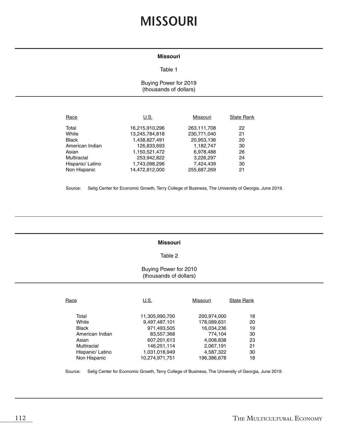# **MISSOURI**

# **Missouri**

#### Table 1

# Buying Power for 2019 (thousands of dollars)

| Race             | U.S.           | Missouri    | <b>State Rank</b> |
|------------------|----------------|-------------|-------------------|
| Total            | 16,215,910,296 | 263,111,708 | 22                |
| White            | 13,245,784,818 | 230,771,040 | 21                |
| <b>Black</b>     | 1.438.827.491  | 20,953,136  | 20                |
| American Indian  | 126,833,693    | 1.182.747   | 30                |
| Asian            | 1,150,521,472  | 6,978,488   | 26                |
| Multiracial      | 253,942,822    | 3,226,297   | 24                |
| Hispanic/ Latino | 1,743,098,296  | 7.424.439   | 30                |
| Non Hispanic     | 14.472.812.000 | 255.687.269 | 21                |

Source: Selig Center for Economic Growth, Terry College of Business, The University of Georgia, June 2019.

#### **Missouri**

## Table 2

## Buying Power for 2010 (thousands of dollars)

| Race             | U.S.           | Missouri    | <b>State Rank</b> |
|------------------|----------------|-------------|-------------------|
|                  |                |             |                   |
| Total            | 11,305,990,700 | 200,974,000 | 18                |
| White            | 9,497,487,101  | 178,089,631 | 20                |
| <b>Black</b>     | 971,493,505    | 16,034,236  | 19                |
| American Indian  | 83,557,368     | 774.104     | 30                |
| Asian            | 607,201,613    | 4,008,838   | 23                |
| Multiracial      | 146,251,114    | 2,067,191   | 21                |
| Hispanic/ Latino | 1,031,018,949  | 4,587,322   | 30                |
| Non Hispanic     | 10.274.971.751 | 196,386,678 | 18                |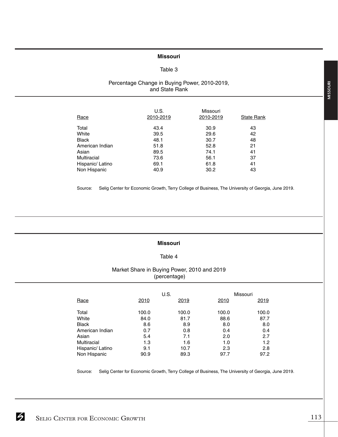# **Missouri**

## Table 3

## Percentage Change in Buying Power, 2010-2019, and State Rank

| Race             | U.S.<br>2010-2019 | Missouri<br>2010-2019 | <b>State Rank</b> |
|------------------|-------------------|-----------------------|-------------------|
| Total            | 43.4              | 30.9                  | 43                |
| White            | 39.5              | 29.6                  | 42                |
| <b>Black</b>     | 48.1              | 30.7                  | 48                |
| American Indian  | 51.8              | 52.8                  | 21                |
| Asian            | 89.5              | 74.1                  | 41                |
| Multiracial      | 73.6              | 56.1                  | 37                |
| Hispanic/ Latino | 69.1              | 61.8                  | 41                |
| Non Hispanic     | 40.9              | 30.2                  | 43                |

Source: Selig Center for Economic Growth, Terry College of Business, The University of Georgia, June 2019.

#### **Missouri**

## Table 4

# Market Share in Buying Power, 2010 and 2019 (percentage)

|                  |       | U.S.  | Missouri |       |
|------------------|-------|-------|----------|-------|
| Race             | 2010  | 2019  | 2010     | 2019  |
| Total            | 100.0 | 100.0 | 100.0    | 100.0 |
| White            | 84.0  | 81.7  | 88.6     | 87.7  |
| <b>Black</b>     | 8.6   | 8.9   | 8.0      | 8.0   |
| American Indian  | 0.7   | 0.8   | 0.4      | 0.4   |
| Asian            | 5.4   | 7.1   | 2.0      | 2.7   |
| Multiracial      | 1.3   | 1.6   | 1.0      | 1.2   |
| Hispanic/ Latino | 9.1   | 10.7  | 2.3      | 2.8   |
| Non Hispanic     | 90.9  | 89.3  | 97.7     | 97.2  |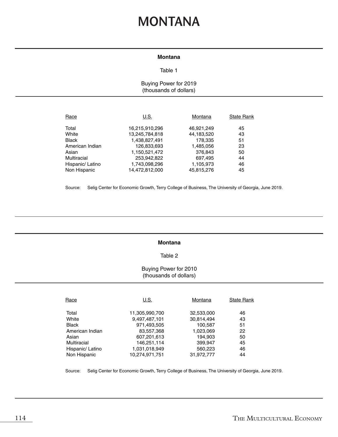# **MONTANA**

#### **Montana**

#### Table 1

Buying Power for 2019 (thousands of dollars)

| Race             | U.S.           | Montana    | <b>State Rank</b> |
|------------------|----------------|------------|-------------------|
| Total            | 16,215,910,296 | 46,921,249 | 45                |
| White            | 13,245,784,818 | 44,183,520 | 43                |
| <b>Black</b>     | 1,438,827,491  | 178,335    | 51                |
| American Indian  | 126,833,693    | 1,485,056  | 23                |
| Asian            | 1,150,521,472  | 376,843    | 50                |
| Multiracial      | 253,942,822    | 697,495    | 44                |
| Hispanic/ Latino | 1,743,098,296  | 1,105,973  | 46                |
| Non Hispanic     | 14,472,812,000 | 45,815,276 | 45                |

Source: Selig Center for Economic Growth, Terry College of Business, The University of Georgia, June 2019.

#### **Montana**

## Table 2

## Buying Power for 2010 (thousands of dollars)

| Race             | U.S.           | Montana    | <b>State Rank</b> |
|------------------|----------------|------------|-------------------|
| Total            | 11,305,990,700 | 32,533,000 | 46                |
| White            | 9,497,487,101  | 30,814,494 | 43                |
| Black            | 971,493,505    | 100,587    | 51                |
| American Indian  | 83,557,368     | 1,023,069  | 22                |
| Asian            | 607,201,613    | 194.903    | 50                |
| Multiracial      | 146,251,114    | 399,947    | 45                |
| Hispanic/ Latino | 1,031,018,949  | 560,223    | 46                |
| Non Hispanic     | 10.274.971.751 | 31.972.777 | 44                |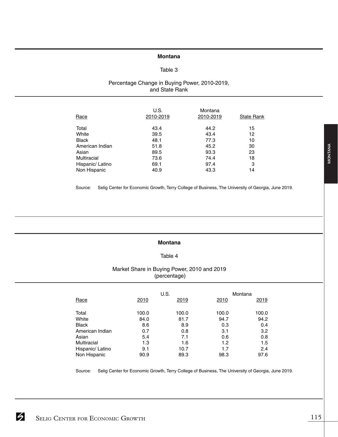#### **Montana**

## Table 3

## Percentage Change in Buying Power, 2010-2019, and State Rank

| <b>Race</b>      | U.S.<br>2010-2019 | Montana<br>2010-2019 | <b>State Rank</b> |
|------------------|-------------------|----------------------|-------------------|
| Total            | 43.4              | 44.2                 | 15                |
| White            | 39.5              | 43.4                 | 12                |
| <b>Black</b>     | 48.1              | 77.3                 | 10                |
| American Indian  | 51.8              | 45.2                 | 30                |
| Asian            | 89.5              | 93.3                 | 23                |
| Multiracial      | 73.6              | 74.4                 | 18                |
| Hispanic/ Latino | 69.1              | 97.4                 | 3                 |
| Non Hispanic     | 40.9              | 43.3                 | 14                |

Source: Selig Center for Economic Growth, Terry College of Business, The University of Georgia, June 2019.

## **Montana**

# Table 4

## Market Share in Buying Power, 2010 and 2019 (percentage)

|                  |       | U.S.  |       | Montana |
|------------------|-------|-------|-------|---------|
| Race             | 2010  | 2019  | 2010  | 2019    |
| Total            | 100.0 | 100.0 | 100.0 | 100.0   |
| White            | 84.0  | 81.7  | 94.7  | 94.2    |
| <b>Black</b>     | 8.6   | 8.9   | 0.3   | 0.4     |
| American Indian  | 0.7   | 0.8   | 3.1   | 3.2     |
| Asian            | 5.4   | 7.1   | 0.6   | 0.8     |
| Multiracial      | 1.3   | 1.6   | 1.2   | 1.5     |
| Hispanic/ Latino | 9.1   | 10.7  | 1.7   | 2.4     |
| Non Hispanic     | 90.9  | 89.3  | 98.3  | 97.6    |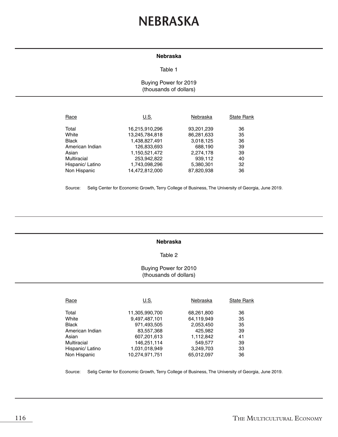# **NEBRASKA**

## **Nebraska**

#### Table 1

# Buying Power for 2019 (thousands of dollars)

| Race             | U.S.           | Nebraska   | <b>State Rank</b> |
|------------------|----------------|------------|-------------------|
| Total            | 16,215,910,296 | 93,201,239 | 36                |
| White            | 13,245,784,818 | 86,281,633 | 35                |
| <b>Black</b>     | 1,438,827,491  | 3,018,125  | 36                |
| American Indian  | 126,833,693    | 688,190    | 39                |
| Asian            | 1,150,521,472  | 2,274,178  | 39                |
| Multiracial      | 253,942,822    | 939,112    | 40                |
| Hispanic/ Latino | 1,743,098,296  | 5,380,301  | 32                |
| Non Hispanic     | 14,472,812,000 | 87,820,938 | 36                |

Source: Selig Center for Economic Growth, Terry College of Business, The University of Georgia, June 2019.

#### **Nebraska**

#### Table 2

## Buying Power for 2010 (thousands of dollars)

| Race             | U.S.           | Nebraska   | <b>State Rank</b> |
|------------------|----------------|------------|-------------------|
| Total            | 11,305,990,700 | 68,261,800 | 36                |
| White            | 9,497,487,101  | 64,119,949 | 35                |
| <b>Black</b>     | 971,493,505    | 2,053,450  | 35                |
| American Indian  | 83,557,368     | 425,982    | 39                |
| Asian            | 607,201,613    | 1,112,842  | 41                |
| Multiracial      | 146,251,114    | 549,577    | 39                |
| Hispanic/ Latino | 1,031,018,949  | 3,249,703  | 33                |
| Non Hispanic     | 10.274.971.751 | 65,012,097 | 36                |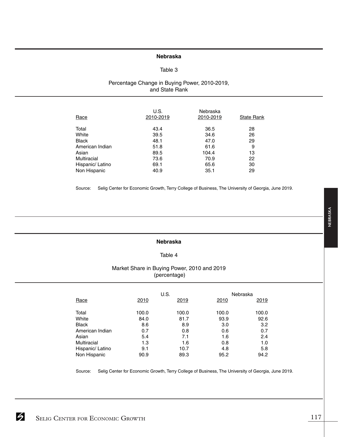# **Nebraska**

## Table 3

## Percentage Change in Buying Power, 2010-2019, and State Rank

| Race             | U.S.<br>2010-2019 | Nebraska<br>2010-2019 | State Rank |
|------------------|-------------------|-----------------------|------------|
| Total            | 43.4              | 36.5                  | 28         |
| White            | 39.5              | 34.6                  | 26         |
| <b>Black</b>     | 48.1              | 47.0                  | 29         |
| American Indian  | 51.8              | 61.6                  | 9          |
| Asian            | 89.5              | 104.4                 | 13         |
| Multiracial      | 73.6              | 70.9                  | 22         |
| Hispanic/ Latino | 69.1              | 65.6                  | 30         |
| Non Hispanic     | 40.9              | 35.1                  | 29         |

Source: Selig Center for Economic Growth, Terry College of Business, The University of Georgia, June 2019.

#### **Nebraska**

## Table 4

# Market Share in Buying Power, 2010 and 2019 (percentage)

|                  |       | U.S.  |       | Nebraska |
|------------------|-------|-------|-------|----------|
| Race             | 2010  | 2019  | 2010  | 2019     |
| Total            | 100.0 | 100.0 | 100.0 | 100.0    |
| White            | 84.0  | 81.7  | 93.9  | 92.6     |
| <b>Black</b>     | 8.6   | 8.9   | 3.0   | 3.2      |
| American Indian  | 0.7   | 0.8   | 0.6   | 0.7      |
| Asian            | 5.4   | 7.1   | 1.6   | 2.4      |
| Multiracial      | 1.3   | 1.6   | 0.8   | 1.0      |
| Hispanic/ Latino | 9.1   | 10.7  | 4.8   | 5.8      |
| Non Hispanic     | 90.9  | 89.3  | 95.2  | 94.2     |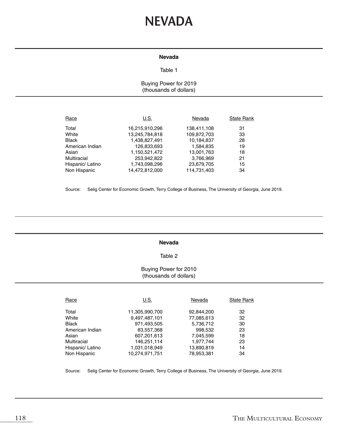# **NEVADA**

#### **Nevada**

## Table 1

# Buying Power for 2019 (thousands of dollars)

| Race             | U.S.           | Nevada      | <b>State Rank</b> |
|------------------|----------------|-------------|-------------------|
| Total            | 16,215,910,296 | 138,411,108 | 31                |
| White            | 13,245,784,818 | 109,872,703 | 33                |
| <b>Black</b>     | 1,438,827,491  | 10,184,837  | 28                |
| American Indian  | 126,833,693    | 1,584,835   | 19                |
| Asian            | 1,150,521,472  | 13,001,763  | 18                |
| Multiracial      | 253,942,822    | 3,766,969   | 21                |
| Hispanic/ Latino | 1,743,098,296  | 23,679,705  | 15                |
| Non Hispanic     | 14,472,812,000 | 114.731.403 | 34                |

Source: Selig Center for Economic Growth, Terry College of Business, The University of Georgia, June 2019.

#### **Nevada**

#### Table 2

# Buying Power for 2010 (thousands of dollars)

| Race             | U.S.           | Nevada     | <b>State Rank</b> |
|------------------|----------------|------------|-------------------|
| Total            | 11,305,990,700 | 92,844,200 | 32                |
| White            | 9,497,487,101  | 77,085,613 | 32                |
| Black            | 971,493,505    | 5,736,712  | 30                |
| American Indian  | 83,557,368     | 998,532    | 23                |
| Asian            | 607,201,613    | 7,045,599  | 18                |
| Multiracial      | 146,251,114    | 1,977,744  | 23                |
| Hispanic/ Latino | 1,031,018,949  | 13,890,819 | 14                |
| Non Hispanic     | 10,274,971,751 | 78.953.381 | 34                |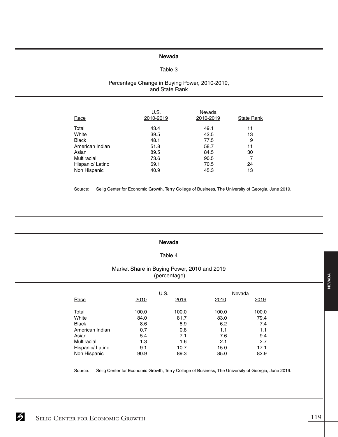# **Nevada**

# Table 3

## Percentage Change in Buying Power, 2010-2019, and State Rank

| Race             | U.S.<br>2010-2019 | Nevada<br>2010-2019 | <b>State Rank</b> |
|------------------|-------------------|---------------------|-------------------|
| Total            | 43.4              | 49.1                | 11                |
| White            | 39.5              | 42.5                | 13                |
| Black            | 48.1              | 77.5                | 9                 |
| American Indian  | 51.8              | 58.7                | 11                |
| Asian            | 89.5              | 84.5                | 30                |
| Multiracial      | 73.6              | 90.5                |                   |
| Hispanic/ Latino | 69.1              | 70.5                | 24                |
| Non Hispanic     | 40.9              | 45.3                | 13                |

Source: Selig Center for Economic Growth, Terry College of Business, The University of Georgia, June 2019.

#### **Nevada**

## Table 4

# Market Share in Buying Power, 2010 and 2019 (percentage)

|                  |       | U.S.  | Nevada |       |
|------------------|-------|-------|--------|-------|
| Race             | 2010  | 2019  | 2010   | 2019  |
| Total            | 100.0 | 100.0 | 100.0  | 100.0 |
| White            | 84.0  | 81.7  | 83.0   | 79.4  |
| <b>Black</b>     | 8.6   | 8.9   | 6.2    | 7.4   |
| American Indian  | 0.7   | 0.8   | 1.1    | 1.1   |
| Asian            | 5.4   | 7.1   | 7.6    | 9.4   |
| Multiracial      | 1.3   | 1.6   | 2.1    | 2.7   |
| Hispanic/ Latino | 9.1   | 10.7  | 15.0   | 17.1  |
| Non Hispanic     | 90.9  | 89.3  | 85.0   | 82.9  |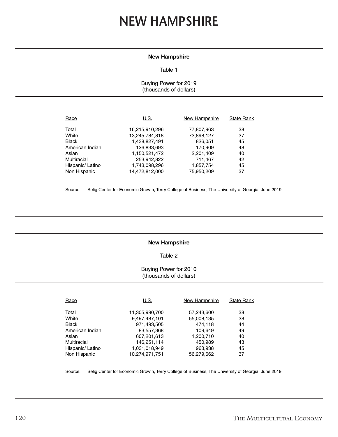# **NEW HAMPSHIRE**

#### **New Hampshire**

#### Table 1

Buying Power for 2019 (thousands of dollars)

| U.S.           | New Hampshire | <b>State Rank</b> |
|----------------|---------------|-------------------|
| 16,215,910,296 | 77,807,963    | 38                |
| 13,245,784,818 | 73,898,127    | 37                |
| 1,438,827,491  | 826,051       | 45                |
| 126,833,693    | 170,909       | 48                |
| 1,150,521,472  | 2,201,409     | 40                |
| 253,942,822    | 711.467       | 42                |
| 1,743,098,296  | 1,857,754     | 45                |
| 14,472,812,000 | 75,950,209    | 37                |
|                |               |                   |

Source: Selig Center for Economic Growth, Terry College of Business, The University of Georgia, June 2019.

## **New Hampshire**

Table 2

## Buying Power for 2010 (thousands of dollars)

| Race             | U.S.           | New Hampshire | <b>State Rank</b> |
|------------------|----------------|---------------|-------------------|
| Total            | 11,305,990,700 | 57,243,600    | 38                |
| White            | 9,497,487,101  | 55,008,135    | 38                |
| <b>Black</b>     | 971,493,505    | 474.118       | 44                |
| American Indian  | 83,557,368     | 109.649       | 49                |
| Asian            | 607,201,613    | 1,200,710     | 40                |
| Multiracial      | 146,251,114    | 450.989       | 43                |
| Hispanic/ Latino | 1,031,018,949  | 963,938       | 45                |
| Non Hispanic     | 10.274.971.751 | 56.279.662    | 37                |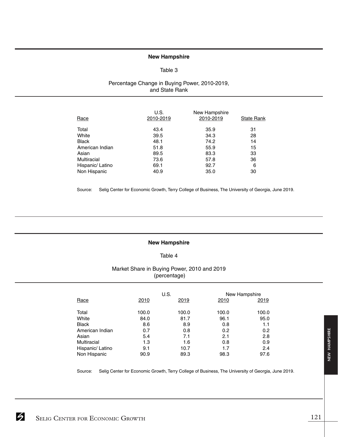#### **New Hampshire**

#### Table 3

## Percentage Change in Buying Power, 2010-2019, and State Rank

| Race             | U.S.<br>2010-2019 | New Hampshire<br>2010-2019 | <b>State Rank</b> |
|------------------|-------------------|----------------------------|-------------------|
| Total            | 43.4              | 35.9                       | 31                |
| White            | 39.5              | 34.3                       | 28                |
| <b>Black</b>     | 48.1              | 74.2                       | 14                |
| American Indian  | 51.8              | 55.9                       | 15                |
| Asian            | 89.5              | 83.3                       | 33                |
| Multiracial      | 73.6              | 57.8                       | 36                |
| Hispanic/ Latino | 69.1              | 92.7                       | 6                 |
| Non Hispanic     | 40.9              | 35.0                       | 30                |

Source: Selig Center for Economic Growth, Terry College of Business, The University of Georgia, June 2019.

## **New Hampshire**

## Table 4

# Market Share in Buying Power, 2010 and 2019 (percentage)

|                  | U.S.  |       |       | New Hampshire |  |
|------------------|-------|-------|-------|---------------|--|
| Race             | 2010  | 2019  | 2010  | 2019          |  |
| Total            | 100.0 | 100.0 | 100.0 | 100.0         |  |
| White            | 84.0  | 81.7  | 96.1  | 95.0          |  |
| <b>Black</b>     | 8.6   | 8.9   | 0.8   | 1.1           |  |
| American Indian  | 0.7   | 0.8   | 0.2   | 0.2           |  |
| Asian            | 5.4   | 7.1   | 2.1   | 2.8           |  |
| Multiracial      | 1.3   | 1.6   | 0.8   | 0.9           |  |
| Hispanic/ Latino | 9.1   | 10.7  | 1.7   | 2.4           |  |
| Non Hispanic     | 90.9  | 89.3  | 98.3  | 97.6          |  |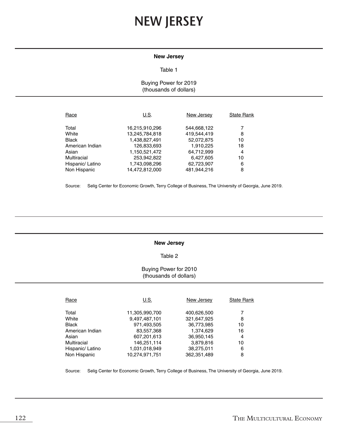# **NEW JERSEY**

#### **New Jersey**

#### Table 1

## Buying Power for 2019 (thousands of dollars)

| Race             | U.S.           | New Jersey  | <b>State Rank</b> |
|------------------|----------------|-------------|-------------------|
| Total            | 16,215,910,296 | 544,668,122 |                   |
| White            | 13,245,784,818 | 419.544.419 | 8                 |
| <b>Black</b>     | 1,438,827,491  | 52,072,875  | 10                |
| American Indian  | 126,833,693    | 1,910,225   | 18                |
| Asian            | 1,150,521,472  | 64,712,999  | 4                 |
| Multiracial      | 253,942,822    | 6,427,605   | 10                |
| Hispanic/ Latino | 1,743,098,296  | 62,723,907  | 6                 |
| Non Hispanic     | 14,472,812,000 | 481.944.216 | 8                 |

Source: Selig Center for Economic Growth, Terry College of Business, The University of Georgia, June 2019.

#### **New Jersey**

#### Table 2

## Buying Power for 2010 (thousands of dollars)

| Race             | U.S.           | New Jersey  | <b>State Rank</b> |
|------------------|----------------|-------------|-------------------|
|                  |                |             |                   |
| Total            | 11,305,990,700 | 400,626,500 |                   |
| White            | 9,497,487,101  | 321,647,925 | 8                 |
| <b>Black</b>     | 971,493,505    | 36,773,985  | 10                |
| American Indian  | 83,557,368     | 1,374,629   | 16                |
| Asian            | 607,201,613    | 36.950.145  | 4                 |
| Multiracial      | 146,251,114    | 3,879,816   | 10                |
| Hispanic/ Latino | 1,031,018,949  | 38,275,011  | 6                 |
| Non Hispanic     | 10.274.971.751 | 362.351.489 | 8                 |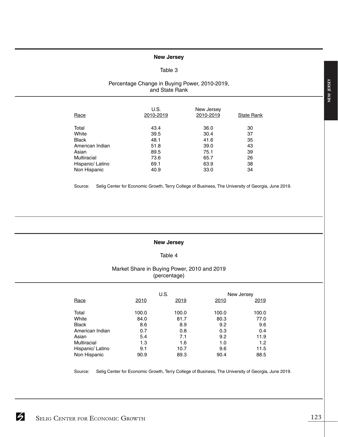## **New Jersey**

## Table 3

# Percentage Change in Buying Power, 2010-2019, and State Rank

| Race             | U.S.<br>2010-2019 | New Jersey<br>2010-2019 | <b>State Rank</b> |
|------------------|-------------------|-------------------------|-------------------|
| Total            | 43.4              | 36.0                    | 30                |
| White            | 39.5              | 30.4                    | 37                |
| <b>Black</b>     | 48.1              | 41.6                    | 35                |
| American Indian  | 51.8              | 39.0                    | 43                |
| Asian            | 89.5              | 75.1                    | 39                |
| Multiracial      | 73.6              | 65.7                    | 26                |
| Hispanic/ Latino | 69.1              | 63.9                    | 38                |
| Non Hispanic     | 40.9              | 33.0                    | 34                |

Source: Selig Center for Economic Growth, Terry College of Business, The University of Georgia, June 2019.

#### **New Jersey**

## Table 4

# Market Share in Buying Power, 2010 and 2019 (percentage)

|                  |       | U.S.  |       | New Jersey |
|------------------|-------|-------|-------|------------|
| Race             | 2010  | 2019  | 2010  | 2019       |
| Total            | 100.0 | 100.0 | 100.0 | 100.0      |
| White            | 84.0  | 81.7  | 80.3  | 77.0       |
| <b>Black</b>     | 8.6   | 8.9   | 9.2   | 9.6        |
| American Indian  | 0.7   | 0.8   | 0.3   | 0.4        |
| Asian            | 5.4   | 7.1   | 9.2   | 11.9       |
| Multiracial      | 1.3   | 1.6   | 1.0   | 1.2        |
| Hispanic/ Latino | 9.1   | 10.7  | 9.6   | 11.5       |
| Non Hispanic     | 90.9  | 89.3  | 90.4  | 88.5       |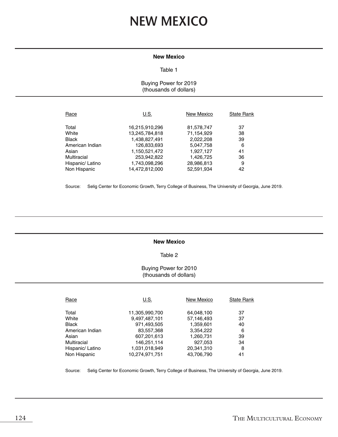# **NEW MEXICO**

#### **New Mexico**

#### Table 1

# Buying Power for 2019 (thousands of dollars)

| Race             | U.S.           | New Mexico | <b>State Rank</b> |
|------------------|----------------|------------|-------------------|
| Total            | 16,215,910,296 | 81,578,747 | 37                |
| White            | 13,245,784,818 | 71,154,929 | 38                |
| <b>Black</b>     | 1,438,827,491  | 2,022,208  | 39                |
| American Indian  | 126,833,693    | 5,047,758  | 6                 |
| Asian            | 1,150,521,472  | 1,927,127  | 41                |
| Multiracial      | 253,942,822    | 1,426,725  | 36                |
| Hispanic/ Latino | 1,743,098,296  | 28,986,813 | 9                 |
| Non Hispanic     | 14,472,812,000 | 52.591.934 | 42                |

Source: Selig Center for Economic Growth, Terry College of Business, The University of Georgia, June 2019.

#### **New Mexico**

#### Table 2

# Buying Power for 2010 (thousands of dollars)

| Race             | U.S.           | <b>New Mexico</b> | <b>State Rank</b> |
|------------------|----------------|-------------------|-------------------|
| Total            | 11,305,990,700 | 64,048,100        | 37                |
| White            | 9,497,487,101  | 57,146,493        | 37                |
| Black            | 971,493,505    | 1,359,601         | 40                |
| American Indian  | 83,557,368     | 3,354,222         | 6                 |
| Asian            | 607,201,613    | 1,260,731         | 39                |
| Multiracial      | 146,251,114    | 927,053           | 34                |
| Hispanic/ Latino | 1,031,018,949  | 20,341,310        | 8                 |
| Non Hispanic     | 10.274.971.751 | 43.706.790        | 41                |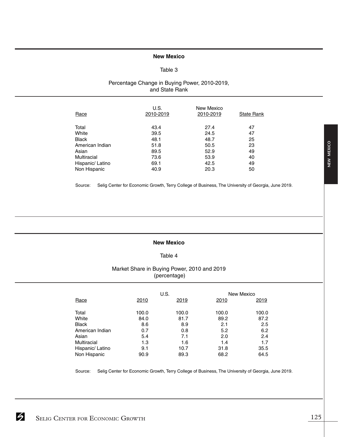## **New Mexico**

# Table 3

# Percentage Change in Buying Power, 2010-2019, and State Rank

| Race             | U.S.<br>2010-2019 | New Mexico<br>2010-2019 | <b>State Rank</b> |
|------------------|-------------------|-------------------------|-------------------|
| Total            | 43.4              | 27.4                    | 47                |
| White            | 39.5              | 24.5                    | 47                |
| <b>Black</b>     | 48.1              | 48.7                    | 25                |
| American Indian  | 51.8              | 50.5                    | 23                |
| Asian            | 89.5              | 52.9                    | 49                |
| Multiracial      | 73.6              | 53.9                    | 40                |
| Hispanic/ Latino | 69.1              | 42.5                    | 49                |
| Non Hispanic     | 40.9              | 20.3                    | 50                |

Source: Selig Center for Economic Growth, Terry College of Business, The University of Georgia, June 2019.

# **New Mexico**

## Table 4

# Market Share in Buying Power, 2010 and 2019 (percentage)

|                    | U.S.  |       |       | New Mexico |
|--------------------|-------|-------|-------|------------|
| Race               | 2010  | 2019  | 2010  | 2019       |
| Total              | 100.0 | 100.0 | 100.0 | 100.0      |
| White              | 84.0  | 81.7  | 89.2  | 87.2       |
| <b>Black</b>       | 8.6   | 8.9   | 2.1   | 2.5        |
| American Indian    | 0.7   | 0.8   | 5.2   | 6.2        |
| Asian              | 5.4   | 7.1   | 2.0   | 2.4        |
| <b>Multiracial</b> | 1.3   | 1.6   | 1.4   | 1.7        |
| Hispanic/ Latino   | 9.1   | 10.7  | 31.8  | 35.5       |
| Non Hispanic       | 90.9  | 89.3  | 68.2  | 64.5       |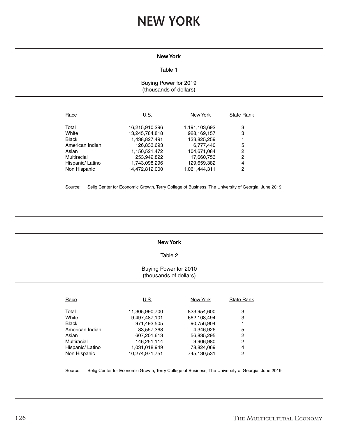# **NEW YORK**

# **New York**

#### Table 1

# Buying Power for 2019 (thousands of dollars)

| Race             | U.S.           | New York      | <b>State Rank</b> |
|------------------|----------------|---------------|-------------------|
| Total            | 16,215,910,296 | 1,191,103,692 | 3                 |
| White            | 13,245,784,818 | 928,169,157   | 3                 |
| <b>Black</b>     | 1,438,827,491  | 133,825,259   |                   |
| American Indian  | 126,833,693    | 6,777,440     | 5                 |
| Asian            | 1,150,521,472  | 104.671.084   | 2                 |
| Multiracial      | 253,942,822    | 17,660,753    | 2                 |
| Hispanic/ Latino | 1,743,098,296  | 129,659,382   | 4                 |
| Non Hispanic     | 14.472.812.000 | 1.061.444.311 | 2                 |

Source: Selig Center for Economic Growth, Terry College of Business, The University of Georgia, June 2019.

#### **New York**

#### Table 2

# Buying Power for 2010 (thousands of dollars)

| Race             | U.S.           | New York    | <b>State Rank</b> |
|------------------|----------------|-------------|-------------------|
| Total            | 11,305,990,700 | 823,954,600 | З                 |
| White            | 9,497,487,101  | 662.108.494 | 3                 |
| <b>Black</b>     | 971,493,505    | 90.756.904  |                   |
| American Indian  | 83,557,368     | 4,346,926   | 5                 |
| Asian            | 607,201,613    | 56,835,295  | 2                 |
| Multiracial      | 146,251,114    | 9,906,980   | 2                 |
| Hispanic/ Latino | 1,031,018,949  | 78,824,069  | 4                 |
| Non Hispanic     | 10.274.971.751 | 745,130,531 | 2                 |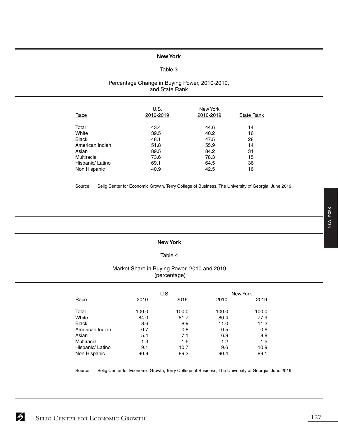# **New York**

## Table 3

# Percentage Change in Buying Power, 2010-2019, and State Rank

| Race               | U.S.<br>2010-2019 | New York<br>2010-2019 | <b>State Rank</b> |
|--------------------|-------------------|-----------------------|-------------------|
| Total              | 43.4              | 44.6                  | 14                |
| White              | 39.5              | 40.2                  | 16                |
| <b>Black</b>       | 48.1              | 47.5                  | 28                |
| American Indian    | 51.8              | 55.9                  | 14                |
| Asian              | 89.5              | 84.2                  | 31                |
| <b>Multiracial</b> | 73.6              | 78.3                  | 15                |
| Hispanic/ Latino   | 69.1              | 64.5                  | 36                |
| Non Hispanic       | 40.9              | 42.5                  | 16                |

Source: Selig Center for Economic Growth, Terry College of Business, The University of Georgia, June 2019.

#### **New York**

## Table 4

# Market Share in Buying Power, 2010 and 2019 (percentage)

|                  |       | U.S.  |       | New York |
|------------------|-------|-------|-------|----------|
| Race             | 2010  | 2019  | 2010  | 2019     |
| Total            | 100.0 | 100.0 | 100.0 | 100.0    |
| White            | 84.0  | 81.7  | 80.4  | 77.9     |
| <b>Black</b>     | 8.6   | 8.9   | 11.0  | 11.2     |
| American Indian  | 0.7   | 0.8   | 0.5   | 0.6      |
| Asian            | 5.4   | 7.1   | 6.9   | 8.8      |
| Multiracial      | 1.3   | 1.6   | 1.2   | 1.5      |
| Hispanic/ Latino | 9.1   | 10.7  | 9.6   | 10.9     |
| Non Hispanic     | 90.9  | 89.3  | 90.4  | 89.1     |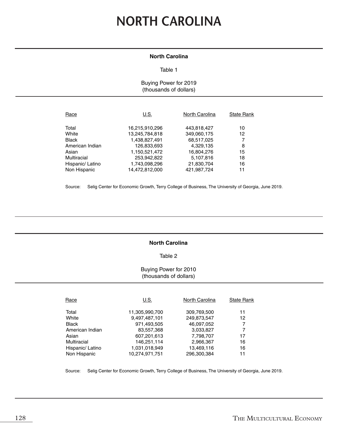# **NORTH CAROLINA**

# **North Carolina**

#### Table 1

## Buying Power for 2019 (thousands of dollars)

| Race             | U.S.           | North Carolina | <b>State Rank</b> |
|------------------|----------------|----------------|-------------------|
| Total            | 16,215,910,296 | 443,818,427    | 10                |
| White            | 13,245,784,818 | 349,060,175    | 12                |
| <b>Black</b>     | 1,438,827,491  | 68,517,025     |                   |
| American Indian  | 126,833,693    | 4.329.135      | 8                 |
| Asian            | 1,150,521,472  | 16,804,276     | 15                |
| Multiracial      | 253,942,822    | 5,107,816      | 18                |
| Hispanic/ Latino | 1,743,098,296  | 21,830,704     | 16                |
| Non Hispanic     | 14,472,812,000 | 421.987.724    | 11                |

Source: Selig Center for Economic Growth, Terry College of Business, The University of Georgia, June 2019.

## **North Carolina**

## Table 2

## Buying Power for 2010 (thousands of dollars)

| Race             | U.S.           | North Carolina | <b>State Rank</b> |
|------------------|----------------|----------------|-------------------|
| Total            | 11,305,990,700 | 309,769,500    | 11                |
| White            | 9,497,487,101  | 249,873,547    | 12                |
| <b>Black</b>     | 971,493,505    | 46.097.052     | 7                 |
| American Indian  | 83,557,368     | 3,033,827      | 7                 |
| Asian            | 607,201,613    | 7,798,707      | 17                |
| Multiracial      | 146,251,114    | 2,966,367      | 16                |
| Hispanic/ Latino | 1,031,018,949  | 13,469,116     | 16                |
| Non Hispanic     | 10,274,971,751 | 296.300.384    | 11                |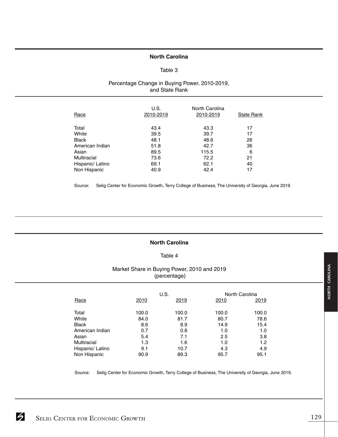## **North Carolina**

## Table 3

# Percentage Change in Buying Power, 2010-2019, and State Rank

| Race             | U.S.<br>2010-2019 | North Carolina<br>2010-2019 | <b>State Rank</b> |
|------------------|-------------------|-----------------------------|-------------------|
| Total            | 43.4              | 43.3                        | 17                |
| White            | 39.5              | 39.7                        | 17                |
| <b>Black</b>     | 48.1              | 48.6                        | 26                |
| American Indian  | 51.8              | 42.7                        | 36                |
| Asian            | 89.5              | 115.5                       | 6                 |
| Multiracial      | 73.6              | 72.2                        | 21                |
| Hispanic/ Latino | 69.1              | 62.1                        | 40                |
| Non Hispanic     | 40.9              | 42.4                        | 17                |

Source: Selig Center for Economic Growth, Terry College of Business, The University of Georgia, June 2019.

# **North Carolina**

## Table 4

# Market Share in Buying Power, 2010 and 2019 (percentage)

|                  |       | U.S.  |       | North Carolina |
|------------------|-------|-------|-------|----------------|
| Race             | 2010  | 2019  | 2010  | 2019           |
| Total            | 100.0 | 100.0 | 100.0 | 100.0          |
| White            | 84.0  | 81.7  | 80.7  | 78.6           |
| <b>Black</b>     | 8.6   | 8.9   | 14.9  | 15.4           |
| American Indian  | 0.7   | 0.8   | 1.0   | 1.0            |
| Asian            | 5.4   | 7.1   | 2.5   | 3.8            |
| Multiracial      | 1.3   | 1.6   | 1.0   | 1.2            |
| Hispanic/ Latino | 9.1   | 10.7  | 4.3   | 4.9            |
| Non Hispanic     | 90.9  | 89.3  | 95.7  | 95.1           |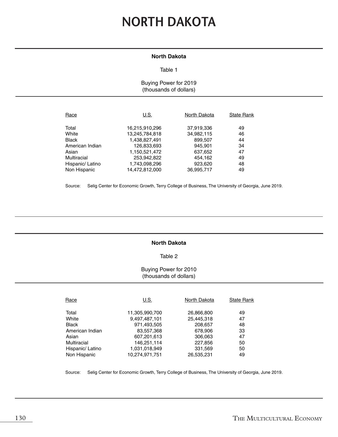# **NORTH DAKOTA**

# **North Dakota**

### Table 1

# Buying Power for 2019 (thousands of dollars)

| Race             | U.S.           | North Dakota | <b>State Rank</b> |
|------------------|----------------|--------------|-------------------|
| Total            | 16,215,910,296 | 37,919,336   | 49                |
| White            | 13,245,784,818 | 34,982,115   | 46                |
| <b>Black</b>     | 1,438,827,491  | 899,507      | 44                |
| American Indian  | 126,833,693    | 945.901      | 34                |
| Asian            | 1,150,521,472  | 637,652      | 47                |
| Multiracial      | 253,942,822    | 454,162      | 49                |
| Hispanic/ Latino | 1,743,098,296  | 923,620      | 48                |
| Non Hispanic     | 14.472.812.000 | 36.995.717   | 49                |

Source: Selig Center for Economic Growth, Terry College of Business, The University of Georgia, June 2019.

## **North Dakota**

#### Table 2

## Buying Power for 2010 (thousands of dollars)

| Race             | U.S.           | North Dakota | <b>State Rank</b> |
|------------------|----------------|--------------|-------------------|
|                  |                |              |                   |
| Total            | 11,305,990,700 | 26,866,800   | 49                |
| White            | 9,497,487,101  | 25,445,318   | 47                |
| <b>Black</b>     | 971,493,505    | 208,657      | 48                |
| American Indian  | 83,557,368     | 678,906      | 33                |
| Asian            | 607,201,613    | 306,063      | 47                |
| Multiracial      | 146,251,114    | 227,856      | 50                |
| Hispanic/ Latino | 1,031,018,949  | 331,569      | 50                |
| Non Hispanic     | 10.274.971.751 | 26.535.231   | 49                |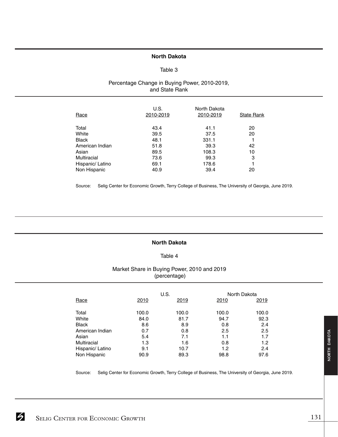# **North Dakota**

## Table 3

# Percentage Change in Buying Power, 2010-2019, and State Rank

| Race             | U.S.<br>2010-2019 | North Dakota<br>2010-2019 | <b>State Rank</b> |
|------------------|-------------------|---------------------------|-------------------|
| Total            | 43.4              | 41.1                      | 20                |
| White            | 39.5              | 37.5                      | 20                |
| <b>Black</b>     | 48.1              | 331.1                     |                   |
| American Indian  | 51.8              | 39.3                      | 42                |
| Asian            | 89.5              | 108.3                     | 10                |
| Multiracial      | 73.6              | 99.3                      | 3                 |
| Hispanic/ Latino | 69.1              | 178.6                     |                   |
| Non Hispanic     | 40.9              | 39.4                      | 20                |

Source: Selig Center for Economic Growth, Terry College of Business, The University of Georgia, June 2019.

## **North Dakota**

# Table 4

# Market Share in Buying Power, 2010 and 2019 (percentage)

|                  |       | U.S.  |       | North Dakota |
|------------------|-------|-------|-------|--------------|
| Race             | 2010  | 2019  | 2010  | 2019         |
| Total            | 100.0 | 100.0 | 100.0 | 100.0        |
| White            | 84.0  | 81.7  | 94.7  | 92.3         |
| <b>Black</b>     | 8.6   | 8.9   | 0.8   | 2.4          |
| American Indian  | 0.7   | 0.8   | 2.5   | 2.5          |
| Asian            | 5.4   | 7.1   | 1.1   | 1.7          |
| Multiracial      | 1.3   | 1.6   | 0.8   | 1.2          |
| Hispanic/ Latino | 9.1   | 10.7  | 1.2   | 2.4          |
| Non Hispanic     | 90.9  | 89.3  | 98.8  | 97.6         |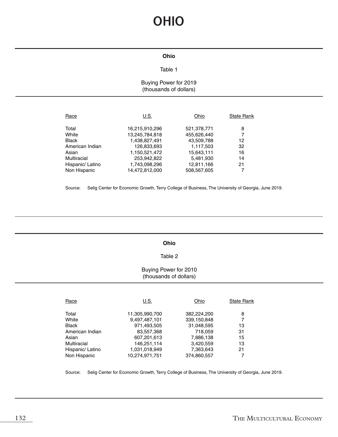# **OHIO**

## **Ohio**

# Table 1

# Buying Power for 2019 (thousands of dollars)

| Race             | U.S.           | Ohio        | <b>State Rank</b> |
|------------------|----------------|-------------|-------------------|
| Total            | 16,215,910,296 | 521,378,771 | 8                 |
| White            | 13,245,784,818 | 455,626,440 |                   |
| <b>Black</b>     | 1,438,827,491  | 43,509,788  | 12                |
| American Indian  | 126,833,693    | 1,117,503   | 32                |
| Asian            | 1,150,521,472  | 15,643,111  | 16                |
| Multiracial      | 253,942,822    | 5,481,930   | 14                |
| Hispanic/ Latino | 1,743,098,296  | 12,811,166  | 21                |
| Non Hispanic     | 14.472.812.000 | 508.567.605 |                   |

Source: Selig Center for Economic Growth, Terry College of Business, The University of Georgia, June 2019.

## **Ohio**

## Table 2

## Buying Power for 2010 (thousands of dollars)

| Race             | U.S.           | Ohio        | <b>State Rank</b> |
|------------------|----------------|-------------|-------------------|
| Total            | 11,305,990,700 | 382,224,200 | 8                 |
| White            | 9,497,487,101  | 339,150,848 |                   |
| Black            | 971,493,505    | 31,048,595  | 13                |
| American Indian  | 83,557,368     | 718,059     | 31                |
| Asian            | 607,201,613    | 7,886,138   | 15                |
| Multiracial      | 146,251,114    | 3,420,559   | 13                |
| Hispanic/ Latino | 1,031,018,949  | 7,363,643   | 21                |
| Non Hispanic     | 10.274.971.751 | 374,860,557 |                   |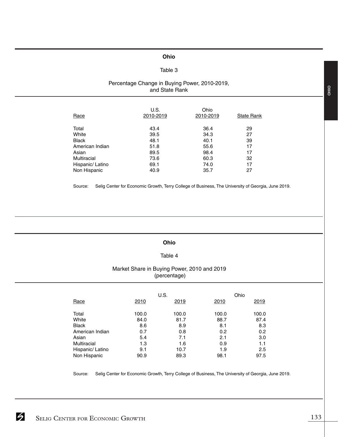## **Ohio**

# Table 3

## Percentage Change in Buying Power, 2010-2019, and State Rank

| Race             | U.S.<br>2010-2019 | Ohio<br>2010-2019 | <b>State Rank</b> |
|------------------|-------------------|-------------------|-------------------|
| Total            | 43.4              | 36.4              | 29                |
| White            | 39.5              | 34.3              | 27                |
| <b>Black</b>     | 48.1              | 40.1              | 39                |
| American Indian  | 51.8              | 55.6              | 17                |
| Asian            | 89.5              | 98.4              | 17                |
| Multiracial      | 73.6              | 60.3              | 32                |
| Hispanic/ Latino | 69.1              | 74.0              | 17                |
| Non Hispanic     | 40.9              | 35.7              | 27                |

Source: Selig Center for Economic Growth, Terry College of Business, The University of Georgia, June 2019.

#### **Ohio**

# Table 4

# Market Share in Buying Power, 2010 and 2019 (percentage)

|                  |       | U.S.  | Ohio  |       |
|------------------|-------|-------|-------|-------|
| Race             | 2010  | 2019  | 2010  | 2019  |
|                  |       |       |       |       |
| Total            | 100.0 | 100.0 | 100.0 | 100.0 |
| White            | 84.0  | 81.7  | 88.7  | 87.4  |
| <b>Black</b>     | 8.6   | 8.9   | 8.1   | 8.3   |
| American Indian  | 0.7   | 0.8   | 0.2   | 0.2   |
| Asian            | 5.4   | 7.1   | 2.1   | 3.0   |
| Multiracial      | 1.3   | 1.6   | 0.9   | 1.1   |
| Hispanic/ Latino | 9.1   | 10.7  | 1.9   | 2.5   |
| Non Hispanic     | 90.9  | 89.3  | 98.1  | 97.5  |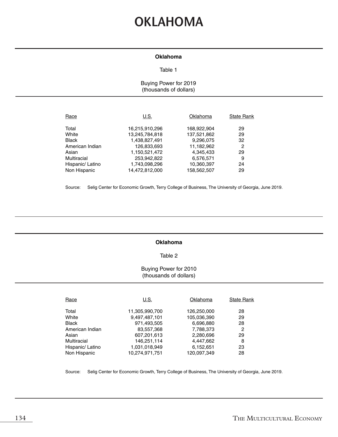# **OKLAHOMA**

#### **Oklahoma**

#### Table 1

# Buying Power for 2019 (thousands of dollars)

| Race             | U.S.           | Oklahoma    | <b>State Rank</b> |
|------------------|----------------|-------------|-------------------|
| Total            | 16,215,910,296 | 168,922,904 | 29                |
| White            | 13,245,784,818 | 137,521,862 | 29                |
| <b>Black</b>     | 1,438,827,491  | 9,296,075   | 32                |
| American Indian  | 126,833,693    | 11,182,962  | 2                 |
| Asian            | 1,150,521,472  | 4.345.433   | 29                |
| Multiracial      | 253,942,822    | 6,576,571   | 9                 |
| Hispanic/ Latino | 1,743,098,296  | 10,360,397  | 24                |
| Non Hispanic     | 14.472.812.000 | 158.562.507 | 29                |

Source: Selig Center for Economic Growth, Terry College of Business, The University of Georgia, June 2019.

## **Oklahoma**

#### Table 2

# Buying Power for 2010 (thousands of dollars)

| Race             | U.S.           | Oklahoma    | <b>State Rank</b> |
|------------------|----------------|-------------|-------------------|
| Total            | 11,305,990,700 | 126,250,000 | 28                |
| White            | 9,497,487,101  | 105,036,390 | 29                |
| <b>Black</b>     | 971,493,505    | 6,696,880   | 28                |
| American Indian  | 83,557,368     | 7,788,373   | 2                 |
| Asian            | 607,201,613    | 2,280,696   | 29                |
| Multiracial      | 146,251,114    | 4,447,662   | 8                 |
| Hispanic/ Latino | 1,031,018,949  | 6,152,651   | 23                |
| Non Hispanic     | 10,274,971,751 | 120.097.349 | 28                |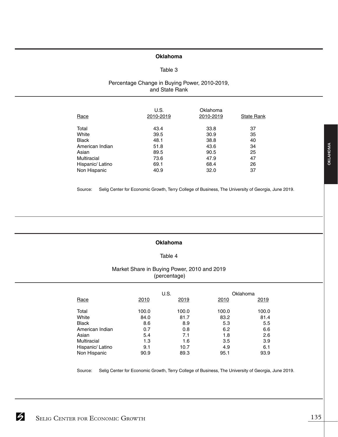## **Oklahoma**

## Table 3

# Percentage Change in Buying Power, 2010-2019, and State Rank

| Race             | U.S.<br>2010-2019 | Oklahoma<br>2010-2019 | <b>State Rank</b> |
|------------------|-------------------|-----------------------|-------------------|
| Total            | 43.4              | 33.8                  | 37                |
| White            | 39.5              | 30.9                  | 35                |
| <b>Black</b>     | 48.1              | 38.8                  | 40                |
| American Indian  | 51.8              | 43.6                  | 34                |
| Asian            | 89.5              | 90.5                  | 25                |
| Multiracial      | 73.6              | 47.9                  | 47                |
| Hispanic/ Latino | 69.1              | 68.4                  | 26                |
| Non Hispanic     | 40.9              | 32.0                  | 37                |

Source: Selig Center for Economic Growth, Terry College of Business, The University of Georgia, June 2019.

## **Oklahoma**

## Table 4

# Market Share in Buying Power, 2010 and 2019 (percentage)

|                  |       | U.S.  | Oklahoma |       |
|------------------|-------|-------|----------|-------|
| Race             | 2010  | 2019  | 2010     | 2019  |
| Total            | 100.0 | 100.0 | 100.0    | 100.0 |
| White            | 84.0  | 81.7  | 83.2     | 81.4  |
| <b>Black</b>     | 8.6   | 8.9   | 5.3      | 5.5   |
| American Indian  | 0.7   | 0.8   | 6.2      | 6.6   |
| Asian            | 5.4   | 7.1   | 1.8      | 2.6   |
| Multiracial      | 1.3   | 1.6   | 3.5      | 3.9   |
| Hispanic/ Latino | 9.1   | 10.7  | 4.9      | 6.1   |
| Non Hispanic     | 90.9  | 89.3  | 95.1     | 93.9  |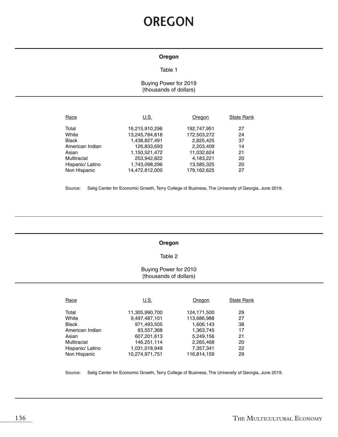# **OREGON**

#### **Oregon**

### Table 1

# Buying Power for 2019 (thousands of dollars)

| Race             | U.S.           | Oregon      | <b>State Rank</b> |
|------------------|----------------|-------------|-------------------|
| Total            | 16,215,910,296 | 192,747,951 | 27                |
| White            | 13,245,784,818 | 172,503,272 | 24                |
| <b>Black</b>     | 1,438,827,491  | 2.825.425   | 37                |
| American Indian  | 126,833,693    | 2,203,409   | 14                |
| Asian            | 1,150,521,472  | 11,032,624  | 21                |
| Multiracial      | 253,942,822    | 4,183,221   | 20                |
| Hispanic/ Latino | 1,743,098,296  | 13,585,325  | 20                |
| Non Hispanic     | 14,472,812,000 | 179.162.625 | 27                |

Source: Selig Center for Economic Growth, Terry College of Business, The University of Georgia, June 2019.

#### **Oregon**

#### Table 2

## Buying Power for 2010 (thousands of dollars)

| Race             | U.S.           | Oregon      | <b>State Rank</b> |
|------------------|----------------|-------------|-------------------|
| Total            | 11,305,990,700 | 124,171,500 | 29                |
| White            | 9,497,487,101  | 113,686,988 | 27                |
| <b>Black</b>     | 971,493,505    | 1.606.143   | 38                |
| American Indian  | 83,557,368     | 1,363,745   | 17                |
| Asian            | 607,201,613    | 5,249,156   | 21                |
| Multiracial      | 146,251,114    | 2,265,468   | 20                |
| Hispanic/ Latino | 1,031,018,949  | 7,357,341   | 22                |
| Non Hispanic     | 10.274.971.751 | 116.814.159 | 29                |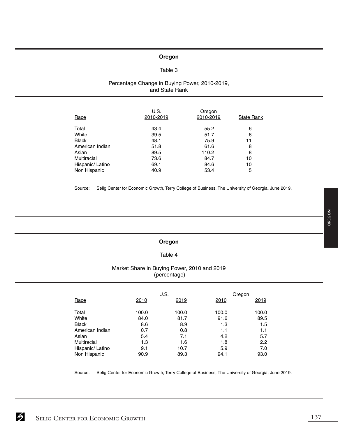## **Oregon**

## Table 3

## Percentage Change in Buying Power, 2010-2019, and State Rank

| Race             | U.S.<br>2010-2019 | Oregon<br>2010-2019 | State Rank |
|------------------|-------------------|---------------------|------------|
| Total            | 43.4              | 55.2                | 6          |
| White            | 39.5              | 51.7                | 6          |
| <b>Black</b>     | 48.1              | 75.9                | 11         |
| American Indian  | 51.8              | 61.6                | 8          |
| Asian            | 89.5              | 110.2               | 8          |
| Multiracial      | 73.6              | 84.7                | 10         |
| Hispanic/ Latino | 69.1              | 84.6                | 10         |
| Non Hispanic     | 40.9              | 53.4                | 5          |

Source: Selig Center for Economic Growth, Terry College of Business, The University of Georgia, June 2019.

# **Oregon**

## Table 4

# Market Share in Buying Power, 2010 and 2019 (percentage)

|                  |       | U.S.  | Oregon |       |
|------------------|-------|-------|--------|-------|
| Race             | 2010  | 2019  | 2010   | 2019  |
| Total            | 100.0 | 100.0 | 100.0  | 100.0 |
| White            | 84.0  | 81.7  | 91.6   | 89.5  |
| <b>Black</b>     | 8.6   | 8.9   | 1.3    | 1.5   |
| American Indian  | 0.7   | 0.8   | 1.1    | 1.1   |
| Asian            | 5.4   | 7.1   | 4.2    | 5.7   |
| Multiracial      | 1.3   | 1.6   | 1.8    | 2.2   |
| Hispanic/ Latino | 9.1   | 10.7  | 5.9    | 7.0   |
| Non Hispanic     | 90.9  | 89.3  | 94.1   | 93.0  |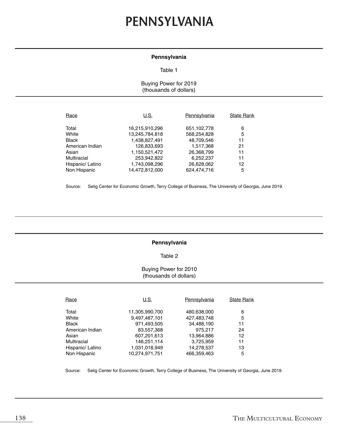# **PENNSYLVANIA**

#### **Pennsylvania**

#### Table 1

# Buying Power for 2019 (thousands of dollars)

| Race             | U.S.           | Pennsylvania  | <b>State Rank</b> |
|------------------|----------------|---------------|-------------------|
| Total            | 16,215,910,296 | 651, 102, 778 | 6                 |
| White            | 13,245,784,818 | 568,254,828   | 5                 |
| <b>Black</b>     | 1,438,827,491  | 48,709,546    | 11                |
| American Indian  | 126,833,693    | 1,517,368     | 21                |
| Asian            | 1,150,521,472  | 26,368,799    | 11                |
| Multiracial      | 253,942,822    | 6,252,237     | 11                |
| Hispanic/ Latino | 1,743,098,296  | 26,628,062    | 12                |
| Non Hispanic     | 14.472.812.000 | 624.474.716   | 5                 |

Source: Selig Center for Economic Growth, Terry College of Business, The University of Georgia, June 2019.

## **Pennsylvania**

## Table 2

## Buying Power for 2010 (thousands of dollars)

| Race             | U.S.           | Pennsylvania | <b>State Rank</b> |
|------------------|----------------|--------------|-------------------|
| Total            | 11,305,990,700 | 480,638,000  | 6                 |
| White            | 9,497,487,101  | 427,483,748  | 5                 |
| Black            | 971,493,505    | 34,488,190   | 11                |
| American Indian  | 83,557,368     | 975,217      | 24                |
| Asian            | 607,201,613    | 13,964,886   | 12                |
| Multiracial      | 146.251.114    | 3,725,959    | 11                |
| Hispanic/ Latino | 1,031,018,949  | 14,278,537   | 13                |
| Non Hispanic     | 10,274,971,751 | 466.359.463  | 5                 |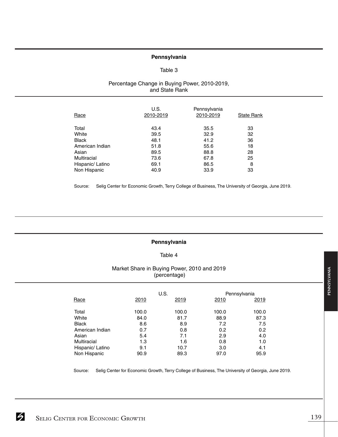### **Pennsylvania**

## Table 3

# Percentage Change in Buying Power, 2010-2019, and State Rank

| Race             | U.S.<br>2010-2019 | Pennsylvania<br>2010-2019 | <b>State Rank</b> |
|------------------|-------------------|---------------------------|-------------------|
| Total            | 43.4              | 35.5                      | 33                |
| White            | 39.5              | 32.9                      | 32                |
| <b>Black</b>     | 48.1              | 41.2                      | 36                |
| American Indian  | 51.8              | 55.6                      | 18                |
| Asian            | 89.5              | 88.8                      | 28                |
| Multiracial      | 73.6              | 67.8                      | 25                |
| Hispanic/ Latino | 69.1              | 86.5                      | 8                 |
| Non Hispanic     | 40.9              | 33.9                      | 33                |

Source: Selig Center for Economic Growth, Terry College of Business, The University of Georgia, June 2019.

#### **Pennsylvania**

## Table 4

# Market Share in Buying Power, 2010 and 2019 (percentage)

|                  | U.S.  |       |       | Pennsylvania |
|------------------|-------|-------|-------|--------------|
| Race             | 2010  | 2019  | 2010  | 2019         |
| Total            | 100.0 | 100.0 | 100.0 | 100.0        |
| White            | 84.0  | 81.7  | 88.9  | 87.3         |
| <b>Black</b>     | 8.6   | 8.9   | 7.2   | 7.5          |
| American Indian  | 0.7   | 0.8   | 0.2   | 0.2          |
| Asian            | 5.4   | 7.1   | 2.9   | 4.0          |
| Multiracial      | 1.3   | 1.6   | 0.8   | 1.0          |
| Hispanic/ Latino | 9.1   | 10.7  | 3.0   | 4.1          |
| Non Hispanic     | 90.9  | 89.3  | 97.0  | 95.9         |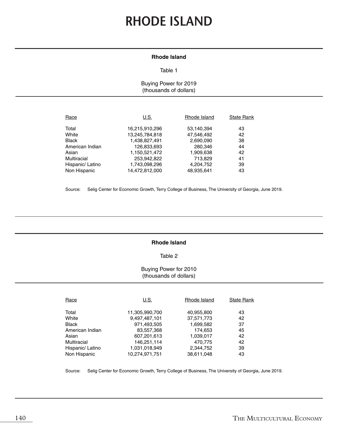# **RHODE ISLAND**

#### **Rhode Island**

#### Table 1

Buying Power for 2019 (thousands of dollars)

| Race             | U.S.           | Rhode Island | State Rank |
|------------------|----------------|--------------|------------|
| Total            | 16,215,910,296 | 53,140,394   | 43         |
| White            | 13,245,784,818 | 47,546,492   | 42         |
| <b>Black</b>     | 1,438,827,491  | 2,690,090    | 38         |
| American Indian  | 126,833,693    | 280,346      | 44         |
| Asian            | 1,150,521,472  | 1,909,638    | 42         |
| Multiracial      | 253,942,822    | 713,829      | 41         |
| Hispanic/ Latino | 1,743,098,296  | 4,204,752    | 39         |
| Non Hispanic     | 14,472,812,000 | 48,935,641   | 43         |

Source: Selig Center for Economic Growth, Terry College of Business, The University of Georgia, June 2019.

## **Rhode Island**

#### Table 2

## Buying Power for 2010 (thousands of dollars)

| Race             | U.S.           | Rhode Island | <b>State Rank</b> |
|------------------|----------------|--------------|-------------------|
| Total            | 11,305,990,700 | 40,955,800   | 43                |
| White            | 9,497,487,101  | 37,571,773   | 42                |
| Black            | 971,493,505    | 1,699,582    | 37                |
| American Indian  | 83,557,368     | 174,653      | 45                |
| Asian            | 607,201,613    | 1,039,017    | 42                |
| Multiracial      | 146,251,114    | 470.775      | 42                |
| Hispanic/ Latino | 1,031,018,949  | 2,344,752    | 39                |
| Non Hispanic     | 10,274,971,751 | 38.611.048   | 43                |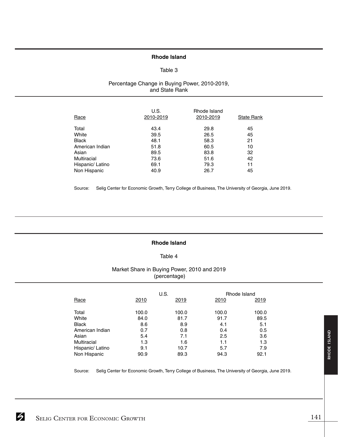#### **Rhode Island**

## Table 3

## Percentage Change in Buying Power, 2010-2019, and State Rank

| Race             | U.S.<br>2010-2019 | Rhode Island<br>2010-2019 | <b>State Rank</b> |
|------------------|-------------------|---------------------------|-------------------|
| Total            | 43.4              | 29.8                      | 45                |
| White            | 39.5              | 26.5                      | 45                |
| <b>Black</b>     | 48.1              | 58.3                      | 21                |
| American Indian  | 51.8              | 60.5                      | 10                |
| Asian            | 89.5              | 83.8                      | 32                |
| Multiracial      | 73.6              | 51.6                      | 42                |
| Hispanic/ Latino | 69.1              | 79.3                      | 11                |
| Non Hispanic     | 40.9              | 26.7                      | 45                |

Source: Selig Center for Economic Growth, Terry College of Business, The University of Georgia, June 2019.

## **Rhode Island**

## Table 4

# Market Share in Buying Power, 2010 and 2019 (percentage)

|                  | U.S.  |       |       | Rhode Island |
|------------------|-------|-------|-------|--------------|
| Race             | 2010  | 2019  | 2010  | 2019         |
| Total            | 100.0 | 100.0 | 100.0 | 100.0        |
| White            | 84.0  | 81.7  | 91.7  | 89.5         |
| <b>Black</b>     | 8.6   | 8.9   | 4.1   | 5.1          |
| American Indian  | 0.7   | 0.8   | 0.4   | 0.5          |
| Asian            | 5.4   | 7.1   | 2.5   | 3.6          |
| Multiracial      | 1.3   | 1.6   | 1.1   | 1.3          |
| Hispanic/ Latino | 9.1   | 10.7  | 5.7   | 7.9          |
| Non Hispanic     | 90.9  | 89.3  | 94.3  | 92.1         |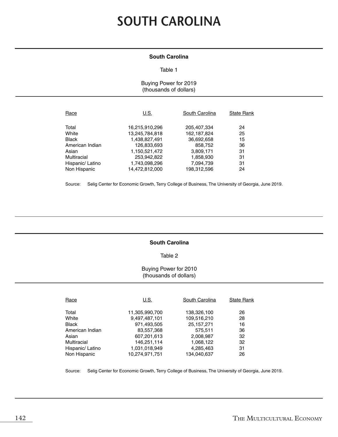# **SOUTH CAROLINA**

#### **South Carolina**

#### Table 1

Buying Power for 2019 (thousands of dollars)

| Race                 | U.S.                         | South Carolina         | <b>State Rank</b> |
|----------------------|------------------------------|------------------------|-------------------|
| Total                | 16,215,910,296               | 205,407,334            | 24                |
| White                | 13,245,784,818               | 162, 187, 824          | 25                |
| <b>Black</b>         | 1,438,827,491                | 36,692,658             | 15                |
| American Indian      | 126.833.693                  | 858,752                | 36                |
| Asian<br>Multiracial | 1,150,521,472<br>253,942,822 | 3,809,171<br>1,858,930 | 31<br>31<br>31    |
| Hispanic/ Latino     | 1,743,098,296                | 7,094,739              | 24                |
| Non Hispanic         | 14,472,812,000               | 198,312,596            |                   |

Source: Selig Center for Economic Growth, Terry College of Business, The University of Georgia, June 2019.

## **South Carolina**

#### Table 2

## Buying Power for 2010 (thousands of dollars)

| Race             | U.S.           | South Carolina | <b>State Rank</b> |
|------------------|----------------|----------------|-------------------|
| Total            | 11,305,990,700 | 138,326,100    | 26                |
| White            | 9,497,487,101  | 109,516,210    | 28                |
| Black            | 971,493,505    | 25, 157, 271   | 16                |
| American Indian  | 83,557,368     | 575,511        | 36                |
| Asian            | 607,201,613    | 2,008,987      | 32                |
| Multiracial      | 146,251,114    | 1,068,122      | 32                |
| Hispanic/ Latino | 1,031,018,949  | 4,285,463      | 31                |
| Non Hispanic     | 10.274.971.751 | 134.040.637    | 26                |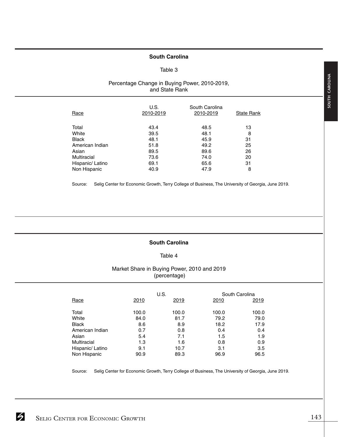### **South Carolina**

#### Table 3

# Percentage Change in Buying Power, 2010-2019, and State Rank

| Race             | U.S.<br>2010-2019 | South Carolina<br>2010-2019 | <b>State Rank</b> |
|------------------|-------------------|-----------------------------|-------------------|
| Total            | 43.4              | 48.5                        | 13                |
| White            | 39.5              | 48.1                        | 8                 |
| <b>Black</b>     | 48.1              | 45.9                        | 31                |
| American Indian  | 51.8              | 49.2                        | 25                |
| Asian            | 89.5              | 89.6                        | 26                |
| Multiracial      | 73.6              | 74.0                        | 20                |
| Hispanic/ Latino | 69.1              | 65.6                        | 31                |
| Non Hispanic     | 40.9              | 47.9                        | 8                 |

Source: Selig Center for Economic Growth, Terry College of Business, The University of Georgia, June 2019.

## **South Carolina**

## Table 4

# Market Share in Buying Power, 2010 and 2019 (percentage)

|                  | U.S.  |       | South Carolina |       |
|------------------|-------|-------|----------------|-------|
| Race             | 2010  | 2019  | 2010           | 2019  |
| Total            | 100.0 | 100.0 | 100.0          | 100.0 |
| White            | 84.0  | 81.7  | 79.2           | 79.0  |
| <b>Black</b>     | 8.6   | 8.9   | 18.2           | 17.9  |
| American Indian  | 0.7   | 0.8   | 0.4            | 0.4   |
| Asian            | 5.4   | 7.1   | 1.5            | 1.9   |
| Multiracial      | 1.3   | 1.6   | 0.8            | 0.9   |
| Hispanic/ Latino | 9.1   | 10.7  | 3.1            | 3.5   |
| Non Hispanic     | 90.9  | 89.3  | 96.9           | 96.5  |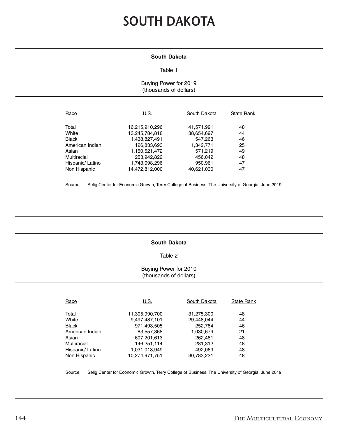# **SOUTH DAKOTA**

#### **South Dakota**

#### Table 1

## Buying Power for 2019 (thousands of dollars)

| Race                            | U.S.                             | South Dakota             | <b>State Rank</b> |
|---------------------------------|----------------------------------|--------------------------|-------------------|
| Total<br>White                  | 16,215,910,296<br>13,245,784,818 | 41,571,991<br>38,654,697 | 48<br>44          |
| <b>Black</b><br>American Indian | 1,438,827,491                    | 547,263                  | 46<br>25          |
| Asian                           | 126,833,693<br>1,150,521,472     | 1,342,771<br>571,219     | 49                |
| Multiracial<br>Hispanic/ Latino | 253,942,822<br>1,743,098,296     | 456,042<br>950,961       | 48<br>47          |
| Non Hispanic                    | 14,472,812,000                   | 40,621,030               | 47                |

Source: Selig Center for Economic Growth, Terry College of Business, The University of Georgia, June 2019.

## **South Dakota**

#### Table 2

# Buying Power for 2010 (thousands of dollars)

| Race             | U.S.           | South Dakota | <b>State Rank</b> |
|------------------|----------------|--------------|-------------------|
| Total            | 11,305,990,700 | 31,275,300   | 48                |
| White            | 9,497,487,101  | 29,448,044   | 44                |
| Black            | 971,493,505    | 252.784      | 46                |
| American Indian  | 83,557,368     | 1,030,679    | 21                |
| Asian            | 607,201,613    | 262,481      | 48                |
| Multiracial      | 146,251,114    | 281,312      | 48                |
| Hispanic/ Latino | 1,031,018,949  | 492,069      | 48                |
| Non Hispanic     | 10.274.971.751 | 30,783,231   | 48                |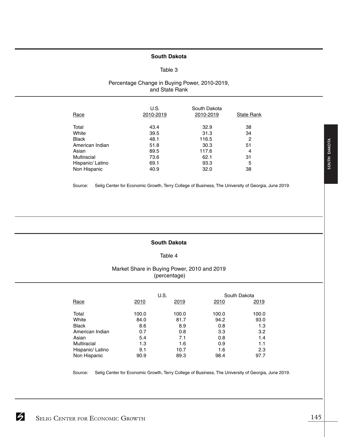#### **South Dakota**

#### Table 3

## Percentage Change in Buying Power, 2010-2019, and State Rank

| Race             | U.S.<br>2010-2019 | South Dakota<br>2010-2019 | <b>State Rank</b> |
|------------------|-------------------|---------------------------|-------------------|
| Total            | 43.4              | 32.9                      | 38                |
| White            | 39.5              | 31.3                      | 34                |
| <b>Black</b>     | 48.1              | 116.5                     | 2                 |
| American Indian  | 51.8              | 30.3                      | 51                |
| Asian            | 89.5              | 117.6                     | 4                 |
| Multiracial      | 73.6              | 62.1                      | 31                |
| Hispanic/ Latino | 69.1              | 93.3                      | 5                 |
| Non Hispanic     | 40.9              | 32.0                      | 38                |

Source: Selig Center for Economic Growth, Terry College of Business, The University of Georgia, June 2019.

## **South Dakota**

#### Table 4

## Market Share in Buying Power, 2010 and 2019 (percentage)

|                    | U.S.  |       |       | South Dakota |
|--------------------|-------|-------|-------|--------------|
| Race               | 2010  | 2019  | 2010  | 2019         |
|                    |       |       |       |              |
| Total              | 100.0 | 100.0 | 100.0 | 100.0        |
| White              | 84.0  | 81.7  | 94.2  | 93.0         |
| <b>Black</b>       | 8.6   | 8.9   | 0.8   | 1.3          |
| American Indian    | 0.7   | 0.8   | 3.3   | 3.2          |
| Asian              | 5.4   | 7.1   | 0.8   | 1.4          |
| <b>Multiracial</b> | 1.3   | 1.6   | 0.9   | 1.1          |
| Hispanic/ Latino   | 9.1   | 10.7  | 1.6   | 2.3          |
| Non Hispanic       | 90.9  | 89.3  | 98.4  | 97.7         |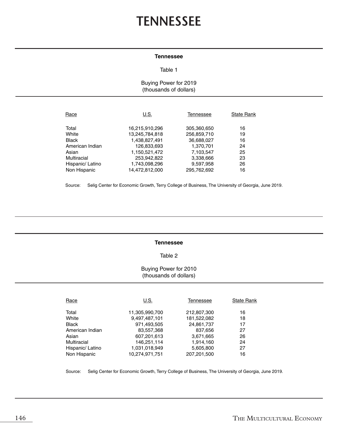# **TENNESSEE**

#### **Tennessee**

#### Table 1

## Buying Power for 2019 (thousands of dollars)

| Race             | U.S.           | Tennessee   | <b>State Rank</b> |
|------------------|----------------|-------------|-------------------|
| Total            | 16,215,910,296 | 305,360,650 | 16                |
| White            | 13,245,784,818 | 256,859,710 | 19                |
| <b>Black</b>     | 1,438,827,491  | 36,688,027  | 16                |
| American Indian  | 126,833,693    | 1,370,701   | 24                |
| Asian            | 1,150,521,472  | 7,103,547   | 25                |
| Multiracial      | 253,942,822    | 3,338,666   | 23                |
| Hispanic/ Latino | 1,743,098,296  | 9,597,958   | 26                |
| Non Hispanic     | 14,472,812,000 | 295,762,692 | 16                |

Source: Selig Center for Economic Growth, Terry College of Business, The University of Georgia, June 2019.

#### **Tennessee**

#### Table 2

### Buying Power for 2010 (thousands of dollars)

| Race             | U.S.           | Tennessee   | <b>State Rank</b> |
|------------------|----------------|-------------|-------------------|
| Total            | 11,305,990,700 | 212,807,300 | 16                |
| White            | 9,497,487,101  | 181,522,082 | 18                |
| <b>Black</b>     | 971,493,505    | 24,861,737  | 17                |
| American Indian  | 83,557,368     | 837,656     | 27                |
| Asian            | 607,201,613    | 3,671,665   | 26                |
| Multiracial      | 146,251,114    | 1,914,160   | 24                |
| Hispanic/ Latino | 1,031,018,949  | 5,605,800   | 27                |
| Non Hispanic     | 10,274,971,751 | 207,201,500 | 16                |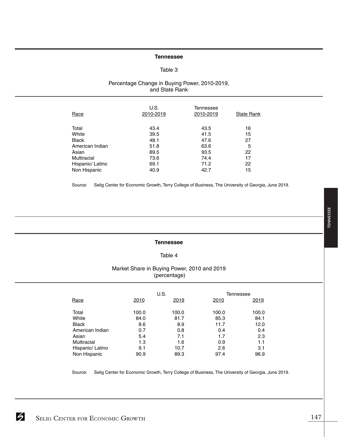#### **Tennessee**

#### Table 3

## Percentage Change in Buying Power, 2010-2019, and State Rank

| Race             | U.S.<br>2010-2019 | Tennessee<br>2010-2019 | <b>State Rank</b> |
|------------------|-------------------|------------------------|-------------------|
| Total            | 43.4              | 43.5                   | 16                |
| White            | 39.5              | 41.5                   | 15                |
| <b>Black</b>     | 48.1              | 47.6                   | 27                |
| American Indian  | 51.8              | 63.6                   | 5                 |
| Asian            | 89.5              | 93.5                   | 22                |
| Multiracial      | 73.6              | 74.4                   | 17                |
| Hispanic/ Latino | 69.1              | 71.2                   | 22                |
| Non Hispanic     | 40.9              | 42.7                   | 15                |

Source: Selig Center for Economic Growth, Terry College of Business, The University of Georgia, June 2019.

## **Tennessee**

## Table 4

# Market Share in Buying Power, 2010 and 2019 (percentage)

|                  |       | U.S.  | Tennessee |       |
|------------------|-------|-------|-----------|-------|
| Race             | 2010  | 2019  | 2010      | 2019  |
| Total            | 100.0 | 100.0 | 100.0     | 100.0 |
| White            | 84.0  | 81.7  | 85.3      | 84.1  |
| <b>Black</b>     | 8.6   | 8.9   | 11.7      | 12.0  |
| American Indian  | 0.7   | 0.8   | 0.4       | 0.4   |
| Asian            | 5.4   | 7.1   | 1.7       | 2.3   |
| Multiracial      | 1.3   | 1.6   | 0.9       | 1.1   |
| Hispanic/ Latino | 9.1   | 10.7  | 2.6       | 3.1   |
| Non Hispanic     | 90.9  | 89.3  | 97.4      | 96.9  |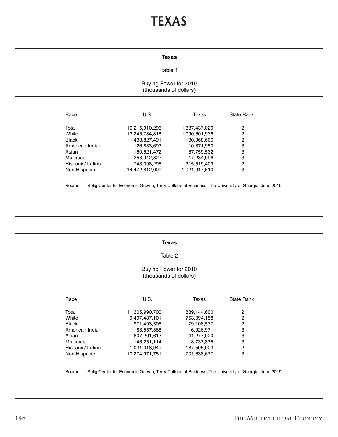# **TEXAS**

#### **Texas**

## Table 1

## Buying Power for 2019 (thousands of dollars)

| Race             | U.S.           | Texas         | <b>State Rank</b> |
|------------------|----------------|---------------|-------------------|
| Total            | 16,215,910,296 | 1,337,437,020 | 2                 |
| White            | 13,245,784,818 | 1,090,601,936 | 2                 |
| <b>Black</b>     | 1,438,827,491  | 130,968,606   | 2                 |
| American Indian  | 126,833,693    | 10,871,950    | 3                 |
| Asian            | 1,150,521,472  | 87,759,532    | 3                 |
| Multiracial      | 253,942,822    | 17,234,996    | 3<br>2            |
| Hispanic/ Latino | 1,743,098,296  | 315,519,409   | 3                 |
| Non Hispanic     | 14,472,812,000 | 1,021,917,610 |                   |

Source: Selig Center for Economic Growth, Terry College of Business, The University of Georgia, June 2019.

#### **Texas**

### Table 2

## Buying Power for 2010 (thousands of dollars)

| Race             | U.S.           | Texas       | <b>State Rank</b> |
|------------------|----------------|-------------|-------------------|
| Total            | 11,305,990,700 | 889,144,600 | 2                 |
| White            | 9,497,487,101  | 753,094,158 | 2                 |
| <b>Black</b>     | 971,493,505    | 79,108,577  | 2                 |
| American Indian  | 83,557,368     | 6,926,971   | 3                 |
| Asian            | 607,201,613    | 41,277,020  | 3                 |
| Multiracial      | 146,251,114    | 8,737,875   | 3                 |
| Hispanic/ Latino | 1,031,018,949  | 187,505,923 | 2                 |
| Non Hispanic     | 10.274.971.751 | 701.638.677 | 3                 |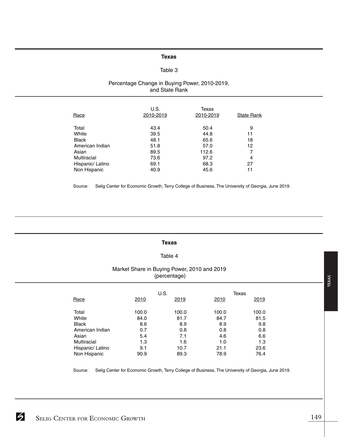#### **Texas**

## Table 3

#### Percentage Change in Buying Power, 2010-2019, and State Rank

| Race             | U.S.<br>2010-2019 | Texas<br>2010-2019 | <b>State Rank</b> |
|------------------|-------------------|--------------------|-------------------|
| Total            | 43.4              | 50.4               | 9                 |
| White            | 39.5              | 44.8               | 11                |
| <b>Black</b>     | 48.1              | 65.6               | 18                |
| American Indian  | 51.8              | 57.0               | 12                |
| Asian            | 89.5              | 112.6              |                   |
| Multiracial      | 73.6              | 97.2               | 4                 |
| Hispanic/ Latino | 69.1              | 68.3               | 27                |
| Non Hispanic     | 40.9              | 45.6               | 11                |

Source: Selig Center for Economic Growth, Terry College of Business, The University of Georgia, June 2019.

#### **Texas**

### Table 4

#### Market Share in Buying Power, 2010 and 2019 (percentage)

|                  |       | U.S.  |       | Texas |
|------------------|-------|-------|-------|-------|
| Race             | 2010  | 2019  | 2010  | 2019  |
| Total            | 100.0 | 100.0 | 100.0 | 100.0 |
| White            | 84.0  | 81.7  | 84.7  | 81.5  |
| <b>Black</b>     | 8.6   | 8.9   | 8.9   | 9.8   |
| American Indian  | 0.7   | 0.8   | 0.8   | 0.8   |
| Asian            | 5.4   | 7.1   | 4.6   | 6.6   |
| Multiracial      | 1.3   | 1.6   | 1.0   | 1.3   |
| Hispanic/ Latino | 9.1   | 10.7  | 21.1  | 23.6  |
| Non Hispanic     | 90.9  | 89.3  | 78.9  | 76.4  |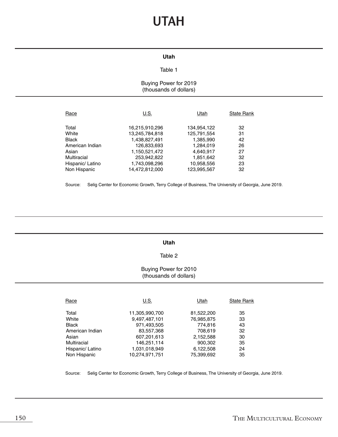# **UTAH**

#### **Utah**

## Table 1

## Buying Power for 2019 (thousands of dollars)

| Race             | U.S.           | Utah        | <b>State Rank</b> |
|------------------|----------------|-------------|-------------------|
| Total            | 16,215,910,296 | 134,954,122 | 32                |
| White            | 13,245,784,818 | 125,791,554 | 31                |
| <b>Black</b>     | 1,438,827,491  | 1,385,990   | 42                |
| American Indian  | 126,833,693    | 1.284.019   | 26                |
| Asian            | 1,150,521,472  | 4,640,917   | 27                |
| Multiracial      | 253,942,822    | 1,851,642   | 32                |
| Hispanic/ Latino | 1,743,098,296  | 10,958,556  | 23                |
| Non Hispanic     | 14,472,812,000 | 123,995,567 | 32                |

Source: Selig Center for Economic Growth, Terry College of Business, The University of Georgia, June 2019.

#### **Utah**

### Table 2

### Buying Power for 2010 (thousands of dollars)

| Race             | U.S.           | Utah       | <b>State Rank</b> |
|------------------|----------------|------------|-------------------|
| Total            | 11,305,990,700 | 81,522,200 | 35                |
| White            | 9,497,487,101  | 76,985,875 | 33                |
| <b>Black</b>     | 971,493,505    | 774.816    | 43                |
| American Indian  | 83,557,368     | 708,619    | 32                |
| Asian            | 607,201,613    | 2,152,588  | 30                |
| Multiracial      | 146,251,114    | 900,302    | 35                |
| Hispanic/ Latino | 1,031,018,949  | 6,122,508  | 24                |
| Non Hispanic     | 10,274,971,751 | 75.399.692 | 35                |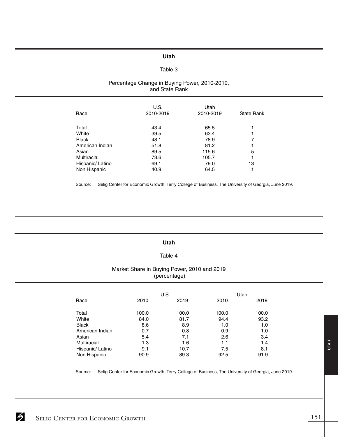## **Utah**

## Table 3

## Percentage Change in Buying Power, 2010-2019, and State Rank

| Race             | U.S.<br>2010-2019 | Utah<br>2010-2019 | <b>State Rank</b> |
|------------------|-------------------|-------------------|-------------------|
| Total            | 43.4              | 65.5              |                   |
| White            | 39.5              | 63.4              |                   |
| <b>Black</b>     | 48.1              | 78.9              | 7                 |
| American Indian  | 51.8              | 81.2              |                   |
| Asian            | 89.5              | 115.6             | 5                 |
| Multiracial      | 73.6              | 105.7             |                   |
| Hispanic/ Latino | 69.1              | 79.0              | 13                |
| Non Hispanic     | 40.9              | 64.5              |                   |

Source: Selig Center for Economic Growth, Terry College of Business, The University of Georgia, June 2019.

#### **Utah**

### Table 4

## Market Share in Buying Power, 2010 and 2019 (percentage)

|                  |       | U.S.  |       | Utah  |
|------------------|-------|-------|-------|-------|
| Race             | 2010  | 2019  | 2010  | 2019  |
| Total            | 100.0 | 100.0 | 100.0 | 100.0 |
| White            | 84.0  | 81.7  | 94.4  | 93.2  |
| <b>Black</b>     | 8.6   | 8.9   | 1.0   | 1.0   |
| American Indian  | 0.7   | 0.8   | 0.9   | 1.0   |
| Asian            | 5.4   | 7.1   | 2.6   | 3.4   |
| Multiracial      | 1.3   | 1.6   | 1.1   | 1.4   |
| Hispanic/ Latino | 9.1   | 10.7  | 7.5   | 8.1   |
| Non Hispanic     | 90.9  | 89.3  | 92.5  | 91.9  |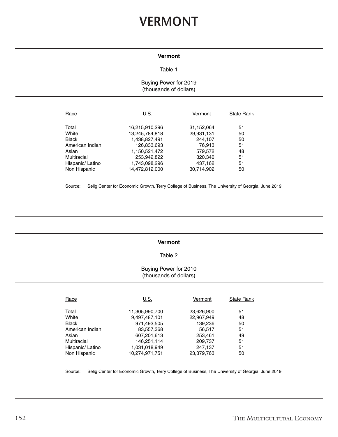# **VERMONT**

## **Vermont**

#### Table 1

## Buying Power for 2019 (thousands of dollars)

| Race             | U.S.           | Vermont    | <b>State Rank</b> |
|------------------|----------------|------------|-------------------|
| Total            | 16,215,910,296 | 31,152,064 | 51                |
| White            | 13,245,784,818 | 29,931,131 | 50                |
| <b>Black</b>     | 1,438,827,491  | 244,107    | 50                |
| American Indian  | 126,833,693    | 76.913     | 51                |
| Asian            | 1,150,521,472  | 579,572    | 48                |
| Multiracial      | 253,942,822    | 320,340    | 51                |
| Hispanic/ Latino | 1,743,098,296  | 437,162    | 51                |
| Non Hispanic     | 14,472,812,000 | 30.714.902 | 50                |

Source: Selig Center for Economic Growth, Terry College of Business, The University of Georgia, June 2019.

#### **Vermont**

#### Table 2

## Buying Power for 2010 (thousands of dollars)

| Race             | U.S.           | Vermont    | <b>State Rank</b> |
|------------------|----------------|------------|-------------------|
| Total            | 11,305,990,700 | 23,626,900 | 51                |
| White            | 9,497,487,101  | 22,967,949 | 48                |
| <b>Black</b>     | 971,493,505    | 139,236    | 50                |
| American Indian  | 83,557,368     | 56.517     | 51                |
| Asian            | 607,201,613    | 253,461    | 49                |
| Multiracial      | 146,251,114    | 209,737    | 51                |
| Hispanic/ Latino | 1,031,018,949  | 247,137    | 51                |
| Non Hispanic     | 10.274.971.751 | 23,379,763 | 50                |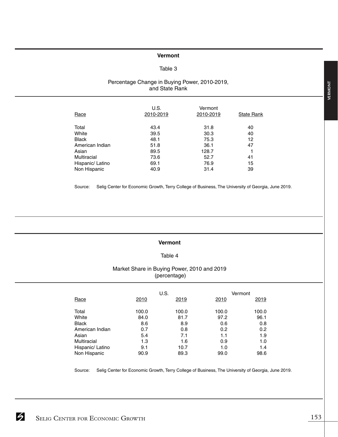## **Vermont**

## Table 3

## Percentage Change in Buying Power, 2010-2019, and State Rank

| Race             | U.S.<br>2010-2019 | Vermont<br>2010-2019 | <b>State Rank</b> |
|------------------|-------------------|----------------------|-------------------|
| Total            | 43.4              | 31.8                 | 40                |
| White            | 39.5              | 30.3                 | 40                |
| <b>Black</b>     | 48.1              | 75.3                 | 12                |
| American Indian  | 51.8              | 36.1                 | 47                |
| Asian            | 89.5              | 128.7                |                   |
| Multiracial      | 73.6              | 52.7                 | 41                |
| Hispanic/ Latino | 69.1              | 76.9                 | 15                |
| Non Hispanic     | 40.9              | 31.4                 | 39                |

Source: Selig Center for Economic Growth, Terry College of Business, The University of Georgia, June 2019.

#### **Vermont**

## Table 4

## Market Share in Buying Power, 2010 and 2019 (percentage)

|                  |       | U.S.  |       | Vermont |
|------------------|-------|-------|-------|---------|
| Race             | 2010  | 2019  | 2010  | 2019    |
| Total            | 100.0 | 100.0 | 100.0 | 100.0   |
| White            | 84.0  | 81.7  | 97.2  | 96.1    |
| <b>Black</b>     | 8.6   | 8.9   | 0.6   | 0.8     |
| American Indian  | 0.7   | 0.8   | 0.2   | 0.2     |
| Asian            | 5.4   | 7.1   | 1.1   | 1.9     |
| Multiracial      | 1.3   | 1.6   | 0.9   | 1.0     |
| Hispanic/ Latino | 9.1   | 10.7  | 1.0   | 1.4     |
| Non Hispanic     | 90.9  | 89.3  | 99.0  | 98.6    |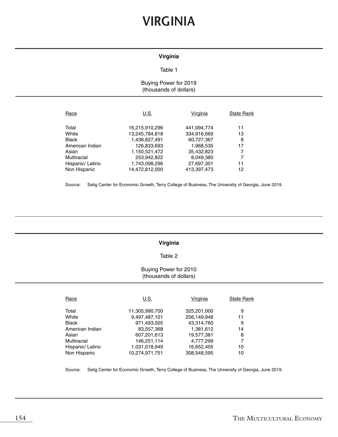# **VIRGINIA**

## **Virginia**

#### Table 1

## Buying Power for 2019 (thousands of dollars)

| Race             | U.S.           | Virginia    | <b>State Rank</b> |
|------------------|----------------|-------------|-------------------|
| Total            | 16,215,910,296 | 441,094,774 | 11                |
| White            | 13,245,784,818 | 334,916,669 | 13                |
| <b>Black</b>     | 1,438,827,491  | 60,727,367  | 8                 |
| American Indian  | 126,833,693    | 1,968,535   | 17                |
| Asian            | 1,150,521,472  | 35,432,823  | 7                 |
| Multiracial      | 253,942,822    | 8,049,380   | 7                 |
| Hispanic/ Latino | 1,743,098,296  | 27,697,301  | 11                |
| Non Hispanic     | 14,472,812,000 | 413,397,473 | 12                |

Source: Selig Center for Economic Growth, Terry College of Business, The University of Georgia, June 2019.

### **Virginia**

#### Table 2

#### Buying Power for 2010 (thousands of dollars)

| Race             | U.S.           | Virginia    | <b>State Rank</b> |
|------------------|----------------|-------------|-------------------|
| Total            | 11,305,990,700 | 325,201,000 | 9                 |
| White            | 9,497,487,101  | 256,149,948 | 11                |
| <b>Black</b>     | 971,493,505    | 43,314,760  | 9                 |
| American Indian  | 83,557,368     | 1,381,612   | 14                |
| Asian            | 607,201,613    | 19,577,381  | 8                 |
| Multiracial      | 146,251,114    | 4,777,299   |                   |
| Hispanic/ Latino | 1,031,018,949  | 16,652,405  | 10                |
| Non Hispanic     | 10.274.971.751 | 308.548.595 | 10                |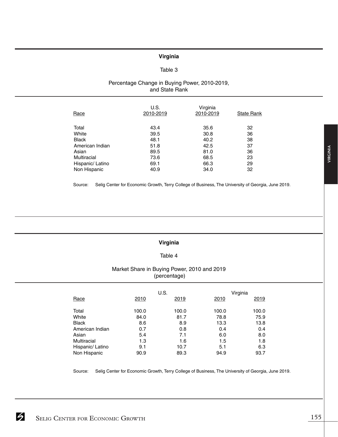#### **Virginia**

## Table 3

## Percentage Change in Buying Power, 2010-2019, and State Rank

| Race             | U.S.<br>2010-2019 | Virginia<br>2010-2019 | <b>State Rank</b> |
|------------------|-------------------|-----------------------|-------------------|
| Total            | 43.4              | 35.6                  | 32                |
| White            | 39.5              | 30.8                  | 36                |
| <b>Black</b>     | 48.1              | 40.2                  | 38                |
| American Indian  | 51.8              | 42.5                  | 37                |
| Asian            | 89.5              | 81.0                  | 36                |
| Multiracial      | 73.6              | 68.5                  | 23                |
| Hispanic/ Latino | 69.1              | 66.3                  | 29                |
| Non Hispanic     | 40.9              | 34.0                  | 32                |

Source: Selig Center for Economic Growth, Terry College of Business, The University of Georgia, June 2019.

### **Virginia**

### Table 4

### Market Share in Buying Power, 2010 and 2019 (percentage)

|                  |       | U.S.  |       | Virginia |
|------------------|-------|-------|-------|----------|
| Race             | 2010  | 2019  | 2010  | 2019     |
| Total            | 100.0 | 100.0 | 100.0 | 100.0    |
| White            | 84.0  | 81.7  | 78.8  | 75.9     |
| <b>Black</b>     | 8.6   | 8.9   | 13.3  | 13.8     |
| American Indian  | 0.7   | 0.8   | 0.4   | 0.4      |
| Asian            | 5.4   | 7.1   | 6.0   | 8.0      |
| Multiracial      | 1.3   | 1.6   | 1.5   | 1.8      |
| Hispanic/ Latino | 9.1   | 10.7  | 5.1   | 6.3      |
| Non Hispanic     | 90.9  | 89.3  | 94.9  | 93.7     |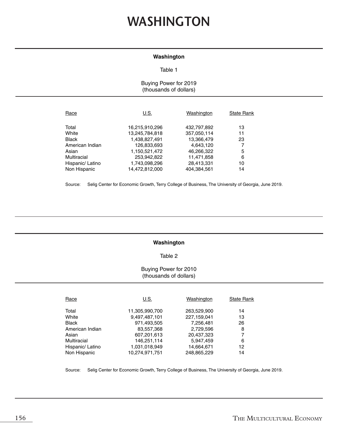# **WASHINGTON**

#### **Washington**

#### Table 1

## Buying Power for 2019 (thousands of dollars)

| Race             | U.S.           | Washington  | <b>State Rank</b> |
|------------------|----------------|-------------|-------------------|
| Total            | 16,215,910,296 | 432,797,892 | 13                |
| White            | 13,245,784,818 | 357,050,114 | 11                |
| <b>Black</b>     | 1,438,827,491  | 13,366,479  | 23                |
| American Indian  | 126,833,693    | 4,643,120   |                   |
| Asian            | 1,150,521,472  | 46,266,322  | 5                 |
| Multiracial      | 253,942,822    | 11,471,858  | 6                 |
| Hispanic/ Latino | 1,743,098,296  | 28,413,331  | 10                |
| Non Hispanic     | 14,472,812,000 | 404.384.561 | 14                |

Source: Selig Center for Economic Growth, Terry College of Business, The University of Georgia, June 2019.

### **Washington**

#### Table 2

#### Buying Power for 2010 (thousands of dollars)

| Race             | U.S.           | Washington  | <b>State Rank</b> |
|------------------|----------------|-------------|-------------------|
| Total            | 11,305,990,700 | 263,529,900 | 14                |
| White            | 9,497,487,101  | 227,159,041 | 13                |
| <b>Black</b>     | 971,493,505    | 7,256,481   | 26                |
| American Indian  | 83,557,368     | 2,729,596   | 8                 |
| Asian            | 607,201,613    | 20,437,323  | 7                 |
| Multiracial      | 146,251,114    | 5,947,459   | 6                 |
| Hispanic/ Latino | 1,031,018,949  | 14,664,671  | 12                |
| Non Hispanic     | 10.274.971.751 | 248.865.229 | 14                |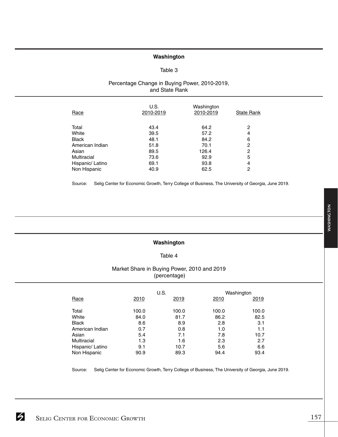## **Washington**

#### Table 3

## Percentage Change in Buying Power, 2010-2019, and State Rank

| Race             | U.S.<br>2010-2019 | Washington<br>2010-2019 | <b>State Rank</b> |
|------------------|-------------------|-------------------------|-------------------|
| Total            | 43.4              | 64.2                    | 2                 |
| White            | 39.5              | 57.2                    | 4                 |
| Black            | 48.1              | 84.2                    | 6                 |
| American Indian  | 51.8              | 70.1                    | 2                 |
| Asian            | 89.5              | 126.4                   | 2                 |
| Multiracial      | 73.6              | 92.9                    | 5                 |
| Hispanic/ Latino | 69.1              | 93.8                    | 4                 |
| Non Hispanic     | 40.9              | 62.5                    | 2                 |

Source: Selig Center for Economic Growth, Terry College of Business, The University of Georgia, June 2019.

## **Washington**

## Table 4

## Market Share in Buying Power, 2010 and 2019 (percentage)

|                  |       | U.S.  |       | Washington |
|------------------|-------|-------|-------|------------|
| Race             | 2010  | 2019  | 2010  | 2019       |
| Total            | 100.0 | 100.0 | 100.0 | 100.0      |
| White            | 84.0  | 81.7  | 86.2  | 82.5       |
| <b>Black</b>     | 8.6   | 8.9   | 2.8   | 3.1        |
| American Indian  | 0.7   | 0.8   | 1.0   | 1.1        |
| Asian            | 5.4   | 7.1   | 7.8   | 10.7       |
| Multiracial      | 1.3   | 1.6   | 2.3   | 2.7        |
| Hispanic/ Latino | 9.1   | 10.7  | 5.6   | 6.6        |
| Non Hispanic     | 90.9  | 89.3  | 94.4  | 93.4       |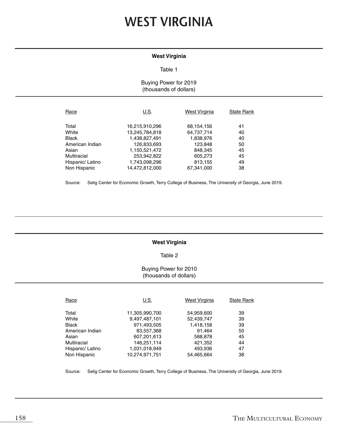# **WEST VIRGINIA**

## **West Virginia**

#### Table 1

## Buying Power for 2019 (thousands of dollars)

| Race             | U.S.                             | <b>West Virginia</b>     | <b>State Rank</b> |
|------------------|----------------------------------|--------------------------|-------------------|
| Total<br>White   | 16,215,910,296<br>13,245,784,818 | 68,154,156<br>64,737,714 | 41<br>40          |
| <b>Black</b>     | 1,438,827,491                    | 1,838,976                | 40                |
| American Indian  | 126,833,693                      | 123,848                  | 50                |
| Asian            | 1,150,521,472                    | 848,345                  | 45                |
| Multiracial      | 253,942,822                      | 605,273                  | 45                |
| Hispanic/ Latino | 1,743,098,296                    | 813,155                  | 49                |
| Non Hispanic     | 14,472,812,000                   | 67,341,000               | 38                |

Source: Selig Center for Economic Growth, Terry College of Business, The University of Georgia, June 2019.

#### **West Virginia**

#### Table 2

### Buying Power for 2010 (thousands of dollars)

| Race             | U.S.           | West Virginia | <b>State Rank</b> |
|------------------|----------------|---------------|-------------------|
| Total            | 11,305,990,700 | 54,959,600    | 39                |
| White            | 9,497,487,101  | 52,439,747    | 39                |
| <b>Black</b>     | 971,493,505    | 1,418,158     | 39                |
| American Indian  | 83,557,368     | 91.464        | 50                |
| Asian            | 607,201,613    | 588,878       | 45                |
| Multiracial      | 146,251,114    | 421,352       | 44                |
| Hispanic/ Latino | 1,031,018,949  | 493,936       | 47                |
| Non Hispanic     | 10,274,971,751 | 54,465,664    | 38                |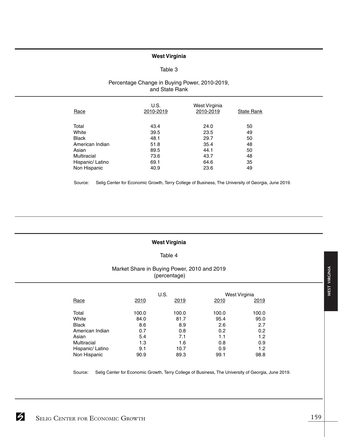## **West Virginia**

#### Table 3

## Percentage Change in Buying Power, 2010-2019, and State Rank

| Race             | U.S.<br>2010-2019 | West Virginia<br>2010-2019 | <b>State Rank</b> |
|------------------|-------------------|----------------------------|-------------------|
| Total            | 43.4              | 24.0                       | 50                |
| White            | 39.5              | 23.5                       | 49                |
| <b>Black</b>     | 48.1              | 29.7                       | 50                |
| American Indian  | 51.8              | 35.4                       | 48                |
| Asian            | 89.5              | 44.1                       | 50                |
| Multiracial      | 73.6              | 43.7                       | 48                |
| Hispanic/ Latino | 69.1              | 64.6                       | 35                |
| Non Hispanic     | 40.9              | 23.6                       | 49                |

Source: Selig Center for Economic Growth, Terry College of Business, The University of Georgia, June 2019.

#### **West Virginia**

#### Table 4

## Market Share in Buying Power, 2010 and 2019 (percentage)

|                  | U.S.  |       |       | West Virginia |
|------------------|-------|-------|-------|---------------|
| Race             | 2010  | 2019  | 2010  | 2019          |
| Total            | 100.0 | 100.0 | 100.0 | 100.0         |
| White            | 84.0  | 81.7  | 95.4  | 95.0          |
| <b>Black</b>     | 8.6   | 8.9   | 2.6   | 2.7           |
| American Indian  | 0.7   | 0.8   | 0.2   | 0.2           |
| Asian            | 5.4   | 7.1   | 1.1   | 1.2           |
| Multiracial      | 1.3   | 1.6   | 0.8   | 0.9           |
| Hispanic/ Latino | 9.1   | 10.7  | 0.9   | 1.2           |
| Non Hispanic     | 90.9  | 89.3  | 99.1  | 98.8          |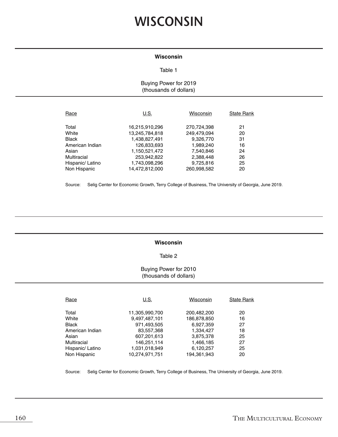# **WISCONSIN**

#### **Wisconsin**

#### Table 1

## Buying Power for 2019 (thousands of dollars)

| Race                            | U.S.                             | Wisconsin                  | <b>State Rank</b> |
|---------------------------------|----------------------------------|----------------------------|-------------------|
| Total<br>White                  | 16,215,910,296<br>13,245,784,818 | 270,724,398<br>249,479,094 | 21<br>20          |
| <b>Black</b><br>American Indian | 1,438,827,491<br>126,833,693     | 9,326,770<br>1,989,240     | 31<br>16          |
| Asian                           | 1,150,521,472                    | 7,540,846                  | 24                |
| Multiracial                     | 253,942,822                      | 2,388,448                  | 26                |
| Hispanic/ Latino                | 1,743,098,296                    | 9,725,816                  | 25                |
| Non Hispanic                    | 14,472,812,000                   | 260,998,582                | 20                |

Source: Selig Center for Economic Growth, Terry College of Business, The University of Georgia, June 2019.

#### **Wisconsin**

### Table 2

### Buying Power for 2010 (thousands of dollars)

| Race             | U.S.           | Wisconsin   | <b>State Rank</b> |
|------------------|----------------|-------------|-------------------|
| Total            | 11,305,990,700 | 200,482,200 | 20                |
| White            | 9,497,487,101  | 186,878,850 | 16                |
| <b>Black</b>     | 971,493,505    | 6,927,359   | 27                |
| American Indian  | 83,557,368     | 1.334.427   | 18                |
| Asian            | 607,201,613    | 3,875,378   | 25                |
| Multiracial      | 146,251,114    | 1,466,185   | 27                |
| Hispanic/ Latino | 1,031,018,949  | 6,120,257   | 25                |
| Non Hispanic     | 10.274.971.751 | 194.361.943 | 20                |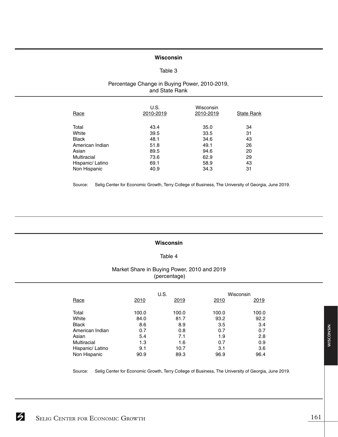## **Wisconsin**

#### Table 3

#### Percentage Change in Buying Power, 2010-2019, and State Rank

| Race             | U.S.<br>2010-2019 | Wisconsin<br>2010-2019 | <b>State Rank</b> |
|------------------|-------------------|------------------------|-------------------|
| Total            | 43.4              | 35.0                   | 34                |
| White            | 39.5              | 33.5                   | 31                |
| <b>Black</b>     | 48.1              | 34.6                   | 43                |
| American Indian  | 51.8              | 49.1                   | 26                |
| Asian            | 89.5              | 94.6                   | 20                |
| Multiracial      | 73.6              | 62.9                   | 29                |
| Hispanic/ Latino | 69.1              | 58.9                   | 43                |
| Non Hispanic     | 40.9              | 34.3                   | 31                |

Source: Selig Center for Economic Growth, Terry College of Business, The University of Georgia, June 2019.

#### **Wisconsin**

### Table 4

## Market Share in Buying Power, 2010 and 2019 (percentage)

|                  |       | U.S.  | Wisconsin |       |
|------------------|-------|-------|-----------|-------|
| Race             | 2010  | 2019  | 2010      | 2019  |
| Total            | 100.0 | 100.0 | 100.0     | 100.0 |
| White            | 84.0  | 81.7  | 93.2      | 92.2  |
| <b>Black</b>     | 8.6   | 8.9   | 3.5       | 3.4   |
| American Indian  | 0.7   | 0.8   | 0.7       | 0.7   |
| Asian            | 5.4   | 7.1   | 1.9       | 2.8   |
| Multiracial      | 1.3   | 1.6   | 0.7       | 0.9   |
| Hispanic/ Latino | 9.1   | 10.7  | 3.1       | 3.6   |
| Non Hispanic     | 90.9  | 89.3  | 96.9      | 96.4  |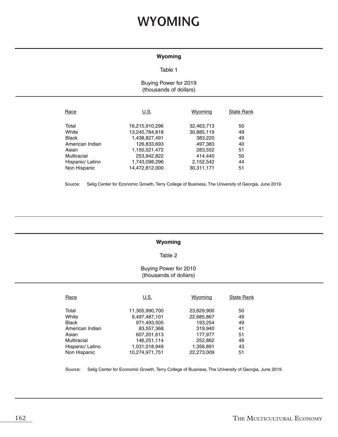# **WYOMING**

## **Wyoming**

#### Table 1

## Buying Power for 2019 (thousands of dollars)

| Race             | U.S.           | Wyoming    | <b>State Rank</b> |
|------------------|----------------|------------|-------------------|
| Total            | 16,215,910,296 | 32,463,713 | 50                |
| White            | 13,245,784,818 | 30,885,119 | 49                |
| <b>Black</b>     | 1,438,827,491  | 383,220    | 49                |
| American Indian  | 126,833,693    | 497,383    | 40                |
| Asian            | 1,150,521,472  | 283,552    | 51                |
| Multiracial      | 253,942,822    | 414.440    | 50                |
| Hispanic/ Latino | 1,743,098,296  | 2,152,542  | 44                |
| Non Hispanic     | 14.472.812.000 | 30.311.171 | 51                |

Source: Selig Center for Economic Growth, Terry College of Business, The University of Georgia, June 2019.

#### **Wyoming**

#### Table 2

## Buying Power for 2010 (thousands of dollars)

| Race             | <u>U.S.</u>    | Wyoming    | <b>State Rank</b> |
|------------------|----------------|------------|-------------------|
| Total            | 11,305,990,700 | 23,629,900 | 50                |
| White            | 9,497,487,101  | 22,685,867 | 49                |
| Black            | 971,493,505    | 193.254    | 49                |
| American Indian  | 83,557,368     | 319.940    | 41                |
| Asian            | 607,201,613    | 177,977    | 51                |
| Multiracial      | 146,251,114    | 252,862    | 49                |
| Hispanic/ Latino | 1,031,018,949  | 1,356,891  | 43                |
| Non Hispanic     | 10.274.971.751 | 22.273.009 | 51                |